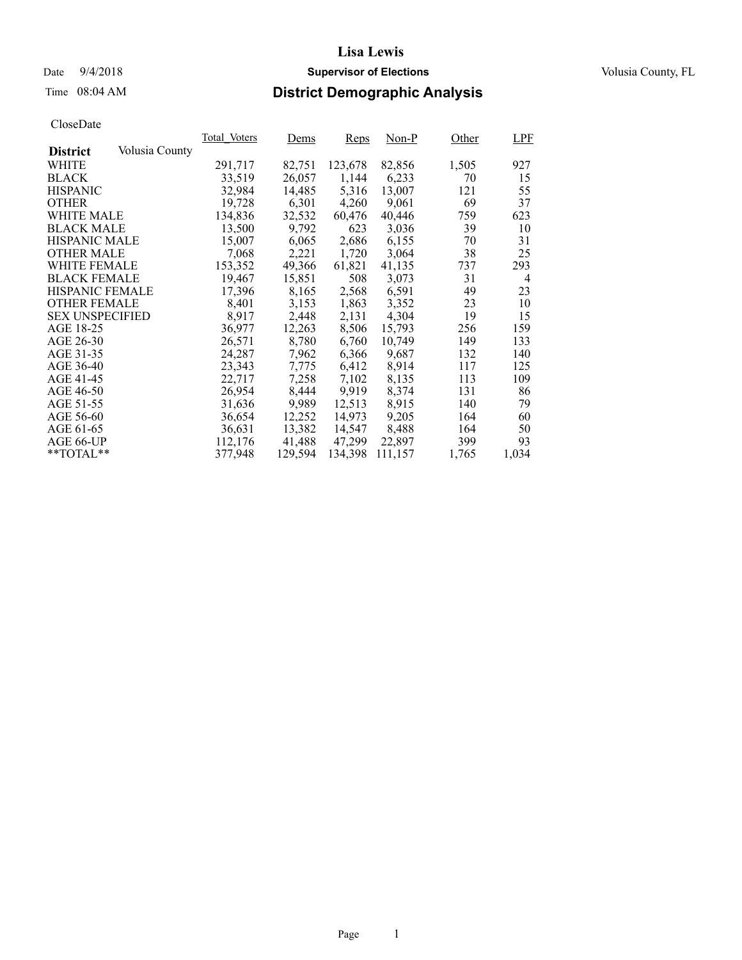## Time 08:04 AM **District Demographic Analysis**

|                        |                | Total Voters | Dems    | <b>Reps</b> | $Non-P$ | Other | LPF   |
|------------------------|----------------|--------------|---------|-------------|---------|-------|-------|
| <b>District</b>        | Volusia County |              |         |             |         |       |       |
| WHITE                  |                | 291,717      | 82,751  | 123,678     | 82,856  | 1,505 | 927   |
| <b>BLACK</b>           |                | 33,519       | 26,057  | 1,144       | 6,233   | 70    | 15    |
| <b>HISPANIC</b>        |                | 32,984       | 14,485  | 5,316       | 13,007  | 121   | 55    |
| <b>OTHER</b>           |                | 19,728       | 6,301   | 4,260       | 9,061   | 69    | 37    |
| WHITE MALE             |                | 134,836      | 32,532  | 60,476      | 40,446  | 759   | 623   |
| <b>BLACK MALE</b>      |                | 13,500       | 9,792   | 623         | 3,036   | 39    | 10    |
| <b>HISPANIC MALE</b>   |                | 15,007       | 6,065   | 2,686       | 6,155   | 70    | 31    |
| <b>OTHER MALE</b>      |                | 7,068        | 2,221   | 1,720       | 3,064   | 38    | 25    |
| <b>WHITE FEMALE</b>    |                | 153,352      | 49,366  | 61,821      | 41,135  | 737   | 293   |
| <b>BLACK FEMALE</b>    |                | 19,467       | 15,851  | 508         | 3,073   | 31    | 4     |
| HISPANIC FEMALE        |                | 17,396       | 8,165   | 2,568       | 6,591   | 49    | 23    |
| <b>OTHER FEMALE</b>    |                | 8.401        | 3,153   | 1,863       | 3,352   | 23    | 10    |
| <b>SEX UNSPECIFIED</b> |                | 8,917        | 2,448   | 2,131       | 4,304   | 19    | 15    |
| AGE 18-25              |                | 36,977       | 12,263  | 8,506       | 15,793  | 256   | 159   |
| AGE 26-30              |                | 26.571       | 8,780   | 6,760       | 10.749  | 149   | 133   |
| AGE 31-35              |                | 24,287       | 7,962   | 6,366       | 9,687   | 132   | 140   |
| AGE 36-40              |                | 23,343       | 7,775   | 6,412       | 8,914   | 117   | 125   |
| AGE 41-45              |                | 22,717       | 7,258   | 7,102       | 8,135   | 113   | 109   |
| AGE 46-50              |                | 26,954       | 8,444   | 9,919       | 8,374   | 131   | 86    |
| AGE 51-55              |                | 31,636       | 9,989   | 12,513      | 8,915   | 140   | 79    |
| AGE 56-60              |                | 36,654       | 12,252  | 14.973      | 9,205   | 164   | 60    |
| AGE 61-65              |                | 36,631       | 13,382  | 14,547      | 8,488   | 164   | 50    |
| AGE 66-UP              |                | 112,176      | 41,488  | 47,299      | 22,897  | 399   | 93    |
| $*$ TOTAL $*$          |                | 377,948      | 129,594 | 134,398     | 111,157 | 1,765 | 1,034 |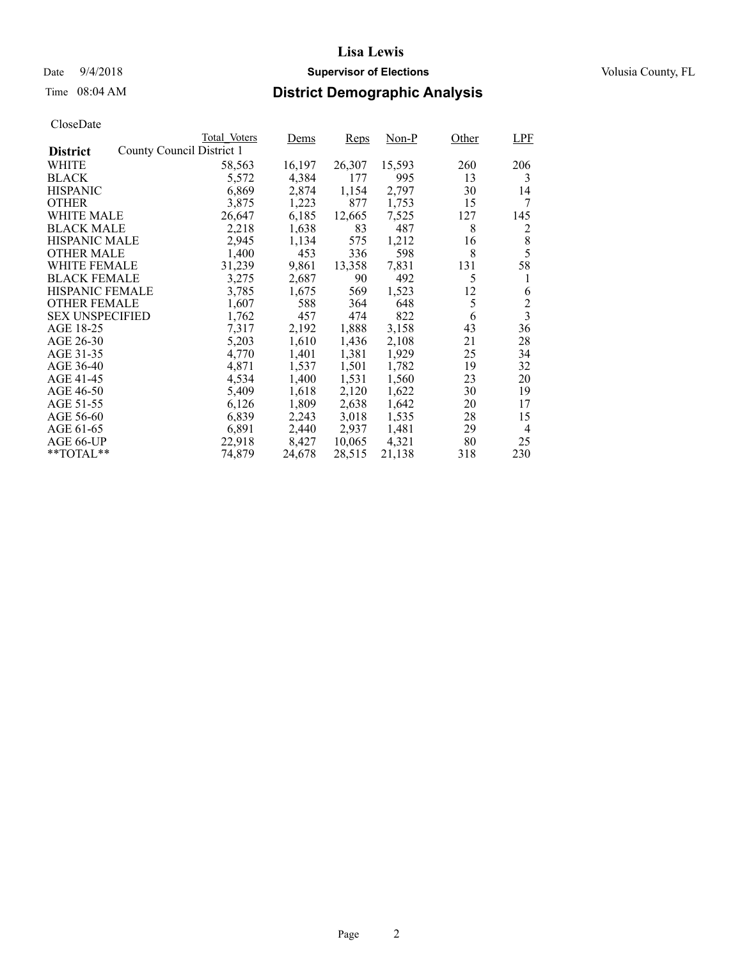### Date  $9/4/2018$  **Supervisor of Elections** Volusia County, FL

## Time 08:04 AM **District Demographic Analysis**

|                        |                           | Total Voters | Dems   | <b>Reps</b> | Non-P  | Other | <b>LPF</b>              |
|------------------------|---------------------------|--------------|--------|-------------|--------|-------|-------------------------|
| <b>District</b>        | County Council District 1 |              |        |             |        |       |                         |
| WHITE                  |                           | 58,563       | 16,197 | 26,307      | 15,593 | 260   | 206                     |
| <b>BLACK</b>           |                           | 5,572        | 4,384  | 177         | 995    | 13    | 3                       |
| <b>HISPANIC</b>        |                           | 6,869        | 2,874  | 1,154       | 2,797  | 30    | 14                      |
| <b>OTHER</b>           |                           | 3,875        | 1,223  | 877         | 1,753  | 15    | 7                       |
| WHITE MALE             |                           | 26,647       | 6,185  | 12,665      | 7,525  | 127   | 145                     |
| <b>BLACK MALE</b>      |                           | 2,218        | 1,638  | 83          | 487    | 8     | 2                       |
| <b>HISPANIC MALE</b>   |                           | 2,945        | 1,134  | 575         | 1,212  | 16    | 8                       |
| <b>OTHER MALE</b>      |                           | 1,400        | 453    | 336         | 598    | 8     | 5                       |
| WHITE FEMALE           |                           | 31,239       | 9,861  | 13,358      | 7,831  | 131   | 58                      |
| <b>BLACK FEMALE</b>    |                           | 3,275        | 2,687  | 90          | 492    | 5     | 1                       |
| HISPANIC FEMALE        |                           | 3,785        | 1,675  | 569         | 1,523  | 12    | 6                       |
| <b>OTHER FEMALE</b>    |                           | 1,607        | 588    | 364         | 648    | 5     | $\overline{c}$          |
| <b>SEX UNSPECIFIED</b> |                           | 1,762        | 457    | 474         | 822    | 6     | $\overline{\mathbf{3}}$ |
| AGE 18-25              |                           | 7,317        | 2,192  | 1,888       | 3,158  | 43    | 36                      |
| AGE 26-30              |                           | 5,203        | 1,610  | 1,436       | 2,108  | 21    | 28                      |
| AGE 31-35              |                           | 4,770        | 1,401  | 1,381       | 1,929  | 25    | 34                      |
| AGE 36-40              |                           | 4,871        | 1,537  | 1,501       | 1,782  | 19    | 32                      |
| AGE 41-45              |                           | 4,534        | 1,400  | 1,531       | 1,560  | 23    | 20                      |
| AGE 46-50              |                           | 5,409        | 1,618  | 2,120       | 1,622  | 30    | 19                      |
| AGE 51-55              |                           | 6,126        | 1,809  | 2,638       | 1,642  | 20    | 17                      |
| AGE 56-60              |                           | 6,839        | 2,243  | 3,018       | 1,535  | 28    | 15                      |
| AGE 61-65              |                           | 6,891        | 2,440  | 2,937       | 1,481  | 29    | $\overline{4}$          |
| AGE 66-UP              |                           | 22,918       | 8,427  | 10,065      | 4,321  | 80    | 25                      |
| $*$ $TOTAL**$          |                           | 74,879       | 24,678 | 28,515      | 21,138 | 318   | 230                     |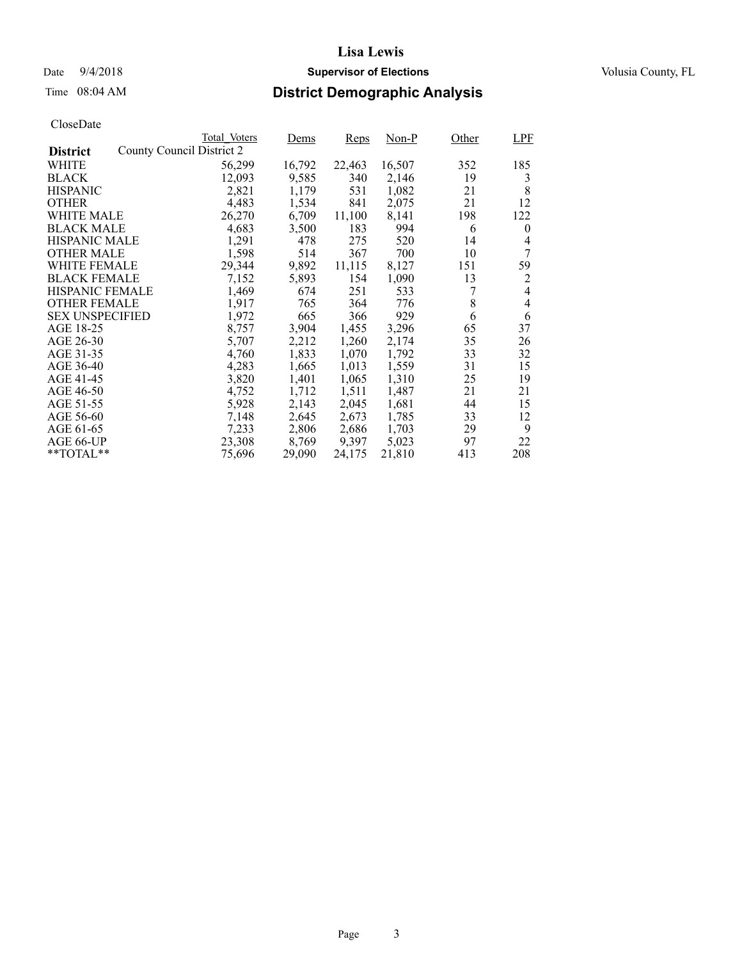## Date  $9/4/2018$  **Supervisor of Elections** Volusia County, FL

## Time 08:04 AM **District Demographic Analysis**

|                        |                           | Total Voters | Dems   | <b>Reps</b> | Non-P  | Other | <b>LPF</b>     |
|------------------------|---------------------------|--------------|--------|-------------|--------|-------|----------------|
| <b>District</b>        | County Council District 2 |              |        |             |        |       |                |
| WHITE                  |                           | 56,299       | 16,792 | 22,463      | 16,507 | 352   | 185            |
| <b>BLACK</b>           |                           | 12,093       | 9,585  | 340         | 2,146  | 19    | 3              |
| <b>HISPANIC</b>        |                           | 2,821        | 1,179  | 531         | 1,082  | 21    | 8              |
| <b>OTHER</b>           |                           | 4,483        | 1,534  | 841         | 2,075  | 21    | 12             |
| WHITE MALE             |                           | 26,270       | 6,709  | 11,100      | 8,141  | 198   | 122            |
| <b>BLACK MALE</b>      |                           | 4,683        | 3,500  | 183         | 994    | 6     | $\theta$       |
| <b>HISPANIC MALE</b>   |                           | 1,291        | 478    | 275         | 520    | 14    | 4              |
| <b>OTHER MALE</b>      |                           | 1,598        | 514    | 367         | 700    | 10    | 7              |
| WHITE FEMALE           |                           | 29,344       | 9,892  | 11,115      | 8,127  | 151   | 59             |
| <b>BLACK FEMALE</b>    |                           | 7,152        | 5,893  | 154         | 1,090  | 13    | 2              |
| HISPANIC FEMALE        |                           | 1,469        | 674    | 251         | 533    |       | $\overline{4}$ |
| <b>OTHER FEMALE</b>    |                           | 1,917        | 765    | 364         | 776    | 8     | 4              |
| <b>SEX UNSPECIFIED</b> |                           | 1,972        | 665    | 366         | 929    | 6     | 6              |
| AGE 18-25              |                           | 8,757        | 3,904  | 1,455       | 3,296  | 65    | 37             |
| AGE 26-30              |                           | 5,707        | 2,212  | 1,260       | 2,174  | 35    | 26             |
| AGE 31-35              |                           | 4,760        | 1,833  | 1,070       | 1,792  | 33    | 32             |
| AGE 36-40              |                           | 4,283        | 1,665  | 1,013       | 1,559  | 31    | 15             |
| AGE 41-45              |                           | 3,820        | 1,401  | 1,065       | 1,310  | 25    | 19             |
| AGE 46-50              |                           | 4,752        | 1,712  | 1,511       | 1,487  | 21    | 21             |
| AGE 51-55              |                           | 5,928        | 2,143  | 2,045       | 1,681  | 44    | 15             |
| AGE 56-60              |                           | 7,148        | 2,645  | 2,673       | 1,785  | 33    | 12             |
| AGE 61-65              |                           | 7,233        | 2,806  | 2,686       | 1,703  | 29    | 9              |
| AGE 66-UP              |                           | 23,308       | 8,769  | 9,397       | 5,023  | 97    | 22             |
| $*$ $TOTAL**$          |                           | 75,696       | 29,090 | 24,175      | 21,810 | 413   | 208            |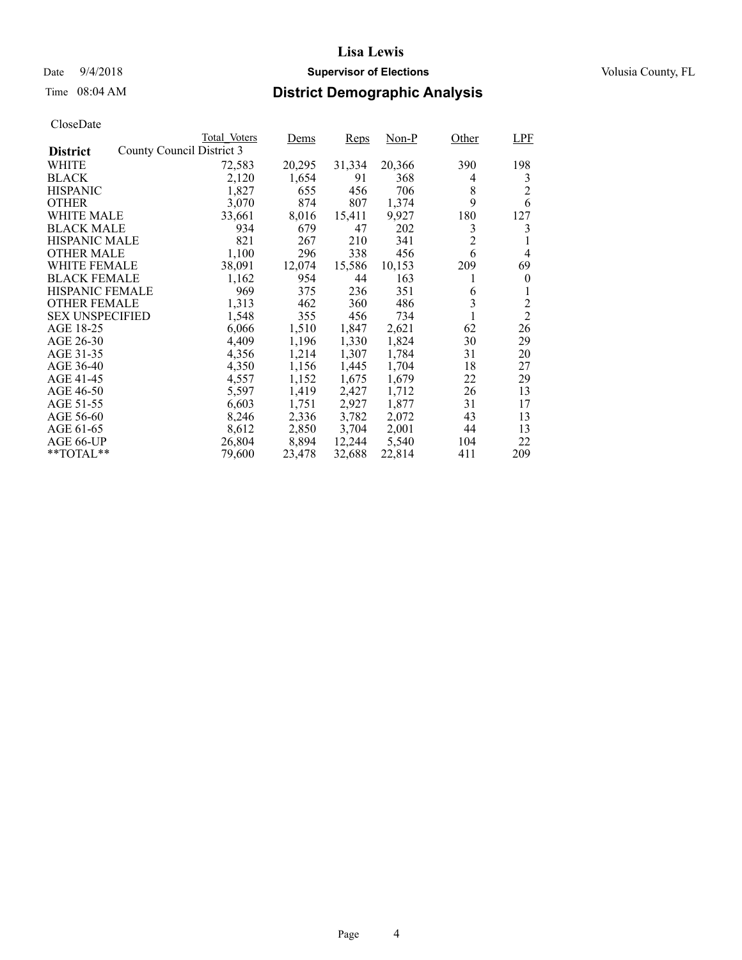### Date  $9/4/2018$  **Supervisor of Elections** Volusia County, FL

## Time 08:04 AM **District Demographic Analysis**

|                        |                           | Total Voters | Dems   | <b>Reps</b> | Non-P  | Other          | LPF            |
|------------------------|---------------------------|--------------|--------|-------------|--------|----------------|----------------|
| <b>District</b>        | County Council District 3 |              |        |             |        |                |                |
| WHITE                  |                           | 72,583       | 20,295 | 31,334      | 20,366 | 390            | 198            |
| <b>BLACK</b>           |                           | 2,120        | 1,654  | 91          | 368    | 4              | 3              |
| <b>HISPANIC</b>        |                           | 1,827        | 655    | 456         | 706    | 8              | $\overline{c}$ |
| <b>OTHER</b>           |                           | 3,070        | 874    | 807         | 1,374  | 9              | 6              |
| WHITE MALE             |                           | 33,661       | 8,016  | 15,411      | 9,927  | 180            | 127            |
| <b>BLACK MALE</b>      |                           | 934          | 679    | 47          | 202    | 3              | 3              |
| <b>HISPANIC MALE</b>   |                           | 821          | 267    | 210         | 341    | $\overline{c}$ |                |
| <b>OTHER MALE</b>      |                           | 1,100        | 296    | 338         | 456    | 6              | 4              |
| WHITE FEMALE           |                           | 38,091       | 12,074 | 15,586      | 10,153 | 209            | 69             |
| <b>BLACK FEMALE</b>    |                           | 1,162        | 954    | 44          | 163    |                | $\theta$       |
| HISPANIC FEMALE        |                           | 969          | 375    | 236         | 351    | 6              |                |
| <b>OTHER FEMALE</b>    |                           | 1,313        | 462    | 360         | 486    | 3              | $\overline{c}$ |
| <b>SEX UNSPECIFIED</b> |                           | 1,548        | 355    | 456         | 734    |                | $\overline{2}$ |
| AGE 18-25              |                           | 6,066        | 1,510  | 1,847       | 2,621  | 62             | 26             |
| AGE 26-30              |                           | 4,409        | 1,196  | 1,330       | 1,824  | 30             | 29             |
| AGE 31-35              |                           | 4,356        | 1,214  | 1,307       | 1,784  | 31             | 20             |
| AGE 36-40              |                           | 4,350        | 1,156  | 1,445       | 1,704  | 18             | 27             |
| AGE 41-45              |                           | 4,557        | 1,152  | 1,675       | 1,679  | 22             | 29             |
| AGE 46-50              |                           | 5,597        | 1,419  | 2,427       | 1,712  | 26             | 13             |
| AGE 51-55              |                           | 6,603        | 1,751  | 2,927       | 1,877  | 31             | 17             |
| AGE 56-60              |                           | 8,246        | 2,336  | 3,782       | 2,072  | 43             | 13             |
| AGE 61-65              |                           | 8,612        | 2,850  | 3,704       | 2,001  | 44             | 13             |
| AGE 66-UP              |                           | 26,804       | 8,894  | 12,244      | 5,540  | 104            | 22             |
| $*$ TOTAL $*$          |                           | 79,600       | 23,478 | 32,688      | 22,814 | 411            | 209            |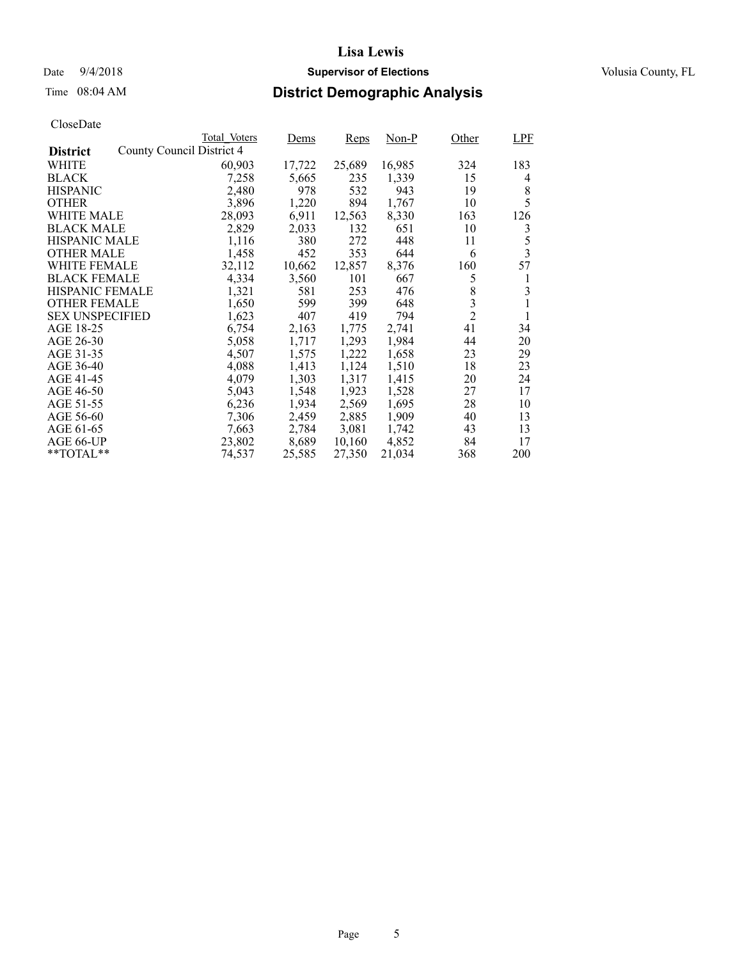### Date  $9/4/2018$  **Supervisor of Elections** Volusia County, FL

## Time 08:04 AM **District Demographic Analysis**

|                        |                           | Total Voters | Dems   | <b>Reps</b> | Non-P  | Other          | <b>LPF</b> |
|------------------------|---------------------------|--------------|--------|-------------|--------|----------------|------------|
| <b>District</b>        | County Council District 4 |              |        |             |        |                |            |
| WHITE                  |                           | 60,903       | 17,722 | 25,689      | 16,985 | 324            | 183        |
| <b>BLACK</b>           |                           | 7,258        | 5,665  | 235         | 1,339  | 15             | 4          |
| <b>HISPANIC</b>        |                           | 2,480        | 978    | 532         | 943    | 19             | 8          |
| <b>OTHER</b>           |                           | 3,896        | 1,220  | 894         | 1,767  | 10             | 5          |
| WHITE MALE             |                           | 28,093       | 6,911  | 12,563      | 8,330  | 163            | 126        |
| <b>BLACK MALE</b>      |                           | 2,829        | 2,033  | 132         | 651    | 10             | 3          |
| <b>HISPANIC MALE</b>   |                           | 1,116        | 380    | 272         | 448    | 11             | 5          |
| <b>OTHER MALE</b>      |                           | 1,458        | 452    | 353         | 644    | 6              | 3          |
| WHITE FEMALE           |                           | 32,112       | 10,662 | 12,857      | 8,376  | 160            | 57         |
| <b>BLACK FEMALE</b>    |                           | 4,334        | 3,560  | 101         | 667    | 5              | 1          |
| HISPANIC FEMALE        |                           | 1,321        | 581    | 253         | 476    | 8              | 3          |
| <b>OTHER FEMALE</b>    |                           | 1,650        | 599    | 399         | 648    | 3              | 1          |
| <b>SEX UNSPECIFIED</b> |                           | 1,623        | 407    | 419         | 794    | $\overline{2}$ | 1          |
| AGE 18-25              |                           | 6,754        | 2,163  | 1,775       | 2,741  | 41             | 34         |
| AGE 26-30              |                           | 5,058        | 1,717  | 1,293       | 1,984  | 44             | 20         |
| AGE 31-35              |                           | 4,507        | 1,575  | 1,222       | 1,658  | 23             | 29         |
| AGE 36-40              |                           | 4,088        | 1,413  | 1,124       | 1,510  | 18             | 23         |
| AGE 41-45              |                           | 4,079        | 1,303  | 1,317       | 1,415  | 20             | 24         |
| AGE 46-50              |                           | 5,043        | 1,548  | 1,923       | 1,528  | 27             | 17         |
| AGE 51-55              |                           | 6,236        | 1,934  | 2,569       | 1,695  | 28             | 10         |
| AGE 56-60              |                           | 7,306        | 2,459  | 2,885       | 1,909  | 40             | 13         |
| AGE 61-65              |                           | 7,663        | 2,784  | 3,081       | 1,742  | 43             | 13         |
| AGE 66-UP              |                           | 23,802       | 8,689  | 10,160      | 4,852  | 84             | 17         |
| $*$ TOTAL $*$          |                           | 74,537       | 25,585 | 27,350      | 21,034 | 368            | 200        |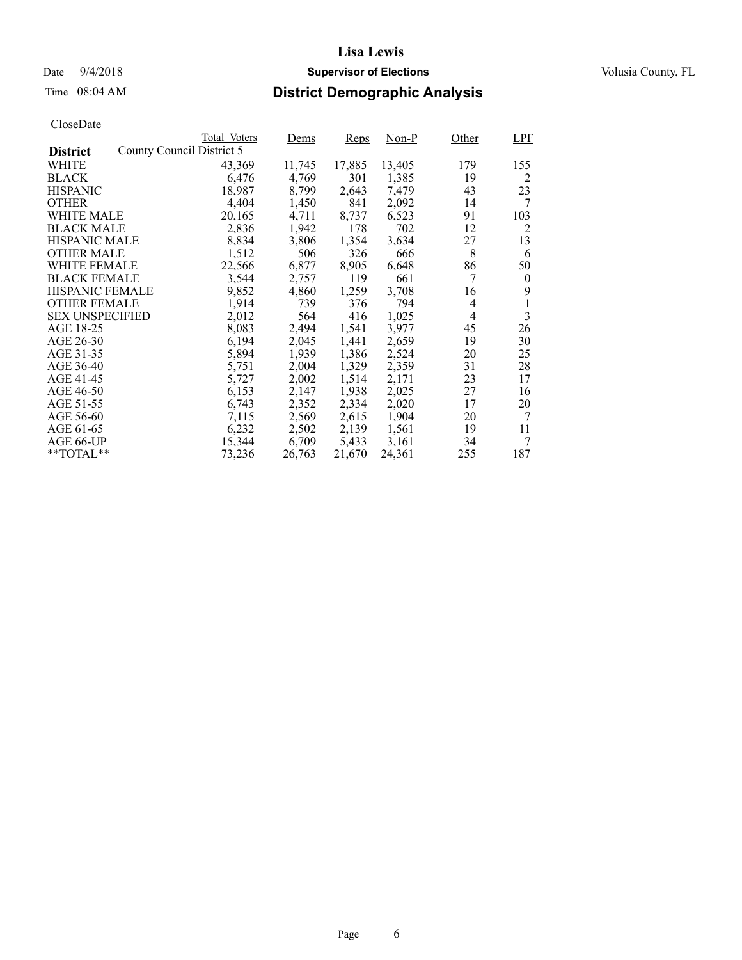### Date  $9/4/2018$  **Supervisor of Elections** Volusia County, FL

## Time 08:04 AM **District Demographic Analysis**

|                        |                           | Total Voters | Dems   | <b>Reps</b> | Non-P  | Other          | <b>LPF</b>     |
|------------------------|---------------------------|--------------|--------|-------------|--------|----------------|----------------|
| <b>District</b>        | County Council District 5 |              |        |             |        |                |                |
| WHITE                  |                           | 43,369       | 11,745 | 17,885      | 13,405 | 179            | 155            |
| <b>BLACK</b>           |                           | 6,476        | 4,769  | 301         | 1,385  | 19             | 2              |
| <b>HISPANIC</b>        |                           | 18,987       | 8,799  | 2,643       | 7,479  | 43             | 23             |
| <b>OTHER</b>           |                           | 4,404        | 1,450  | 841         | 2,092  | 14             | 7              |
| WHITE MALE             |                           | 20,165       | 4,711  | 8,737       | 6,523  | 91             | 103            |
| <b>BLACK MALE</b>      |                           | 2,836        | 1,942  | 178         | 702    | 12             | 2              |
| <b>HISPANIC MALE</b>   |                           | 8,834        | 3,806  | 1,354       | 3,634  | 27             | 13             |
| <b>OTHER MALE</b>      |                           | 1,512        | 506    | 326         | 666    | 8              | 6              |
| <b>WHITE FEMALE</b>    |                           | 22,566       | 6,877  | 8,905       | 6,648  | 86             | 50             |
| <b>BLACK FEMALE</b>    |                           | 3,544        | 2,757  | 119         | 661    | 7              | $\overline{0}$ |
| HISPANIC FEMALE        |                           | 9,852        | 4,860  | 1,259       | 3,708  | 16             | 9              |
| <b>OTHER FEMALE</b>    |                           | 1,914        | 739    | 376         | 794    | $\overline{4}$ | 1              |
| <b>SEX UNSPECIFIED</b> |                           | 2,012        | 564    | 416         | 1,025  | 4              | 3              |
| AGE 18-25              |                           | 8,083        | 2,494  | 1,541       | 3,977  | 45             | 26             |
| AGE 26-30              |                           | 6,194        | 2,045  | 1,441       | 2,659  | 19             | 30             |
| AGE 31-35              |                           | 5,894        | 1,939  | 1,386       | 2,524  | 20             | 25             |
| AGE 36-40              |                           | 5,751        | 2,004  | 1,329       | 2,359  | 31             | 28             |
| AGE 41-45              |                           | 5,727        | 2,002  | 1,514       | 2,171  | 23             | 17             |
| AGE 46-50              |                           | 6,153        | 2,147  | 1,938       | 2,025  | 27             | 16             |
| AGE 51-55              |                           | 6,743        | 2,352  | 2,334       | 2,020  | 17             | 20             |
| AGE 56-60              |                           | 7,115        | 2,569  | 2,615       | 1,904  | 20             | 7              |
| AGE 61-65              |                           | 6,232        | 2,502  | 2,139       | 1,561  | 19             | 11             |
| AGE 66-UP              |                           | 15,344       | 6,709  | 5,433       | 3,161  | 34             | 7              |
| $*$ TOTAL $*$          |                           | 73,236       | 26,763 | 21,670      | 24,361 | 255            | 187            |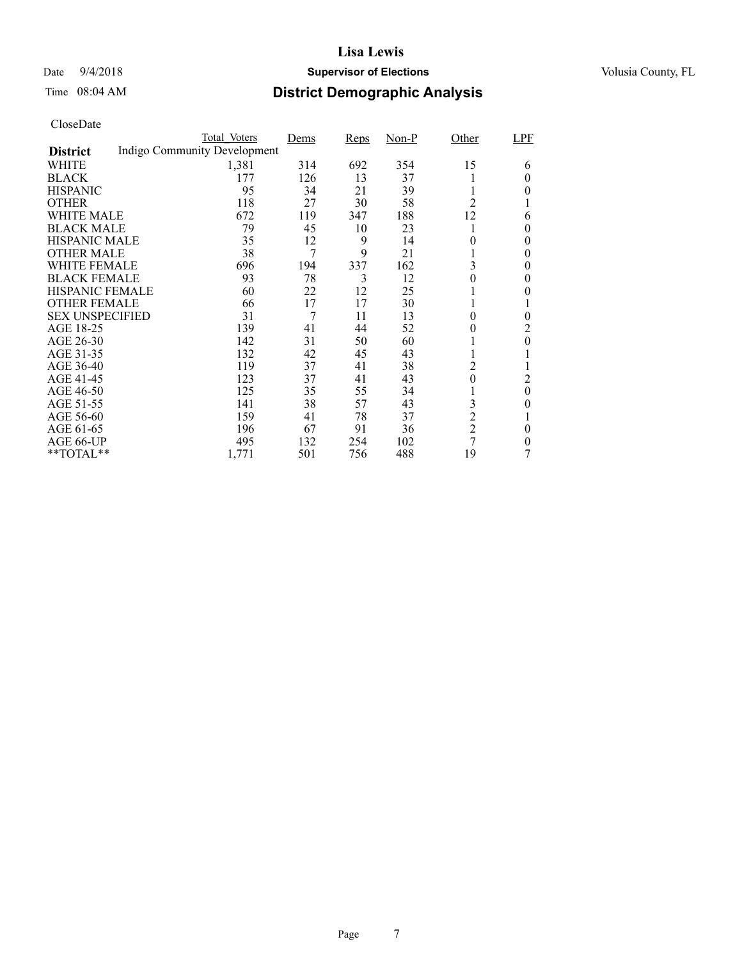### Date  $9/4/2018$  **Supervisor of Elections** Volusia County, FL

## Time 08:04 AM **District Demographic Analysis**

|                        | Total Voters                 | Dems | Reps | $Non-P$ | Other          | LPF      |
|------------------------|------------------------------|------|------|---------|----------------|----------|
| <b>District</b>        | Indigo Community Development |      |      |         |                |          |
| WHITE                  | 1,381                        | 314  | 692  | 354     | 15             | 6        |
| <b>BLACK</b>           | 177                          | 126  | 13   | 37      |                | 0        |
| <b>HISPANIC</b>        | 95                           | 34   | 21   | 39      |                | 0        |
| <b>OTHER</b>           | 118                          | 27   | 30   | 58      | 2              |          |
| WHITE MALE             | 672                          | 119  | 347  | 188     | 12             | 6        |
| <b>BLACK MALE</b>      | 79                           | 45   | 10   | 23      |                | 0        |
| <b>HISPANIC MALE</b>   | 35                           | 12   | 9    | 14      | 0              | $\theta$ |
| <b>OTHER MALE</b>      | 38                           | 7    | 9    | 21      |                | $\theta$ |
| <b>WHITE FEMALE</b>    | 696                          | 194  | 337  | 162     | 3              | 0        |
| <b>BLACK FEMALE</b>    | 93                           | 78   | 3    | 12      | 0              | 0        |
| <b>HISPANIC FEMALE</b> | 60                           | 22   | 12   | 25      |                | 0        |
| <b>OTHER FEMALE</b>    | 66                           | 17   | 17   | 30      |                |          |
| <b>SEX UNSPECIFIED</b> | 31                           | 7    | 11   | 13      | 0              | $\theta$ |
| AGE 18-25              | 139                          | 41   | 44   | 52      | 0              | 2        |
| AGE 26-30              | 142                          | 31   | 50   | 60      |                | $\theta$ |
| AGE 31-35              | 132                          | 42   | 45   | 43      |                |          |
| AGE 36-40              | 119                          | 37   | 41   | 38      | 2              |          |
| AGE 41-45              | 123                          | 37   | 41   | 43      | $\overline{0}$ | 2        |
| AGE 46-50              | 125                          | 35   | 55   | 34      |                | $\theta$ |
| AGE 51-55              | 141                          | 38   | 57   | 43      | 3              | 0        |
| AGE 56-60              | 159                          | 41   | 78   | 37      | $\overline{c}$ |          |
| AGE 61-65              | 196                          | 67   | 91   | 36      | $\overline{c}$ | $\theta$ |
| AGE 66-UP              | 495                          | 132  | 254  | 102     | 7              | 0        |
| **TOTAL**              | 1,771                        | 501  | 756  | 488     | 19             | 7        |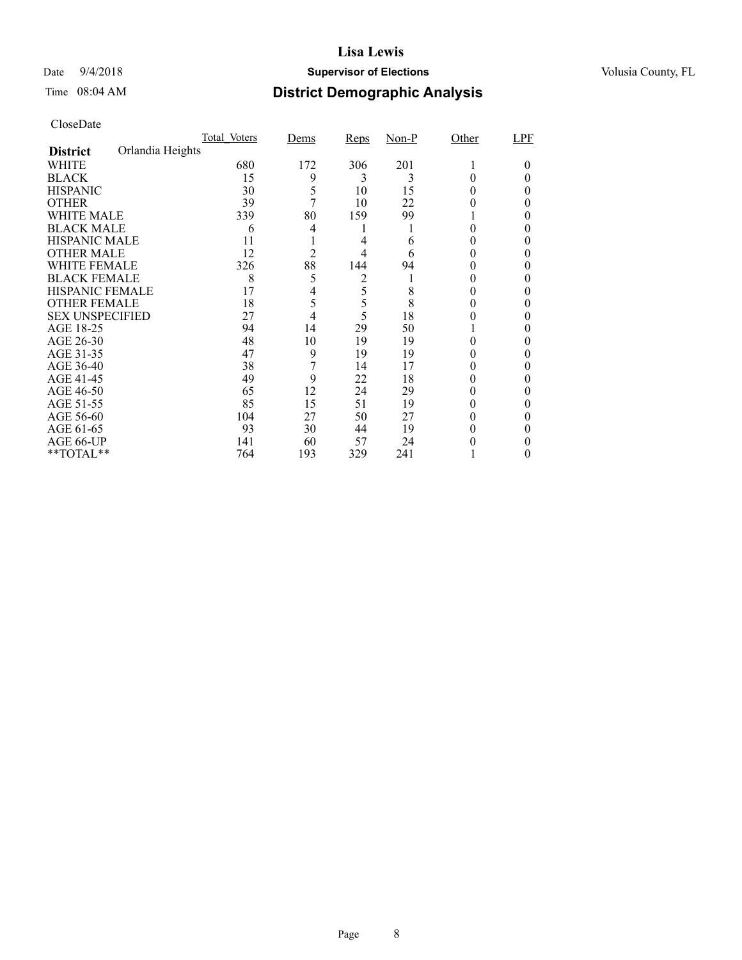### Date  $9/4/2018$  **Supervisor of Elections** Volusia County, FL

## Time 08:04 AM **District Demographic Analysis**

|                        |                  | Total Voters | Dems           | Reps | $Non-P$ | Other | LPF    |
|------------------------|------------------|--------------|----------------|------|---------|-------|--------|
| <b>District</b>        | Orlandia Heights |              |                |      |         |       |        |
| WHITE                  |                  | 680          | 172            | 306  | 201     |       | $_{0}$ |
| <b>BLACK</b>           |                  | 15           | 9              | 3    | 3       |       |        |
| <b>HISPANIC</b>        |                  | 30           | 5              | 10   | 15      | 0     | 0      |
| <b>OTHER</b>           |                  | 39           | 7              | 10   | 22      |       | 0      |
| WHITE MALE             |                  | 339          | 80             | 159  | 99      |       | 0      |
| <b>BLACK MALE</b>      |                  | 6            | 4              |      |         |       |        |
| <b>HISPANIC MALE</b>   |                  | 11           |                | 4    | 6       |       |        |
| <b>OTHER MALE</b>      |                  | 12           | $\overline{2}$ | 4    | 6       |       | 0      |
| WHITE FEMALE           |                  | 326          | 88             | 144  | 94      |       |        |
| <b>BLACK FEMALE</b>    |                  | 8            | 5              | 2    |         |       |        |
| <b>HISPANIC FEMALE</b> |                  | 17           | 4              | 5    | 8       |       |        |
| <b>OTHER FEMALE</b>    |                  | 18           | 5              | 5    | 8       | 0     | 0      |
| <b>SEX UNSPECIFIED</b> |                  | 27           | 4              | 5    | 18      |       |        |
| AGE 18-25              |                  | 94           | 14             | 29   | 50      |       |        |
| AGE 26-30              |                  | 48           | 10             | 19   | 19      |       | 0      |
| AGE 31-35              |                  | 47           | 9              | 19   | 19      |       |        |
| AGE 36-40              |                  | 38           |                | 14   | 17      |       |        |
| AGE 41-45              |                  | 49           | 9              | 22   | 18      |       |        |
| AGE 46-50              |                  | 65           | 12             | 24   | 29      | 0     | 0      |
| AGE 51-55              |                  | 85           | 15             | 51   | 19      |       |        |
| AGE 56-60              |                  | 104          | 27             | 50   | 27      |       |        |
| AGE 61-65              |                  | 93           | 30             | 44   | 19      |       | 0      |
| AGE 66-UP              |                  | 141          | 60             | 57   | 24      |       |        |
| **TOTAL**              |                  | 764          | 193            | 329  | 241     |       | $_{0}$ |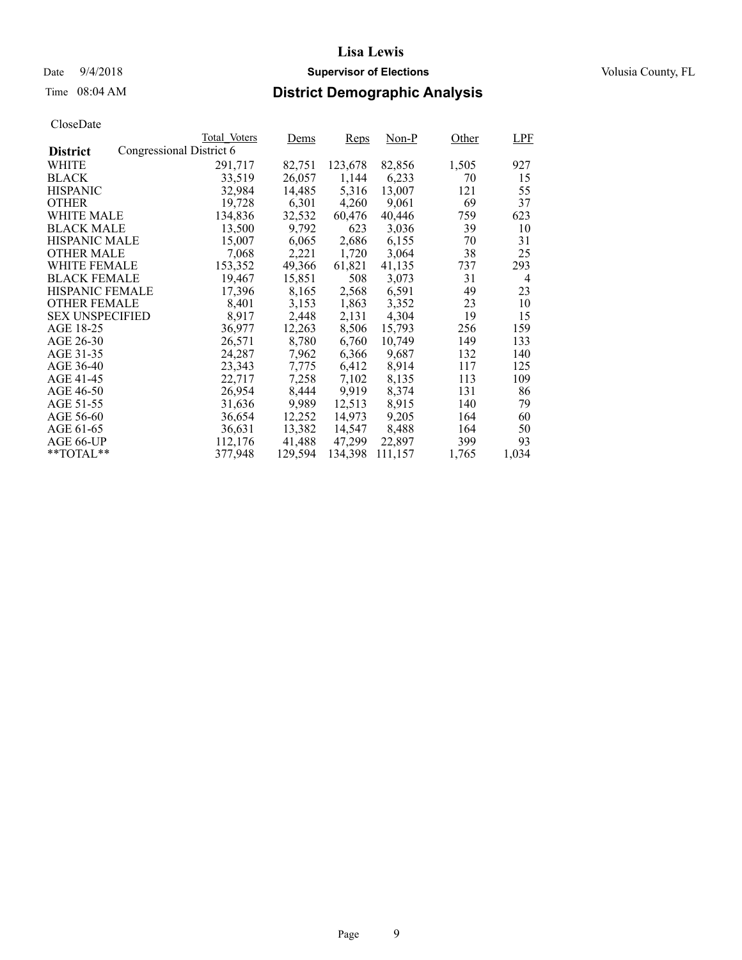### Date  $9/4/2018$  **Supervisor of Elections** Volusia County, FL

## Time 08:04 AM **District Demographic Analysis**

|                        |                          | Total Voters | Dems    | <b>Reps</b> | $Non-P$ | Other | LPF            |
|------------------------|--------------------------|--------------|---------|-------------|---------|-------|----------------|
| <b>District</b>        | Congressional District 6 |              |         |             |         |       |                |
| WHITE                  |                          | 291,717      | 82,751  | 123,678     | 82,856  | 1,505 | 927            |
| <b>BLACK</b>           |                          | 33,519       | 26,057  | 1,144       | 6,233   | 70    | 15             |
| <b>HISPANIC</b>        |                          | 32,984       | 14,485  | 5,316       | 13,007  | 121   | 55             |
| <b>OTHER</b>           |                          | 19,728       | 6,301   | 4,260       | 9,061   | 69    | 37             |
| WHITE MALE             |                          | 134,836      | 32,532  | 60,476      | 40,446  | 759   | 623            |
| <b>BLACK MALE</b>      |                          | 13,500       | 9,792   | 623         | 3,036   | 39    | 10             |
| <b>HISPANIC MALE</b>   |                          | 15,007       | 6,065   | 2,686       | 6,155   | 70    | 31             |
| <b>OTHER MALE</b>      |                          | 7,068        | 2,221   | 1,720       | 3,064   | 38    | 25             |
| <b>WHITE FEMALE</b>    |                          | 153,352      | 49,366  | 61,821      | 41,135  | 737   | 293            |
| <b>BLACK FEMALE</b>    |                          | 19,467       | 15,851  | 508         | 3,073   | 31    | $\overline{4}$ |
| HISPANIC FEMALE        |                          | 17,396       | 8,165   | 2,568       | 6,591   | 49    | 23             |
| <b>OTHER FEMALE</b>    |                          | 8.401        | 3,153   | 1,863       | 3,352   | 23    | 10             |
| <b>SEX UNSPECIFIED</b> |                          | 8,917        | 2,448   | 2,131       | 4,304   | 19    | 15             |
| AGE 18-25              |                          | 36,977       | 12,263  | 8,506       | 15,793  | 256   | 159            |
| AGE 26-30              |                          | 26.571       | 8,780   | 6,760       | 10.749  | 149   | 133            |
| AGE 31-35              |                          | 24,287       | 7,962   | 6,366       | 9,687   | 132   | 140            |
| AGE 36-40              |                          | 23,343       | 7,775   | 6,412       | 8,914   | 117   | 125            |
| AGE 41-45              |                          | 22,717       | 7,258   | 7,102       | 8,135   | 113   | 109            |
| AGE 46-50              |                          | 26,954       | 8,444   | 9,919       | 8,374   | 131   | 86             |
| AGE 51-55              |                          | 31,636       | 9,989   | 12,513      | 8.915   | 140   | 79             |
| AGE 56-60              |                          | 36,654       | 12,252  | 14.973      | 9,205   | 164   | 60             |
| AGE 61-65              |                          | 36,631       | 13,382  | 14,547      | 8,488   | 164   | 50             |
| AGE 66-UP              |                          | 112,176      | 41,488  | 47,299      | 22,897  | 399   | 93             |
| $*$ TOTAL $*$          |                          | 377,948      | 129.594 | 134,398     | 111,157 | 1,765 | 1,034          |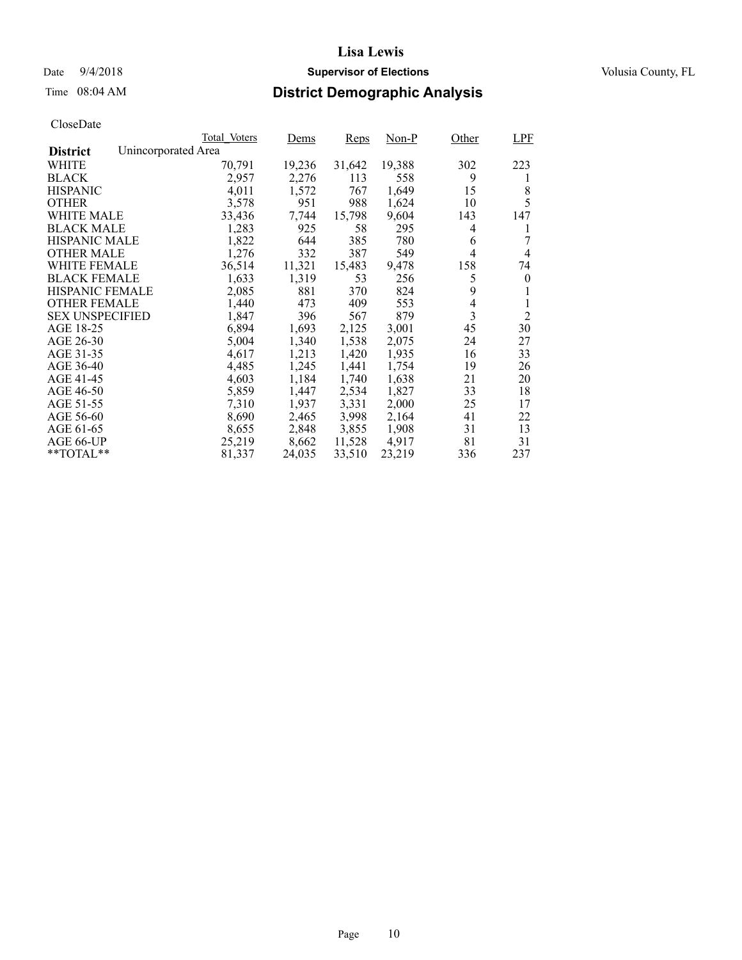## Date  $9/4/2018$  **Supervisor of Elections** Volusia County, FL

# Time 08:04 AM **District Demographic Analysis**

|                        |                     | Total Voters | Dems   | <b>Reps</b> | $Non-P$ | Other          | <b>LPF</b>     |
|------------------------|---------------------|--------------|--------|-------------|---------|----------------|----------------|
| <b>District</b>        | Unincorporated Area |              |        |             |         |                |                |
| WHITE                  |                     | 70,791       | 19,236 | 31,642      | 19,388  | 302            | 223            |
| <b>BLACK</b>           |                     | 2,957        | 2,276  | 113         | 558     | 9              | 1              |
| <b>HISPANIC</b>        |                     | 4,011        | 1,572  | 767         | 1,649   | 15             | 8              |
| <b>OTHER</b>           |                     | 3,578        | 951    | 988         | 1,624   | 10             | 5              |
| WHITE MALE             |                     | 33,436       | 7,744  | 15,798      | 9,604   | 143            | 147            |
| <b>BLACK MALE</b>      |                     | 1,283        | 925    | 58          | 295     | 4              | 1              |
| <b>HISPANIC MALE</b>   |                     | 1,822        | 644    | 385         | 780     | 6              | 7              |
| <b>OTHER MALE</b>      |                     | 1,276        | 332    | 387         | 549     | 4              | 4              |
| WHITE FEMALE           |                     | 36,514       | 11,321 | 15,483      | 9,478   | 158            | 74             |
| <b>BLACK FEMALE</b>    |                     | 1,633        | 1,319  | 53          | 256     | 5              | $\theta$       |
| HISPANIC FEMALE        |                     | 2,085        | 881    | 370         | 824     | 9              |                |
| <b>OTHER FEMALE</b>    |                     | 1,440        | 473    | 409         | 553     | $\overline{4}$ |                |
| <b>SEX UNSPECIFIED</b> |                     | 1,847        | 396    | 567         | 879     | 3              | $\overline{2}$ |
| AGE 18-25              |                     | 6,894        | 1,693  | 2,125       | 3,001   | 45             | 30             |
| AGE 26-30              |                     | 5,004        | 1,340  | 1,538       | 2,075   | 24             | 27             |
| AGE 31-35              |                     | 4,617        | 1,213  | 1,420       | 1,935   | 16             | 33             |
| AGE 36-40              |                     | 4,485        | 1,245  | 1,441       | 1,754   | 19             | 26             |
| AGE 41-45              |                     | 4,603        | 1,184  | 1,740       | 1,638   | 21             | 20             |
| AGE 46-50              |                     | 5,859        | 1,447  | 2,534       | 1,827   | 33             | 18             |
| AGE 51-55              |                     | 7,310        | 1,937  | 3,331       | 2,000   | 25             | 17             |
| AGE 56-60              |                     | 8,690        | 2,465  | 3,998       | 2,164   | 41             | 22             |
| AGE 61-65              |                     | 8,655        | 2,848  | 3,855       | 1,908   | 31             | 13             |
| AGE 66-UP              |                     | 25,219       | 8,662  | 11,528      | 4,917   | 81             | 31             |
| $*$ TOTAL $*$          |                     | 81,337       | 24,035 | 33,510      | 23,219  | 336            | 237            |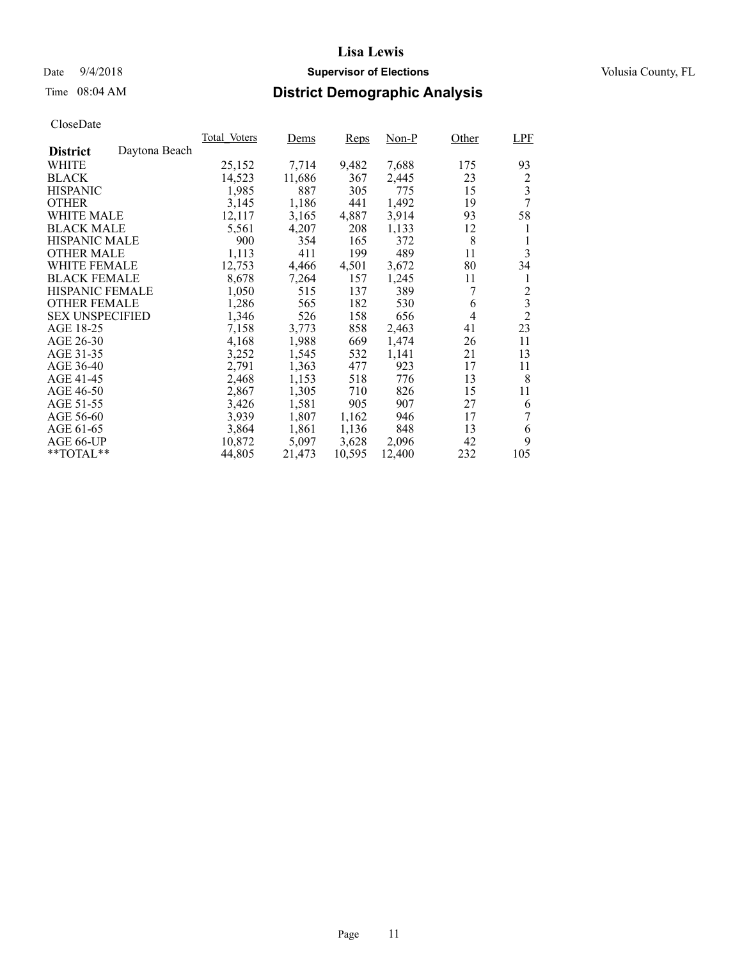### Date  $9/4/2018$  **Supervisor of Elections** Volusia County, FL

## Time 08:04 AM **District Demographic Analysis**

|                        |               | Total Voters | Dems   | <b>Reps</b> | Non-P  | Other          | <b>LPF</b>              |
|------------------------|---------------|--------------|--------|-------------|--------|----------------|-------------------------|
| <b>District</b>        | Daytona Beach |              |        |             |        |                |                         |
| WHITE                  |               | 25,152       | 7,714  | 9,482       | 7,688  | 175            | 93                      |
| <b>BLACK</b>           |               | 14,523       | 11,686 | 367         | 2,445  | 23             | 2                       |
| <b>HISPANIC</b>        |               | 1,985        | 887    | 305         | 775    | 15             | 3                       |
| <b>OTHER</b>           |               | 3,145        | 1,186  | 441         | 1,492  | 19             | 7                       |
| WHITE MALE             |               | 12,117       | 3,165  | 4,887       | 3,914  | 93             | 58                      |
| <b>BLACK MALE</b>      |               | 5,561        | 4,207  | 208         | 1,133  | 12             | 1                       |
| <b>HISPANIC MALE</b>   |               | 900          | 354    | 165         | 372    | 8              | 1                       |
| <b>OTHER MALE</b>      |               | 1,113        | 411    | 199         | 489    | 11             | 3                       |
| <b>WHITE FEMALE</b>    |               | 12,753       | 4,466  | 4,501       | 3,672  | 80             | 34                      |
| <b>BLACK FEMALE</b>    |               | 8,678        | 7,264  | 157         | 1,245  | 11             | 1                       |
| HISPANIC FEMALE        |               | 1,050        | 515    | 137         | 389    | 7              | $\overline{c}$          |
| <b>OTHER FEMALE</b>    |               | 1,286        | 565    | 182         | 530    | 6              | $\overline{\mathbf{3}}$ |
| <b>SEX UNSPECIFIED</b> |               | 1,346        | 526    | 158         | 656    | $\overline{4}$ | $\overline{2}$          |
| AGE 18-25              |               | 7,158        | 3,773  | 858         | 2,463  | 41             | 23                      |
| AGE 26-30              |               | 4,168        | 1,988  | 669         | 1,474  | 26             | 11                      |
| AGE 31-35              |               | 3,252        | 1,545  | 532         | 1,141  | 21             | 13                      |
| AGE 36-40              |               | 2,791        | 1,363  | 477         | 923    | 17             | 11                      |
| AGE 41-45              |               | 2,468        | 1,153  | 518         | 776    | 13             | 8                       |
| AGE 46-50              |               | 2,867        | 1,305  | 710         | 826    | 15             | 11                      |
| AGE 51-55              |               | 3,426        | 1,581  | 905         | 907    | 27             | 6                       |
| AGE 56-60              |               | 3,939        | 1,807  | 1,162       | 946    | 17             | 7                       |
| AGE 61-65              |               | 3,864        | 1,861  | 1,136       | 848    | 13             | 6                       |
| AGE 66-UP              |               | 10,872       | 5,097  | 3,628       | 2,096  | 42             | 9                       |
| $*$ $TOTAL**$          |               | 44,805       | 21,473 | 10,595      | 12,400 | 232            | 105                     |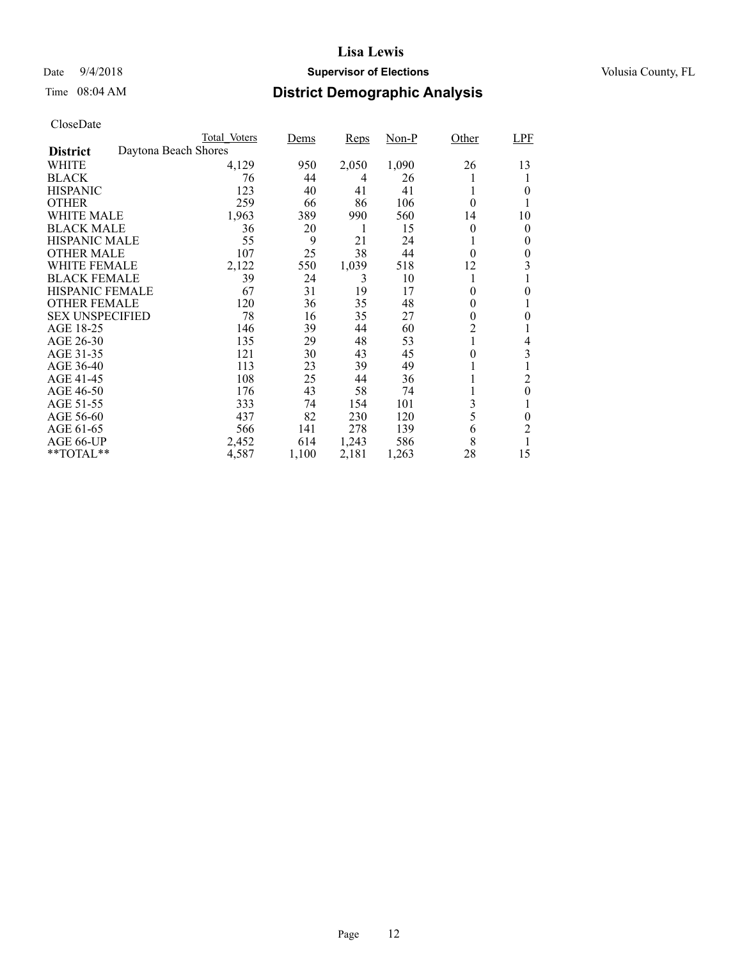## Date  $9/4/2018$  **Supervisor of Elections** Volusia County, FL

# Time 08:04 AM **District Demographic Analysis**

|                        |                      | Total Voters | Dems  | <b>Reps</b> | $Non-P$ | Other        | <b>LPF</b> |
|------------------------|----------------------|--------------|-------|-------------|---------|--------------|------------|
| <b>District</b>        | Daytona Beach Shores |              |       |             |         |              |            |
| WHITE                  |                      | 4,129        | 950   | 2,050       | 1,090   | 26           | 13         |
| <b>BLACK</b>           |                      | 76           | 44    | 4           | 26      | l            |            |
| <b>HISPANIC</b>        |                      | 123          | 40    | 41          | 41      | 1            | 0          |
| <b>OTHER</b>           |                      | 259          | 66    | 86          | 106     | 0            |            |
| WHITE MALE             |                      | 1,963        | 389   | 990         | 560     | 14           | 10         |
| <b>BLACK MALE</b>      |                      | 36           | 20    | 1           | 15      | 0            | 0          |
| <b>HISPANIC MALE</b>   |                      | 55           | 9     | 21          | 24      | $\mathbf{I}$ | 0          |
| <b>OTHER MALE</b>      |                      | 107          | 25    | 38          | 44      | $\theta$     | 0          |
| WHITE FEMALE           |                      | 2,122        | 550   | 1,039       | 518     | 12           | 3          |
| <b>BLACK FEMALE</b>    |                      | 39           | 24    | 3           | 10      | 1            |            |
| HISPANIC FEMALE        |                      | 67           | 31    | 19          | 17      | 0            | 0          |
| <b>OTHER FEMALE</b>    |                      | 120          | 36    | 35          | 48      | $\theta$     |            |
| <b>SEX UNSPECIFIED</b> |                      | 78           | 16    | 35          | 27      | 0            | 0          |
| AGE 18-25              |                      | 146          | 39    | 44          | 60      | 2            |            |
| AGE 26-30              |                      | 135          | 29    | 48          | 53      | 1            | 4          |
| AGE 31-35              |                      | 121          | 30    | 43          | 45      | 0            | 3          |
| AGE 36-40              |                      | 113          | 23    | 39          | 49      | 1            |            |
| AGE 41-45              |                      | 108          | 25    | 44          | 36      |              | 2          |
| AGE 46-50              |                      | 176          | 43    | 58          | 74      |              | $\theta$   |
| AGE 51-55              |                      | 333          | 74    | 154         | 101     | 3            |            |
| AGE 56-60              |                      | 437          | 82    | 230         | 120     | 5            | 0          |
| AGE 61-65              |                      | 566          | 141   | 278         | 139     | 6            | 2          |
| AGE 66-UP              |                      | 2,452        | 614   | 1,243       | 586     | 8            | 1          |
| **TOTAL**              |                      | 4,587        | 1,100 | 2,181       | 1,263   | 28           | 15         |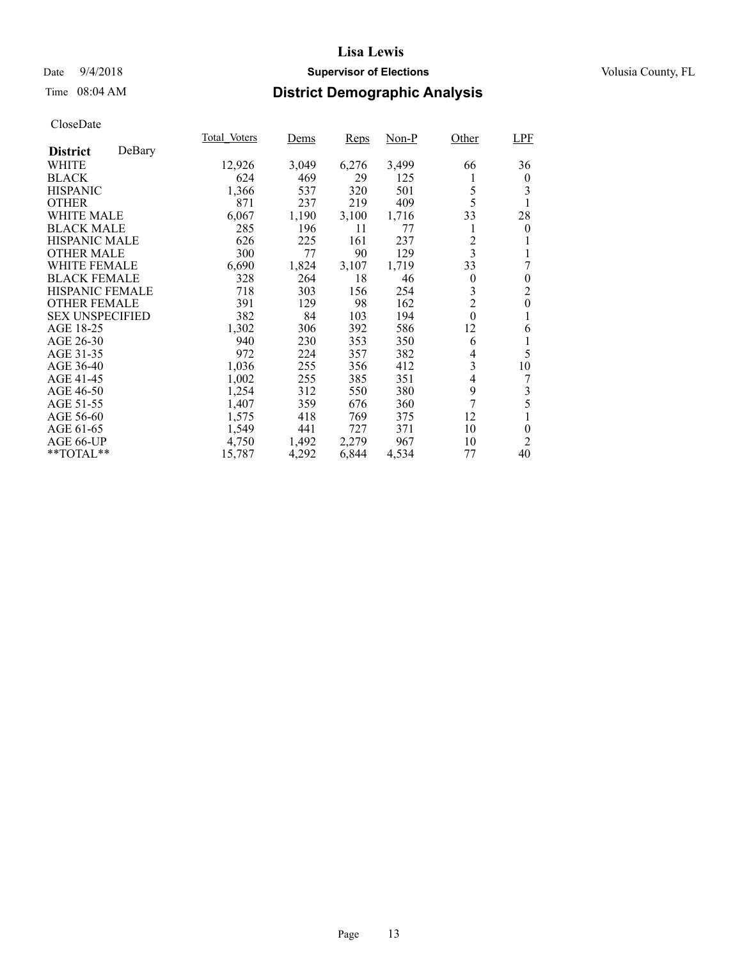### Date  $9/4/2018$  **Supervisor of Elections** Volusia County, FL

## Time 08:04 AM **District Demographic Analysis**

|                        |        | Total Voters | Dems  | <b>Reps</b> | $Non-P$ | Other          | LPF            |
|------------------------|--------|--------------|-------|-------------|---------|----------------|----------------|
| <b>District</b>        | DeBary |              |       |             |         |                |                |
| <b>WHITE</b>           |        | 12,926       | 3,049 | 6,276       | 3,499   | 66             | 36             |
| <b>BLACK</b>           |        | 624          | 469   | 29          | 125     | 1              | $\overline{0}$ |
| <b>HISPANIC</b>        |        | 1,366        | 537   | 320         | 501     | 5              | 3              |
| <b>OTHER</b>           |        | 871          | 237   | 219         | 409     | 5              |                |
| <b>WHITE MALE</b>      |        | 6,067        | 1,190 | 3,100       | 1,716   | 33             | 28             |
| <b>BLACK MALE</b>      |        | 285          | 196   | 11          | 77      | 1              | $\overline{0}$ |
| <b>HISPANIC MALE</b>   |        | 626          | 225   | 161         | 237     | $\overline{c}$ |                |
| <b>OTHER MALE</b>      |        | 300          | 77    | 90          | 129     | $\overline{3}$ |                |
| <b>WHITE FEMALE</b>    |        | 6,690        | 1,824 | 3,107       | 1,719   | 33             | 7              |
| <b>BLACK FEMALE</b>    |        | 328          | 264   | 18          | 46      | $\theta$       | $\theta$       |
| <b>HISPANIC FEMALE</b> |        | 718          | 303   | 156         | 254     | 3              | $\overline{2}$ |
| <b>OTHER FEMALE</b>    |        | 391          | 129   | 98          | 162     | $\overline{c}$ | $\theta$       |
| <b>SEX UNSPECIFIED</b> |        | 382          | 84    | 103         | 194     | $\mathbf{0}$   | 1              |
| AGE 18-25              |        | 1,302        | 306   | 392         | 586     | 12             | 6              |
| AGE 26-30              |        | 940          | 230   | 353         | 350     | 6              |                |
| AGE 31-35              |        | 972          | 224   | 357         | 382     | 4              | 5              |
| AGE 36-40              |        | 1,036        | 255   | 356         | 412     | 3              | 10             |
| AGE 41-45              |        | 1,002        | 255   | 385         | 351     | 4              | 7              |
| AGE 46-50              |        | 1,254        | 312   | 550         | 380     | 9              | 3              |
| AGE 51-55              |        | 1,407        | 359   | 676         | 360     | 7              | 5              |
| AGE 56-60              |        | 1,575        | 418   | 769         | 375     | 12             |                |
| AGE 61-65              |        | 1,549        | 441   | 727         | 371     | 10             | $\theta$       |
| AGE 66-UP              |        | 4,750        | 1,492 | 2,279       | 967     | 10             | 2              |
| $*$ $TOTAL**$          |        | 15,787       | 4,292 | 6,844       | 4,534   | 77             | 40             |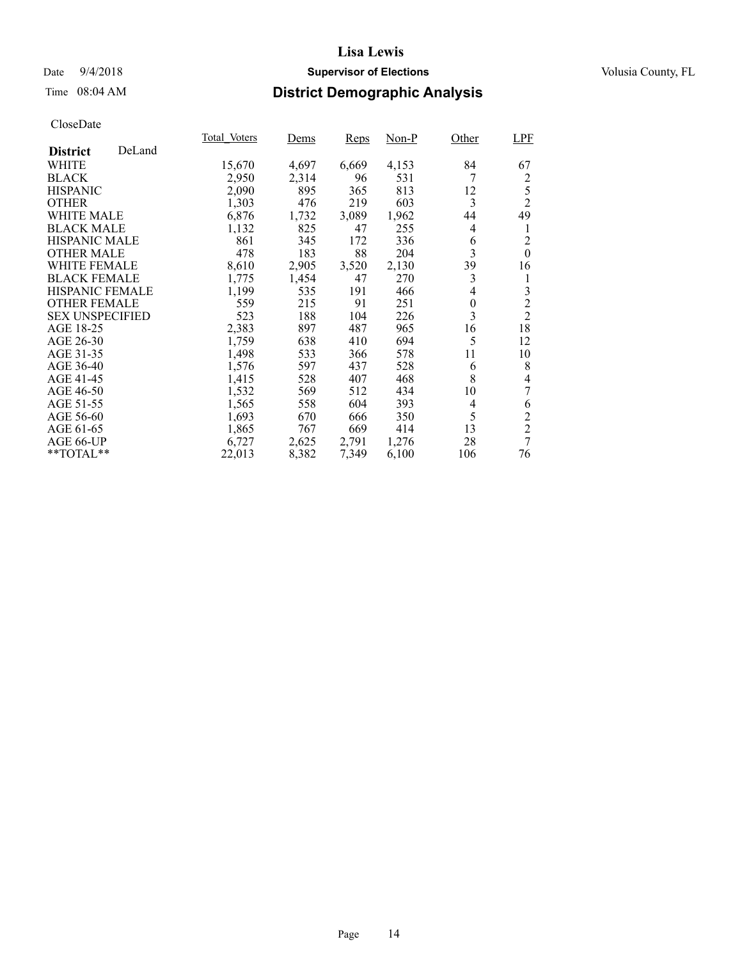### Date  $9/4/2018$  **Supervisor of Elections** Volusia County, FL

## Time 08:04 AM **District Demographic Analysis**

|                        |        | Total Voters | Dems  | <b>Reps</b> | $Non-P$ | Other    | LPF            |
|------------------------|--------|--------------|-------|-------------|---------|----------|----------------|
| <b>District</b>        | DeLand |              |       |             |         |          |                |
| WHITE                  |        | 15,670       | 4,697 | 6,669       | 4,153   | 84       | 67             |
| <b>BLACK</b>           |        | 2,950        | 2,314 | 96          | 531     | 7        | 2              |
| <b>HISPANIC</b>        |        | 2,090        | 895   | 365         | 813     | 12       | 5              |
| <b>OTHER</b>           |        | 1,303        | 476   | 219         | 603     | 3        | $\overline{2}$ |
| <b>WHITE MALE</b>      |        | 6,876        | 1,732 | 3,089       | 1,962   | 44       | 49             |
| <b>BLACK MALE</b>      |        | 1,132        | 825   | 47          | 255     | 4        | 1              |
| <b>HISPANIC MALE</b>   |        | 861          | 345   | 172         | 336     | 6        | $\overline{2}$ |
| <b>OTHER MALE</b>      |        | 478          | 183   | 88          | 204     | 3        | $\mathbf{0}$   |
| <b>WHITE FEMALE</b>    |        | 8,610        | 2,905 | 3,520       | 2,130   | 39       | 16             |
| <b>BLACK FEMALE</b>    |        | 1,775        | 1,454 | 47          | 270     | 3        | 1              |
| HISPANIC FEMALE        |        | 1,199        | 535   | 191         | 466     | 4        | 3              |
| <b>OTHER FEMALE</b>    |        | 559          | 215   | 91          | 251     | $\theta$ | $\overline{c}$ |
| <b>SEX UNSPECIFIED</b> |        | 523          | 188   | 104         | 226     | 3        | $\overline{2}$ |
| AGE 18-25              |        | 2,383        | 897   | 487         | 965     | 16       | 18             |
| AGE 26-30              |        | 1,759        | 638   | 410         | 694     | 5        | 12             |
| AGE 31-35              |        | 1,498        | 533   | 366         | 578     | 11       | 10             |
| AGE 36-40              |        | 1,576        | 597   | 437         | 528     | 6        | 8              |
| AGE 41-45              |        | 1,415        | 528   | 407         | 468     | 8        | 4              |
| AGE 46-50              |        | 1,532        | 569   | 512         | 434     | 10       | 7              |
| AGE 51-55              |        | 1,565        | 558   | 604         | 393     | 4        | 6              |
| AGE 56-60              |        | 1,693        | 670   | 666         | 350     | 5        | $\overline{c}$ |
| AGE 61-65              |        | 1,865        | 767   | 669         | 414     | 13       | $\overline{2}$ |
| AGE 66-UP              |        | 6,727        | 2,625 | 2,791       | 1,276   | 28       | $\overline{7}$ |
| **TOTAL**              |        | 22,013       | 8,382 | 7,349       | 6,100   | 106      | 76             |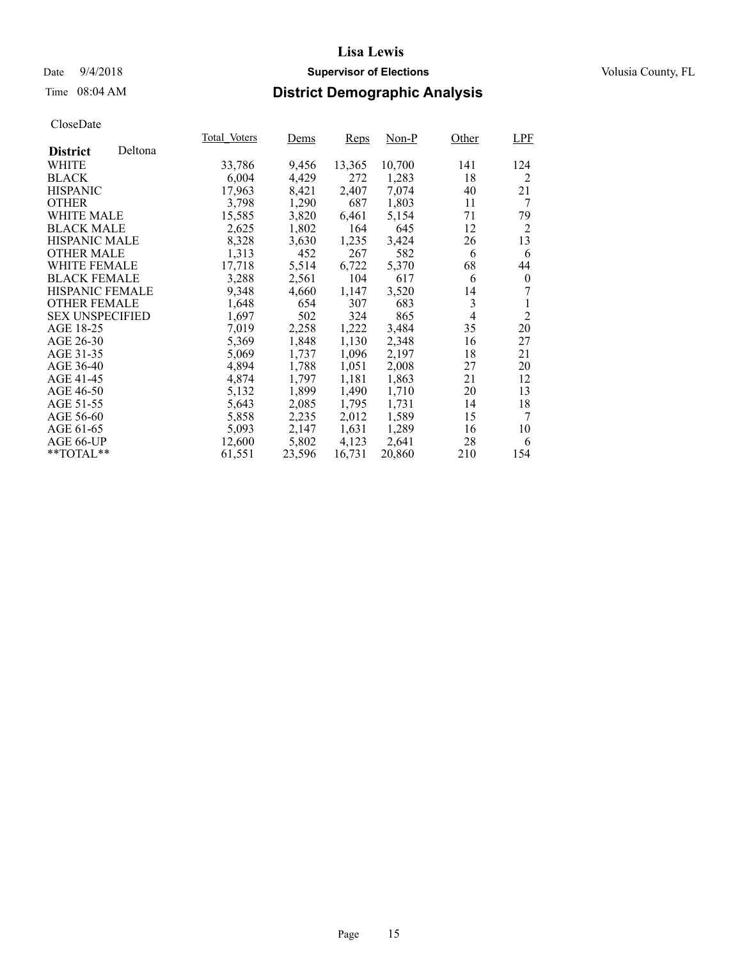### Date  $9/4/2018$  **Supervisor of Elections** Volusia County, FL

## Time 08:04 AM **District Demographic Analysis**

|                        |         | Total Voters | Dems   | <b>Reps</b> | Non-P  | Other          | LPF            |
|------------------------|---------|--------------|--------|-------------|--------|----------------|----------------|
| <b>District</b>        | Deltona |              |        |             |        |                |                |
| <b>WHITE</b>           |         | 33,786       | 9,456  | 13,365      | 10,700 | 141            | 124            |
| <b>BLACK</b>           |         | 6,004        | 4,429  | 272         | 1,283  | 18             | 2              |
| <b>HISPANIC</b>        |         | 17,963       | 8,421  | 2,407       | 7,074  | 40             | 21             |
| <b>OTHER</b>           |         | 3.798        | 1,290  | 687         | 1,803  | 11             | 7              |
| WHITE MALE             |         | 15,585       | 3,820  | 6,461       | 5.154  | 71             | 79             |
| <b>BLACK MALE</b>      |         | 2,625        | 1,802  | 164         | 645    | 12             | 2              |
| <b>HISPANIC MALE</b>   |         | 8,328        | 3,630  | 1,235       | 3,424  | 26             | 13             |
| <b>OTHER MALE</b>      |         | 1,313        | 452    | 267         | 582    | 6              | 6              |
| <b>WHITE FEMALE</b>    |         | 17,718       | 5,514  | 6,722       | 5,370  | 68             | 44             |
| <b>BLACK FEMALE</b>    |         | 3,288        | 2,561  | 104         | 617    | 6              | $\mathbf{0}$   |
| <b>HISPANIC FEMALE</b> |         | 9,348        | 4,660  | 1,147       | 3,520  | 14             | 7              |
| <b>OTHER FEMALE</b>    |         | 1,648        | 654    | 307         | 683    | 3              |                |
| <b>SEX UNSPECIFIED</b> |         | 1,697        | 502    | 324         | 865    | $\overline{4}$ | $\overline{2}$ |
| AGE 18-25              |         | 7,019        | 2,258  | 1,222       | 3,484  | 35             | 20             |
| AGE 26-30              |         | 5,369        | 1,848  | 1,130       | 2,348  | 16             | 27             |
| AGE 31-35              |         | 5,069        | 1,737  | 1,096       | 2,197  | 18             | 21             |
| AGE 36-40              |         | 4,894        | 1,788  | 1,051       | 2,008  | 27             | 20             |
| AGE 41-45              |         | 4,874        | 1,797  | 1,181       | 1,863  | 21             | 12             |
| AGE 46-50              |         | 5,132        | 1,899  | 1,490       | 1,710  | 20             | 13             |
| AGE 51-55              |         | 5,643        | 2,085  | 1,795       | 1,731  | 14             | 18             |
| AGE 56-60              |         | 5,858        | 2,235  | 2,012       | 1,589  | 15             | 7              |
| AGE 61-65              |         | 5,093        | 2,147  | 1,631       | 1,289  | 16             | 10             |
| AGE 66-UP              |         | 12,600       | 5,802  | 4,123       | 2,641  | 28             | 6              |
| $*$ TOTAL $*$          |         | 61,551       | 23,596 | 16,731      | 20,860 | 210            | 154            |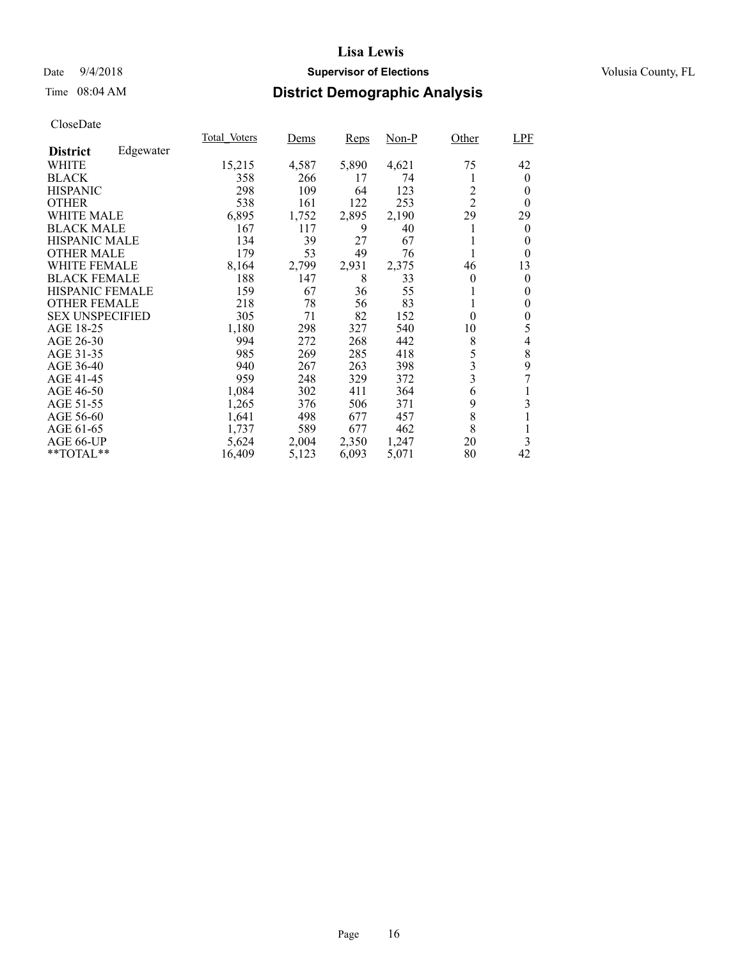### Date  $9/4/2018$  **Supervisor of Elections** Volusia County, FL

## Time 08:04 AM **District Demographic Analysis**

|                        |           | Total Voters | Dems  | <b>Reps</b> | Non-P | Other                   | LPF      |
|------------------------|-----------|--------------|-------|-------------|-------|-------------------------|----------|
| <b>District</b>        | Edgewater |              |       |             |       |                         |          |
| <b>WHITE</b>           |           | 15,215       | 4,587 | 5,890       | 4,621 | 75                      | 42       |
| <b>BLACK</b>           |           | 358          | 266   | 17          | 74    | 1                       | $\theta$ |
| <b>HISPANIC</b>        |           | 298          | 109   | 64          | 123   | $\overline{c}$          | 0        |
| <b>OTHER</b>           |           | 538          | 161   | 122         | 253   | $\overline{2}$          | $\theta$ |
| <b>WHITE MALE</b>      |           | 6,895        | 1,752 | 2,895       | 2,190 | 29                      | 29       |
| <b>BLACK MALE</b>      |           | 167          | 117   | 9           | 40    |                         | $\theta$ |
| <b>HISPANIC MALE</b>   |           | 134          | 39    | 27          | 67    |                         | 0        |
| <b>OTHER MALE</b>      |           | 179          | 53    | 49          | 76    |                         | 0        |
| <b>WHITE FEMALE</b>    |           | 8,164        | 2,799 | 2,931       | 2,375 | 46                      | 13       |
| <b>BLACK FEMALE</b>    |           | 188          | 147   | 8           | 33    | $\theta$                | $\theta$ |
| HISPANIC FEMALE        |           | 159          | 67    | 36          | 55    | 1                       | $\theta$ |
| <b>OTHER FEMALE</b>    |           | 218          | 78    | 56          | 83    | 1                       | $\theta$ |
| <b>SEX UNSPECIFIED</b> |           | 305          | 71    | 82          | 152   | $\theta$                | $\theta$ |
| AGE 18-25              |           | 1,180        | 298   | 327         | 540   | 10                      | 5        |
| AGE 26-30              |           | 994          | 272   | 268         | 442   | 8                       | 4        |
| AGE 31-35              |           | 985          | 269   | 285         | 418   | 5                       | 8        |
| AGE 36-40              |           | 940          | 267   | 263         | 398   | 3                       | 9        |
| AGE 41-45              |           | 959          | 248   | 329         | 372   | $\overline{\mathbf{3}}$ | 7        |
| AGE 46-50              |           | 1,084        | 302   | 411         | 364   | 6                       |          |
| AGE 51-55              |           | 1,265        | 376   | 506         | 371   | 9                       | 3        |
| AGE 56-60              |           | 1,641        | 498   | 677         | 457   | 8                       |          |
| AGE 61-65              |           | 1,737        | 589   | 677         | 462   | 8                       | 1        |
| AGE 66-UP              |           | 5,624        | 2,004 | 2,350       | 1,247 | 20                      | 3        |
| **TOTAL**              |           | 16,409       | 5,123 | 6,093       | 5,071 | 80                      | 42       |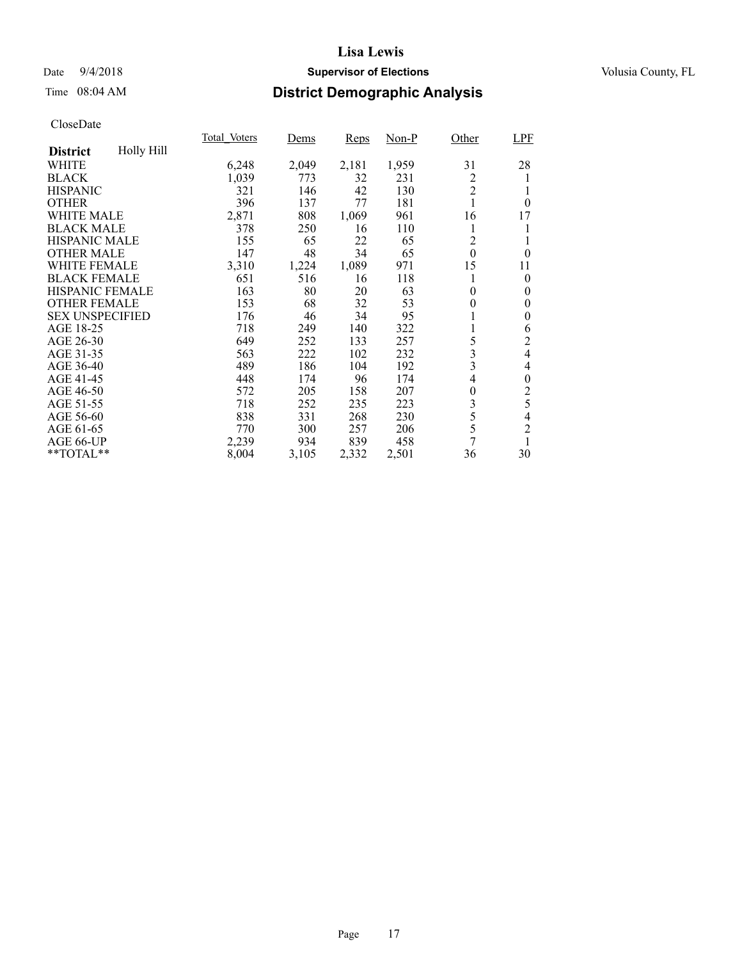### Date  $9/4/2018$  **Supervisor of Elections** Volusia County, FL

## Time 08:04 AM **District Demographic Analysis**

| Total Voters | Dems  | <b>Reps</b> | $Non-P$ | Other | LPF                                                    |
|--------------|-------|-------------|---------|-------|--------------------------------------------------------|
|              |       |             |         |       |                                                        |
| 6,248        |       | 2,181       | 1,959   | 31    | 28                                                     |
| 1,039        | 773   | 32          | 231     | 2     | 1                                                      |
| 321          | 146   | 42          | 130     |       |                                                        |
| 396          | 137   | 77          | 181     | 1     | $\theta$                                               |
| 2,871        | 808   | 1,069       | 961     | 16    | 17                                                     |
| 378          | 250   | 16          | 110     | 1     | 1                                                      |
| 155          | 65    | 22          | 65      | 2     | 1                                                      |
| 147          | 48    | 34          | 65      |       | $\theta$                                               |
| 3,310        | 1,224 | 1,089       | 971     | 15    | 11                                                     |
| 651          | 516   | 16          | 118     |       | $\theta$                                               |
| 163          | 80    | 20          | 63      | 0     | $\theta$                                               |
| 153          | 68    | 32          | 53      | 0     | $\theta$                                               |
| 176          | 46    | 34          | 95      | 1     | $\theta$                                               |
| 718          | 249   | 140         | 322     |       | 6                                                      |
| 649          | 252   | 133         | 257     | 5     | $\overline{c}$                                         |
| 563          | 222   | 102         | 232     |       | $\overline{4}$                                         |
| 489          | 186   | 104         | 192     |       | 4                                                      |
|              | 174   | 96          | 174     | 4     | $\theta$                                               |
| 572          | 205   | 158         | 207     | 0     | $\overline{c}$                                         |
| 718          | 252   | 235         | 223     |       | 5                                                      |
| 838          | 331   | 268         | 230     |       | $\overline{4}$                                         |
| 770          | 300   | 257         | 206     | 5     | $\overline{c}$                                         |
| 2,239        | 934   | 839         | 458     | 7     | 1                                                      |
| 8,004        | 3,105 | 2,332       | 2,501   | 36    | 30                                                     |
|              | 448   | 2,049       |         |       | $\overline{2}$<br>$\boldsymbol{0}$<br>3<br>3<br>3<br>5 |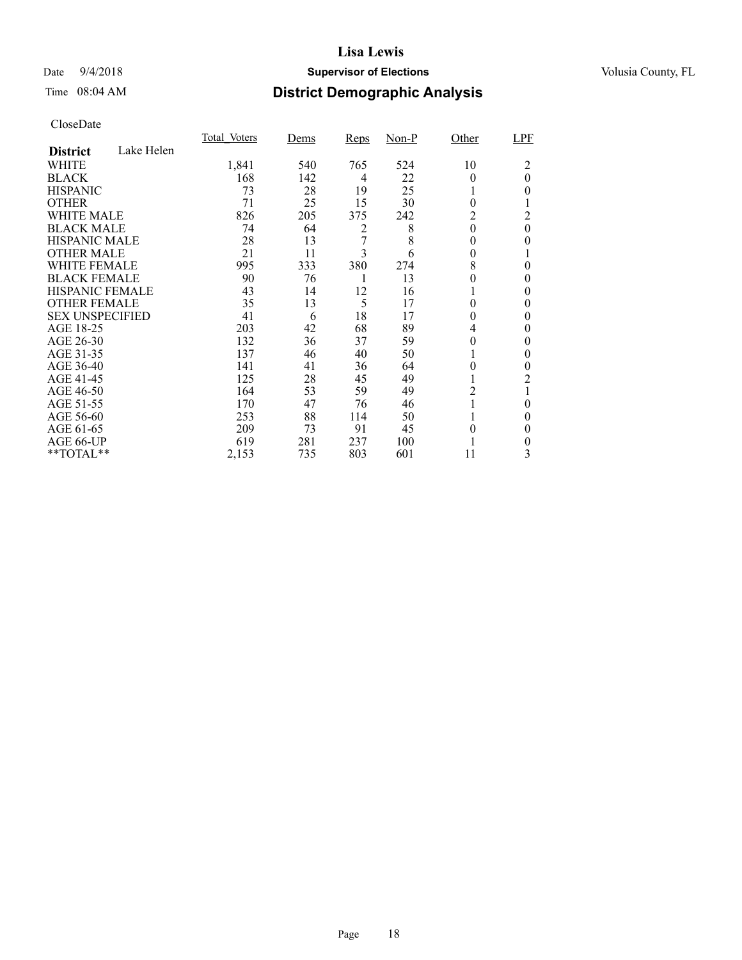### Date  $9/4/2018$  **Supervisor of Elections** Volusia County, FL

## Time 08:04 AM **District Demographic Analysis**

|                        |            | Total Voters | Dems | <b>Reps</b> | $Non-P$ | Other    | LPF            |
|------------------------|------------|--------------|------|-------------|---------|----------|----------------|
| <b>District</b>        | Lake Helen |              |      |             |         |          |                |
| WHITE                  |            | 1,841        | 540  | 765         | 524     | 10       | 2              |
| <b>BLACK</b>           |            | 168          | 142  | 4           | 22      | 0        | $\overline{0}$ |
| <b>HISPANIC</b>        |            | 73           | 28   | 19          | 25      |          | 0              |
| <b>OTHER</b>           |            | 71           | 25   | 15          | 30      | $\theta$ |                |
| WHITE MALE             |            | 826          | 205  | 375         | 242     | 2        | 2              |
| <b>BLACK MALE</b>      |            | 74           | 64   | 2           | 8       | $\theta$ | 0              |
| <b>HISPANIC MALE</b>   |            | 28           | 13   | 7           | 8       | 0        | 0              |
| <b>OTHER MALE</b>      |            | 21           | 11   | 3           | 6       | $\theta$ |                |
| WHITE FEMALE           |            | 995          | 333  | 380         | 274     | 8        | 0              |
| <b>BLACK FEMALE</b>    |            | 90           | 76   |             | 13      | 0        | 0              |
| HISPANIC FEMALE        |            | 43           | 14   | 12          | 16      |          | 0              |
| <b>OTHER FEMALE</b>    |            | 35           | 13   | 5           | 17      | 0        | 0              |
| <b>SEX UNSPECIFIED</b> |            | 41           | 6    | 18          | 17      | 0        | 0              |
| AGE 18-25              |            | 203          | 42   | 68          | 89      | 4        | 0              |
| AGE 26-30              |            | 132          | 36   | 37          | 59      | $\theta$ | 0              |
| AGE 31-35              |            | 137          | 46   | 40          | 50      |          | 0              |
| AGE 36-40              |            | 141          | 41   | 36          | 64      | 0        | 0              |
| AGE 41-45              |            | 125          | 28   | 45          | 49      |          | 2              |
| AGE 46-50              |            | 164          | 53   | 59          | 49      | 2        |                |
| AGE 51-55              |            | 170          | 47   | 76          | 46      |          | 0              |
| AGE 56-60              |            | 253          | 88   | 114         | 50      |          | 0              |
| AGE 61-65              |            | 209          | 73   | 91          | 45      | 0        | $\theta$       |
| AGE 66-UP              |            | 619          | 281  | 237         | 100     |          | 0              |
| **TOTAL**              |            | 2,153        | 735  | 803         | 601     | 11       | 3              |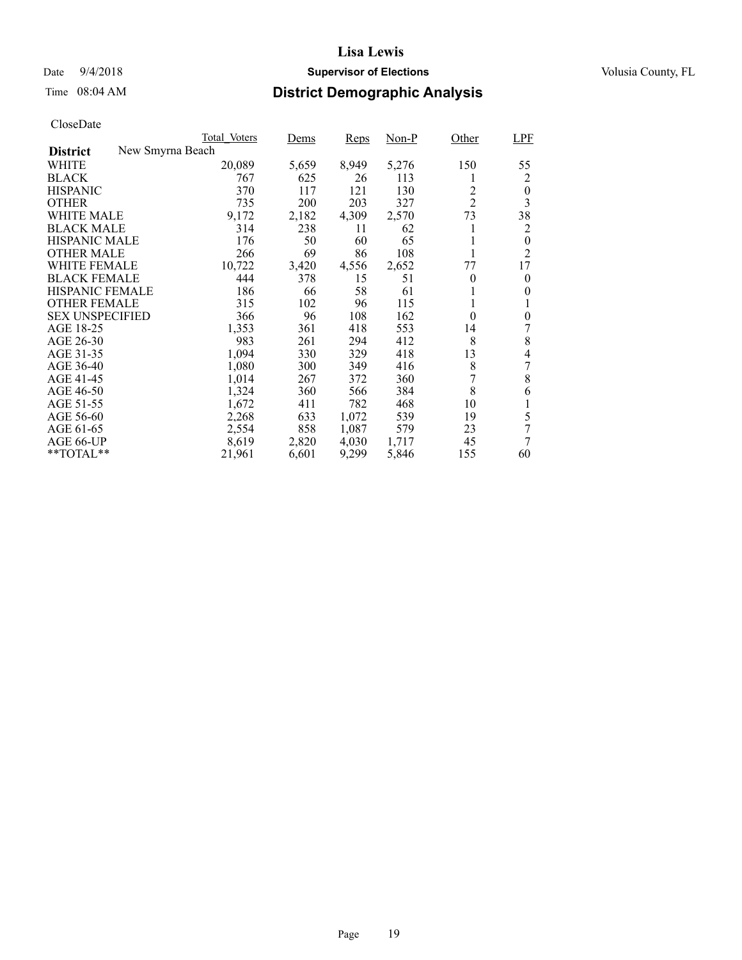### Date  $9/4/2018$  **Supervisor of Elections** Volusia County, FL

## Time 08:04 AM **District Demographic Analysis**

|                                     | Total Voters | Dems  | Reps  | Non-P | Other          | <b>LPF</b>     |
|-------------------------------------|--------------|-------|-------|-------|----------------|----------------|
| New Smyrna Beach<br><b>District</b> |              |       |       |       |                |                |
| WHITE                               | 20,089       | 5,659 | 8,949 | 5,276 | 150            | 55             |
| <b>BLACK</b>                        | 767          | 625   | 26    | 113   | 1              | 2              |
| <b>HISPANIC</b>                     | 370          | 117   | 121   | 130   | $\overline{c}$ | $\theta$       |
| <b>OTHER</b>                        | 735          | 200   | 203   | 327   | $\overline{2}$ | 3              |
| WHITE MALE                          | 9,172        | 2,182 | 4,309 | 2,570 | 73             | 38             |
| <b>BLACK MALE</b>                   | 314          | 238   | 11    | 62    | 1              | 2              |
| <b>HISPANIC MALE</b>                | 176          | 50    | 60    | 65    | 1              | $\overline{0}$ |
| <b>OTHER MALE</b>                   | 266          | 69    | 86    | 108   |                | $\overline{2}$ |
| WHITE FEMALE                        | 10,722       | 3,420 | 4,556 | 2,652 | 77             | 17             |
| <b>BLACK FEMALE</b>                 | 444          | 378   | 15    | 51    | $\theta$       | $\theta$       |
| <b>HISPANIC FEMALE</b>              | 186          | 66    | 58    | 61    | 1              | 0              |
| <b>OTHER FEMALE</b>                 | 315          | 102   | 96    | 115   | 1              | 1              |
| <b>SEX UNSPECIFIED</b>              | 366          | 96    | 108   | 162   | $\theta$       | $\theta$       |
| AGE 18-25                           | 1,353        | 361   | 418   | 553   | 14             | 7              |
| AGE 26-30                           | 983          | 261   | 294   | 412   | 8              | 8              |
| AGE 31-35                           | 1,094        | 330   | 329   | 418   | 13             | 4              |
| AGE 36-40                           | 1,080        | 300   | 349   | 416   | 8              | 7              |
| AGE 41-45                           | 1,014        | 267   | 372   | 360   | 7              | 8              |
| AGE 46-50                           | 1,324        | 360   | 566   | 384   | 8              | 6              |
| AGE 51-55                           | 1,672        | 411   | 782   | 468   | 10             | 1              |
| AGE 56-60                           | 2,268        | 633   | 1,072 | 539   | 19             | 5              |
| AGE 61-65                           | 2,554        | 858   | 1,087 | 579   | 23             | 7              |
| AGE 66-UP                           | 8,619        | 2,820 | 4,030 | 1,717 | 45             | 7              |
| $*$ $*$ TOTAL $*$ $*$               | 21,961       | 6,601 | 9,299 | 5,846 | 155            | 60             |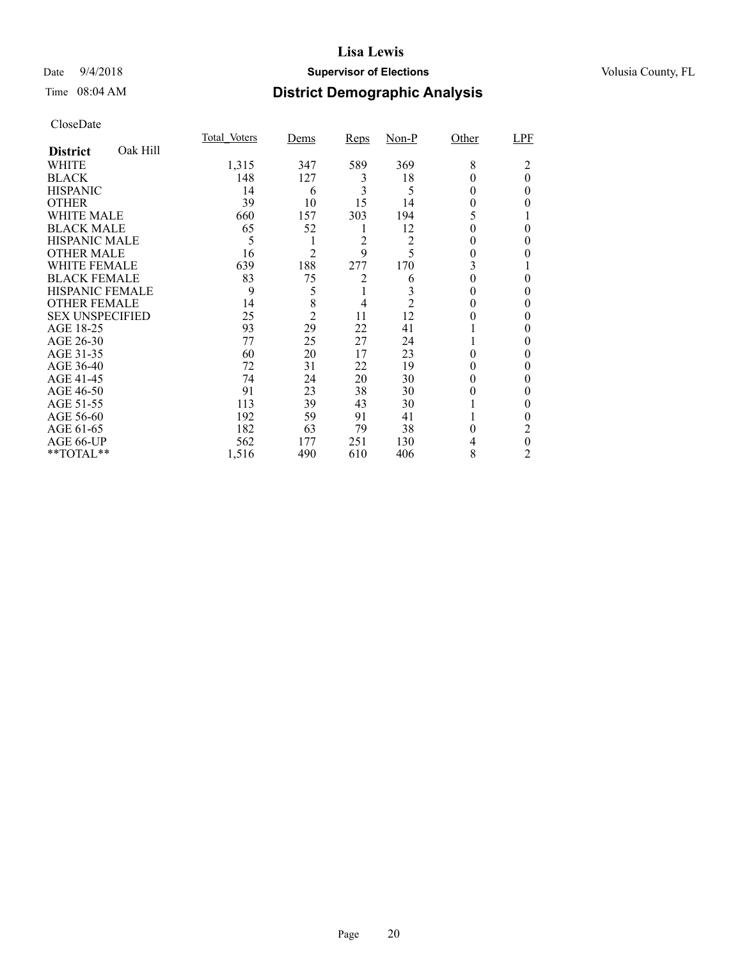### Date  $9/4/2018$  **Supervisor of Elections** Volusia County, FL

## Time 08:04 AM **District Demographic Analysis**

|                        |          | <b>Total Voters</b> | Dems           | <b>Reps</b> | $Non-P$ | Other  | LPF      |
|------------------------|----------|---------------------|----------------|-------------|---------|--------|----------|
| <b>District</b>        | Oak Hill |                     |                |             |         |        |          |
| <b>WHITE</b>           |          | 1,315               | 347            | 589         | 369     | 8      | 2        |
| <b>BLACK</b>           |          | 148                 | 127            | 3           | 18      |        | $\theta$ |
| <b>HISPANIC</b>        |          | 14                  | 6              | 3           | 5       | 0      | 0        |
| <b>OTHER</b>           |          | 39                  | 10             | 15          | 14      | 0      |          |
| WHITE MALE             |          | 660                 | 157            | 303         | 194     | 5      |          |
| <b>BLACK MALE</b>      |          | 65                  | 52             | 1           | 12      |        | 0        |
| <b>HISPANIC MALE</b>   |          | 5                   |                | 2           | 2       |        |          |
| <b>OTHER MALE</b>      |          | 16                  | $\overline{2}$ | 9           | 5       | 0      |          |
| <b>WHITE FEMALE</b>    |          | 639                 | 188            | 277         | 170     | 3      |          |
| <b>BLACK FEMALE</b>    |          | 83                  | 75             | 2           | 6       |        | 0        |
| <b>HISPANIC FEMALE</b> |          | 9                   | 5              |             |         | 0      | 0        |
| <b>OTHER FEMALE</b>    |          | 14                  | 8              | 4           | 2       | 0      | 0        |
| <b>SEX UNSPECIFIED</b> |          | 25                  | $\overline{c}$ | 11          | 12      |        | 0        |
| AGE 18-25              |          | 93                  | 29             | 22          | 41      |        |          |
| AGE 26-30              |          | 77                  | 25             | 27          | 24      |        |          |
| AGE 31-35              |          | 60                  | 20             | 17          | 23      |        |          |
| AGE 36-40              |          | 72                  | 31             | 22          | 19      |        | 0        |
| AGE 41-45              |          | 74                  | 24             | 20          | 30      | 0      |          |
| AGE 46-50              |          | 91                  | 23             | 38          | 30      | 0      | 0        |
| AGE 51-55              |          | 113                 | 39             | 43          | 30      |        |          |
| AGE 56-60              |          | 192                 | 59             | 91          | 41      |        |          |
| AGE 61-65              |          | 182                 | 63             | 79          | 38      | $_{0}$ | 2        |
| AGE 66-UP              |          | 562                 | 177            | 251         | 130     |        | 0        |
| **TOTAL**              |          | 1,516               | 490            | 610         | 406     | 8      | 2        |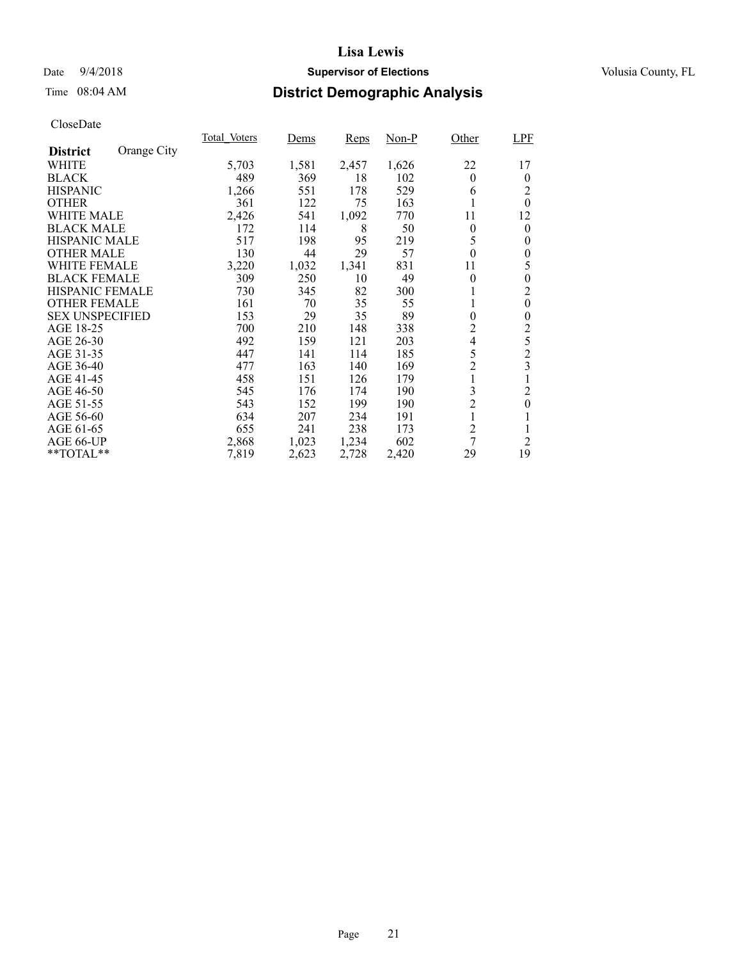### Date  $9/4/2018$  **Supervisor of Elections** Volusia County, FL

## Time 08:04 AM **District Demographic Analysis**

| Total Voters | Dems  | <b>Reps</b> | Non-P | Other          | LPF                                                                            |
|--------------|-------|-------------|-------|----------------|--------------------------------------------------------------------------------|
|              |       |             |       |                |                                                                                |
| 5,703        | 1,581 | 2,457       | 1,626 | 22             | 17                                                                             |
| 489          | 369   | 18          | 102   | $\theta$       | $\theta$                                                                       |
| 1,266        | 551   | 178         | 529   | 6              | 2                                                                              |
| 361          | 122   | 75          | 163   |                | $\theta$                                                                       |
| 2,426        | 541   | 1,092       | 770   | 11             | 12                                                                             |
| 172          | 114   | 8           | 50    | $\theta$       | $\theta$                                                                       |
| 517          | 198   | 95          | 219   | 5              | $\theta$                                                                       |
| 130          | 44    | 29          | 57    | $\theta$       | $\theta$                                                                       |
| 3,220        | 1,032 | 1,341       | 831   | 11             | 5                                                                              |
| 309          | 250   | 10          | 49    | $\theta$       | $\overline{0}$                                                                 |
| 730          | 345   | 82          | 300   | 1              | 2                                                                              |
| 161          | 70    | 35          | 55    | 1              | $\theta$                                                                       |
| 153          | 29    | 35          | 89    | $\theta$       | $\theta$                                                                       |
| 700          | 210   | 148         | 338   | 2              | $\overline{c}$                                                                 |
| 492          | 159   | 121         | 203   | $\overline{4}$ | 5                                                                              |
| 447          | 141   | 114         | 185   | 5              | $\overline{c}$                                                                 |
|              | 163   | 140         | 169   |                | $\overline{\mathbf{3}}$                                                        |
| 458          | 151   | 126         | 179   |                | 1                                                                              |
| 545          | 176   | 174         | 190   |                | $\overline{c}$                                                                 |
| 543          | 152   | 199         | 190   |                | $\boldsymbol{0}$                                                               |
| 634          | 207   | 234         | 191   | 1              |                                                                                |
| 655          | 241   | 238         | 173   |                |                                                                                |
| 2,868        | 1,023 | 1,234       | 602   |                | $\overline{2}$                                                                 |
| 7,819        | 2,623 | 2,728       | 2,420 | 29             | 19                                                                             |
|              | 477   |             |       |                | $\overline{c}$<br>1<br>3<br>$\overline{c}$<br>$\overline{c}$<br>$\overline{7}$ |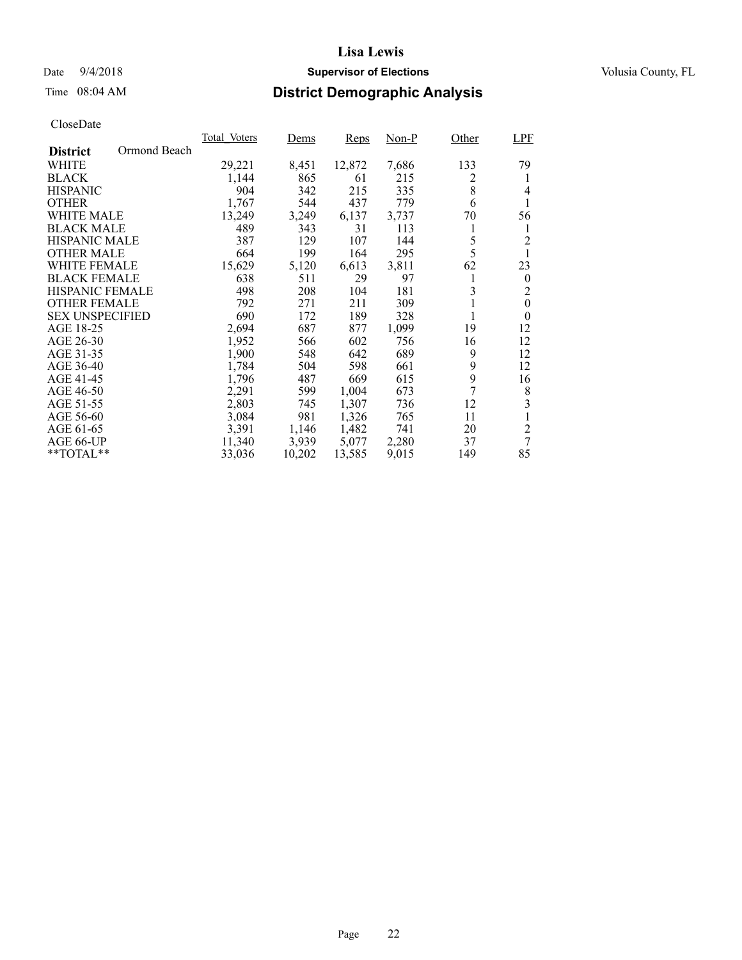# Date  $9/4/2018$  **Supervisor of Elections** Volusia County, FL

## Time 08:04 AM **District Demographic Analysis**

|                        |              | Total Voters | Dems   | Reps   | Non-P | Other | LPF              |
|------------------------|--------------|--------------|--------|--------|-------|-------|------------------|
| <b>District</b>        | Ormond Beach |              |        |        |       |       |                  |
| WHITE                  |              | 29,221       | 8,451  | 12,872 | 7,686 | 133   | 79               |
| <b>BLACK</b>           |              | 1,144        | 865    | 61     | 215   | 2     | 1                |
| <b>HISPANIC</b>        |              | 904          | 342    | 215    | 335   | 8     | 4                |
| <b>OTHER</b>           |              | 1.767        | 544    | 437    | 779   | 6     | 1                |
| WHITE MALE             |              | 13,249       | 3,249  | 6,137  | 3,737 | 70    | 56               |
| <b>BLACK MALE</b>      |              | 489          | 343    | 31     | 113   | 1     | 1                |
| <b>HISPANIC MALE</b>   |              | 387          | 129    | 107    | 144   | 5     | $\overline{c}$   |
| <b>OTHER MALE</b>      |              | 664          | 199    | 164    | 295   | 5     |                  |
| <b>WHITE FEMALE</b>    |              | 15,629       | 5,120  | 6,613  | 3,811 | 62    | 23               |
| <b>BLACK FEMALE</b>    |              | 638          | 511    | 29     | 97    | 1     | $\theta$         |
| <b>HISPANIC FEMALE</b> |              | 498          | 208    | 104    | 181   | 3     | 2                |
| <b>OTHER FEMALE</b>    |              | 792          | 271    | 211    | 309   | 1     | $\boldsymbol{0}$ |
| <b>SEX UNSPECIFIED</b> |              | 690          | 172    | 189    | 328   | 1     | $\overline{0}$   |
| AGE 18-25              |              | 2,694        | 687    | 877    | 1,099 | 19    | 12               |
| AGE 26-30              |              | 1,952        | 566    | 602    | 756   | 16    | 12               |
| AGE 31-35              |              | 1,900        | 548    | 642    | 689   | 9     | 12               |
| AGE 36-40              |              | 1,784        | 504    | 598    | 661   | 9     | 12               |
| AGE 41-45              |              | 1,796        | 487    | 669    | 615   | 9     | 16               |
| AGE 46-50              |              | 2,291        | 599    | 1,004  | 673   | 7     | 8                |
| AGE 51-55              |              | 2,803        | 745    | 1,307  | 736   | 12    | 3                |
| AGE 56-60              |              | 3,084        | 981    | 1,326  | 765   | 11    | 1                |
| AGE 61-65              |              | 3,391        | 1,146  | 1,482  | 741   | 20    | $\overline{c}$   |
| AGE 66-UP              |              | 11,340       | 3,939  | 5,077  | 2,280 | 37    | 7                |
| **TOTAL**              |              | 33,036       | 10,202 | 13,585 | 9,015 | 149   | 85               |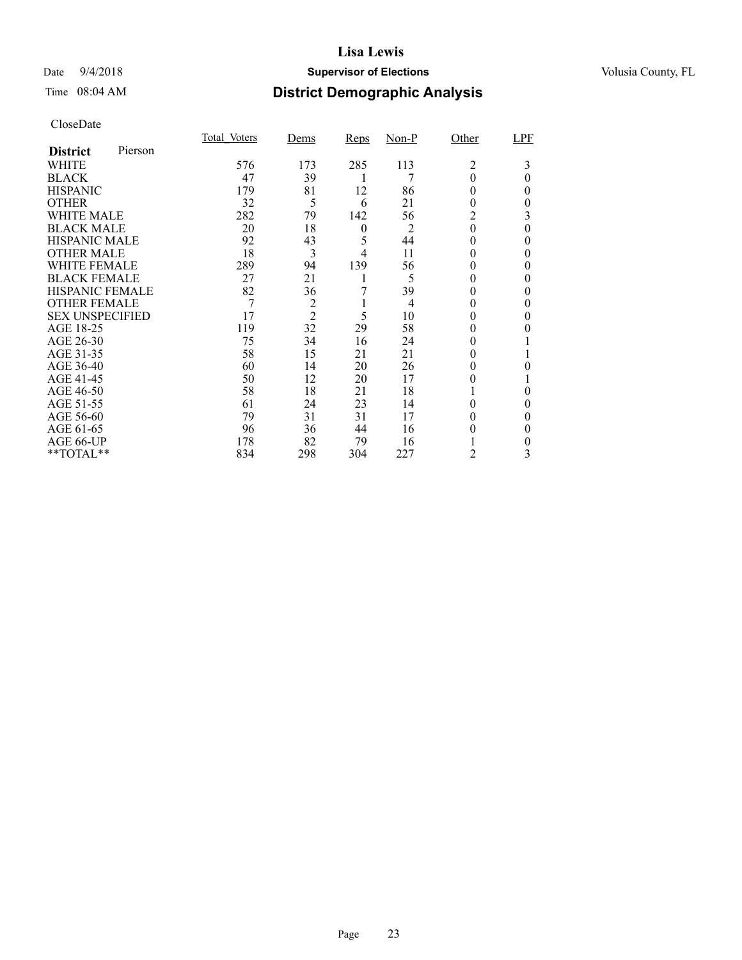### Date  $9/4/2018$  **Supervisor of Elections** Volusia County, FL

### Time 08:04 AM **District Demographic Analysis**

|                        |         | Total Voters | Dems           | <b>Reps</b>      | Non-P          | Other        | LPF      |
|------------------------|---------|--------------|----------------|------------------|----------------|--------------|----------|
| <b>District</b>        | Pierson |              |                |                  |                |              |          |
| <b>WHITE</b>           |         | 576          | 173            | 285              | 113            | 2            | 3        |
| <b>BLACK</b>           |         | 47           | 39             | 1                | 7              | $\theta$     | $\theta$ |
| <b>HISPANIC</b>        |         | 179          | 81             | 12               | 86             | 0            | 0        |
| <b>OTHER</b>           |         | 32           | 5              | 6                | 21             | $_{0}$       | 0        |
| <b>WHITE MALE</b>      |         | 282          | 79             | 142              | 56             | 2            | 3        |
| <b>BLACK MALE</b>      |         | 20           | 18             | $\boldsymbol{0}$ | $\overline{2}$ | $\theta$     | 0        |
| <b>HISPANIC MALE</b>   |         | 92           | 43             | 5                | 44             | $^{(1)}$     | 0        |
| <b>OTHER MALE</b>      |         | 18           | 3              | 4                | 11             | $\theta$     | 0        |
| <b>WHITE FEMALE</b>    |         | 289          | 94             | 139              | 56             | 0            | 0        |
| <b>BLACK FEMALE</b>    |         | 27           | 21             |                  | 5              | $\theta$     | 0        |
| <b>HISPANIC FEMALE</b> |         | 82           | 36             |                  | 39             | $\theta$     | 0        |
| <b>OTHER FEMALE</b>    |         | 7            | $\overline{c}$ |                  | 4              | $\theta$     |          |
| <b>SEX UNSPECIFIED</b> |         | 17           | $\overline{2}$ | 5                | 10             | 0            | 0        |
| AGE 18-25              |         | 119          | 32             | 29               | 58             | 0            |          |
| AGE 26-30              |         | 75           | 34             | 16               | 24             | $_{0}$       |          |
| AGE 31-35              |         | 58           | 15             | 21               | 21             | $\mathbf{0}$ |          |
| AGE 36-40              |         | 60           | 14             | 20               | 26             | $_{0}$       | 0        |
| AGE 41-45              |         | 50           | 12             | 20               | 17             | $_{0}$       |          |
| AGE 46-50              |         | 58           | 18             | 21               | 18             |              | 0        |
| AGE 51-55              |         | 61           | 24             | 23               | 14             | $_{0}$       | 0        |
| AGE 56-60              |         | 79           | 31             | 31               | 17             |              | 0        |
| AGE 61-65              |         | 96           | 36             | 44               | 16             | 0            | 0        |
| AGE 66-UP              |         | 178          | 82             | 79               | 16             |              | 0        |
| **TOTAL**              |         | 834          | 298            | 304              | 227            | 2            | 3        |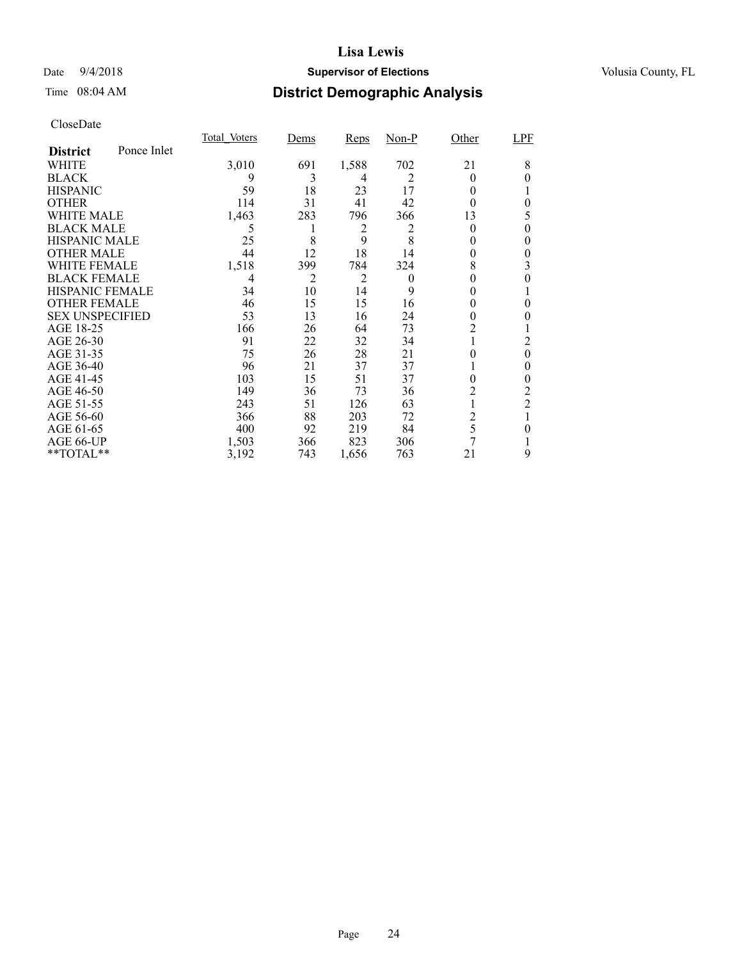### Date  $9/4/2018$  **Supervisor of Elections** Volusia County, FL

## Time 08:04 AM **District Demographic Analysis**

|                        |             | Total Voters | Dems           | <b>Reps</b> | $Non-P$  | Other | LPF            |
|------------------------|-------------|--------------|----------------|-------------|----------|-------|----------------|
| <b>District</b>        | Ponce Inlet |              |                |             |          |       |                |
| WHITE                  |             | 3,010        | 691            | 1,588       | 702      | 21    | 8              |
| <b>BLACK</b>           |             | 9            | 3              | 4           | 2        | 0     | 0              |
| <b>HISPANIC</b>        |             | 59           | 18             | 23          | 17       | 0     |                |
| <b>OTHER</b>           |             | 114          | 31             | 41          | 42       | 0     | 0              |
| WHITE MALE             |             | 1,463        | 283            | 796         | 366      | 13    | 5              |
| <b>BLACK MALE</b>      |             | 5            | 1              | 2           | 2        | 0     | 0              |
| <b>HISPANIC MALE</b>   |             | 25           | 8              | 9           | 8        | 0     | 0              |
| <b>OTHER MALE</b>      |             | 44           | 12             | 18          | 14       | 0     | 0              |
| WHITE FEMALE           |             | 1,518        | 399            | 784         | 324      | 8     | 3              |
| <b>BLACK FEMALE</b>    |             | 4            | $\overline{c}$ | 2           | $\theta$ |       | 0              |
| <b>HISPANIC FEMALE</b> |             | 34           | 10             | 14          | 9        |       |                |
| <b>OTHER FEMALE</b>    |             | 46           | 15             | 15          | 16       | 0     | 0              |
| <b>SEX UNSPECIFIED</b> |             | 53           | 13             | 16          | 24       | 0     |                |
| AGE 18-25              |             | 166          | 26             | 64          | 73       | 2     |                |
| AGE 26-30              |             | 91           | 22             | 32          | 34       |       | 2              |
| AGE 31-35              |             | 75           | 26             | 28          | 21       |       | 0              |
| AGE 36-40              |             | 96           | 21             | 37          | 37       |       | 0              |
| AGE 41-45              |             | 103          | 15             | 51          | 37       | 0     | 0              |
| AGE 46-50              |             | 149          | 36             | 73          | 36       | 2     | 2              |
| AGE 51-55              |             | 243          | 51             | 126         | 63       |       | $\overline{2}$ |
| AGE 56-60              |             | 366          | 88             | 203         | 72       | 2     |                |
| AGE 61-65              |             | 400          | 92             | 219         | 84       | 5     | 0              |
| AGE 66-UP              |             | 1,503        | 366            | 823         | 306      | 7     |                |
| **TOTAL**              |             | 3,192        | 743            | 1,656       | 763      | 21    | 9              |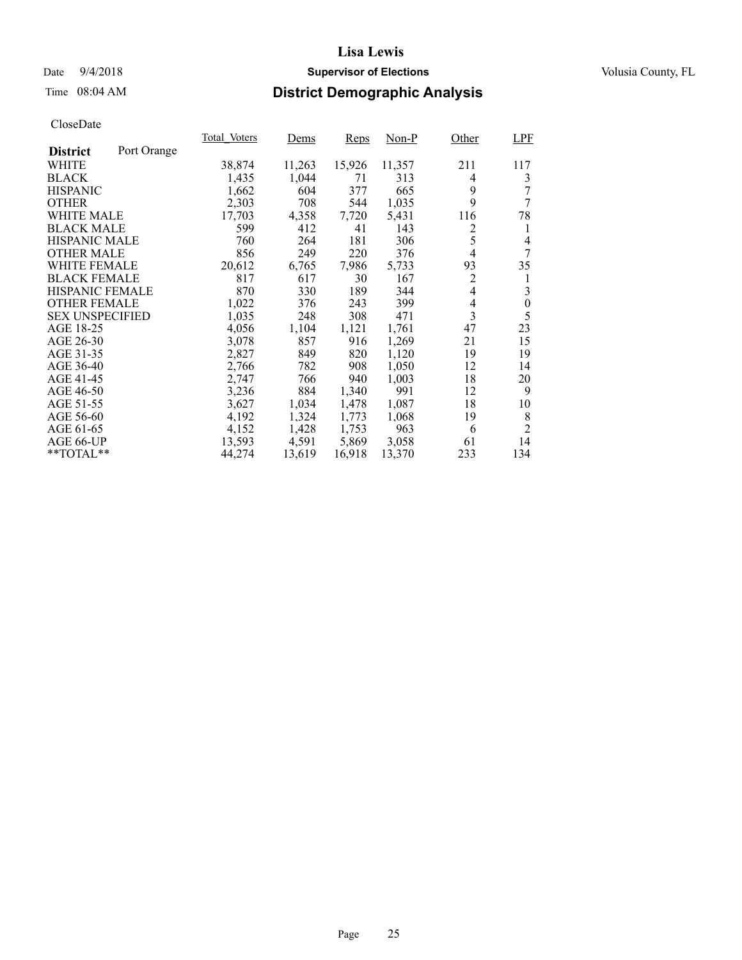### Date  $9/4/2018$  **Supervisor of Elections** Volusia County, FL

## Time 08:04 AM **District Demographic Analysis**

|                        |             | Total Voters | Dems   | <b>Reps</b> | Non-P  | Other          | <b>LPF</b>     |
|------------------------|-------------|--------------|--------|-------------|--------|----------------|----------------|
| <b>District</b>        | Port Orange |              |        |             |        |                |                |
| WHITE                  |             | 38,874       | 11,263 | 15,926      | 11,357 | 211            | 117            |
| <b>BLACK</b>           |             | 1,435        | 1,044  | 71          | 313    | 4              | 3              |
| <b>HISPANIC</b>        |             | 1,662        | 604    | 377         | 665    | 9              | 7              |
| <b>OTHER</b>           |             | 2,303        | 708    | 544         | 1,035  | 9              | 7              |
| WHITE MALE             |             | 17,703       | 4,358  | 7,720       | 5,431  | 116            | 78             |
| <b>BLACK MALE</b>      |             | 599          | 412    | 41          | 143    | 2              | 1              |
| <b>HISPANIC MALE</b>   |             | 760          | 264    | 181         | 306    | 5              | 4              |
| <b>OTHER MALE</b>      |             | 856          | 249    | 220         | 376    | 4              | 7              |
| <b>WHITE FEMALE</b>    |             | 20,612       | 6,765  | 7,986       | 5,733  | 93             | 35             |
| <b>BLACK FEMALE</b>    |             | 817          | 617    | 30          | 167    | 2              | 1              |
| HISPANIC FEMALE        |             | 870          | 330    | 189         | 344    | $\overline{4}$ | 3              |
| <b>OTHER FEMALE</b>    |             | 1,022        | 376    | 243         | 399    | $\overline{4}$ | $\theta$       |
| <b>SEX UNSPECIFIED</b> |             | 1,035        | 248    | 308         | 471    | 3              | 5              |
| AGE 18-25              |             | 4,056        | 1,104  | 1,121       | 1,761  | 47             | 23             |
| AGE 26-30              |             | 3,078        | 857    | 916         | 1,269  | 21             | 15             |
| AGE 31-35              |             | 2,827        | 849    | 820         | 1,120  | 19             | 19             |
| AGE 36-40              |             | 2,766        | 782    | 908         | 1,050  | 12             | 14             |
| AGE 41-45              |             | 2,747        | 766    | 940         | 1,003  | 18             | 20             |
| AGE 46-50              |             | 3,236        | 884    | 1,340       | 991    | 12             | 9              |
| AGE 51-55              |             | 3,627        | 1,034  | 1,478       | 1,087  | 18             | 10             |
| AGE 56-60              |             | 4,192        | 1,324  | 1,773       | 1,068  | 19             | 8              |
| AGE 61-65              |             | 4,152        | 1,428  | 1,753       | 963    | 6              | $\overline{2}$ |
| AGE 66-UP              |             | 13,593       | 4,591  | 5,869       | 3,058  | 61             | 14             |
| $*$ TOTAL $*$          |             | 44,274       | 13,619 | 16,918      | 13,370 | 233            | 134            |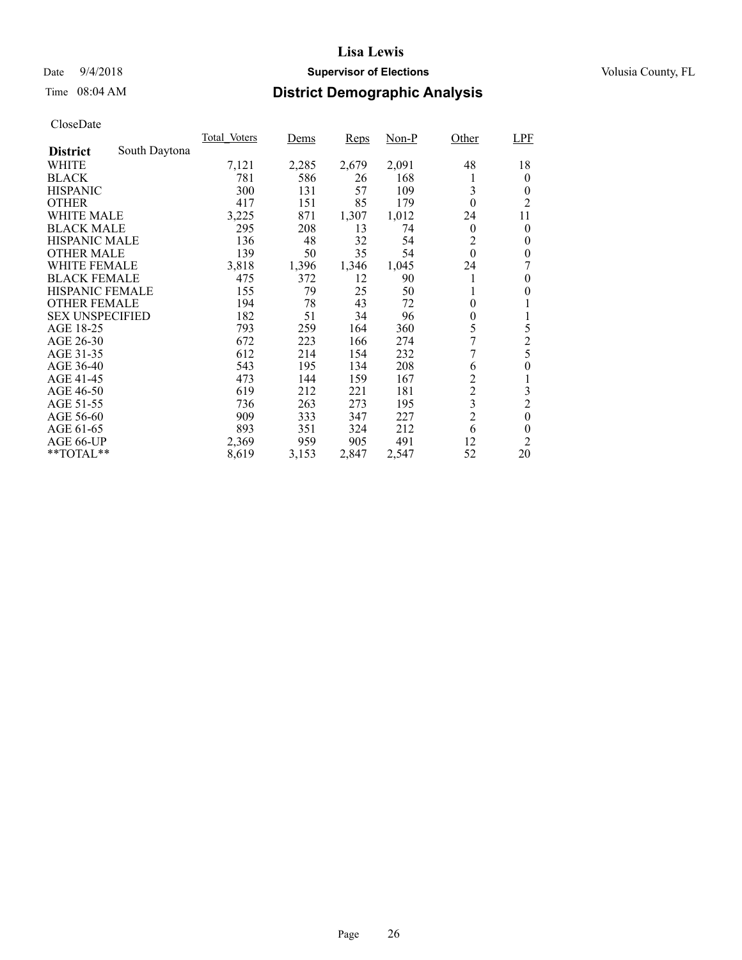### Date  $9/4/2018$  **Supervisor of Elections** Volusia County, FL

## Time 08:04 AM **District Demographic Analysis**

|                        |               | Total Voters | Dems  | <b>Reps</b> | Non-P | Other          | <b>LPF</b>       |
|------------------------|---------------|--------------|-------|-------------|-------|----------------|------------------|
| <b>District</b>        | South Daytona |              |       |             |       |                |                  |
| WHITE                  |               | 7,121        | 2,285 | 2,679       | 2,091 | 48             | 18               |
| <b>BLACK</b>           |               | 781          | 586   | 26          | 168   | 1              | $\overline{0}$   |
| <b>HISPANIC</b>        |               | 300          | 131   | 57          | 109   | 3              | 0                |
| <b>OTHER</b>           |               | 417          | 151   | 85          | 179   | $\theta$       | $\overline{2}$   |
| WHITE MALE             |               | 3,225        | 871   | 1,307       | 1,012 | 24             | 11               |
| <b>BLACK MALE</b>      |               | 295          | 208   | 13          | 74    | $\theta$       | 0                |
| <b>HISPANIC MALE</b>   |               | 136          | 48    | 32          | 54    | 2              | $\theta$         |
| <b>OTHER MALE</b>      |               | 139          | 50    | 35          | 54    | $\theta$       | $\theta$         |
| <b>WHITE FEMALE</b>    |               | 3,818        | 1,396 | 1,346       | 1,045 | 24             | 7                |
| <b>BLACK FEMALE</b>    |               | 475          | 372   | 12          | 90    | 1              | $\theta$         |
| HISPANIC FEMALE        |               | 155          | 79    | 25          | 50    | 1              | $\theta$         |
| <b>OTHER FEMALE</b>    |               | 194          | 78    | 43          | 72    | $\overline{0}$ | 1                |
| <b>SEX UNSPECIFIED</b> |               | 182          | 51    | 34          | 96    | $\theta$       | 1                |
| AGE 18-25              |               | 793          | 259   | 164         | 360   | 5              | 5                |
| AGE 26-30              |               | 672          | 223   | 166         | 274   | 7              | $\overline{c}$   |
| AGE 31-35              |               | 612          | 214   | 154         | 232   | 7              | 5                |
| AGE 36-40              |               | 543          | 195   | 134         | 208   | 6              | 0                |
| AGE 41-45              |               | 473          | 144   | 159         | 167   | $\overline{2}$ | 1                |
| AGE 46-50              |               | 619          | 212   | 221         | 181   | $\overline{c}$ | 3                |
| AGE 51-55              |               | 736          | 263   | 273         | 195   | 3              | $\overline{2}$   |
| AGE 56-60              |               | 909          | 333   | 347         | 227   | $\overline{2}$ | $\boldsymbol{0}$ |
| AGE 61-65              |               | 893          | 351   | 324         | 212   | 6              | $\theta$         |
| AGE 66-UP              |               | 2,369        | 959   | 905         | 491   | 12             | 2                |
| $*$ TOTAL $*$          |               | 8,619        | 3,153 | 2,847       | 2,547 | 52             | 20               |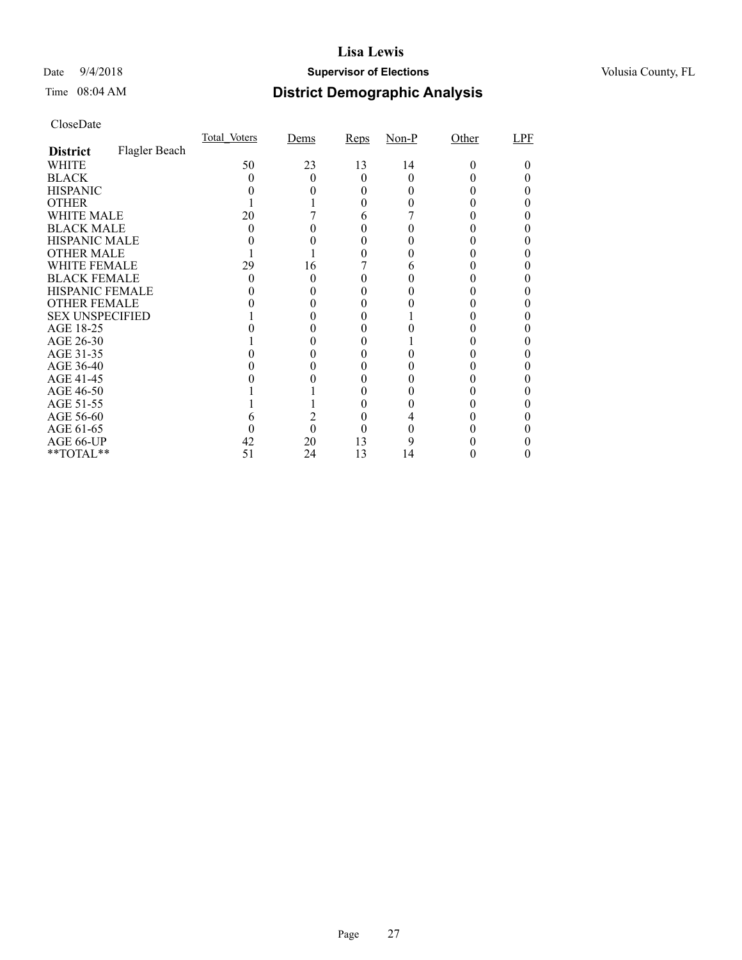### Date  $9/4/2018$  **Supervisor of Elections** Volusia County, FL

# Time 08:04 AM **District Demographic Analysis**

|                        |               | Total Voters | Dems | Reps         | $Non-P$ | Other | LPF |
|------------------------|---------------|--------------|------|--------------|---------|-------|-----|
| <b>District</b>        | Flagler Beach |              |      |              |         |       |     |
| WHITE                  |               | 50           | 23   | 13           | 14      | 0     |     |
| <b>BLACK</b>           |               |              |      | $\mathbf{0}$ |         |       |     |
| <b>HISPANIC</b>        |               |              |      |              |         |       |     |
| <b>OTHER</b>           |               |              |      |              |         |       |     |
| WHITE MALE             |               | 20           |      | 6            |         |       |     |
| <b>BLACK MALE</b>      |               |              |      |              |         |       |     |
| <b>HISPANIC MALE</b>   |               |              |      |              |         |       |     |
| <b>OTHER MALE</b>      |               |              |      |              |         |       |     |
| WHITE FEMALE           |               | 29           | 16   |              |         |       |     |
| <b>BLACK FEMALE</b>    |               |              |      |              |         |       |     |
| HISPANIC FEMALE        |               |              |      |              |         |       |     |
| <b>OTHER FEMALE</b>    |               |              |      |              |         |       |     |
| <b>SEX UNSPECIFIED</b> |               |              |      |              |         |       |     |
| AGE 18-25              |               |              |      |              |         |       |     |
| AGE 26-30              |               |              |      |              |         |       |     |
| AGE 31-35              |               |              |      |              |         |       |     |
| AGE 36-40              |               |              |      |              |         |       |     |
| AGE 41-45              |               |              |      |              |         |       |     |
| AGE 46-50              |               |              |      |              |         |       |     |
| AGE 51-55              |               |              |      |              |         |       |     |
| AGE 56-60              |               |              |      |              |         |       |     |
| AGE 61-65              |               |              | 0    |              |         |       |     |
| AGE 66-UP              |               | 42           | 20   | 13           |         |       |     |
| $*$ $TOTAL**$          |               | 51           | 24   | 13           | 14      |       |     |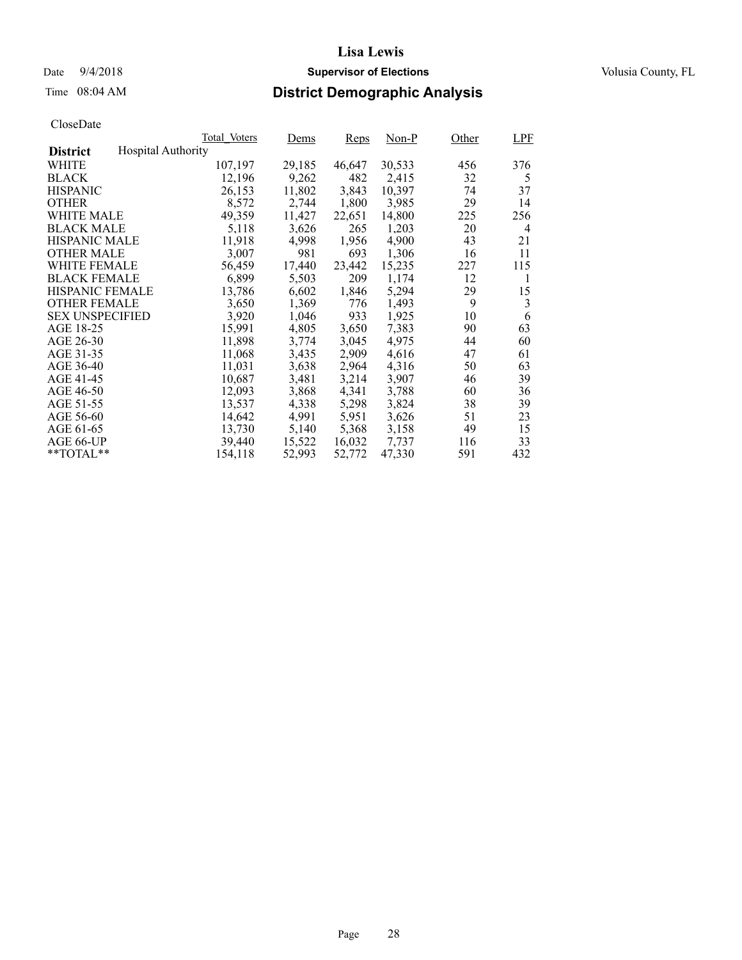# Time 08:04 AM **District Demographic Analysis**

|                        |                           | Total Voters | Dems   | <b>Reps</b> | $Non-P$ | Other | <b>LPF</b> |
|------------------------|---------------------------|--------------|--------|-------------|---------|-------|------------|
| <b>District</b>        | <b>Hospital Authority</b> |              |        |             |         |       |            |
| WHITE                  |                           | 107,197      | 29,185 | 46,647      | 30,533  | 456   | 376        |
| <b>BLACK</b>           |                           | 12,196       | 9,262  | 482         | 2,415   | 32    | 5          |
| <b>HISPANIC</b>        |                           | 26,153       | 11,802 | 3,843       | 10,397  | 74    | 37         |
| <b>OTHER</b>           |                           | 8,572        | 2,744  | 1,800       | 3,985   | 29    | 14         |
| WHITE MALE             |                           | 49.359       | 11,427 | 22,651      | 14,800  | 225   | 256        |
| <b>BLACK MALE</b>      |                           | 5,118        | 3,626  | 265         | 1,203   | 20    | 4          |
| <b>HISPANIC MALE</b>   |                           | 11,918       | 4,998  | 1,956       | 4,900   | 43    | 21         |
| <b>OTHER MALE</b>      |                           | 3,007        | 981    | 693         | 1,306   | 16    | 11         |
| <b>WHITE FEMALE</b>    |                           | 56,459       | 17,440 | 23,442      | 15,235  | 227   | 115        |
| <b>BLACK FEMALE</b>    |                           | 6,899        | 5,503  | 209         | 1,174   | 12    | 1          |
| HISPANIC FEMALE        |                           | 13,786       | 6,602  | 1,846       | 5,294   | 29    | 15         |
| <b>OTHER FEMALE</b>    |                           | 3,650        | 1,369  | 776         | 1.493   | 9     | 3          |
| <b>SEX UNSPECIFIED</b> |                           | 3,920        | 1,046  | 933         | 1,925   | 10    | 6          |
| AGE 18-25              |                           | 15,991       | 4,805  | 3,650       | 7,383   | 90    | 63         |
| AGE 26-30              |                           | 11,898       | 3,774  | 3,045       | 4.975   | 44    | 60         |
| AGE 31-35              |                           | 11,068       | 3,435  | 2,909       | 4,616   | 47    | 61         |
| AGE 36-40              |                           | 11,031       | 3,638  | 2,964       | 4,316   | 50    | 63         |
| AGE 41-45              |                           | 10,687       | 3,481  | 3,214       | 3,907   | 46    | 39         |
| AGE 46-50              |                           | 12,093       | 3,868  | 4,341       | 3,788   | 60    | 36         |
| AGE 51-55              |                           | 13,537       | 4,338  | 5,298       | 3,824   | 38    | 39         |
| AGE 56-60              |                           | 14,642       | 4,991  | 5,951       | 3,626   | 51    | 23         |
| AGE 61-65              |                           | 13,730       | 5,140  | 5,368       | 3,158   | 49    | 15         |
| AGE 66-UP              |                           | 39,440       | 15,522 | 16,032      | 7,737   | 116   | 33         |
| $*$ $TOTAL**$          |                           | 154,118      | 52,993 | 52,772      | 47,330  | 591   | 432        |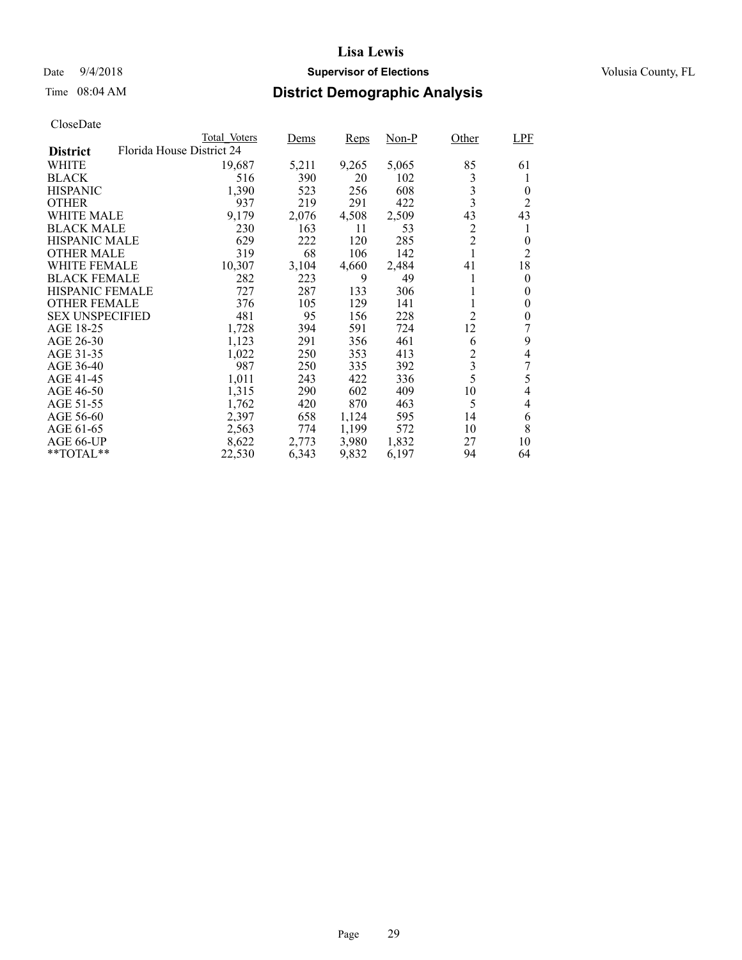### Date  $9/4/2018$  **Supervisor of Elections** Volusia County, FL

## Time 08:04 AM **District Demographic Analysis**

|                                              | Total Voters | Dems  | <b>Reps</b> | Non-P | Other                   | LPF            |
|----------------------------------------------|--------------|-------|-------------|-------|-------------------------|----------------|
| Florida House District 24<br><b>District</b> |              |       |             |       |                         |                |
| WHITE                                        | 19,687       | 5,211 | 9,265       | 5,065 | 85                      | 61             |
| <b>BLACK</b>                                 | 516          | 390   | 20          | 102   | 3                       | 1              |
| <b>HISPANIC</b>                              | 1,390        | 523   | 256         | 608   | 3                       | 0              |
| <b>OTHER</b>                                 | 937          | 219   | 291         | 422   | 3                       | 2              |
| WHITE MALE                                   | 9,179        | 2,076 | 4,508       | 2,509 | 43                      | 43             |
| <b>BLACK MALE</b>                            | 230          | 163   | 11          | 53    | 2                       | 1              |
| <b>HISPANIC MALE</b>                         | 629          | 222   | 120         | 285   | $\overline{c}$          | 0              |
| <b>OTHER MALE</b>                            | 319          | 68    | 106         | 142   | $\mathbf{1}$            | $\overline{c}$ |
| WHITE FEMALE                                 | 10,307       | 3,104 | 4,660       | 2,484 | 41                      | 18             |
| <b>BLACK FEMALE</b>                          | 282          | 223   | 9           | 49    | 1                       | $\theta$       |
| <b>HISPANIC FEMALE</b>                       | 727          | 287   | 133         | 306   | 1                       | $\theta$       |
| <b>OTHER FEMALE</b>                          | 376          | 105   | 129         | 141   | 1                       | $\theta$       |
| <b>SEX UNSPECIFIED</b>                       | 481          | 95    | 156         | 228   | $\overline{2}$          | $\theta$       |
| AGE 18-25                                    | 1,728        | 394   | 591         | 724   | 12                      | 7              |
| AGE 26-30                                    | 1,123        | 291   | 356         | 461   | 6                       | 9              |
| AGE 31-35                                    | 1,022        | 250   | 353         | 413   | $\overline{c}$          | 4              |
| AGE 36-40                                    | 987          | 250   | 335         | 392   | $\overline{\mathbf{3}}$ | 7              |
| AGE 41-45                                    | 1,011        | 243   | 422         | 336   | 5                       | 5              |
| AGE 46-50                                    | 1,315        | 290   | 602         | 409   | 10                      | 4              |
| AGE 51-55                                    | 1,762        | 420   | 870         | 463   | 5                       | $\overline{4}$ |
| AGE 56-60                                    | 2,397        | 658   | 1,124       | 595   | 14                      | 6              |
| AGE 61-65                                    | 2,563        | 774   | 1,199       | 572   | 10                      | 8              |
| AGE 66-UP                                    | 8,622        | 2,773 | 3,980       | 1,832 | 27                      | 10             |
| $*$ $TOTAL**$                                | 22,530       | 6,343 | 9,832       | 6,197 | 94                      | 64             |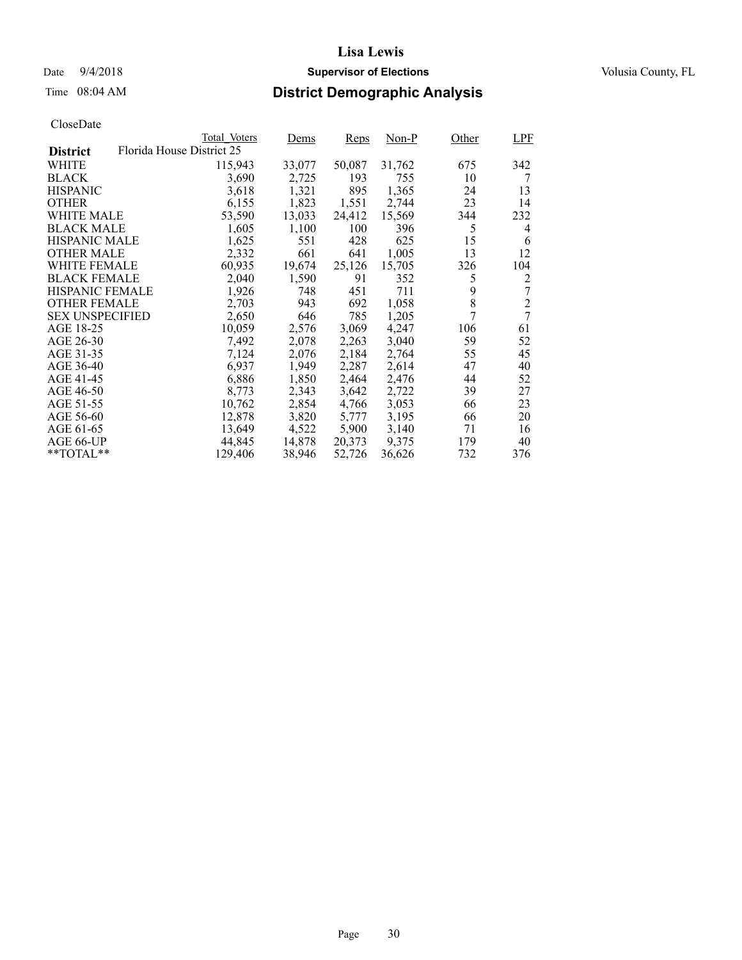### Date  $9/4/2018$  **Supervisor of Elections** Volusia County, FL

## Time 08:04 AM **District Demographic Analysis**

|                        |                           | Total Voters | Dems   | <b>Reps</b> | Non-P  | Other | LPF            |
|------------------------|---------------------------|--------------|--------|-------------|--------|-------|----------------|
| <b>District</b>        | Florida House District 25 |              |        |             |        |       |                |
| WHITE                  |                           | 115,943      | 33,077 | 50,087      | 31,762 | 675   | 342            |
| <b>BLACK</b>           |                           | 3,690        | 2,725  | 193         | 755    | 10    | 7              |
| <b>HISPANIC</b>        |                           | 3,618        | 1,321  | 895         | 1,365  | 24    | 13             |
| <b>OTHER</b>           |                           | 6,155        | 1,823  | 1,551       | 2,744  | 23    | 14             |
| WHITE MALE             |                           | 53,590       | 13,033 | 24,412      | 15,569 | 344   | 232            |
| <b>BLACK MALE</b>      |                           | 1,605        | 1,100  | 100         | 396    | 5     | 4              |
| <b>HISPANIC MALE</b>   |                           | 1,625        | 551    | 428         | 625    | 15    | 6              |
| <b>OTHER MALE</b>      |                           | 2,332        | 661    | 641         | 1,005  | 13    | 12             |
| <b>WHITE FEMALE</b>    |                           | 60,935       | 19,674 | 25,126      | 15,705 | 326   | 104            |
| <b>BLACK FEMALE</b>    |                           | 2,040        | 1,590  | 91          | 352    | 5     | 2              |
| HISPANIC FEMALE        |                           | 1,926        | 748    | 451         | 711    | 9     | 7              |
| <b>OTHER FEMALE</b>    |                           | 2,703        | 943    | 692         | 1,058  | 8     | $\overline{2}$ |
| <b>SEX UNSPECIFIED</b> |                           | 2,650        | 646    | 785         | 1,205  | 7     | 7              |
| AGE 18-25              |                           | 10,059       | 2,576  | 3,069       | 4,247  | 106   | 61             |
| AGE 26-30              |                           | 7,492        | 2,078  | 2,263       | 3,040  | 59    | 52             |
| AGE 31-35              |                           | 7,124        | 2,076  | 2,184       | 2,764  | 55    | 45             |
| AGE 36-40              |                           | 6,937        | 1,949  | 2,287       | 2,614  | 47    | 40             |
| AGE 41-45              |                           | 6,886        | 1,850  | 2,464       | 2,476  | 44    | 52             |
| AGE 46-50              |                           | 8,773        | 2,343  | 3,642       | 2,722  | 39    | 27             |
| AGE 51-55              |                           | 10,762       | 2,854  | 4,766       | 3,053  | 66    | 23             |
| AGE 56-60              |                           | 12,878       | 3,820  | 5,777       | 3,195  | 66    | 20             |
| AGE 61-65              |                           | 13,649       | 4,522  | 5,900       | 3,140  | 71    | 16             |
| AGE 66-UP              |                           | 44,845       | 14,878 | 20,373      | 9,375  | 179   | 40             |
| $*$ TOTAL $*$          |                           | 129,406      | 38,946 | 52,726      | 36,626 | 732   | 376            |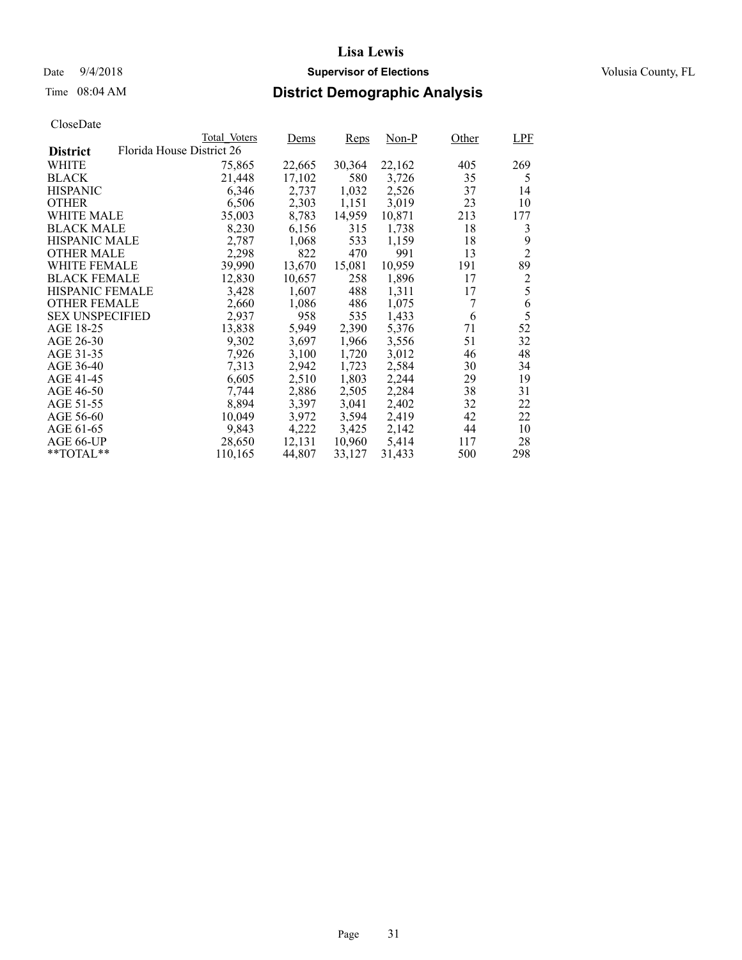### Date  $9/4/2018$  **Supervisor of Elections** Volusia County, FL

## Time 08:04 AM **District Demographic Analysis**

|                        |                           | Total Voters | Dems   | <b>Reps</b> | Non-P  | Other | <b>LPF</b>     |
|------------------------|---------------------------|--------------|--------|-------------|--------|-------|----------------|
| <b>District</b>        | Florida House District 26 |              |        |             |        |       |                |
| WHITE                  |                           | 75,865       | 22,665 | 30,364      | 22,162 | 405   | 269            |
| <b>BLACK</b>           |                           | 21,448       | 17,102 | 580         | 3,726  | 35    | 5              |
| <b>HISPANIC</b>        |                           | 6,346        | 2,737  | 1,032       | 2,526  | 37    | 14             |
| <b>OTHER</b>           |                           | 6,506        | 2,303  | 1,151       | 3,019  | 23    | 10             |
| WHITE MALE             |                           | 35,003       | 8,783  | 14,959      | 10,871 | 213   | 177            |
| <b>BLACK MALE</b>      |                           | 8,230        | 6,156  | 315         | 1,738  | 18    | 3              |
| <b>HISPANIC MALE</b>   |                           | 2,787        | 1,068  | 533         | 1,159  | 18    | 9              |
| <b>OTHER MALE</b>      |                           | 2,298        | 822    | 470         | 991    | 13    | $\overline{2}$ |
| <b>WHITE FEMALE</b>    |                           | 39,990       | 13,670 | 15,081      | 10,959 | 191   | 89             |
| <b>BLACK FEMALE</b>    |                           | 12,830       | 10,657 | 258         | 1,896  | 17    | $\overline{2}$ |
| HISPANIC FEMALE        |                           | 3,428        | 1,607  | 488         | 1,311  | 17    | 5              |
| <b>OTHER FEMALE</b>    |                           | 2,660        | 1,086  | 486         | 1,075  | 7     | 6              |
| <b>SEX UNSPECIFIED</b> |                           | 2,937        | 958    | 535         | 1,433  | 6     | 5              |
| AGE 18-25              |                           | 13,838       | 5,949  | 2,390       | 5,376  | 71    | 52             |
| AGE 26-30              |                           | 9,302        | 3,697  | 1,966       | 3,556  | 51    | 32             |
| AGE 31-35              |                           | 7,926        | 3,100  | 1,720       | 3,012  | 46    | 48             |
| AGE 36-40              |                           | 7,313        | 2,942  | 1,723       | 2,584  | 30    | 34             |
| AGE 41-45              |                           | 6,605        | 2,510  | 1,803       | 2,244  | 29    | 19             |
| AGE 46-50              |                           | 7,744        | 2,886  | 2,505       | 2,284  | 38    | 31             |
| AGE 51-55              |                           | 8,894        | 3,397  | 3,041       | 2,402  | 32    | 22             |
| AGE 56-60              |                           | 10,049       | 3,972  | 3,594       | 2,419  | 42    | 22             |
| AGE 61-65              |                           | 9,843        | 4,222  | 3,425       | 2,142  | 44    | 10             |
| AGE 66-UP              |                           | 28,650       | 12,131 | 10,960      | 5,414  | 117   | 28             |
| $*$ TOTAL $*$          |                           | 110,165      | 44,807 | 33,127      | 31,433 | 500   | 298            |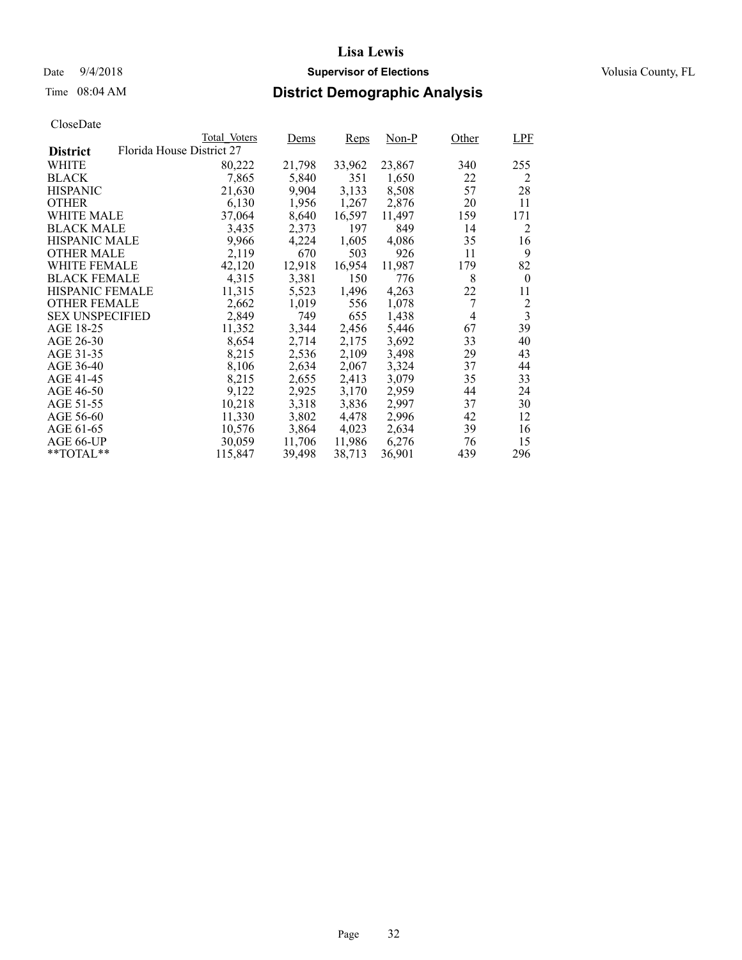## Date  $9/4/2018$  **Supervisor of Elections** Volusia County, FL

## Time 08:04 AM **District Demographic Analysis**

|                        |                           | Total Voters | Dems   | <b>Reps</b> | Non-P  | Other          | LPF                     |
|------------------------|---------------------------|--------------|--------|-------------|--------|----------------|-------------------------|
| <b>District</b>        | Florida House District 27 |              |        |             |        |                |                         |
| WHITE                  |                           | 80,222       | 21,798 | 33,962      | 23,867 | 340            | 255                     |
| <b>BLACK</b>           |                           | 7,865        | 5,840  | 351         | 1,650  | 22             | 2                       |
| <b>HISPANIC</b>        |                           | 21,630       | 9,904  | 3,133       | 8,508  | 57             | 28                      |
| <b>OTHER</b>           |                           | 6,130        | 1,956  | 1,267       | 2,876  | 20             | 11                      |
| WHITE MALE             |                           | 37,064       | 8,640  | 16,597      | 11,497 | 159            | 171                     |
| <b>BLACK MALE</b>      |                           | 3,435        | 2,373  | 197         | 849    | 14             | 2                       |
| <b>HISPANIC MALE</b>   |                           | 9,966        | 4,224  | 1,605       | 4,086  | 35             | 16                      |
| <b>OTHER MALE</b>      |                           | 2,119        | 670    | 503         | 926    | 11             | 9                       |
| <b>WHITE FEMALE</b>    |                           | 42,120       | 12,918 | 16,954      | 11,987 | 179            | 82                      |
| <b>BLACK FEMALE</b>    |                           | 4,315        | 3,381  | 150         | 776    | 8              | $\boldsymbol{0}$        |
| HISPANIC FEMALE        |                           | 11,315       | 5,523  | 1,496       | 4,263  | 22             | 11                      |
| <b>OTHER FEMALE</b>    |                           | 2,662        | 1,019  | 556         | 1,078  | 7              | $\overline{c}$          |
| <b>SEX UNSPECIFIED</b> |                           | 2,849        | 749    | 655         | 1,438  | $\overline{4}$ | $\overline{\mathbf{3}}$ |
| AGE 18-25              |                           | 11,352       | 3,344  | 2,456       | 5,446  | 67             | 39                      |
| AGE 26-30              |                           | 8,654        | 2,714  | 2,175       | 3,692  | 33             | 40                      |
| AGE 31-35              |                           | 8,215        | 2,536  | 2,109       | 3,498  | 29             | 43                      |
| AGE 36-40              |                           | 8,106        | 2,634  | 2,067       | 3,324  | 37             | 44                      |
| AGE 41-45              |                           | 8,215        | 2,655  | 2,413       | 3,079  | 35             | 33                      |
| AGE 46-50              |                           | 9,122        | 2,925  | 3,170       | 2,959  | 44             | 24                      |
| AGE 51-55              |                           | 10,218       | 3,318  | 3,836       | 2.997  | 37             | 30                      |
| AGE 56-60              |                           | 11,330       | 3,802  | 4,478       | 2,996  | 42             | 12                      |
| AGE 61-65              |                           | 10,576       | 3,864  | 4,023       | 2,634  | 39             | 16                      |
| AGE 66-UP              |                           | 30,059       | 11,706 | 11,986      | 6,276  | 76             | 15                      |
| $*$ TOTAL $*$          |                           | 115,847      | 39,498 | 38,713      | 36,901 | 439            | 296                     |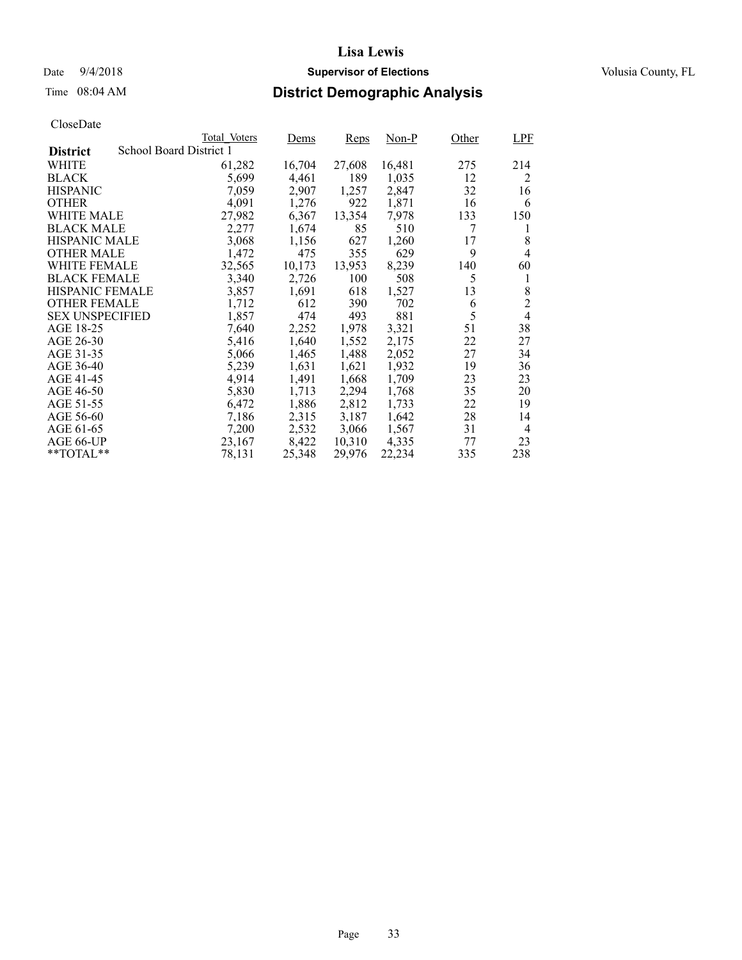## Date  $9/4/2018$  **Supervisor of Elections** Volusia County, FL

## Time 08:04 AM **District Demographic Analysis**

|                        |                         | Total Voters | Dems   | <b>Reps</b> | Non-P  | Other | <b>LPF</b>     |
|------------------------|-------------------------|--------------|--------|-------------|--------|-------|----------------|
| <b>District</b>        | School Board District 1 |              |        |             |        |       |                |
| WHITE                  |                         | 61,282       | 16,704 | 27,608      | 16,481 | 275   | 214            |
| <b>BLACK</b>           |                         | 5,699        | 4,461  | 189         | 1,035  | 12    | 2              |
| <b>HISPANIC</b>        |                         | 7,059        | 2,907  | 1,257       | 2,847  | 32    | 16             |
| <b>OTHER</b>           |                         | 4,091        | 1,276  | 922         | 1,871  | 16    | 6              |
| WHITE MALE             |                         | 27,982       | 6,367  | 13,354      | 7,978  | 133   | 150            |
| <b>BLACK MALE</b>      |                         | 2,277        | 1,674  | 85          | 510    | 7     | l              |
| <b>HISPANIC MALE</b>   |                         | 3,068        | 1,156  | 627         | 1,260  | 17    | 8              |
| <b>OTHER MALE</b>      |                         | 1,472        | 475    | 355         | 629    | 9     | 4              |
| WHITE FEMALE           |                         | 32,565       | 10,173 | 13,953      | 8,239  | 140   | 60             |
| <b>BLACK FEMALE</b>    |                         | 3,340        | 2,726  | 100         | 508    | 5     | 1              |
| HISPANIC FEMALE        |                         | 3,857        | 1,691  | 618         | 1,527  | 13    | 8              |
| <b>OTHER FEMALE</b>    |                         | 1,712        | 612    | 390         | 702    | 6     | $\overline{2}$ |
| <b>SEX UNSPECIFIED</b> |                         | 1,857        | 474    | 493         | 881    | 5     | $\overline{4}$ |
| AGE 18-25              |                         | 7,640        | 2,252  | 1,978       | 3,321  | 51    | 38             |
| AGE 26-30              |                         | 5,416        | 1,640  | 1,552       | 2,175  | 22    | 27             |
| AGE 31-35              |                         | 5,066        | 1,465  | 1,488       | 2,052  | 27    | 34             |
| AGE 36-40              |                         | 5,239        | 1,631  | 1,621       | 1,932  | 19    | 36             |
| AGE 41-45              |                         | 4,914        | 1,491  | 1,668       | 1,709  | 23    | 23             |
| AGE 46-50              |                         | 5,830        | 1,713  | 2,294       | 1,768  | 35    | 20             |
| AGE 51-55              |                         | 6,472        | 1,886  | 2,812       | 1,733  | 22    | 19             |
| AGE 56-60              |                         | 7,186        | 2,315  | 3,187       | 1,642  | 28    | 14             |
| AGE 61-65              |                         | 7,200        | 2,532  | 3,066       | 1,567  | 31    | $\overline{4}$ |
| AGE 66-UP              |                         | 23,167       | 8,422  | 10,310      | 4,335  | 77    | 23             |
| $*$ $TOTAL**$          |                         | 78,131       | 25,348 | 29,976      | 22,234 | 335   | 238            |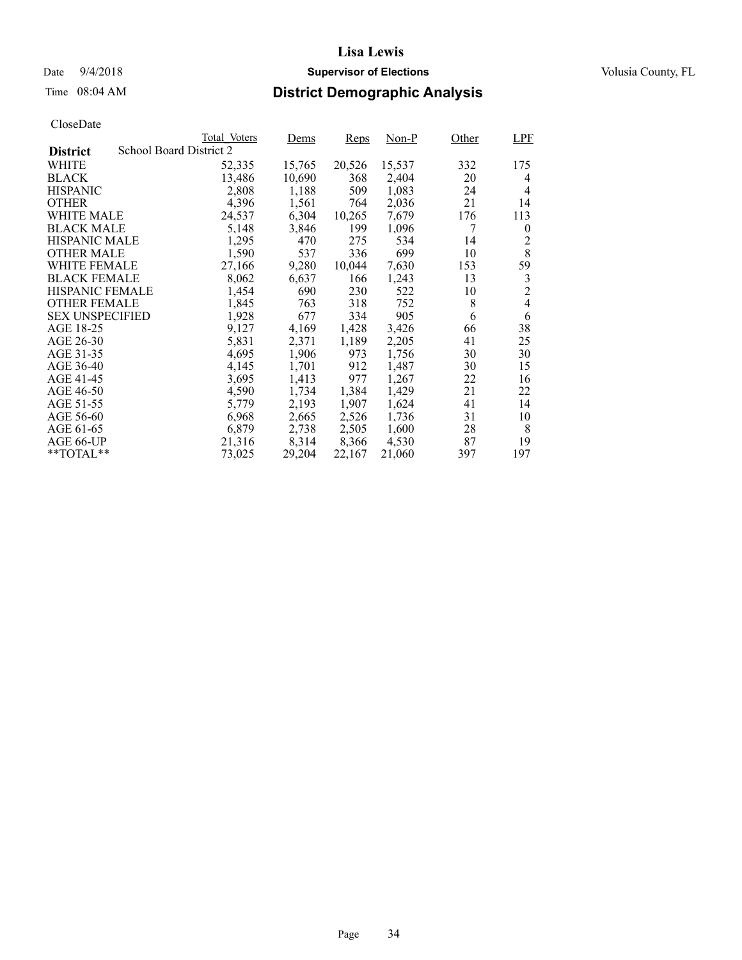### Date  $9/4/2018$  **Supervisor of Elections** Volusia County, FL

## Time 08:04 AM **District Demographic Analysis**

|                        |                         | Total Voters | Dems   | <b>Reps</b> | Non-P  | Other | <b>LPF</b>     |
|------------------------|-------------------------|--------------|--------|-------------|--------|-------|----------------|
| <b>District</b>        | School Board District 2 |              |        |             |        |       |                |
| WHITE                  |                         | 52,335       | 15,765 | 20,526      | 15,537 | 332   | 175            |
| <b>BLACK</b>           |                         | 13,486       | 10,690 | 368         | 2,404  | 20    | 4              |
| <b>HISPANIC</b>        |                         | 2,808        | 1,188  | 509         | 1,083  | 24    | $\overline{4}$ |
| <b>OTHER</b>           |                         | 4,396        | 1,561  | 764         | 2,036  | 21    | 14             |
| WHITE MALE             |                         | 24,537       | 6,304  | 10,265      | 7,679  | 176   | 113            |
| <b>BLACK MALE</b>      |                         | 5,148        | 3,846  | 199         | 1,096  | 7     | $\theta$       |
| <b>HISPANIC MALE</b>   |                         | 1,295        | 470    | 275         | 534    | 14    | 2              |
| <b>OTHER MALE</b>      |                         | 1,590        | 537    | 336         | 699    | 10    | 8              |
| WHITE FEMALE           |                         | 27,166       | 9,280  | 10,044      | 7,630  | 153   | 59             |
| <b>BLACK FEMALE</b>    |                         | 8,062        | 6,637  | 166         | 1,243  | 13    | 3              |
| HISPANIC FEMALE        |                         | 1,454        | 690    | 230         | 522    | 10    | $\overline{2}$ |
| <b>OTHER FEMALE</b>    |                         | 1,845        | 763    | 318         | 752    | 8     | 4              |
| <b>SEX UNSPECIFIED</b> |                         | 1,928        | 677    | 334         | 905    | 6     | 6              |
| AGE 18-25              |                         | 9,127        | 4,169  | 1,428       | 3,426  | 66    | 38             |
| AGE 26-30              |                         | 5,831        | 2,371  | 1,189       | 2,205  | 41    | 25             |
| AGE 31-35              |                         | 4,695        | 1,906  | 973         | 1,756  | 30    | 30             |
| AGE 36-40              |                         | 4,145        | 1,701  | 912         | 1,487  | 30    | 15             |
| AGE 41-45              |                         | 3,695        | 1,413  | 977         | 1,267  | 22    | 16             |
| AGE 46-50              |                         | 4,590        | 1,734  | 1,384       | 1,429  | 21    | 22             |
| AGE 51-55              |                         | 5,779        | 2,193  | 1,907       | 1,624  | 41    | 14             |
| AGE 56-60              |                         | 6,968        | 2,665  | 2,526       | 1,736  | 31    | 10             |
| AGE 61-65              |                         | 6,879        | 2,738  | 2,505       | 1,600  | 28    | 8              |
| AGE 66-UP              |                         | 21,316       | 8,314  | 8,366       | 4,530  | 87    | 19             |
| $*$ TOTAL $*$          |                         | 73,025       | 29,204 | 22,167      | 21,060 | 397   | 197            |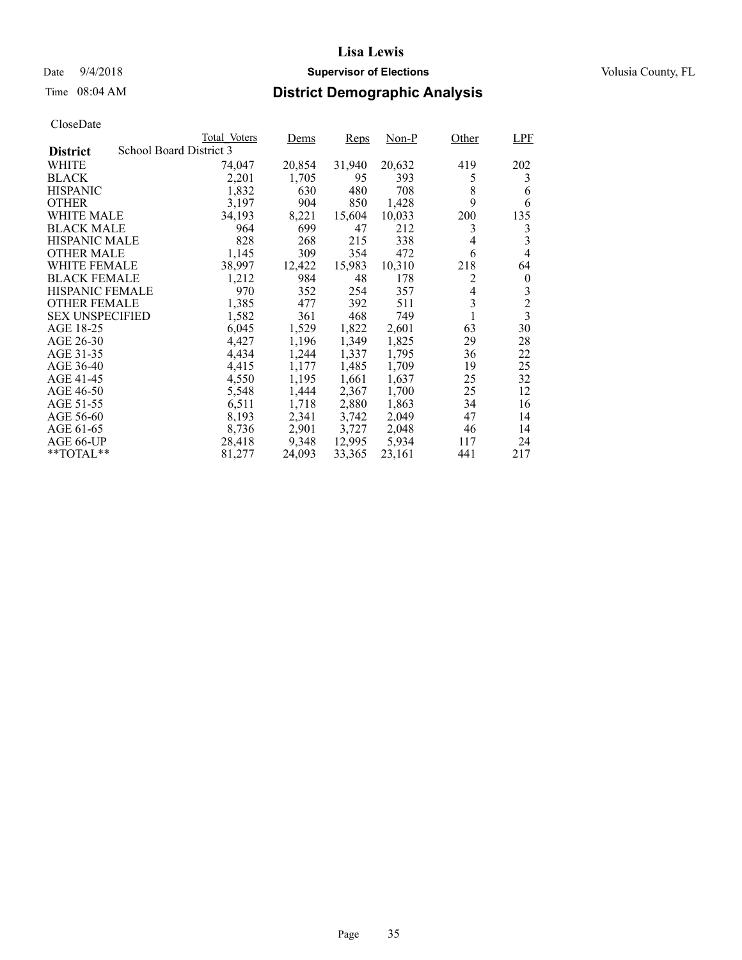### Date  $9/4/2018$  **Supervisor of Elections** Volusia County, FL

# Time 08:04 AM **District Demographic Analysis**

|                        |                         | Total Voters | Dems   | <b>Reps</b> | $Non-P$ | Other          | LPF              |
|------------------------|-------------------------|--------------|--------|-------------|---------|----------------|------------------|
| <b>District</b>        | School Board District 3 |              |        |             |         |                |                  |
| WHITE                  |                         | 74,047       | 20,854 | 31,940      | 20,632  | 419            | 202              |
| <b>BLACK</b>           |                         | 2,201        | 1,705  | 95          | 393     | 5              | 3                |
| <b>HISPANIC</b>        |                         | 1,832        | 630    | 480         | 708     | 8              | 6                |
| <b>OTHER</b>           |                         | 3,197        | 904    | 850         | 1,428   | 9              | 6                |
| WHITE MALE             |                         | 34,193       | 8,221  | 15,604      | 10,033  | 200            | 135              |
| <b>BLACK MALE</b>      |                         | 964          | 699    | 47          | 212     | 3              | 3                |
| <b>HISPANIC MALE</b>   |                         | 828          | 268    | 215         | 338     | 4              | 3                |
| <b>OTHER MALE</b>      |                         | 1,145        | 309    | 354         | 472     | 6              | 4                |
| WHITE FEMALE           |                         | 38,997       | 12,422 | 15,983      | 10,310  | 218            | 64               |
| <b>BLACK FEMALE</b>    |                         | 1,212        | 984    | 48          | 178     | 2              | $\boldsymbol{0}$ |
| HISPANIC FEMALE        |                         | 970          | 352    | 254         | 357     | $\overline{4}$ | 3                |
| <b>OTHER FEMALE</b>    |                         | 1,385        | 477    | 392         | 511     | 3              | $\overline{c}$   |
| <b>SEX UNSPECIFIED</b> |                         | 1,582        | 361    | 468         | 749     |                | $\overline{3}$   |
| AGE 18-25              |                         | 6,045        | 1,529  | 1,822       | 2,601   | 63             | 30               |
| AGE 26-30              |                         | 4,427        | 1,196  | 1,349       | 1,825   | 29             | 28               |
| AGE 31-35              |                         | 4,434        | 1,244  | 1,337       | 1,795   | 36             | 22               |
| AGE 36-40              |                         | 4,415        | 1,177  | 1,485       | 1,709   | 19             | 25               |
| AGE 41-45              |                         | 4,550        | 1,195  | 1,661       | 1,637   | 25             | 32               |
| AGE 46-50              |                         | 5,548        | 1,444  | 2,367       | 1,700   | 25             | 12               |
| AGE 51-55              |                         | 6,511        | 1,718  | 2,880       | 1,863   | 34             | 16               |
| AGE 56-60              |                         | 8,193        | 2,341  | 3,742       | 2,049   | 47             | 14               |
| AGE 61-65              |                         | 8,736        | 2,901  | 3,727       | 2,048   | 46             | 14               |
| AGE 66-UP              |                         | 28,418       | 9,348  | 12,995      | 5,934   | 117            | 24               |
| $*$ TOTAL $*$          |                         | 81,277       | 24,093 | 33,365      | 23,161  | 441            | 217              |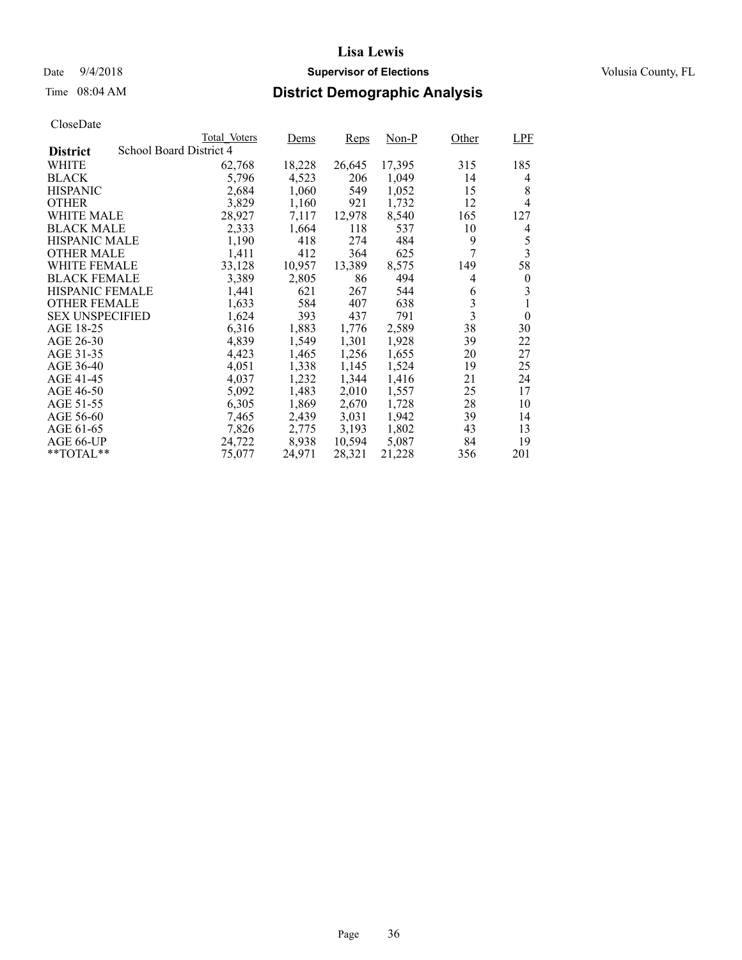## Date  $9/4/2018$  **Supervisor of Elections** Volusia County, FL

## Time 08:04 AM **District Demographic Analysis**

|                        |                         | Total Voters | Dems   | <b>Reps</b> | Non-P  | Other                   | <b>LPF</b>       |
|------------------------|-------------------------|--------------|--------|-------------|--------|-------------------------|------------------|
| <b>District</b>        | School Board District 4 |              |        |             |        |                         |                  |
| WHITE                  |                         | 62,768       | 18,228 | 26,645      | 17,395 | 315                     | 185              |
| <b>BLACK</b>           |                         | 5,796        | 4,523  | 206         | 1,049  | 14                      | 4                |
| <b>HISPANIC</b>        |                         | 2,684        | 1,060  | 549         | 1,052  | 15                      | 8                |
| <b>OTHER</b>           |                         | 3,829        | 1,160  | 921         | 1,732  | 12                      | $\overline{4}$   |
| WHITE MALE             |                         | 28,927       | 7,117  | 12,978      | 8,540  | 165                     | 127              |
| <b>BLACK MALE</b>      |                         | 2,333        | 1,664  | 118         | 537    | 10                      | 4                |
| <b>HISPANIC MALE</b>   |                         | 1,190        | 418    | 274         | 484    | 9                       | 5                |
| <b>OTHER MALE</b>      |                         | 1,411        | 412    | 364         | 625    | 7                       | 3                |
| WHITE FEMALE           |                         | 33,128       | 10,957 | 13,389      | 8,575  | 149                     | 58               |
| <b>BLACK FEMALE</b>    |                         | 3,389        | 2,805  | 86          | 494    | 4                       | $\boldsymbol{0}$ |
| HISPANIC FEMALE        |                         | 1,441        | 621    | 267         | 544    | 6                       | 3                |
| <b>OTHER FEMALE</b>    |                         | 1,633        | 584    | 407         | 638    | 3                       | 1                |
| <b>SEX UNSPECIFIED</b> |                         | 1,624        | 393    | 437         | 791    | $\overline{\mathbf{3}}$ | $\theta$         |
| AGE 18-25              |                         | 6,316        | 1,883  | 1,776       | 2,589  | 38                      | 30               |
| AGE 26-30              |                         | 4,839        | 1,549  | 1,301       | 1,928  | 39                      | 22               |
| AGE 31-35              |                         | 4,423        | 1,465  | 1,256       | 1,655  | 20                      | 27               |
| AGE 36-40              |                         | 4,051        | 1,338  | 1,145       | 1,524  | 19                      | 25               |
| AGE 41-45              |                         | 4,037        | 1,232  | 1,344       | 1,416  | 21                      | 24               |
| AGE 46-50              |                         | 5,092        | 1,483  | 2,010       | 1,557  | 25                      | 17               |
| AGE 51-55              |                         | 6,305        | 1,869  | 2,670       | 1,728  | 28                      | 10               |
| AGE 56-60              |                         | 7,465        | 2,439  | 3,031       | 1,942  | 39                      | 14               |
| AGE 61-65              |                         | 7,826        | 2,775  | 3,193       | 1,802  | 43                      | 13               |
| AGE 66-UP              |                         | 24,722       | 8,938  | 10,594      | 5,087  | 84                      | 19               |
| $*$ TOTAL $*$          |                         | 75,077       | 24,971 | 28,321      | 21,228 | 356                     | 201              |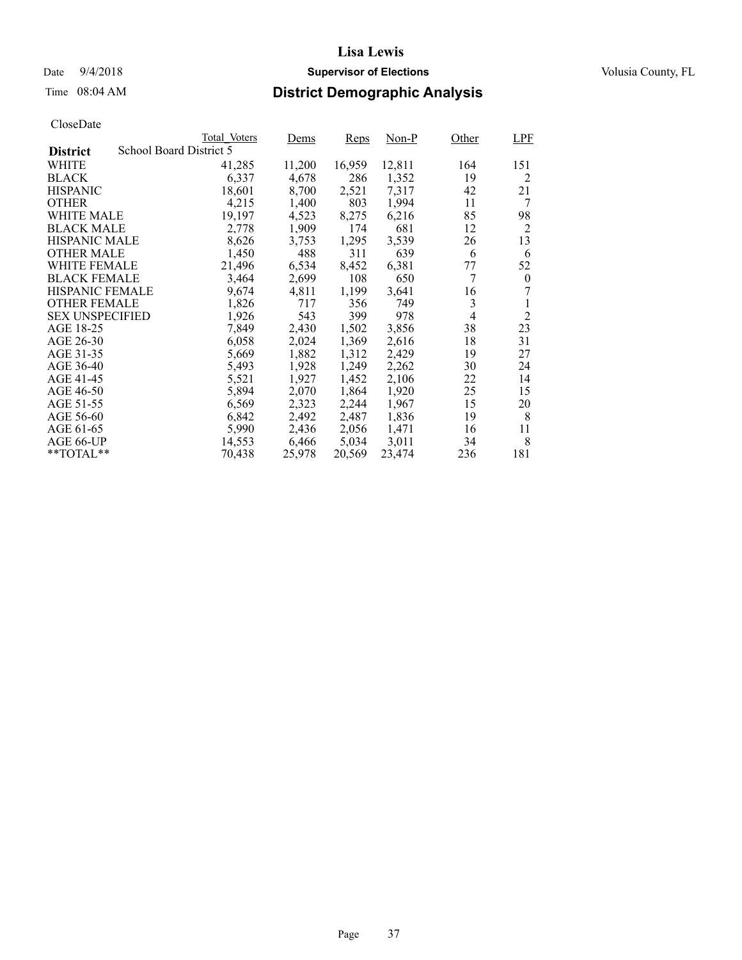## Date  $9/4/2018$  **Supervisor of Elections** Volusia County, FL

# Time 08:04 AM **District Demographic Analysis**

|                        |                         | Total Voters | Dems   | <b>Reps</b> | Non-P  | Other | <b>LPF</b>       |
|------------------------|-------------------------|--------------|--------|-------------|--------|-------|------------------|
| <b>District</b>        | School Board District 5 |              |        |             |        |       |                  |
| WHITE                  |                         | 41,285       | 11,200 | 16,959      | 12,811 | 164   | 151              |
| <b>BLACK</b>           |                         | 6,337        | 4,678  | 286         | 1,352  | 19    | 2                |
| <b>HISPANIC</b>        |                         | 18,601       | 8,700  | 2,521       | 7,317  | 42    | 21               |
| <b>OTHER</b>           |                         | 4,215        | 1,400  | 803         | 1,994  | 11    | 7                |
| WHITE MALE             |                         | 19.197       | 4,523  | 8,275       | 6,216  | 85    | 98               |
| <b>BLACK MALE</b>      |                         | 2,778        | 1,909  | 174         | 681    | 12    | $\overline{2}$   |
| <b>HISPANIC MALE</b>   |                         | 8,626        | 3,753  | 1,295       | 3,539  | 26    | 13               |
| <b>OTHER MALE</b>      |                         | 1,450        | 488    | 311         | 639    | 6     | 6                |
| <b>WHITE FEMALE</b>    |                         | 21,496       | 6,534  | 8,452       | 6,381  | 77    | 52               |
| <b>BLACK FEMALE</b>    |                         | 3,464        | 2,699  | 108         | 650    | 7     | $\boldsymbol{0}$ |
| HISPANIC FEMALE        |                         | 9,674        | 4,811  | 1,199       | 3,641  | 16    |                  |
| <b>OTHER FEMALE</b>    |                         | 1,826        | 717    | 356         | 749    | 3     |                  |
| <b>SEX UNSPECIFIED</b> |                         | 1,926        | 543    | 399         | 978    | 4     | $\overline{2}$   |
| AGE 18-25              |                         | 7,849        | 2,430  | 1,502       | 3,856  | 38    | 23               |
| AGE 26-30              |                         | 6,058        | 2,024  | 1,369       | 2,616  | 18    | 31               |
| AGE 31-35              |                         | 5,669        | 1,882  | 1,312       | 2,429  | 19    | 27               |
| AGE 36-40              |                         | 5,493        | 1,928  | 1,249       | 2,262  | 30    | 24               |
| AGE 41-45              |                         | 5,521        | 1,927  | 1,452       | 2,106  | 22    | 14               |
| AGE 46-50              |                         | 5,894        | 2,070  | 1,864       | 1,920  | 25    | 15               |
| AGE 51-55              |                         | 6,569        | 2,323  | 2,244       | 1,967  | 15    | 20               |
| AGE 56-60              |                         | 6,842        | 2,492  | 2,487       | 1,836  | 19    | 8                |
| AGE 61-65              |                         | 5,990        | 2,436  | 2,056       | 1,471  | 16    | 11               |
| AGE 66-UP              |                         | 14,553       | 6,466  | 5,034       | 3,011  | 34    | 8                |
| $*$ TOTAL $*$          |                         | 70,438       | 25,978 | 20,569      | 23.474 | 236   | 181              |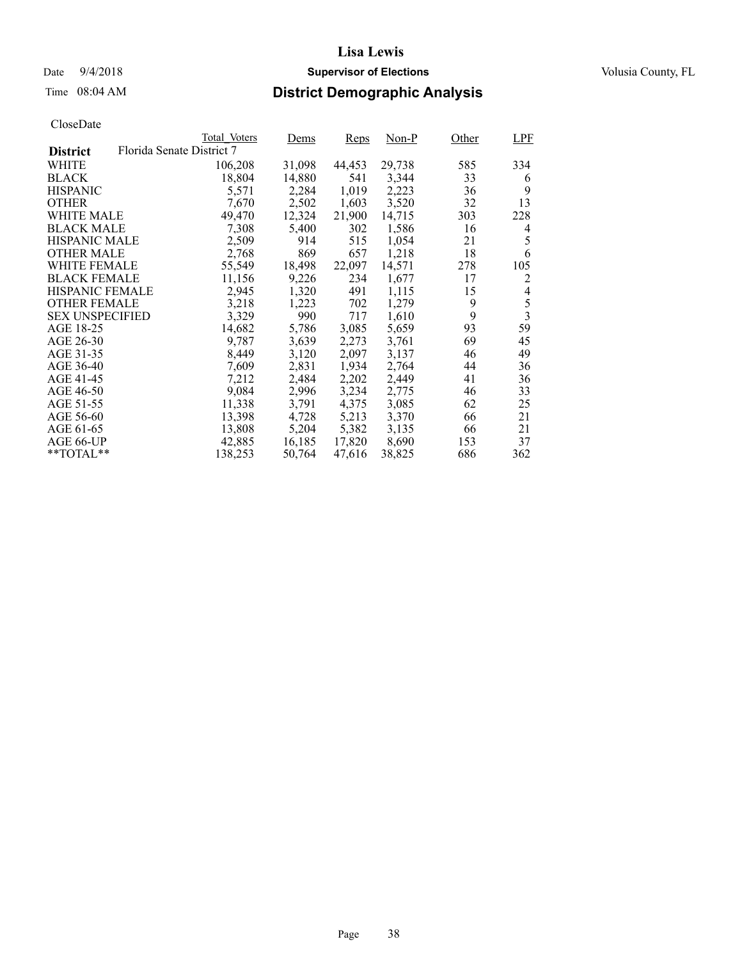## Date  $9/4/2018$  **Supervisor of Elections** Volusia County, FL

# Time 08:04 AM **District Demographic Analysis**

|                        |                           | Total Voters | Dems   | <b>Reps</b> | Non-P  | Other | LPF                     |
|------------------------|---------------------------|--------------|--------|-------------|--------|-------|-------------------------|
| <b>District</b>        | Florida Senate District 7 |              |        |             |        |       |                         |
| WHITE                  |                           | 106,208      | 31,098 | 44,453      | 29,738 | 585   | 334                     |
| <b>BLACK</b>           |                           | 18,804       | 14,880 | 541         | 3,344  | 33    | 6                       |
| <b>HISPANIC</b>        |                           | 5,571        | 2,284  | 1,019       | 2,223  | 36    | 9                       |
| <b>OTHER</b>           |                           | 7,670        | 2,502  | 1,603       | 3,520  | 32    | 13                      |
| WHITE MALE             |                           | 49,470       | 12,324 | 21,900      | 14,715 | 303   | 228                     |
| <b>BLACK MALE</b>      |                           | 7,308        | 5,400  | 302         | 1,586  | 16    | 4                       |
| <b>HISPANIC MALE</b>   |                           | 2,509        | 914    | 515         | 1,054  | 21    | 5                       |
| OTHER MALE             |                           | 2,768        | 869    | 657         | 1,218  | 18    | 6                       |
| <b>WHITE FEMALE</b>    |                           | 55,549       | 18,498 | 22,097      | 14,571 | 278   | 105                     |
| <b>BLACK FEMALE</b>    |                           | 11,156       | 9,226  | 234         | 1,677  | 17    | 2                       |
| HISPANIC FEMALE        |                           | 2,945        | 1,320  | 491         | 1,115  | 15    | 4                       |
| <b>OTHER FEMALE</b>    |                           | 3,218        | 1,223  | 702         | 1,279  | 9     | 5                       |
| <b>SEX UNSPECIFIED</b> |                           | 3,329        | 990    | 717         | 1,610  | 9     | $\overline{\mathbf{3}}$ |
| AGE 18-25              |                           | 14,682       | 5,786  | 3,085       | 5,659  | 93    | 59                      |
| AGE 26-30              |                           | 9.787        | 3,639  | 2,273       | 3,761  | 69    | 45                      |
| AGE 31-35              |                           | 8,449        | 3,120  | 2,097       | 3,137  | 46    | 49                      |
| AGE 36-40              |                           | 7,609        | 2,831  | 1,934       | 2,764  | 44    | 36                      |
| AGE 41-45              |                           | 7,212        | 2,484  | 2,202       | 2,449  | 41    | 36                      |
| AGE 46-50              |                           | 9,084        | 2,996  | 3,234       | 2,775  | 46    | 33                      |
| AGE 51-55              |                           | 11,338       | 3,791  | 4,375       | 3,085  | 62    | 25                      |
| AGE 56-60              |                           | 13,398       | 4,728  | 5,213       | 3,370  | 66    | 21                      |
| AGE 61-65              |                           | 13,808       | 5,204  | 5,382       | 3,135  | 66    | 21                      |
| AGE 66-UP              |                           | 42,885       | 16,185 | 17,820      | 8,690  | 153   | 37                      |
| $*$ TOTAL $*$          |                           | 138,253      | 50,764 | 47,616      | 38,825 | 686   | 362                     |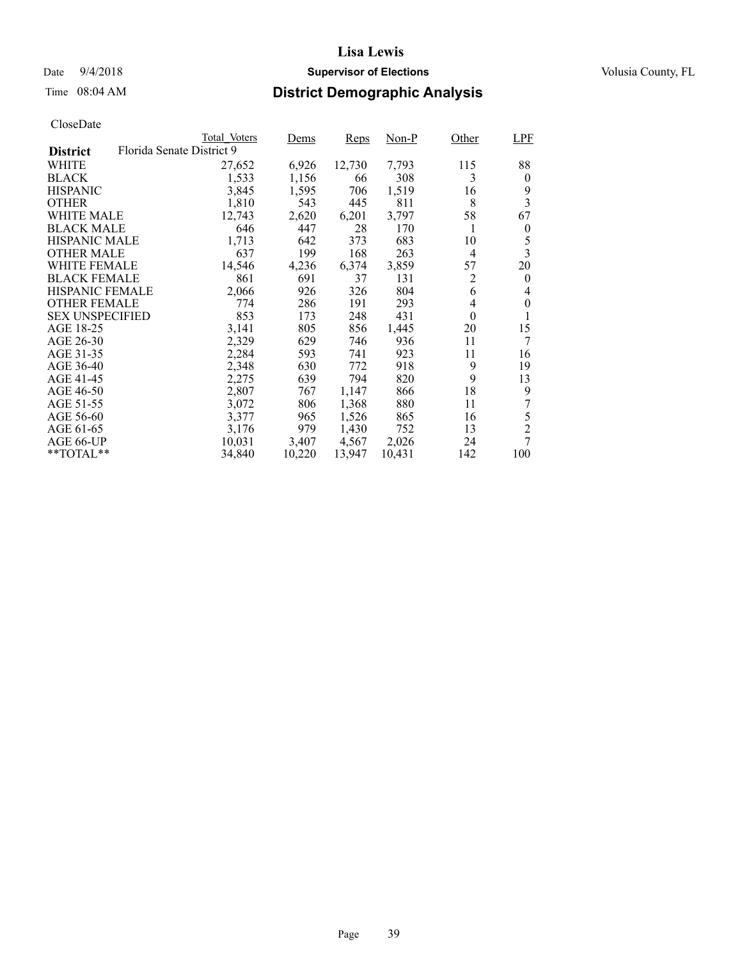## Date  $9/4/2018$  **Supervisor of Elections** Volusia County, FL

# Time 08:04 AM **District Demographic Analysis**

|                        |                           | Total Voters | Dems   | <b>Reps</b> | Non-P  | Other          | <b>LPF</b>              |
|------------------------|---------------------------|--------------|--------|-------------|--------|----------------|-------------------------|
| <b>District</b>        | Florida Senate District 9 |              |        |             |        |                |                         |
| WHITE                  |                           | 27,652       | 6,926  | 12,730      | 7,793  | 115            | 88                      |
| <b>BLACK</b>           |                           | 1,533        | 1,156  | 66          | 308    | 3              | $\theta$                |
| <b>HISPANIC</b>        |                           | 3,845        | 1,595  | 706         | 1,519  | 16             | 9                       |
| <b>OTHER</b>           |                           | 1,810        | 543    | 445         | 811    | 8              | 3                       |
| WHITE MALE             |                           | 12,743       | 2,620  | 6,201       | 3,797  | 58             | 67                      |
| <b>BLACK MALE</b>      |                           | 646          | 447    | 28          | 170    | 1              | $\boldsymbol{0}$        |
| <b>HISPANIC MALE</b>   |                           | 1,713        | 642    | 373         | 683    | 10             | 5                       |
| <b>OTHER MALE</b>      |                           | 637          | 199    | 168         | 263    | $\overline{4}$ | $\overline{\mathbf{3}}$ |
| <b>WHITE FEMALE</b>    |                           | 14,546       | 4,236  | 6,374       | 3,859  | 57             | 20                      |
| <b>BLACK FEMALE</b>    |                           | 861          | 691    | 37          | 131    | 2              | $\theta$                |
| <b>HISPANIC FEMALE</b> |                           | 2,066        | 926    | 326         | 804    | 6              | 4                       |
| <b>OTHER FEMALE</b>    |                           | 774          | 286    | 191         | 293    | 4              | $\theta$                |
| <b>SEX UNSPECIFIED</b> |                           | 853          | 173    | 248         | 431    | $\theta$       | 1                       |
| AGE 18-25              |                           | 3,141        | 805    | 856         | 1,445  | 20             | 15                      |
| AGE 26-30              |                           | 2,329        | 629    | 746         | 936    | 11             | 7                       |
| AGE 31-35              |                           | 2,284        | 593    | 741         | 923    | 11             | 16                      |
| AGE 36-40              |                           | 2,348        | 630    | 772         | 918    | 9              | 19                      |
| AGE 41-45              |                           | 2,275        | 639    | 794         | 820    | 9              | 13                      |
| AGE 46-50              |                           | 2,807        | 767    | 1,147       | 866    | 18             | 9                       |
| AGE 51-55              |                           | 3,072        | 806    | 1,368       | 880    | 11             | 7                       |
| AGE 56-60              |                           | 3,377        | 965    | 1,526       | 865    | 16             | 5                       |
| AGE 61-65              |                           | 3,176        | 979    | 1,430       | 752    | 13             | $\overline{2}$          |
| AGE 66-UP              |                           | 10,031       | 3,407  | 4,567       | 2,026  | 24             | 7                       |
| $*$ $TOTAL**$          |                           | 34,840       | 10,220 | 13,947      | 10,431 | 142            | 100                     |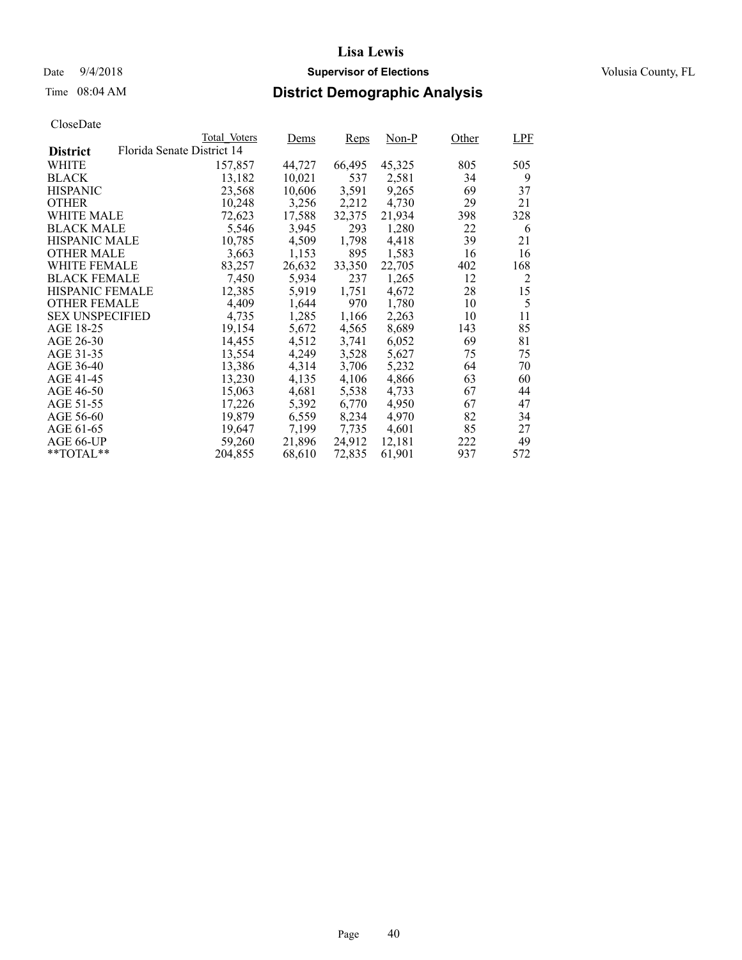## Date  $9/4/2018$  **Supervisor of Elections** Volusia County, FL

# Time 08:04 AM **District Demographic Analysis**

|                        | Total Voters               | Dems   | <b>Reps</b> | $Non-P$ | Other | LPF |
|------------------------|----------------------------|--------|-------------|---------|-------|-----|
| <b>District</b>        | Florida Senate District 14 |        |             |         |       |     |
| WHITE                  | 157,857                    | 44,727 | 66,495      | 45,325  | 805   | 505 |
| <b>BLACK</b>           | 13,182                     | 10,021 | 537         | 2,581   | 34    | 9   |
| <b>HISPANIC</b>        | 23,568                     | 10,606 | 3,591       | 9,265   | 69    | 37  |
| <b>OTHER</b>           | 10,248                     | 3,256  | 2,212       | 4,730   | 29    | 21  |
| WHITE MALE             | 72,623                     | 17,588 | 32,375      | 21,934  | 398   | 328 |
| <b>BLACK MALE</b>      | 5,546                      | 3,945  | 293         | 1,280   | 22    | 6   |
| <b>HISPANIC MALE</b>   | 10,785                     | 4,509  | 1,798       | 4,418   | 39    | 21  |
| <b>OTHER MALE</b>      | 3,663                      | 1,153  | 895         | 1,583   | 16    | 16  |
| <b>WHITE FEMALE</b>    | 83,257                     | 26,632 | 33,350      | 22,705  | 402   | 168 |
| <b>BLACK FEMALE</b>    | 7,450                      | 5,934  | 237         | 1,265   | 12    | 2   |
| HISPANIC FEMALE        | 12,385                     | 5,919  | 1,751       | 4,672   | 28    | 15  |
| <b>OTHER FEMALE</b>    | 4,409                      | 1,644  | 970         | 1.780   | 10    | 5   |
| <b>SEX UNSPECIFIED</b> | 4,735                      | 1,285  | 1,166       | 2,263   | 10    | 11  |
| AGE 18-25              | 19,154                     | 5,672  | 4,565       | 8,689   | 143   | 85  |
| AGE 26-30              | 14.455                     | 4,512  | 3,741       | 6,052   | 69    | 81  |
| AGE 31-35              | 13,554                     | 4,249  | 3,528       | 5,627   | 75    | 75  |
| AGE 36-40              | 13,386                     | 4,314  | 3,706       | 5,232   | 64    | 70  |
| AGE 41-45              | 13,230                     | 4,135  | 4,106       | 4,866   | 63    | 60  |
| AGE 46-50              | 15,063                     | 4,681  | 5,538       | 4,733   | 67    | 44  |
| AGE 51-55              | 17,226                     | 5,392  | 6,770       | 4.950   | 67    | 47  |
| AGE 56-60              | 19,879                     | 6,559  | 8,234       | 4.970   | 82    | 34  |
| AGE 61-65              | 19,647                     | 7,199  | 7,735       | 4,601   | 85    | 27  |
| AGE 66-UP              | 59,260                     | 21,896 | 24,912      | 12,181  | 222   | 49  |
| $*$ TOTAL $*$          | 204,855                    | 68,610 | 72,835      | 61,901  | 937   | 572 |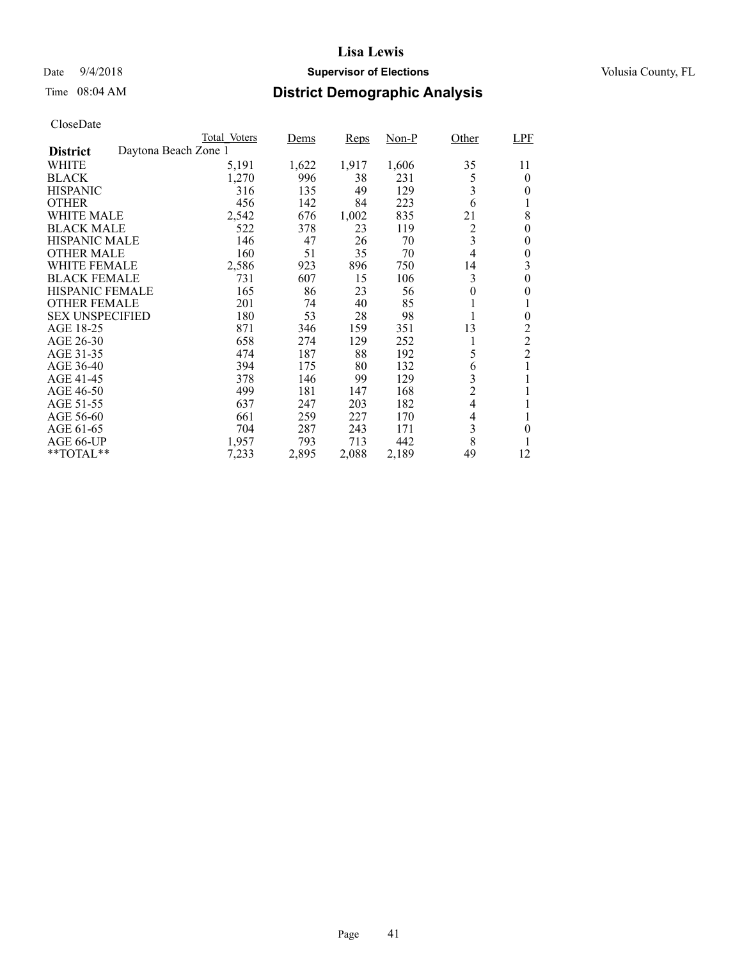## Date  $9/4/2018$  **Supervisor of Elections** Volusia County, FL

# Time 08:04 AM **District Demographic Analysis**

|                        |                      | Total Voters | Dems  | <b>Reps</b> | $Non-P$ | Other                    | <b>LPF</b>     |
|------------------------|----------------------|--------------|-------|-------------|---------|--------------------------|----------------|
| <b>District</b>        | Daytona Beach Zone 1 |              |       |             |         |                          |                |
| WHITE                  |                      | 5,191        | 1,622 | 1,917       | 1,606   | 35                       | 11             |
| <b>BLACK</b>           |                      | 1,270        | 996   | 38          | 231     | 5                        | $\overline{0}$ |
| <b>HISPANIC</b>        |                      | 316          | 135   | 49          | 129     | 3                        | 0              |
| <b>OTHER</b>           |                      | 456          | 142   | 84          | 223     | 6                        | l              |
| WHITE MALE             |                      | 2,542        | 676   | 1,002       | 835     | 21                       | 8              |
| <b>BLACK MALE</b>      |                      | 522          | 378   | 23          | 119     | $\overline{c}$           | 0              |
| <b>HISPANIC MALE</b>   |                      | 146          | 47    | 26          | 70      | 3                        | 0              |
| <b>OTHER MALE</b>      |                      | 160          | 51    | 35          | 70      | $\overline{4}$           | $\theta$       |
| WHITE FEMALE           |                      | 2,586        | 923   | 896         | 750     | 14                       | 3              |
| <b>BLACK FEMALE</b>    |                      | 731          | 607   | 15          | 106     | 3                        | $\theta$       |
| HISPANIC FEMALE        |                      | 165          | 86    | 23          | 56      | 0                        | 0              |
| <b>OTHER FEMALE</b>    |                      | 201          | 74    | 40          | 85      | 1                        |                |
| <b>SEX UNSPECIFIED</b> |                      | 180          | 53    | 28          | 98      | 1                        | $\theta$       |
| AGE 18-25              |                      | 871          | 346   | 159         | 351     | 13                       | 2              |
| AGE 26-30              |                      | 658          | 274   | 129         | 252     | 1                        | $\overline{c}$ |
| AGE 31-35              |                      | 474          | 187   | 88          | 192     | 5                        | $\overline{2}$ |
| AGE 36-40              |                      | 394          | 175   | 80          | 132     | 6                        | 1              |
| AGE 41-45              |                      | 378          | 146   | 99          | 129     | 3                        |                |
| AGE 46-50              |                      | 499          | 181   | 147         | 168     | $\overline{2}$           | 1              |
| AGE 51-55              |                      | 637          | 247   | 203         | 182     | $\overline{\mathcal{L}}$ | 1              |
| AGE 56-60              |                      | 661          | 259   | 227         | 170     | 4                        |                |
| AGE 61-65              |                      | 704          | 287   | 243         | 171     | 3                        | 0              |
| AGE 66-UP              |                      | 1,957        | 793   | 713         | 442     | 8                        |                |
| $*$ TOTAL $*$          |                      | 7,233        | 2,895 | 2,088       | 2,189   | 49                       | 12             |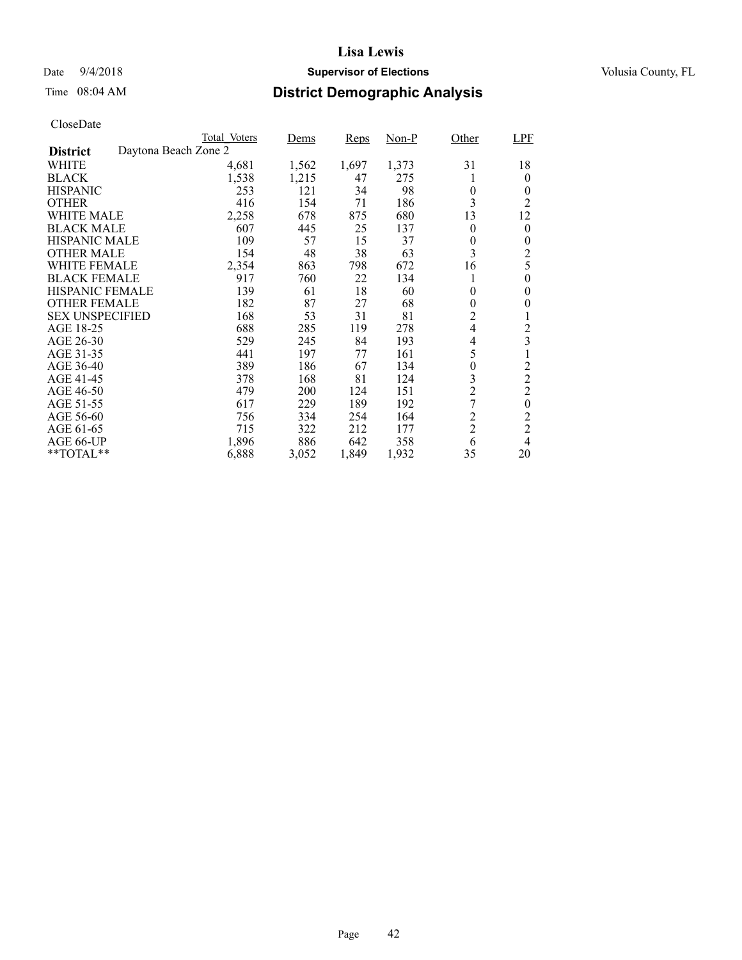## Date  $9/4/2018$  **Supervisor of Elections** Volusia County, FL

# Time 08:04 AM **District Demographic Analysis**

|                        |                      | Total Voters | Dems  | <b>Reps</b> | Non-P | Other          | LPF              |
|------------------------|----------------------|--------------|-------|-------------|-------|----------------|------------------|
| <b>District</b>        | Daytona Beach Zone 2 |              |       |             |       |                |                  |
| WHITE                  |                      | 4,681        | 1,562 | 1,697       | 1,373 | 31             | 18               |
| <b>BLACK</b>           |                      | 1,538        | 1,215 | 47          | 275   |                | $\theta$         |
| <b>HISPANIC</b>        |                      | 253          | 121   | 34          | 98    | $\theta$       | $\theta$         |
| <b>OTHER</b>           |                      | 416          | 154   | 71          | 186   | 3              | 2                |
| WHITE MALE             |                      | 2,258        | 678   | 875         | 680   | 13             | 12               |
| <b>BLACK MALE</b>      |                      | 607          | 445   | 25          | 137   | $\theta$       | $\theta$         |
| <b>HISPANIC MALE</b>   |                      | 109          | 57    | 15          | 37    | 0              | 0                |
| <b>OTHER MALE</b>      |                      | 154          | 48    | 38          | 63    | 3              | $\overline{c}$   |
| WHITE FEMALE           |                      | 2,354        | 863   | 798         | 672   | 16             | 5                |
| <b>BLACK FEMALE</b>    |                      | 917          | 760   | 22          | 134   |                | $\theta$         |
| HISPANIC FEMALE        |                      | 139          | 61    | 18          | 60    | $\theta$       | $\theta$         |
| <b>OTHER FEMALE</b>    |                      | 182          | 87    | 27          | 68    | $\theta$       | 0                |
| <b>SEX UNSPECIFIED</b> |                      | 168          | 53    | 31          | 81    | $\overline{c}$ | 1                |
| AGE 18-25              |                      | 688          | 285   | 119         | 278   | $\overline{4}$ | $\overline{c}$   |
| AGE 26-30              |                      | 529          | 245   | 84          | 193   | 4              | 3                |
| AGE 31-35              |                      | 441          | 197   | 77          | 161   | 5              | 1                |
| AGE 36-40              |                      | 389          | 186   | 67          | 134   | $\theta$       | $\overline{c}$   |
| AGE 41-45              |                      | 378          | 168   | 81          | 124   | 3              | $\overline{2}$   |
| AGE 46-50              |                      | 479          | 200   | 124         | 151   | $\overline{c}$ | $\overline{c}$   |
| AGE 51-55              |                      | 617          | 229   | 189         | 192   | 7              | $\boldsymbol{0}$ |
| AGE 56-60              |                      | 756          | 334   | 254         | 164   | $\overline{c}$ | $\overline{c}$   |
| AGE 61-65              |                      | 715          | 322   | 212         | 177   | $\overline{2}$ | $\overline{2}$   |
| AGE 66-UP              |                      | 1,896        | 886   | 642         | 358   | 6              | 4                |
| **TOTAL**              |                      | 6,888        | 3,052 | 1,849       | 1,932 | 35             | 20               |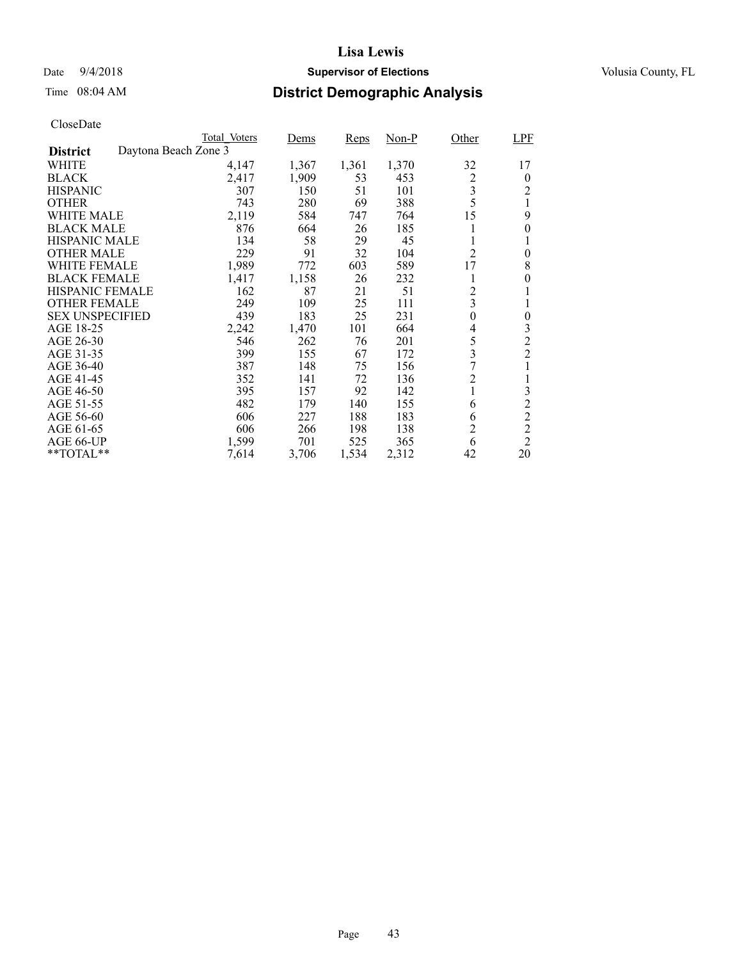## Date  $9/4/2018$  **Supervisor of Elections** Volusia County, FL

# Time 08:04 AM **District Demographic Analysis**

|                        |                      | Total Voters | Dems  | <b>Reps</b> | Non-P | Other                   | LPF            |
|------------------------|----------------------|--------------|-------|-------------|-------|-------------------------|----------------|
| <b>District</b>        | Daytona Beach Zone 3 |              |       |             |       |                         |                |
| WHITE                  |                      | 4,147        | 1,367 | 1,361       | 1,370 | 32                      | 17             |
| <b>BLACK</b>           |                      | 2,417        | 1,909 | 53          | 453   | $\overline{c}$          | $\theta$       |
| <b>HISPANIC</b>        |                      | 307          | 150   | 51          | 101   | 3                       | 2              |
| <b>OTHER</b>           |                      | 743          | 280   | 69          | 388   | 5                       | 1              |
| WHITE MALE             |                      | 2,119        | 584   | 747         | 764   | 15                      | 9              |
| <b>BLACK MALE</b>      |                      | 876          | 664   | 26          | 185   |                         | 0              |
| <b>HISPANIC MALE</b>   |                      | 134          | 58    | 29          | 45    | 1                       |                |
| <b>OTHER MALE</b>      |                      | 229          | 91    | 32          | 104   | $\overline{c}$          | $\theta$       |
| WHITE FEMALE           |                      | 1,989        | 772   | 603         | 589   | 17                      | 8              |
| <b>BLACK FEMALE</b>    |                      | 1,417        | 1,158 | 26          | 232   | 1                       | 0              |
| HISPANIC FEMALE        |                      | 162          | 87    | 21          | 51    | $\overline{c}$          |                |
| <b>OTHER FEMALE</b>    |                      | 249          | 109   | 25          | 111   | $\overline{\mathbf{3}}$ |                |
| <b>SEX UNSPECIFIED</b> |                      | 439          | 183   | 25          | 231   | $\boldsymbol{0}$        | $\overline{0}$ |
| AGE 18-25              |                      | 2,242        | 1,470 | 101         | 664   | 4                       | 3              |
| AGE 26-30              |                      | 546          | 262   | 76          | 201   | 5                       | $\overline{c}$ |
| AGE 31-35              |                      | 399          | 155   | 67          | 172   | 3                       | $\overline{2}$ |
| AGE 36-40              |                      | 387          | 148   | 75          | 156   | 7                       |                |
| AGE 41-45              |                      | 352          | 141   | 72          | 136   | $\overline{c}$          |                |
| AGE 46-50              |                      | 395          | 157   | 92          | 142   | 1                       | 3              |
| AGE 51-55              |                      | 482          | 179   | 140         | 155   | 6                       | $\overline{c}$ |
| AGE 56-60              |                      | 606          | 227   | 188         | 183   | 6                       | $\overline{c}$ |
| AGE 61-65              |                      | 606          | 266   | 198         | 138   | $\overline{2}$          | $\overline{c}$ |
| AGE 66-UP              |                      | 1,599        | 701   | 525         | 365   | 6                       | $\overline{2}$ |
| **TOTAL**              |                      | 7,614        | 3,706 | 1,534       | 2,312 | 42                      | 20             |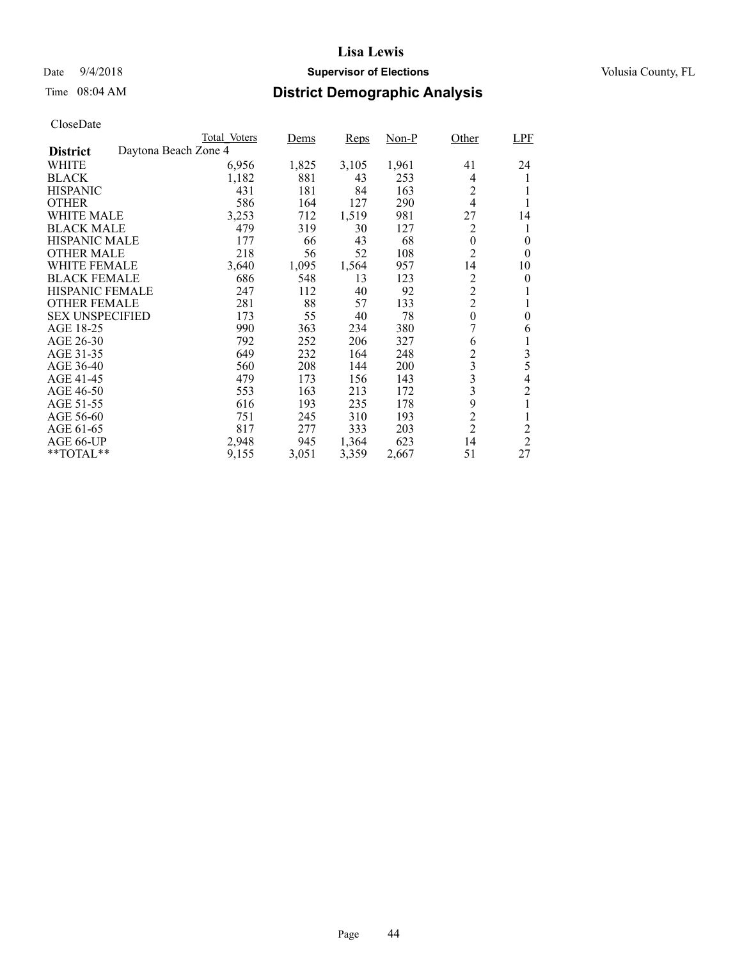## Date  $9/4/2018$  **Supervisor of Elections** Volusia County, FL

# Time 08:04 AM **District Demographic Analysis**

|                        |                      | Total Voters | Dems  | <b>Reps</b> | $Non-P$ | Other          | <b>LPF</b>     |
|------------------------|----------------------|--------------|-------|-------------|---------|----------------|----------------|
| <b>District</b>        | Daytona Beach Zone 4 |              |       |             |         |                |                |
| WHITE                  |                      | 6,956        | 1,825 | 3,105       | 1,961   | 41             | 24             |
| <b>BLACK</b>           |                      | 1,182        | 881   | 43          | 253     | 4              | 1              |
| <b>HISPANIC</b>        |                      | 431          | 181   | 84          | 163     | $\overline{2}$ |                |
| <b>OTHER</b>           |                      | 586          | 164   | 127         | 290     | $\overline{4}$ |                |
| WHITE MALE             |                      | 3,253        | 712   | 1,519       | 981     | 27             | 14             |
| <b>BLACK MALE</b>      |                      | 479          | 319   | 30          | 127     | 2              | 1              |
| <b>HISPANIC MALE</b>   |                      | 177          | 66    | 43          | 68      | $\theta$       | $\theta$       |
| <b>OTHER MALE</b>      |                      | 218          | 56    | 52          | 108     | $\overline{2}$ | $\theta$       |
| WHITE FEMALE           |                      | 3,640        | 1,095 | 1,564       | 957     | 14             | 10             |
| <b>BLACK FEMALE</b>    |                      | 686          | 548   | 13          | 123     | $\overline{c}$ | 0              |
| <b>HISPANIC FEMALE</b> |                      | 247          | 112   | 40          | 92      | $\overline{c}$ |                |
| <b>OTHER FEMALE</b>    |                      | 281          | 88    | 57          | 133     | $\overline{c}$ | 1              |
| <b>SEX UNSPECIFIED</b> |                      | 173          | 55    | 40          | 78      | $\theta$       | $\theta$       |
| AGE 18-25              |                      | 990          | 363   | 234         | 380     | 7              | 6              |
| AGE 26-30              |                      | 792          | 252   | 206         | 327     | 6              | 1              |
| AGE 31-35              |                      | 649          | 232   | 164         | 248     | $\overline{c}$ | $\mathfrak{Z}$ |
| AGE 36-40              |                      | 560          | 208   | 144         | 200     | 3              | 5              |
| AGE 41-45              |                      | 479          | 173   | 156         | 143     | 3              | 4              |
| AGE 46-50              |                      | 553          | 163   | 213         | 172     | 3              | $\overline{c}$ |
| AGE 51-55              |                      | 616          | 193   | 235         | 178     | 9              | 1              |
| AGE 56-60              |                      | 751          | 245   | 310         | 193     | $\overline{c}$ | 1              |
| AGE 61-65              |                      | 817          | 277   | 333         | 203     | $\overline{2}$ | 2              |
| AGE 66-UP              |                      | 2,948        | 945   | 1,364       | 623     | 14             | $\overline{2}$ |
| **TOTAL**              |                      | 9,155        | 3,051 | 3,359       | 2,667   | 51             | 27             |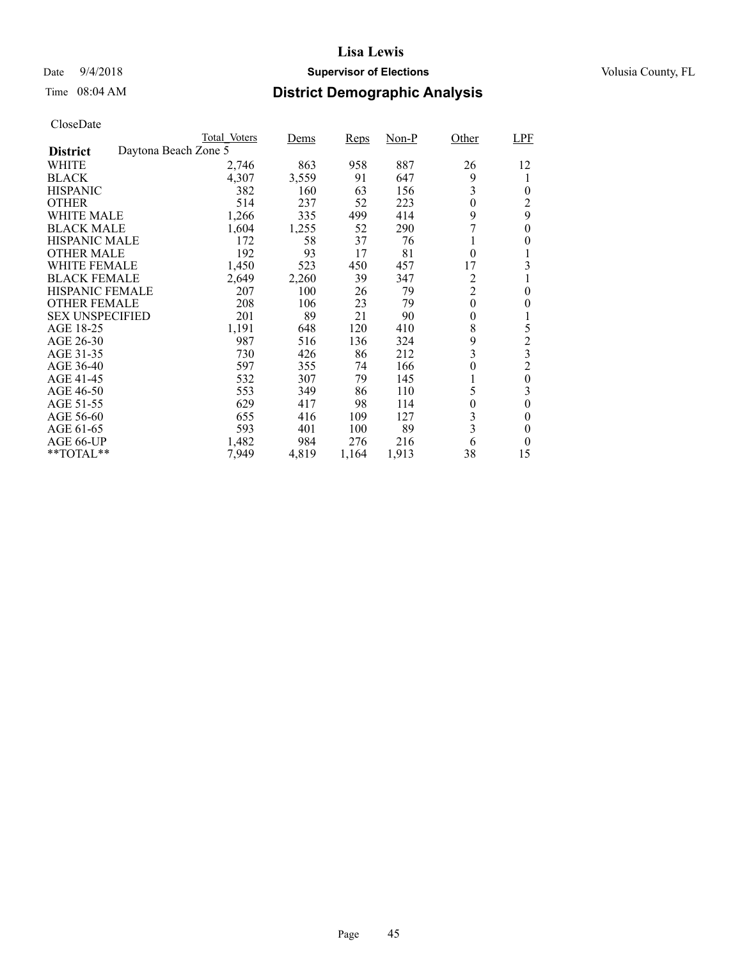## Date  $9/4/2018$  **Supervisor of Elections** Volusia County, FL

# Time 08:04 AM **District Demographic Analysis**

|                        |                      | Total Voters | Dems  | <b>Reps</b> | $Non-P$ | Other            | LPF            |
|------------------------|----------------------|--------------|-------|-------------|---------|------------------|----------------|
| <b>District</b>        | Daytona Beach Zone 5 |              |       |             |         |                  |                |
| WHITE                  |                      | 2,746        | 863   | 958         | 887     | 26               | 12             |
| <b>BLACK</b>           |                      | 4,307        | 3,559 | 91          | 647     | 9                | 1              |
| <b>HISPANIC</b>        |                      | 382          | 160   | 63          | 156     | 3                | $\theta$       |
| <b>OTHER</b>           |                      | 514          | 237   | 52          | 223     | $\theta$         | 2              |
| WHITE MALE             |                      | 1,266        | 335   | 499         | 414     | 9                | 9              |
| <b>BLACK MALE</b>      |                      | 1,604        | 1,255 | 52          | 290     | 7                | 0              |
| <b>HISPANIC MALE</b>   |                      | 172          | 58    | 37          | 76      |                  | 0              |
| <b>OTHER MALE</b>      |                      | 192          | 93    | 17          | 81      | $\mathbf{0}$     |                |
| WHITE FEMALE           |                      | 1,450        | 523   | 450         | 457     | 17               | 3              |
| <b>BLACK FEMALE</b>    |                      | 2,649        | 2,260 | 39          | 347     | 2                |                |
| <b>HISPANIC FEMALE</b> |                      | 207          | 100   | 26          | 79      | $\overline{c}$   | $\theta$       |
| <b>OTHER FEMALE</b>    |                      | 208          | 106   | 23          | 79      | $\theta$         | 0              |
| <b>SEX UNSPECIFIED</b> |                      | 201          | 89    | 21          | 90      | 0                | 1              |
| AGE 18-25              |                      | 1,191        | 648   | 120         | 410     | 8                | 5              |
| AGE 26-30              |                      | 987          | 516   | 136         | 324     | 9                | $\overline{c}$ |
| AGE 31-35              |                      | 730          | 426   | 86          | 212     | 3                | 3              |
| AGE 36-40              |                      | 597          | 355   | 74          | 166     | $\theta$         | $\overline{c}$ |
| AGE 41-45              |                      | 532          | 307   | 79          | 145     |                  | $\theta$       |
| AGE 46-50              |                      | 553          | 349   | 86          | 110     | 5                | 3              |
| AGE 51-55              |                      | 629          | 417   | 98          | 114     | $\boldsymbol{0}$ | $\overline{0}$ |
| AGE 56-60              |                      | 655          | 416   | 109         | 127     | 3                | 0              |
| AGE 61-65              |                      | 593          | 401   | 100         | 89      | 3                | 0              |
| AGE 66-UP              |                      | 1,482        | 984   | 276         | 216     | 6                | $\theta$       |
| $*$ $*$ TOTAL $*$ $*$  |                      | 7,949        | 4,819 | 1,164       | 1,913   | 38               | 15             |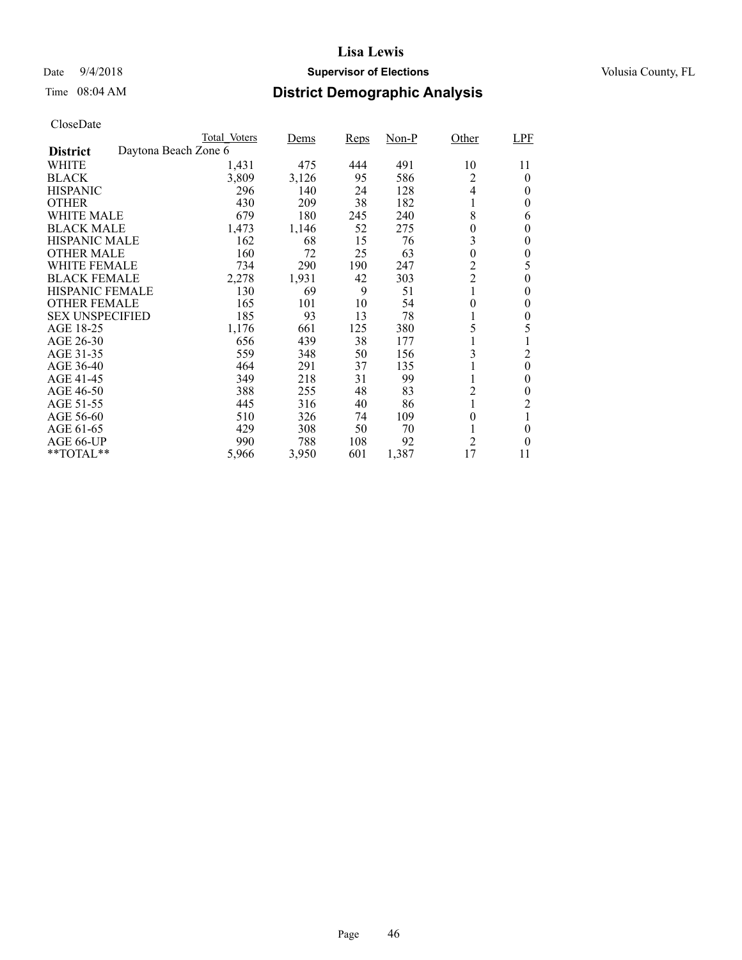## Date  $9/4/2018$  **Supervisor of Elections** Volusia County, FL

# Time 08:04 AM **District Demographic Analysis**

|                        |                      | Total Voters | Dems  | <b>Reps</b> | Non-P | Other            | LPF            |
|------------------------|----------------------|--------------|-------|-------------|-------|------------------|----------------|
| <b>District</b>        | Daytona Beach Zone 6 |              |       |             |       |                  |                |
| WHITE                  |                      | 1,431        | 475   | 444         | 491   | 10               | 11             |
| <b>BLACK</b>           |                      | 3,809        | 3,126 | 95          | 586   | 2                | $\Omega$       |
| <b>HISPANIC</b>        |                      | 296          | 140   | 24          | 128   | 4                | $\theta$       |
| <b>OTHER</b>           |                      | 430          | 209   | 38          | 182   | 1                | $\theta$       |
| WHITE MALE             |                      | 679          | 180   | 245         | 240   | 8                | 6              |
| <b>BLACK MALE</b>      |                      | 1,473        | 1,146 | 52          | 275   | $\boldsymbol{0}$ | 0              |
| <b>HISPANIC MALE</b>   |                      | 162          | 68    | 15          | 76    | 3                | $\theta$       |
| <b>OTHER MALE</b>      |                      | 160          | 72    | 25          | 63    | $\mathbf{0}$     | $\theta$       |
| WHITE FEMALE           |                      | 734          | 290   | 190         | 247   | $\overline{c}$   | 5              |
| <b>BLACK FEMALE</b>    |                      | 2,278        | 1,931 | 42          | 303   | $\overline{c}$   | $\theta$       |
| <b>HISPANIC FEMALE</b> |                      | 130          | 69    | 9           | 51    | $\mathbf{1}$     | $\theta$       |
| <b>OTHER FEMALE</b>    |                      | 165          | 101   | 10          | 54    | $\overline{0}$   | $\theta$       |
| <b>SEX UNSPECIFIED</b> |                      | 185          | 93    | 13          | 78    |                  | 0              |
| AGE 18-25              |                      | 1,176        | 661   | 125         | 380   | 5                | 5              |
| AGE 26-30              |                      | 656          | 439   | 38          | 177   |                  |                |
| AGE 31-35              |                      | 559          | 348   | 50          | 156   | 3                | $\overline{c}$ |
| AGE 36-40              |                      | 464          | 291   | 37          | 135   |                  | $\theta$       |
| AGE 41-45              |                      | 349          | 218   | 31          | 99    |                  | $\theta$       |
| AGE 46-50              |                      | 388          | 255   | 48          | 83    | $\overline{c}$   | 0              |
| AGE 51-55              |                      | 445          | 316   | 40          | 86    |                  | 2              |
| AGE 56-60              |                      | 510          | 326   | 74          | 109   | $\overline{0}$   | 1              |
| AGE 61-65              |                      | 429          | 308   | 50          | 70    |                  | $\theta$       |
| AGE 66-UP              |                      | 990          | 788   | 108         | 92    | $\overline{c}$   | $\theta$       |
| $*$ $TOTAL**$          |                      | 5,966        | 3,950 | 601         | 1,387 | 17               | 11             |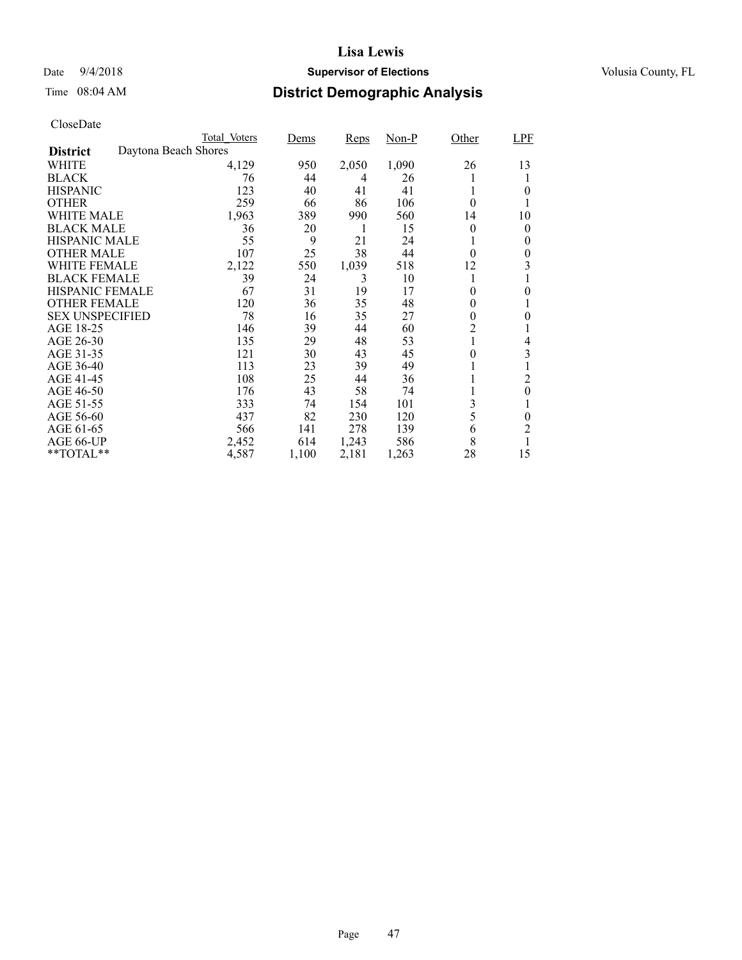# Date  $9/4/2018$  **Supervisor of Elections** Volusia County, FL

# Time 08:04 AM **District Demographic Analysis**

|                        |                      | Total Voters | Dems  | <b>Reps</b> | $Non-P$ | Other        | <b>LPF</b> |
|------------------------|----------------------|--------------|-------|-------------|---------|--------------|------------|
| <b>District</b>        | Daytona Beach Shores |              |       |             |         |              |            |
| WHITE                  |                      | 4,129        | 950   | 2,050       | 1,090   | 26           | 13         |
| <b>BLACK</b>           |                      | 76           | 44    | 4           | 26      | l            |            |
| <b>HISPANIC</b>        |                      | 123          | 40    | 41          | 41      | 1            | 0          |
| <b>OTHER</b>           |                      | 259          | 66    | 86          | 106     | 0            |            |
| WHITE MALE             |                      | 1,963        | 389   | 990         | 560     | 14           | 10         |
| <b>BLACK MALE</b>      |                      | 36           | 20    | 1           | 15      | 0            | 0          |
| <b>HISPANIC MALE</b>   |                      | 55           | 9     | 21          | 24      | $\mathbf{I}$ | 0          |
| <b>OTHER MALE</b>      |                      | 107          | 25    | 38          | 44      | $\theta$     | 0          |
| WHITE FEMALE           |                      | 2,122        | 550   | 1,039       | 518     | 12           | 3          |
| <b>BLACK FEMALE</b>    |                      | 39           | 24    | 3           | 10      | 1            |            |
| HISPANIC FEMALE        |                      | 67           | 31    | 19          | 17      | 0            | 0          |
| <b>OTHER FEMALE</b>    |                      | 120          | 36    | 35          | 48      | $\theta$     |            |
| <b>SEX UNSPECIFIED</b> |                      | 78           | 16    | 35          | 27      | 0            | 0          |
| AGE 18-25              |                      | 146          | 39    | 44          | 60      | 2            |            |
| AGE 26-30              |                      | 135          | 29    | 48          | 53      | 1            | 4          |
| AGE 31-35              |                      | 121          | 30    | 43          | 45      | 0            | 3          |
| AGE 36-40              |                      | 113          | 23    | 39          | 49      | 1            |            |
| AGE 41-45              |                      | 108          | 25    | 44          | 36      |              | 2          |
| AGE 46-50              |                      | 176          | 43    | 58          | 74      |              | $\theta$   |
| AGE 51-55              |                      | 333          | 74    | 154         | 101     | 3            |            |
| AGE 56-60              |                      | 437          | 82    | 230         | 120     | 5            | 0          |
| AGE 61-65              |                      | 566          | 141   | 278         | 139     | 6            | 2          |
| AGE 66-UP              |                      | 2,452        | 614   | 1,243       | 586     | 8            | 1          |
| **TOTAL**              |                      | 4,587        | 1,100 | 2,181       | 1,263   | 28           | 15         |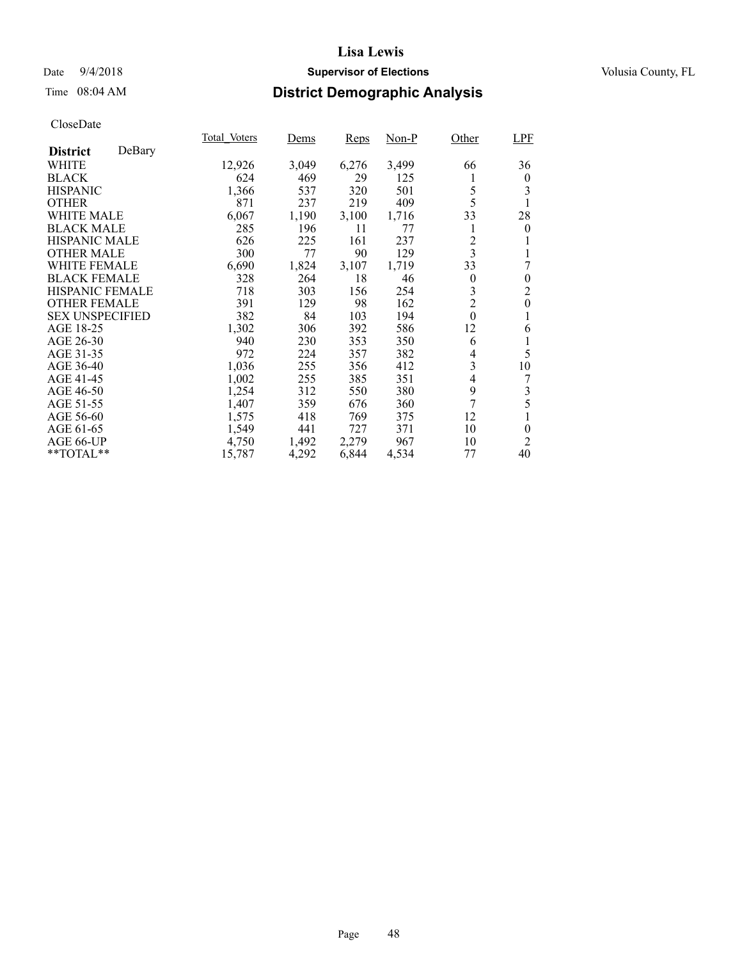## Date  $9/4/2018$  **Supervisor of Elections** Volusia County, FL

# Time 08:04 AM **District Demographic Analysis**

|                        |        | Total Voters | Dems  | <b>Reps</b> | Non-P | Other            | LPF              |
|------------------------|--------|--------------|-------|-------------|-------|------------------|------------------|
| <b>District</b>        | DeBary |              |       |             |       |                  |                  |
| WHITE                  |        | 12,926       | 3,049 | 6,276       | 3,499 | 66               | 36               |
| <b>BLACK</b>           |        | 624          | 469   | 29          | 125   | 1                | $\overline{0}$   |
| <b>HISPANIC</b>        |        | 1,366        | 537   | 320         | 501   | 5                | 3                |
| <b>OTHER</b>           |        | 871          | 237   | 219         | 409   | 5                | 1                |
| <b>WHITE MALE</b>      |        | 6,067        | 1,190 | 3,100       | 1,716 | 33               | 28               |
| <b>BLACK MALE</b>      |        | 285          | 196   | 11          | 77    | 1                | $\overline{0}$   |
| <b>HISPANIC MALE</b>   |        | 626          | 225   | 161         | 237   | 2                |                  |
| <b>OTHER MALE</b>      |        | 300          | 77    | 90          | 129   | $\mathfrak{Z}$   |                  |
| <b>WHITE FEMALE</b>    |        | 6,690        | 1,824 | 3,107       | 1,719 | 33               | 7                |
| <b>BLACK FEMALE</b>    |        | 328          | 264   | 18          | 46    | $\theta$         | $\theta$         |
| HISPANIC FEMALE        |        | 718          | 303   | 156         | 254   | 3                | $\overline{c}$   |
| <b>OTHER FEMALE</b>    |        | 391          | 129   | 98          | 162   | $\overline{2}$   | $\boldsymbol{0}$ |
| <b>SEX UNSPECIFIED</b> |        | 382          | 84    | 103         | 194   | $\boldsymbol{0}$ | 1                |
| AGE 18-25              |        | 1,302        | 306   | 392         | 586   | 12               | 6                |
| AGE 26-30              |        | 940          | 230   | 353         | 350   | 6                |                  |
| AGE 31-35              |        | 972          | 224   | 357         | 382   | 4                | 5                |
| AGE 36-40              |        | 1,036        | 255   | 356         | 412   | 3                | 10               |
| AGE 41-45              |        | 1,002        | 255   | 385         | 351   | 4                | 7                |
| AGE 46-50              |        | 1,254        | 312   | 550         | 380   | 9                | 3                |
| AGE 51-55              |        | 1,407        | 359   | 676         | 360   | 7                | 5                |
| AGE 56-60              |        | 1,575        | 418   | 769         | 375   | 12               |                  |
| AGE 61-65              |        | 1,549        | 441   | 727         | 371   | 10               | $\theta$         |
| AGE 66-UP              |        | 4,750        | 1,492 | 2,279       | 967   | 10               | 2                |
| **TOTAL**              |        | 15,787       | 4,292 | 6,844       | 4,534 | 77               | 40               |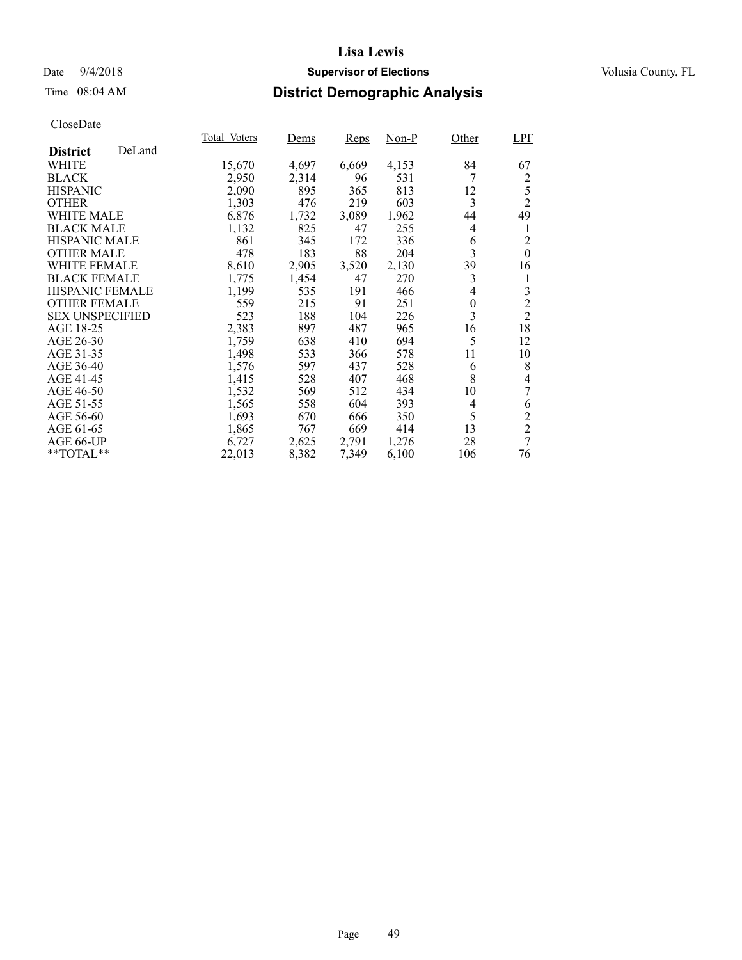## Date  $9/4/2018$  **Supervisor of Elections** Volusia County, FL

## Time 08:04 AM **District Demographic Analysis**

|                        |        | Total Voters | Dems  | <b>Reps</b> | $Non-P$ | Other    | <b>LPF</b>     |
|------------------------|--------|--------------|-------|-------------|---------|----------|----------------|
| <b>District</b>        | DeLand |              |       |             |         |          |                |
| WHITE                  |        | 15,670       | 4,697 | 6,669       | 4,153   | 84       | 67             |
| <b>BLACK</b>           |        | 2,950        | 2,314 | 96          | 531     | 7        | 2              |
| <b>HISPANIC</b>        |        | 2,090        | 895   | 365         | 813     | 12       | 5              |
| <b>OTHER</b>           |        | 1,303        | 476   | 219         | 603     | 3        | $\overline{2}$ |
| <b>WHITE MALE</b>      |        | 6,876        | 1,732 | 3,089       | 1,962   | 44       | 49             |
| <b>BLACK MALE</b>      |        | 1,132        | 825   | 47          | 255     | 4        | 1              |
| <b>HISPANIC MALE</b>   |        | 861          | 345   | 172         | 336     | 6        | $\overline{2}$ |
| <b>OTHER MALE</b>      |        | 478          | 183   | 88          | 204     | 3        | $\mathbf{0}$   |
| <b>WHITE FEMALE</b>    |        | 8,610        | 2,905 | 3,520       | 2,130   | 39       | 16             |
| <b>BLACK FEMALE</b>    |        | 1,775        | 1,454 | 47          | 270     | 3        | 1              |
| HISPANIC FEMALE        |        | 1,199        | 535   | 191         | 466     | 4        | 3              |
| <b>OTHER FEMALE</b>    |        | 559          | 215   | 91          | 251     | $\theta$ | $\overline{c}$ |
| <b>SEX UNSPECIFIED</b> |        | 523          | 188   | 104         | 226     | 3        | $\overline{2}$ |
| AGE 18-25              |        | 2,383        | 897   | 487         | 965     | 16       | 18             |
| AGE 26-30              |        | 1,759        | 638   | 410         | 694     | 5        | 12             |
| AGE 31-35              |        | 1,498        | 533   | 366         | 578     | 11       | 10             |
| AGE 36-40              |        | 1,576        | 597   | 437         | 528     | 6        | 8              |
| AGE 41-45              |        | 1,415        | 528   | 407         | 468     | 8        | 4              |
| AGE 46-50              |        | 1,532        | 569   | 512         | 434     | 10       | 7              |
| AGE 51-55              |        | 1,565        | 558   | 604         | 393     | 4        | 6              |
| AGE 56-60              |        | 1,693        | 670   | 666         | 350     | 5        | $\overline{c}$ |
| AGE 61-65              |        | 1,865        | 767   | 669         | 414     | 13       | $\overline{2}$ |
| AGE 66-UP              |        | 6,727        | 2,625 | 2,791       | 1,276   | 28       | $\overline{7}$ |
| **TOTAL**              |        | 22,013       | 8,382 | 7,349       | 6,100   | 106      | 76             |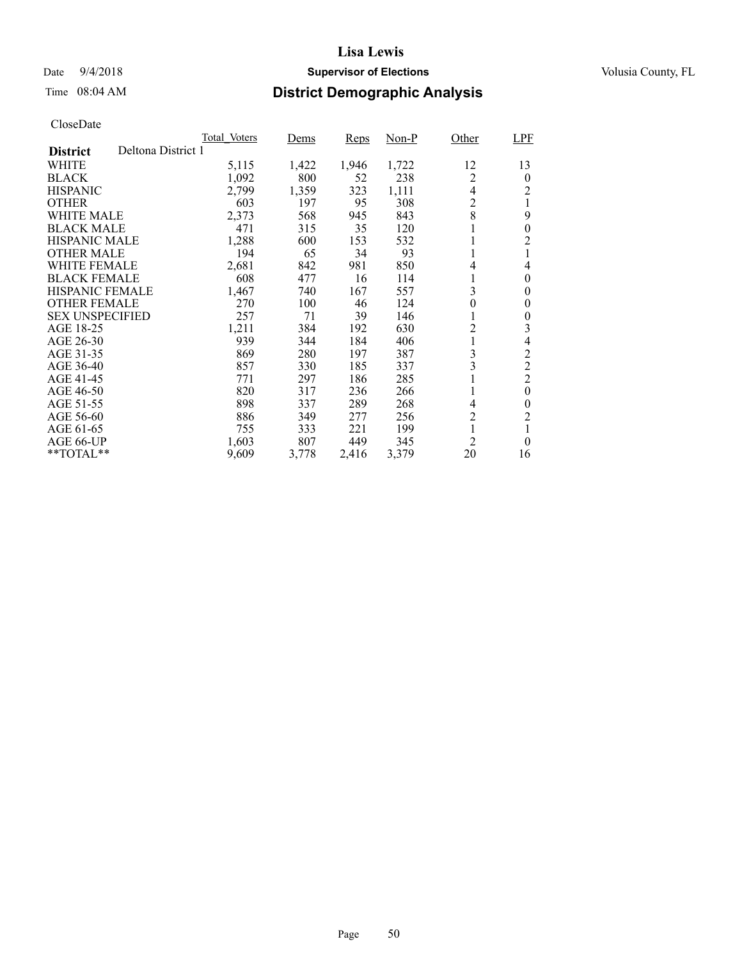## Date  $9/4/2018$  **Supervisor of Elections** Volusia County, FL

# Time 08:04 AM **District Demographic Analysis**

|                                       | Total Voters | Dems  | Reps  | Non-P | Other          | LPF            |
|---------------------------------------|--------------|-------|-------|-------|----------------|----------------|
| Deltona District 1<br><b>District</b> |              |       |       |       |                |                |
| WHITE                                 | 5,115        | 1,422 | 1,946 | 1,722 | 12             | 13             |
| <b>BLACK</b>                          | 1,092        | 800   | 52    | 238   | $\overline{c}$ | $\theta$       |
| <b>HISPANIC</b>                       | 2,799        | 1,359 | 323   | 1,111 | $\overline{4}$ | 2              |
| <b>OTHER</b>                          | 603          | 197   | 95    | 308   | $\overline{c}$ | 1              |
| WHITE MALE                            | 2,373        | 568   | 945   | 843   | 8              | 9              |
| <b>BLACK MALE</b>                     | 471          | 315   | 35    | 120   |                | $\theta$       |
| <b>HISPANIC MALE</b>                  | 1,288        | 600   | 153   | 532   |                | $\overline{2}$ |
| <b>OTHER MALE</b>                     | 194          | 65    | 34    | 93    |                |                |
| <b>WHITE FEMALE</b>                   | 2,681        | 842   | 981   | 850   | 4              | 4              |
| <b>BLACK FEMALE</b>                   | 608          | 477   | 16    | 114   |                | $\theta$       |
| HISPANIC FEMALE                       | 1,467        | 740   | 167   | 557   | 3              | $\theta$       |
| <b>OTHER FEMALE</b>                   | 270          | 100   | 46    | 124   | $\overline{0}$ | $\theta$       |
| <b>SEX UNSPECIFIED</b>                | 257          | 71    | 39    | 146   | 1              | $\theta$       |
| AGE 18-25                             | 1,211        | 384   | 192   | 630   | $\overline{c}$ | 3              |
| AGE 26-30                             | 939          | 344   | 184   | 406   |                | 4              |
| AGE 31-35                             | 869          | 280   | 197   | 387   | 3              | $\overline{c}$ |
| AGE 36-40                             | 857          | 330   | 185   | 337   | 3              | $\overline{2}$ |
| AGE 41-45                             | 771          | 297   | 186   | 285   |                | $\overline{2}$ |
| AGE 46-50                             | 820          | 317   | 236   | 266   |                | $\theta$       |
| AGE 51-55                             | 898          | 337   | 289   | 268   | 4              | $\theta$       |
| AGE 56-60                             | 886          | 349   | 277   | 256   | $\overline{c}$ | $\overline{c}$ |
| AGE 61-65                             | 755          | 333   | 221   | 199   |                | 1              |
| AGE 66-UP                             | 1,603        | 807   | 449   | 345   | 2              | $\theta$       |
| $*$ TOTAL $*$                         | 9,609        | 3,778 | 2,416 | 3,379 | 20             | 16             |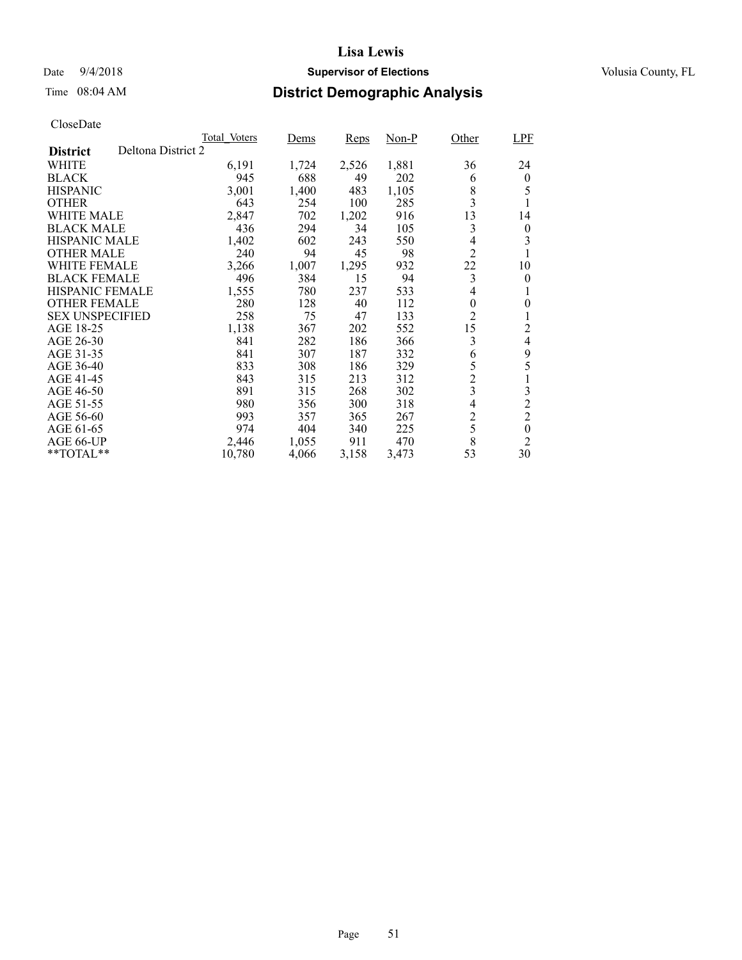## Date  $9/4/2018$  **Supervisor of Elections** Volusia County, FL

# Time 08:04 AM **District Demographic Analysis**

|                        |                    | Total Voters | Dems  | <b>Reps</b> | Non-P | Other          | <b>LPF</b>       |
|------------------------|--------------------|--------------|-------|-------------|-------|----------------|------------------|
| <b>District</b>        | Deltona District 2 |              |       |             |       |                |                  |
| WHITE                  |                    | 6,191        | 1,724 | 2,526       | 1,881 | 36             | 24               |
| <b>BLACK</b>           |                    | 945          | 688   | 49          | 202   | 6              | $\bf{0}$         |
| <b>HISPANIC</b>        |                    | 3,001        | 1,400 | 483         | 1,105 | 8              | 5                |
| <b>OTHER</b>           |                    | 643          | 254   | 100         | 285   | 3              |                  |
| WHITE MALE             |                    | 2,847        | 702   | 1,202       | 916   | 13             | 14               |
| <b>BLACK MALE</b>      |                    | 436          | 294   | 34          | 105   | 3              | $\overline{0}$   |
| <b>HISPANIC MALE</b>   |                    | 1,402        | 602   | 243         | 550   | 4              | 3                |
| <b>OTHER MALE</b>      |                    | 240          | 94    | 45          | 98    | $\overline{2}$ |                  |
| <b>WHITE FEMALE</b>    |                    | 3,266        | 1,007 | 1,295       | 932   | 22             | 10               |
| <b>BLACK FEMALE</b>    |                    | 496          | 384   | 15          | 94    | 3              | $\theta$         |
| <b>HISPANIC FEMALE</b> |                    | 1,555        | 780   | 237         | 533   | 4              |                  |
| <b>OTHER FEMALE</b>    |                    | 280          | 128   | 40          | 112   | $\theta$       | $\boldsymbol{0}$ |
| <b>SEX UNSPECIFIED</b> |                    | 258          | 75    | 47          | 133   | $\overline{2}$ |                  |
| AGE 18-25              |                    | 1,138        | 367   | 202         | 552   | 15             | 2                |
| AGE 26-30              |                    | 841          | 282   | 186         | 366   | 3              | 4                |
| AGE 31-35              |                    | 841          | 307   | 187         | 332   | 6              | 9                |
| AGE 36-40              |                    | 833          | 308   | 186         | 329   | 5              | 5                |
| AGE 41-45              |                    | 843          | 315   | 213         | 312   | $\overline{c}$ | 1                |
| AGE 46-50              |                    | 891          | 315   | 268         | 302   | 3              | 3                |
| AGE 51-55              |                    | 980          | 356   | 300         | 318   | $\overline{4}$ | $\overline{c}$   |
| AGE 56-60              |                    | 993          | 357   | 365         | 267   | $\overline{c}$ | $\overline{2}$   |
| AGE 61-65              |                    | 974          | 404   | 340         | 225   | 5              | $\boldsymbol{0}$ |
| AGE 66-UP              |                    | 2,446        | 1,055 | 911         | 470   | 8              | $\overline{2}$   |
| $*$ TOTAL $*$          |                    | 10,780       | 4,066 | 3,158       | 3,473 | 53             | 30               |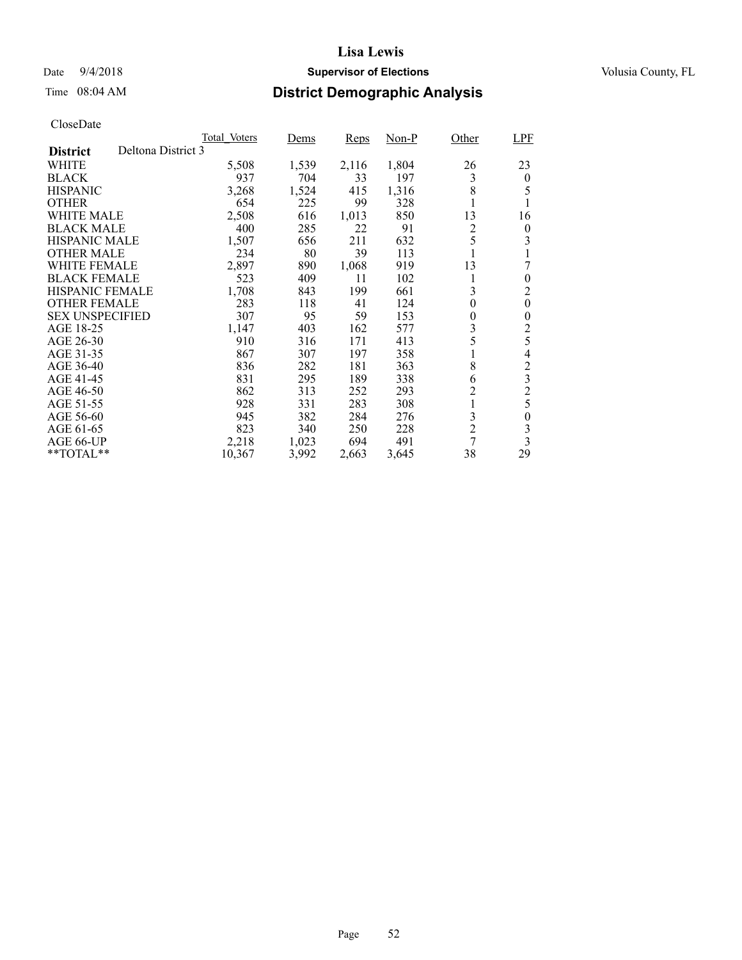## Date  $9/4/2018$  **Supervisor of Elections** Volusia County, FL

# Time 08:04 AM **District Demographic Analysis**

|                        | Total Voters       | Dems  | <b>Reps</b> | Non-P | Other          | <b>LPF</b>              |
|------------------------|--------------------|-------|-------------|-------|----------------|-------------------------|
| <b>District</b>        | Deltona District 3 |       |             |       |                |                         |
| WHITE                  | 5,508              | 1,539 | 2,116       | 1,804 | 26             | 23                      |
| <b>BLACK</b>           | 937                | 704   | 33          | 197   | 3              | $\theta$                |
| <b>HISPANIC</b>        | 3,268              | 1,524 | 415         | 1,316 | 8              | 5                       |
| <b>OTHER</b>           | 654                | 225   | 99          | 328   | 1              | 1                       |
| WHITE MALE             | 2,508              | 616   | 1,013       | 850   | 13             | 16                      |
| <b>BLACK MALE</b>      | 400                | 285   | 22          | 91    | 2              | 0                       |
| <b>HISPANIC MALE</b>   | 1,507              | 656   | 211         | 632   | 5              | 3                       |
| <b>OTHER MALE</b>      | 234                | 80    | 39          | 113   |                |                         |
| <b>WHITE FEMALE</b>    | 2,897              | 890   | 1,068       | 919   | 13             | 7                       |
| <b>BLACK FEMALE</b>    | 523                | 409   | 11          | 102   | 1              | $\theta$                |
| <b>HISPANIC FEMALE</b> | 1,708              | 843   | 199         | 661   | 3              | $\overline{c}$          |
| <b>OTHER FEMALE</b>    | 283                | 118   | 41          | 124   | $\theta$       | $\overline{0}$          |
| <b>SEX UNSPECIFIED</b> | 307                | 95    | 59          | 153   | 0              | $\theta$                |
| AGE 18-25              | 1,147              | 403   | 162         | 577   | 3              | 2                       |
| AGE 26-30              | 910                | 316   | 171         | 413   | 5              | 5                       |
| AGE 31-35              | 867                | 307   | 197         | 358   | 1              | $\overline{4}$          |
| AGE 36-40              | 836                | 282   | 181         | 363   | 8              | $\overline{c}$          |
| AGE 41-45              | 831                | 295   | 189         | 338   | 6              | $\overline{\mathbf{3}}$ |
| AGE 46-50              | 862                | 313   | 252         | 293   | $\overline{c}$ | $\overline{c}$          |
| AGE 51-55              | 928                | 331   | 283         | 308   | 1              | 5                       |
| AGE 56-60              | 945                | 382   | 284         | 276   | 3              | 0                       |
| AGE 61-65              | 823                | 340   | 250         | 228   | $\overline{2}$ | 3                       |
| AGE 66-UP              | 2,218              | 1,023 | 694         | 491   | 7              | $\overline{\mathbf{3}}$ |
| **TOTAL**              | 10,367             | 3,992 | 2,663       | 3,645 | 38             | 29                      |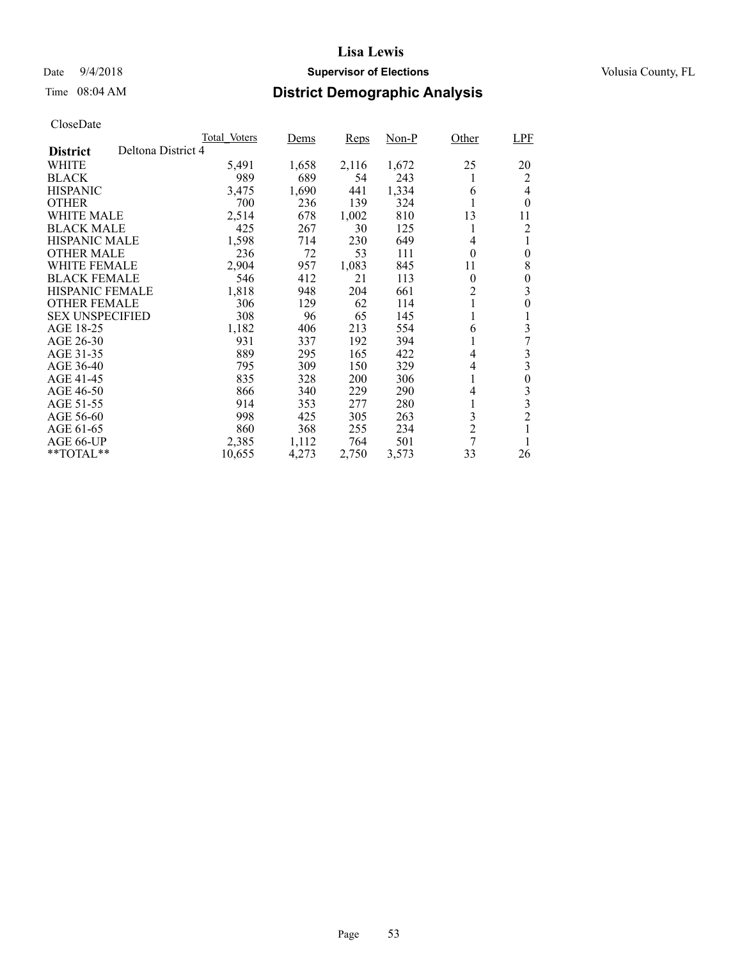## Date  $9/4/2018$  **Supervisor of Elections** Volusia County, FL

# Time 08:04 AM **District Demographic Analysis**

|                                       | Total Voters | Dems  | <b>Reps</b> | Non-P | Other          | <b>LPF</b>       |
|---------------------------------------|--------------|-------|-------------|-------|----------------|------------------|
| Deltona District 4<br><b>District</b> |              |       |             |       |                |                  |
| WHITE                                 | 5,491        | 1,658 | 2,116       | 1,672 | 25             | 20               |
| <b>BLACK</b>                          | 989          | 689   | 54          | 243   |                | 2                |
| <b>HISPANIC</b>                       | 3,475        | 1,690 | 441         | 1,334 | 6              | 4                |
| <b>OTHER</b>                          | 700          | 236   | 139         | 324   |                | $\theta$         |
| WHITE MALE                            | 2,514        | 678   | 1,002       | 810   | 13             | 11               |
| <b>BLACK MALE</b>                     | 425          | 267   | 30          | 125   |                | 2                |
| <b>HISPANIC MALE</b>                  | 1,598        | 714   | 230         | 649   | 4              | 1                |
| <b>OTHER MALE</b>                     | 236          | 72    | 53          | 111   | $\theta$       | $\overline{0}$   |
| <b>WHITE FEMALE</b>                   | 2,904        | 957   | 1,083       | 845   | 11             | 8                |
| <b>BLACK FEMALE</b>                   | 546          | 412   | 21          | 113   | $\theta$       | $\theta$         |
| HISPANIC FEMALE                       | 1,818        | 948   | 204         | 661   | $\overline{c}$ | 3                |
| <b>OTHER FEMALE</b>                   | 306          | 129   | 62          | 114   | 1              | 0                |
| <b>SEX UNSPECIFIED</b>                | 308          | 96    | 65          | 145   | 1              | 1                |
| AGE 18-25                             | 1,182        | 406   | 213         | 554   | 6              | 3                |
| AGE 26-30                             | 931          | 337   | 192         | 394   |                |                  |
| AGE 31-35                             | 889          | 295   | 165         | 422   | 4              | 3                |
| AGE 36-40                             | 795          | 309   | 150         | 329   | 4              | 3                |
| AGE 41-45                             | 835          | 328   | 200         | 306   | 1              | $\boldsymbol{0}$ |
| AGE 46-50                             | 866          | 340   | 229         | 290   | 4              | 3                |
| AGE 51-55                             | 914          | 353   | 277         | 280   | 1              | 3                |
| AGE 56-60                             | 998          | 425   | 305         | 263   | 3              | $\overline{2}$   |
| AGE 61-65                             | 860          | 368   | 255         | 234   | $\overline{2}$ | 1                |
| AGE 66-UP                             | 2,385        | 1,112 | 764         | 501   | 7              |                  |
| **TOTAL**                             | 10,655       | 4,273 | 2,750       | 3,573 | 33             | 26               |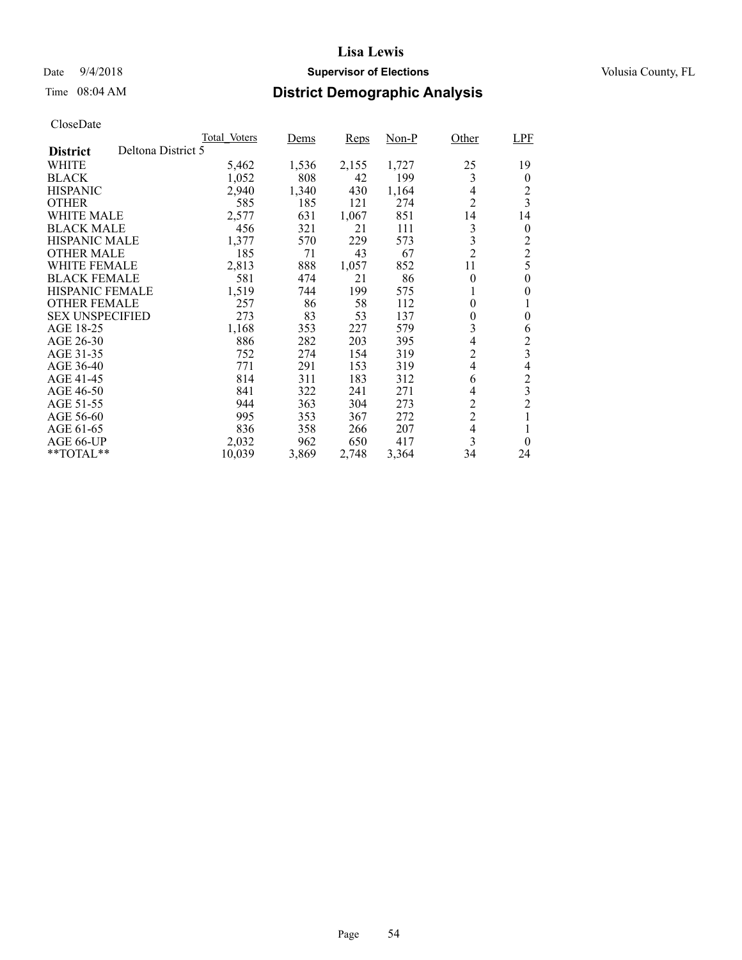## Date  $9/4/2018$  **Supervisor of Elections** Volusia County, FL

# Time 08:04 AM **District Demographic Analysis**

|                        | Total Voters       | Dems  | <b>Reps</b> | Non-P | Other                    | <b>LPF</b>              |
|------------------------|--------------------|-------|-------------|-------|--------------------------|-------------------------|
| <b>District</b>        | Deltona District 5 |       |             |       |                          |                         |
| WHITE                  | 5,462              | 1,536 | 2,155       | 1,727 | 25                       | 19                      |
| <b>BLACK</b>           | 1,052              | 808   | 42          | 199   | 3                        | $\theta$                |
| <b>HISPANIC</b>        | 2,940              | 1,340 | 430         | 1,164 | 4                        | 2                       |
| <b>OTHER</b>           | 585                | 185   | 121         | 274   | $\overline{2}$           | $\overline{3}$          |
| WHITE MALE             | 2,577              | 631   | 1,067       | 851   | 14                       | 14                      |
| <b>BLACK MALE</b>      | 456                | 321   | 21          | 111   | 3                        | $\boldsymbol{0}$        |
| <b>HISPANIC MALE</b>   | 1,377              | 570   | 229         | 573   | 3                        | $\overline{c}$          |
| <b>OTHER MALE</b>      | 185                | 71    | 43          | 67    | $\overline{2}$           | $\overline{c}$          |
| WHITE FEMALE           | 2,813              | 888   | 1,057       | 852   | 11                       | 5                       |
| <b>BLACK FEMALE</b>    | 581                | 474   | 21          | 86    | $\theta$                 | $\theta$                |
| <b>HISPANIC FEMALE</b> | 1,519              | 744   | 199         | 575   |                          | $\theta$                |
| <b>OTHER FEMALE</b>    | 257                | 86    | 58          | 112   | $\theta$                 |                         |
| <b>SEX UNSPECIFIED</b> | 273                | 83    | 53          | 137   | $\theta$                 | $\theta$                |
| AGE 18-25              | 1,168              | 353   | 227         | 579   | 3                        | 6                       |
| AGE 26-30              | 886                | 282   | 203         | 395   | $\overline{\mathcal{L}}$ | $\overline{c}$          |
| AGE 31-35              | 752                | 274   | 154         | 319   | $\overline{2}$           | 3                       |
| AGE 36-40              | 771                | 291   | 153         | 319   | 4                        | 4                       |
| AGE 41-45              | 814                | 311   | 183         | 312   | 6                        | $\overline{c}$          |
| AGE 46-50              | 841                | 322   | 241         | 271   | 4                        | $\overline{\mathbf{3}}$ |
| AGE 51-55              | 944                | 363   | 304         | 273   | $\overline{c}$           | $\overline{2}$          |
| AGE 56-60              | 995                | 353   | 367         | 272   | $\overline{c}$           |                         |
| AGE 61-65              | 836                | 358   | 266         | 207   | $\overline{\mathcal{L}}$ |                         |
| AGE 66-UP              | 2,032              | 962   | 650         | 417   | 3                        | $\theta$                |
| $*$ TOTAL $*$          | 10,039             | 3,869 | 2,748       | 3,364 | 34                       | 24                      |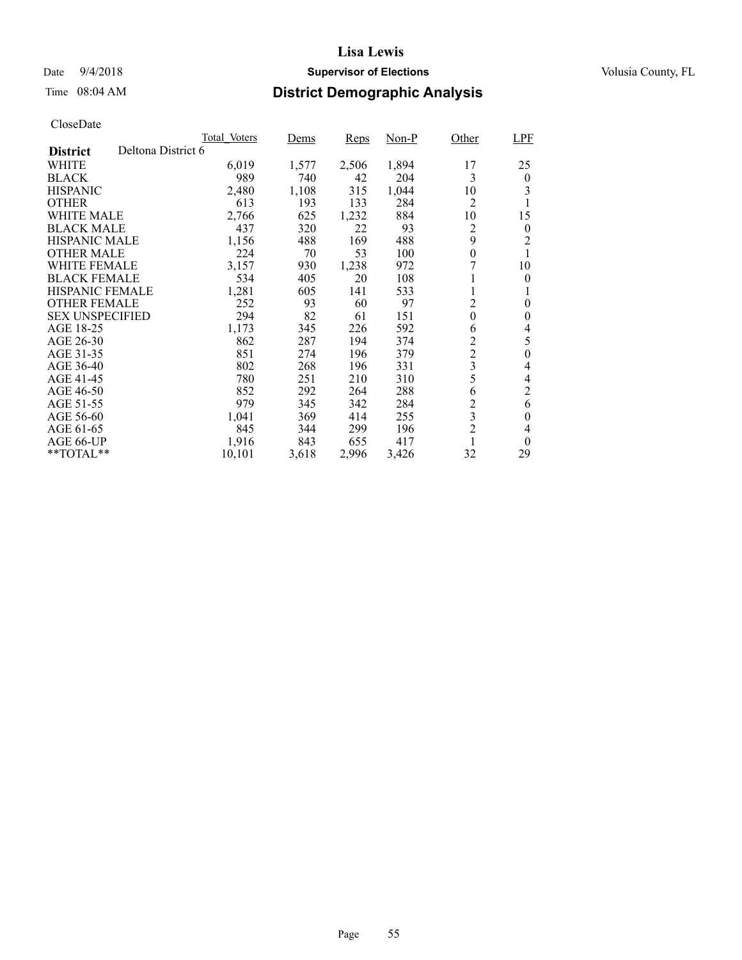## Date  $9/4/2018$  **Supervisor of Elections** Volusia County, FL

## Time 08:04 AM **District Demographic Analysis**

|                                       | Total Voters | Dems  | <b>Reps</b> | Non-P | Other            | <b>LPF</b>     |
|---------------------------------------|--------------|-------|-------------|-------|------------------|----------------|
| Deltona District 6<br><b>District</b> |              |       |             |       |                  |                |
| WHITE                                 | 6,019        | 1,577 | 2,506       | 1,894 | 17               | 25             |
| <b>BLACK</b>                          | 989          | 740   | 42          | 204   | 3                | $\overline{0}$ |
| <b>HISPANIC</b>                       | 2,480        | 1,108 | 315         | 1,044 | 10               | 3              |
| <b>OTHER</b>                          | 613          | 193   | 133         | 284   | 2                |                |
| WHITE MALE                            | 2,766        | 625   | 1,232       | 884   | 10               | 15             |
| <b>BLACK MALE</b>                     | 437          | 320   | 22          | 93    | 2                | $\theta$       |
| <b>HISPANIC MALE</b>                  | 1,156        | 488   | 169         | 488   | 9                | $\overline{2}$ |
| <b>OTHER MALE</b>                     | 224          | 70    | 53          | 100   | $\theta$         |                |
| WHITE FEMALE                          | 3,157        | 930   | 1,238       | 972   |                  | 10             |
| <b>BLACK FEMALE</b>                   | 534          | 405   | 20          | 108   |                  | $\theta$       |
| <b>HISPANIC FEMALE</b>                | 1,281        | 605   | 141         | 533   |                  |                |
| <b>OTHER FEMALE</b>                   | 252          | 93    | 60          | 97    | $\overline{c}$   | $\theta$       |
| <b>SEX UNSPECIFIED</b>                | 294          | 82    | 61          | 151   | $\boldsymbol{0}$ | $\theta$       |
| AGE 18-25                             | 1,173        | 345   | 226         | 592   | 6                | 4              |
| AGE 26-30                             | 862          | 287   | 194         | 374   | $\overline{c}$   | 5              |
| AGE 31-35                             | 851          | 274   | 196         | 379   | $\overline{c}$   | $\overline{0}$ |
| AGE 36-40                             | 802          | 268   | 196         | 331   | 3                | 4              |
| AGE 41-45                             | 780          | 251   | 210         | 310   | 5                | 4              |
| AGE 46-50                             | 852          | 292   | 264         | 288   | 6                | $\overline{c}$ |
| AGE 51-55                             | 979          | 345   | 342         | 284   | $\overline{2}$   | 6              |
| AGE 56-60                             | 1,041        | 369   | 414         | 255   | 3                | $\theta$       |
| AGE 61-65                             | 845          | 344   | 299         | 196   | $\overline{2}$   | 4              |
| AGE 66-UP                             | 1,916        | 843   | 655         | 417   |                  | $\theta$       |
| $*$ $*$ TOTAL $*$ $*$                 | 10,101       | 3,618 | 2,996       | 3,426 | 32               | 29             |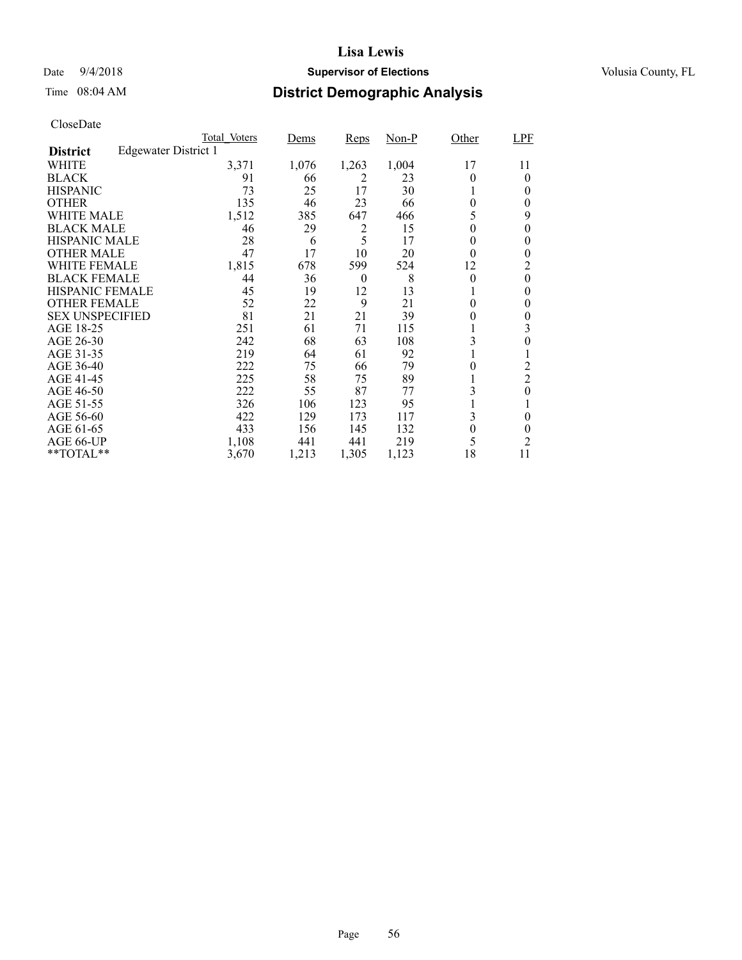## Date  $9/4/2018$  **Supervisor of Elections** Volusia County, FL

# Time 08:04 AM **District Demographic Analysis**

|                        |                      | Total Voters | Dems  | <b>Reps</b> | $Non-P$ | Other          | LPF            |
|------------------------|----------------------|--------------|-------|-------------|---------|----------------|----------------|
| <b>District</b>        | Edgewater District 1 |              |       |             |         |                |                |
| WHITE                  |                      | 3,371        | 1,076 | 1,263       | 1,004   | 17             | 11             |
| <b>BLACK</b>           |                      | 91           | 66    | 2           | 23      | 0              | $\theta$       |
| <b>HISPANIC</b>        |                      | 73           | 25    | 17          | 30      |                | 0              |
| <b>OTHER</b>           |                      | 135          | 46    | 23          | 66      | $\theta$       | 0              |
| WHITE MALE             |                      | 1,512        | 385   | 647         | 466     | 5              | 9              |
| <b>BLACK MALE</b>      |                      | 46           | 29    | 2           | 15      | $\theta$       | 0              |
| <b>HISPANIC MALE</b>   |                      | 28           | 6     | 5           | 17      | 0              | 0              |
| <b>OTHER MALE</b>      |                      | 47           | 17    | 10          | 20      | $\theta$       | 0              |
| WHITE FEMALE           |                      | 1,815        | 678   | 599         | 524     | 12             | 2              |
| <b>BLACK FEMALE</b>    |                      | 44           | 36    | $\theta$    | 8       | $\theta$       | $\theta$       |
| HISPANIC FEMALE        |                      | 45           | 19    | 12          | 13      |                | 0              |
| <b>OTHER FEMALE</b>    |                      | 52           | 22    | 9           | 21      | 0              | 0              |
| <b>SEX UNSPECIFIED</b> |                      | 81           | 21    | 21          | 39      | 0              | 0              |
| AGE 18-25              |                      | 251          | 61    | 71          | 115     |                | 3              |
| AGE 26-30              |                      | 242          | 68    | 63          | 108     | 3              | 0              |
| AGE 31-35              |                      | 219          | 64    | 61          | 92      |                |                |
| AGE 36-40              |                      | 222          | 75    | 66          | 79      | 0              | $\overline{c}$ |
| AGE 41-45              |                      | 225          | 58    | 75          | 89      |                | $\overline{2}$ |
| AGE 46-50              |                      | 222          | 55    | 87          | 77      | 3              | $\theta$       |
| AGE 51-55              |                      | 326          | 106   | 123         | 95      |                |                |
| AGE 56-60              |                      | 422          | 129   | 173         | 117     | 3              | 0              |
| AGE 61-65              |                      | 433          | 156   | 145         | 132     | $\overline{0}$ | 0              |
| AGE 66-UP              |                      | 1,108        | 441   | 441         | 219     | 5              | $\overline{2}$ |
| **TOTAL**              |                      | 3,670        | 1,213 | 1,305       | 1,123   | 18             | 11             |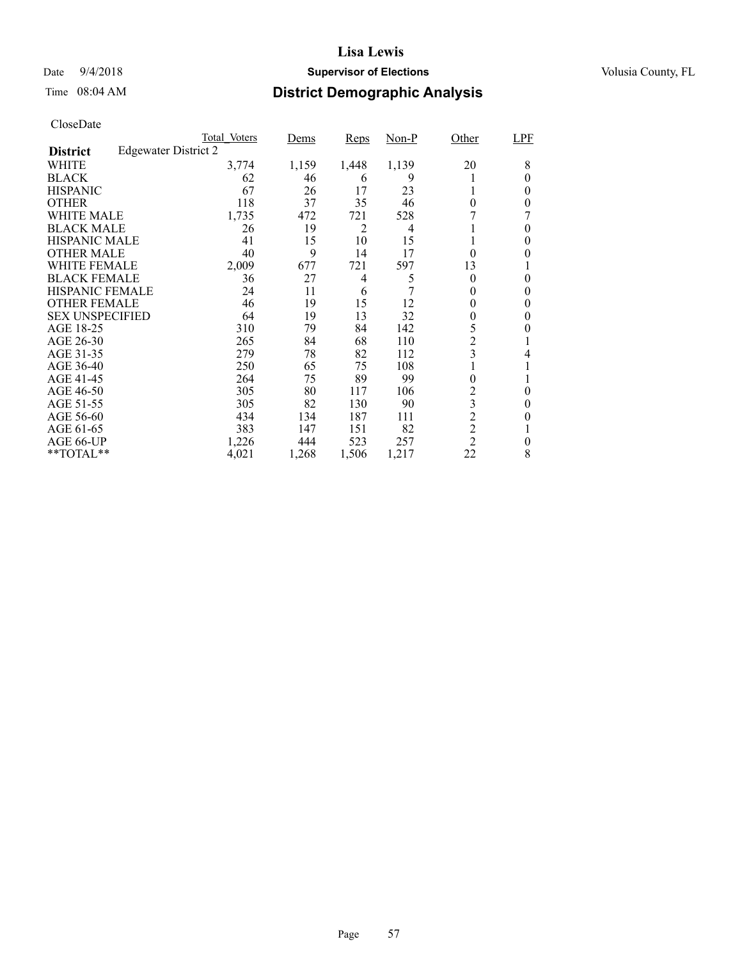## Date  $9/4/2018$  **Supervisor of Elections** Volusia County, FL

# Time 08:04 AM **District Demographic Analysis**

|                        |                      | Total Voters | Dems  | <b>Reps</b>    | $Non-P$ | Other          | LPF      |
|------------------------|----------------------|--------------|-------|----------------|---------|----------------|----------|
| <b>District</b>        | Edgewater District 2 |              |       |                |         |                |          |
| WHITE                  |                      | 3,774        | 1,159 | 1,448          | 1,139   | 20             | 8        |
| <b>BLACK</b>           |                      | 62           | 46    | 6              | 9       |                | 0        |
| <b>HISPANIC</b>        |                      | 67           | 26    | 17             | 23      |                | 0        |
| <b>OTHER</b>           |                      | 118          | 37    | 35             | 46      | $\theta$       | 0        |
| WHITE MALE             |                      | 1,735        | 472   | 721            | 528     |                |          |
| <b>BLACK MALE</b>      |                      | 26           | 19    | $\overline{2}$ | 4       |                | 0        |
| <b>HISPANIC MALE</b>   |                      | 41           | 15    | 10             | 15      |                | 0        |
| <b>OTHER MALE</b>      |                      | 40           | 9     | 14             | 17      | $\theta$       | 0        |
| WHITE FEMALE           |                      | 2,009        | 677   | 721            | 597     | 13             |          |
| <b>BLACK FEMALE</b>    |                      | 36           | 27    | 4              | 5       | $\theta$       | 0        |
| <b>HISPANIC FEMALE</b> |                      | 24           | 11    | 6              |         |                | 0        |
| <b>OTHER FEMALE</b>    |                      | 46           | 19    | 15             | 12      | 0              | 0        |
| <b>SEX UNSPECIFIED</b> |                      | 64           | 19    | 13             | 32      | 0              | 0        |
| AGE 18-25              |                      | 310          | 79    | 84             | 142     | 5              | 0        |
| AGE 26-30              |                      | 265          | 84    | 68             | 110     | $\overline{c}$ |          |
| AGE 31-35              |                      | 279          | 78    | 82             | 112     | 3              | 4        |
| AGE 36-40              |                      | 250          | 65    | 75             | 108     |                |          |
| AGE 41-45              |                      | 264          | 75    | 89             | 99      | 0              |          |
| AGE 46-50              |                      | 305          | 80    | 117            | 106     | 2              | $\theta$ |
| AGE 51-55              |                      | 305          | 82    | 130            | 90      | 3              | 0        |
| AGE 56-60              |                      | 434          | 134   | 187            | 111     | $\overline{2}$ | 0        |
| AGE 61-65              |                      | 383          | 147   | 151            | 82      | $\overline{c}$ |          |
| AGE 66-UP              |                      | 1,226        | 444   | 523            | 257     | $\overline{2}$ | 0        |
| **TOTAL**              |                      | 4,021        | 1,268 | 1,506          | 1,217   | 22             | 8        |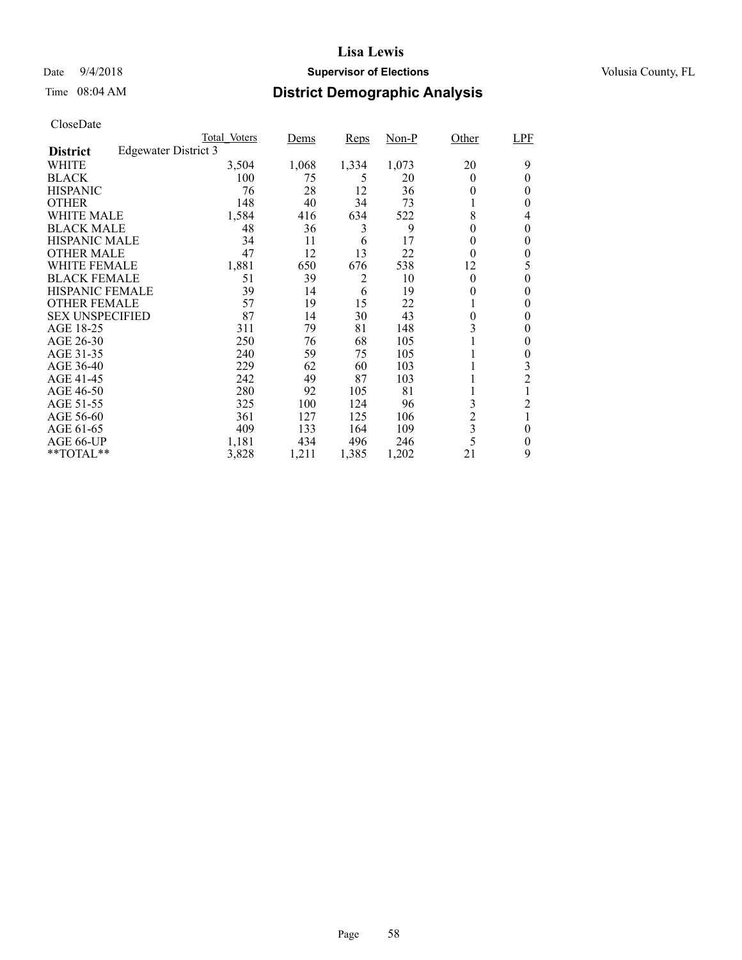## Date  $9/4/2018$  **Supervisor of Elections** Volusia County, FL

# Time 08:04 AM **District Demographic Analysis**

|                        |                             | Total Voters | <u>Dems</u> | Reps  | $Non-P$ | Other                   | LPF            |
|------------------------|-----------------------------|--------------|-------------|-------|---------|-------------------------|----------------|
| <b>District</b>        | <b>Edgewater District 3</b> |              |             |       |         |                         |                |
| WHITE                  |                             | 3,504        | 1,068       | 1,334 | 1,073   | 20                      | 9              |
| <b>BLACK</b>           |                             | 100          | 75          | 5     | 20      | 0                       | 0              |
| <b>HISPANIC</b>        |                             | 76           | 28          | 12    | 36      | 0                       | $\theta$       |
| <b>OTHER</b>           |                             | 148          | 40          | 34    | 73      |                         | 0              |
| WHITE MALE             |                             | 1,584        | 416         | 634   | 522     | 8                       | 4              |
| <b>BLACK MALE</b>      |                             | 48           | 36          | 3     | 9       | $\theta$                | 0              |
| <b>HISPANIC MALE</b>   |                             | 34           | 11          | 6     | 17      | 0                       | 0              |
| <b>OTHER MALE</b>      |                             | 47           | 12          | 13    | 22      | $\theta$                | 0              |
| WHITE FEMALE           |                             | 1,881        | 650         | 676   | 538     | 12                      | 5              |
| <b>BLACK FEMALE</b>    |                             | 51           | 39          | 2     | 10      | $\theta$                | 0              |
| <b>HISPANIC FEMALE</b> |                             | 39           | 14          | 6     | 19      | 0                       | 0              |
| <b>OTHER FEMALE</b>    |                             | 57           | 19          | 15    | 22      |                         | 0              |
| <b>SEX UNSPECIFIED</b> |                             | 87           | 14          | 30    | 43      | $\theta$                | 0              |
| AGE 18-25              |                             | 311          | 79          | 81    | 148     | 3                       | 0              |
| AGE 26-30              |                             | 250          | 76          | 68    | 105     |                         | 0              |
| AGE 31-35              |                             | 240          | 59          | 75    | 105     |                         | 0              |
| AGE 36-40              |                             | 229          | 62          | 60    | 103     |                         | 3              |
| AGE 41-45              |                             | 242          | 49          | 87    | 103     |                         | $\overline{c}$ |
| AGE 46-50              |                             | 280          | 92          | 105   | 81      |                         |                |
| AGE 51-55              |                             | 325          | 100         | 124   | 96      | 3                       | 2              |
| AGE 56-60              |                             | 361          | 127         | 125   | 106     | $\overline{c}$          |                |
| AGE 61-65              |                             | 409          | 133         | 164   | 109     | $\overline{\mathbf{3}}$ | $\theta$       |
| AGE 66-UP              |                             | 1,181        | 434         | 496   | 246     | 5                       | 0              |
| **TOTAL**              |                             | 3,828        | 1,211       | 1,385 | 1,202   | 21                      | 9              |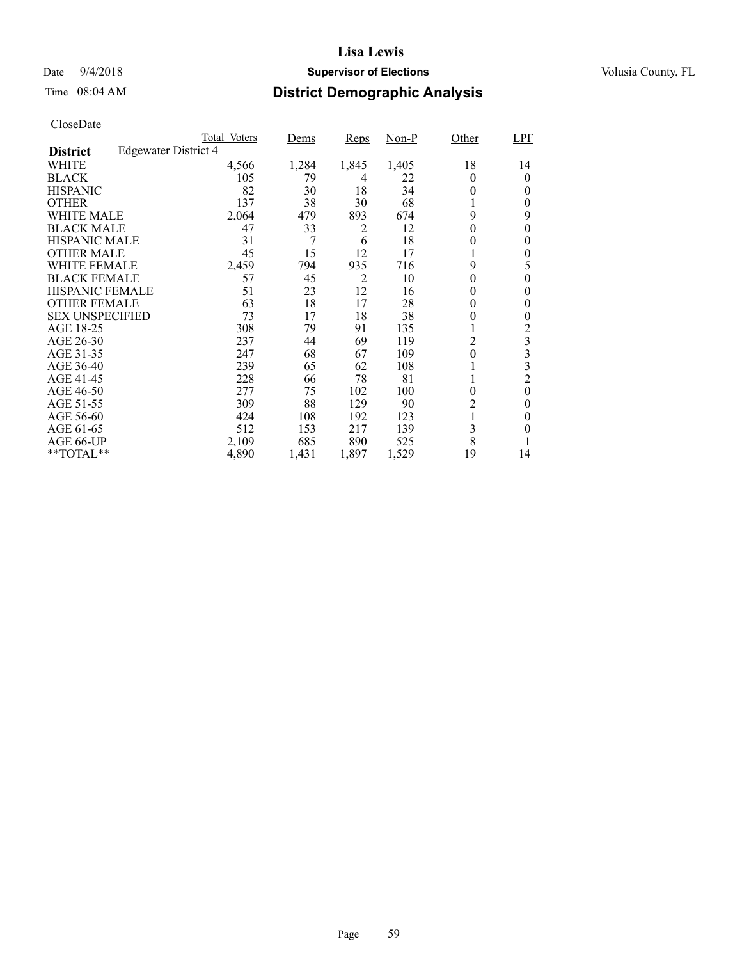## Date  $9/4/2018$  **Supervisor of Elections** Volusia County, FL

# Time 08:04 AM **District Demographic Analysis**

|                        |                             | Total Voters | Dems  | <b>Reps</b> | $Non-P$ | Other    | LPF            |
|------------------------|-----------------------------|--------------|-------|-------------|---------|----------|----------------|
| <b>District</b>        | <b>Edgewater District 4</b> |              |       |             |         |          |                |
| WHITE                  |                             | 4,566        | 1,284 | 1,845       | 1,405   | 18       | 14             |
| <b>BLACK</b>           |                             | 105          | 79    | 4           | 22      | 0        | $\theta$       |
| <b>HISPANIC</b>        |                             | 82           | 30    | 18          | 34      | 0        | 0              |
| <b>OTHER</b>           |                             | 137          | 38    | 30          | 68      |          | 0              |
| WHITE MALE             |                             | 2,064        | 479   | 893         | 674     | 9        | 9              |
| <b>BLACK MALE</b>      |                             | 47           | 33    | 2           | 12      | $\theta$ | 0              |
| <b>HISPANIC MALE</b>   |                             | 31           | 7     | 6           | 18      | 0        | 0              |
| <b>OTHER MALE</b>      |                             | 45           | 15    | 12          | 17      |          | $\theta$       |
| WHITE FEMALE           |                             | 2,459        | 794   | 935         | 716     | 9        | 5              |
| <b>BLACK FEMALE</b>    |                             | 57           | 45    | 2           | 10      | 0        | 0              |
| <b>HISPANIC FEMALE</b> |                             | 51           | 23    | 12          | 16      | 0        | 0              |
| <b>OTHER FEMALE</b>    |                             | 63           | 18    | 17          | 28      | 0        | $\theta$       |
| <b>SEX UNSPECIFIED</b> |                             | 73           | 17    | 18          | 38      | 0        | $\theta$       |
| AGE 18-25              |                             | 308          | 79    | 91          | 135     |          | 2              |
| AGE 26-30              |                             | 237          | 44    | 69          | 119     | 2        | 3              |
| AGE 31-35              |                             | 247          | 68    | 67          | 109     | 0        | 3              |
| AGE 36-40              |                             | 239          | 65    | 62          | 108     |          | 3              |
| AGE 41-45              |                             | 228          | 66    | 78          | 81      |          | $\overline{c}$ |
| AGE 46-50              |                             | 277          | 75    | 102         | 100     | $\theta$ | $\theta$       |
| AGE 51-55              |                             | 309          | 88    | 129         | 90      | 2        | 0              |
| AGE 56-60              |                             | 424          | 108   | 192         | 123     |          | 0              |
| AGE 61-65              |                             | 512          | 153   | 217         | 139     | 3        | 0              |
| AGE 66-UP              |                             | 2,109        | 685   | 890         | 525     | 8        |                |
| **TOTAL**              |                             | 4,890        | 1,431 | 1,897       | 1,529   | 19       | 14             |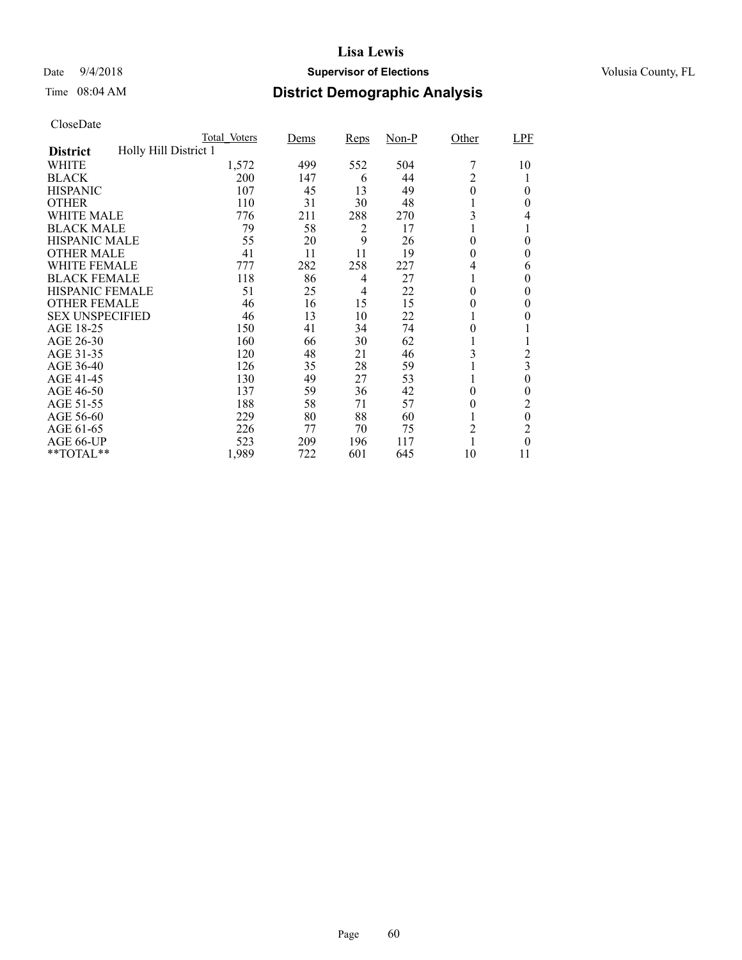## Date  $9/4/2018$  **Supervisor of Elections** Volusia County, FL

# Time 08:04 AM **District Demographic Analysis**

|                        |                       | Total Voters | <u>Dems</u> | Reps | $Non-P$ | Other          | LPF            |
|------------------------|-----------------------|--------------|-------------|------|---------|----------------|----------------|
| <b>District</b>        | Holly Hill District 1 |              |             |      |         |                |                |
| WHITE                  |                       | 1,572        | 499         | 552  | 504     |                | 10             |
| <b>BLACK</b>           |                       | 200          | 147         | 6    | 44      | $\overline{c}$ |                |
| <b>HISPANIC</b>        |                       | 107          | 45          | 13   | 49      | 0              | $\theta$       |
| <b>OTHER</b>           |                       | 110          | 31          | 30   | 48      |                | 0              |
| WHITE MALE             |                       | 776          | 211         | 288  | 270     | 3              | 4              |
| <b>BLACK MALE</b>      |                       | 79           | 58          | 2    | 17      |                | 1              |
| <b>HISPANIC MALE</b>   |                       | 55           | 20          | 9    | 26      | 0              | 0              |
| <b>OTHER MALE</b>      |                       | 41           | 11          | 11   | 19      | 0              | $\theta$       |
| WHITE FEMALE           |                       | 777          | 282         | 258  | 227     | 4              | 6              |
| <b>BLACK FEMALE</b>    |                       | 118          | 86          | 4    | 27      |                | $\theta$       |
| <b>HISPANIC FEMALE</b> |                       | 51           | 25          | 4    | 22      | 0              | 0              |
| <b>OTHER FEMALE</b>    |                       | 46           | 16          | 15   | 15      | 0              | $\theta$       |
| <b>SEX UNSPECIFIED</b> |                       | 46           | 13          | 10   | 22      |                | 0              |
| AGE 18-25              |                       | 150          | 41          | 34   | 74      | 0              |                |
| AGE 26-30              |                       | 160          | 66          | 30   | 62      |                |                |
| AGE 31-35              |                       | 120          | 48          | 21   | 46      | 3              | $\overline{2}$ |
| AGE 36-40              |                       | 126          | 35          | 28   | 59      |                | 3              |
| AGE 41-45              |                       | 130          | 49          | 27   | 53      |                | $\theta$       |
| AGE 46-50              |                       | 137          | 59          | 36   | 42      | 0              | $\theta$       |
| AGE 51-55              |                       | 188          | 58          | 71   | 57      | 0              | 2              |
| AGE 56-60              |                       | 229          | 80          | 88   | 60      |                | $\theta$       |
| AGE 61-65              |                       | 226          | 77          | 70   | 75      | 2              | 2              |
| AGE 66-UP              |                       | 523          | 209         | 196  | 117     |                | $\theta$       |
| **TOTAL**              |                       | 1,989        | 722         | 601  | 645     | 10             | 11             |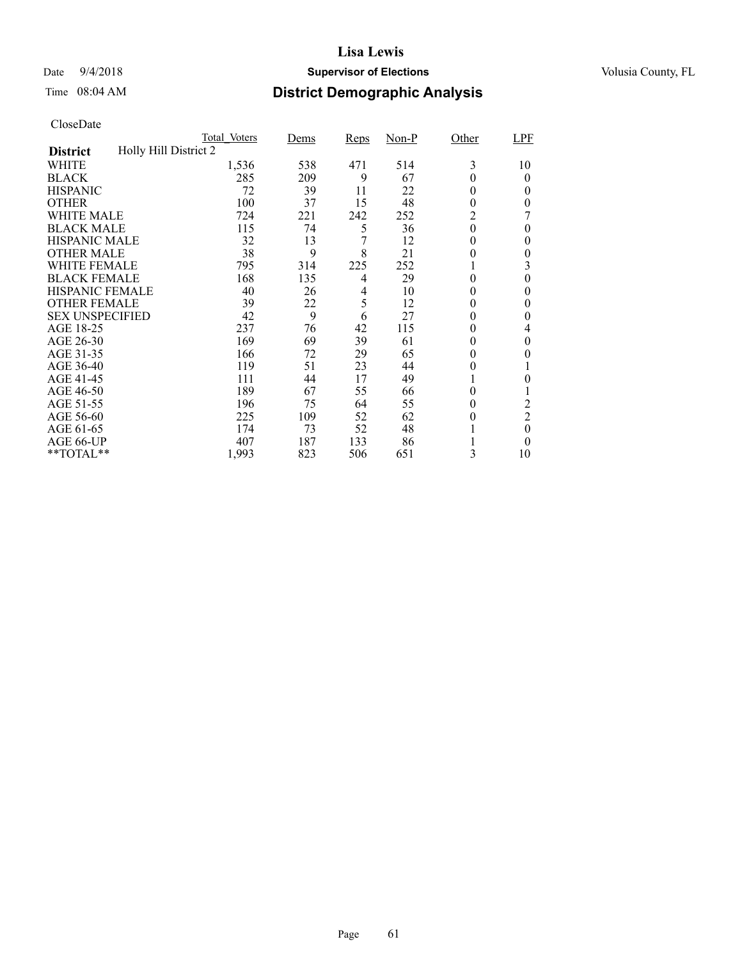## Date  $9/4/2018$  **Supervisor of Elections** Volusia County, FL

# Time 08:04 AM **District Demographic Analysis**

|                        |                       | Total Voters | Dems | <b>Reps</b> | $Non-P$ | Other          | LPF            |
|------------------------|-----------------------|--------------|------|-------------|---------|----------------|----------------|
| <b>District</b>        | Holly Hill District 2 |              |      |             |         |                |                |
| WHITE                  |                       | 1,536        | 538  | 471         | 514     | 3              | 10             |
| <b>BLACK</b>           |                       | 285          | 209  | 9           | 67      | 0              | $\theta$       |
| <b>HISPANIC</b>        |                       | 72           | 39   | 11          | 22      | 0              | 0              |
| <b>OTHER</b>           |                       | 100          | 37   | 15          | 48      | $\theta$       | 0              |
| WHITE MALE             |                       | 724          | 221  | 242         | 252     | $\overline{c}$ |                |
| <b>BLACK MALE</b>      |                       | 115          | 74   | 5           | 36      | $\theta$       | $\theta$       |
| <b>HISPANIC MALE</b>   |                       | 32           | 13   | 7           | 12      | 0              | 0              |
| <b>OTHER MALE</b>      |                       | 38           | 9    | 8           | 21      | 0              | $\theta$       |
| WHITE FEMALE           |                       | 795          | 314  | 225         | 252     |                | 3              |
| <b>BLACK FEMALE</b>    |                       | 168          | 135  | 4           | 29      | 0              | 0              |
| <b>HISPANIC FEMALE</b> |                       | 40           | 26   | 4           | 10      | 0              | 0              |
| <b>OTHER FEMALE</b>    |                       | 39           | 22   | 5           | 12      | 0              | $\theta$       |
| <b>SEX UNSPECIFIED</b> |                       | 42           | 9    | 6           | 27      | 0              | 0              |
| AGE 18-25              |                       | 237          | 76   | 42          | 115     | 0              | 4              |
| AGE 26-30              |                       | 169          | 69   | 39          | 61      | $\theta$       | $\theta$       |
| AGE 31-35              |                       | 166          | 72   | 29          | 65      | 0              | 0              |
| AGE 36-40              |                       | 119          | 51   | 23          | 44      | 0              |                |
| AGE 41-45              |                       | 111          | 44   | 17          | 49      |                | 0              |
| AGE 46-50              |                       | 189          | 67   | 55          | 66      | 0              |                |
| AGE 51-55              |                       | 196          | 75   | 64          | 55      | 0              | 2              |
| AGE 56-60              |                       | 225          | 109  | 52          | 62      | 0              | $\overline{2}$ |
| AGE 61-65              |                       | 174          | 73   | 52          | 48      |                | $\theta$       |
| AGE 66-UP              |                       | 407          | 187  | 133         | 86      |                | 0              |
| **TOTAL**              |                       | 1,993        | 823  | 506         | 651     | 3              | 10             |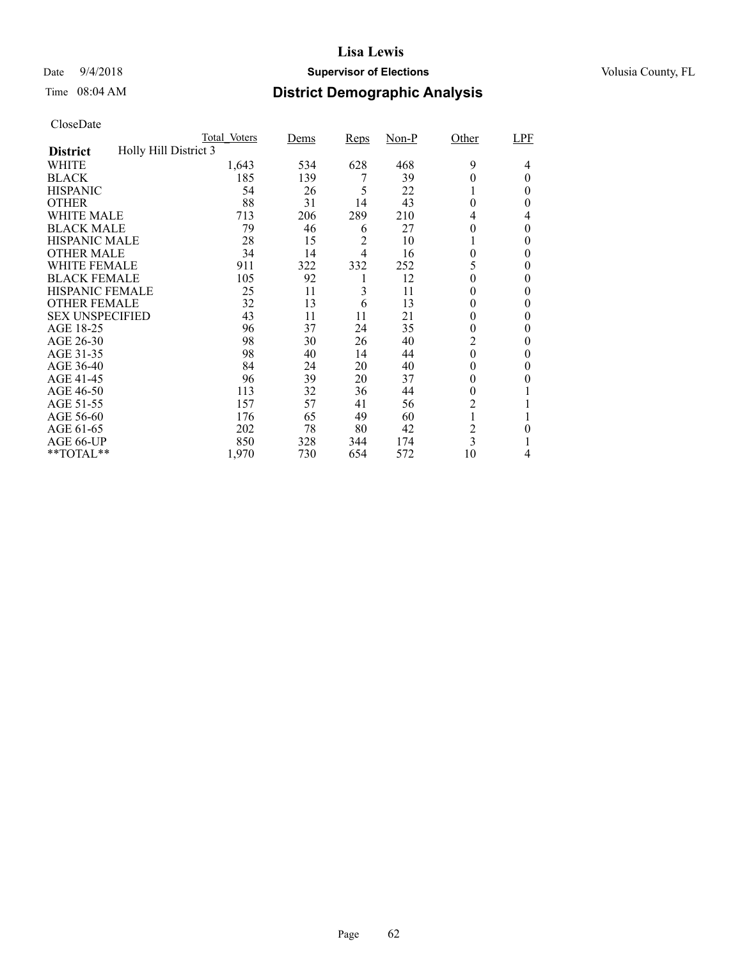## Date  $9/4/2018$  **Supervisor of Elections** Volusia County, FL

# Time 08:04 AM **District Demographic Analysis**

|                        |                       | Total Voters | <u>Dems</u> | Reps           | $Non-P$ | Other          | LPF      |
|------------------------|-----------------------|--------------|-------------|----------------|---------|----------------|----------|
| <b>District</b>        | Holly Hill District 3 |              |             |                |         |                |          |
| WHITE                  |                       | 1,643        | 534         | 628            | 468     | 9              | 4        |
| <b>BLACK</b>           |                       | 185          | 139         |                | 39      | 0              | $\theta$ |
| <b>HISPANIC</b>        |                       | 54           | 26          | 5              | 22      |                | 0        |
| <b>OTHER</b>           |                       | 88           | 31          | 14             | 43      | $\theta$       | 0        |
| WHITE MALE             |                       | 713          | 206         | 289            | 210     | 4              | 4        |
| <b>BLACK MALE</b>      |                       | 79           | 46          | 6              | 27      | 0              | $\theta$ |
| <b>HISPANIC MALE</b>   |                       | 28           | 15          | 2              | 10      |                | 0        |
| <b>OTHER MALE</b>      |                       | 34           | 14          | $\overline{4}$ | 16      | $\theta$       | 0        |
| WHITE FEMALE           |                       | 911          | 322         | 332            | 252     |                | 0        |
| <b>BLACK FEMALE</b>    |                       | 105          | 92          |                | 12      | 0              | $\theta$ |
| <b>HISPANIC FEMALE</b> |                       | 25           | 11          | 3              | 11      | 0              | 0        |
| <b>OTHER FEMALE</b>    |                       | 32           | 13          | 6              | 13      | 0              | $\theta$ |
| <b>SEX UNSPECIFIED</b> |                       | 43           | 11          | 11             | 21      | 0              | $\theta$ |
| AGE 18-25              |                       | 96           | 37          | 24             | 35      | 0              | 0        |
| AGE 26-30              |                       | 98           | 30          | 26             | 40      | 2              | $\theta$ |
| AGE 31-35              |                       | 98           | 40          | 14             | 44      | 0              | 0        |
| AGE 36-40              |                       | 84           | 24          | 20             | 40      | 0              | 0        |
| AGE 41-45              |                       | 96           | 39          | 20             | 37      | 0              | 0        |
| AGE 46-50              |                       | 113          | 32          | 36             | 44      | $\theta$       |          |
| AGE 51-55              |                       | 157          | 57          | 41             | 56      | $\overline{c}$ |          |
| AGE 56-60              |                       | 176          | 65          | 49             | 60      |                |          |
| AGE 61-65              |                       | 202          | 78          | 80             | 42      | 2              | $\theta$ |
| AGE 66-UP              |                       | 850          | 328         | 344            | 174     | 3              |          |
| **TOTAL**              |                       | 1,970        | 730         | 654            | 572     | 10             | 4        |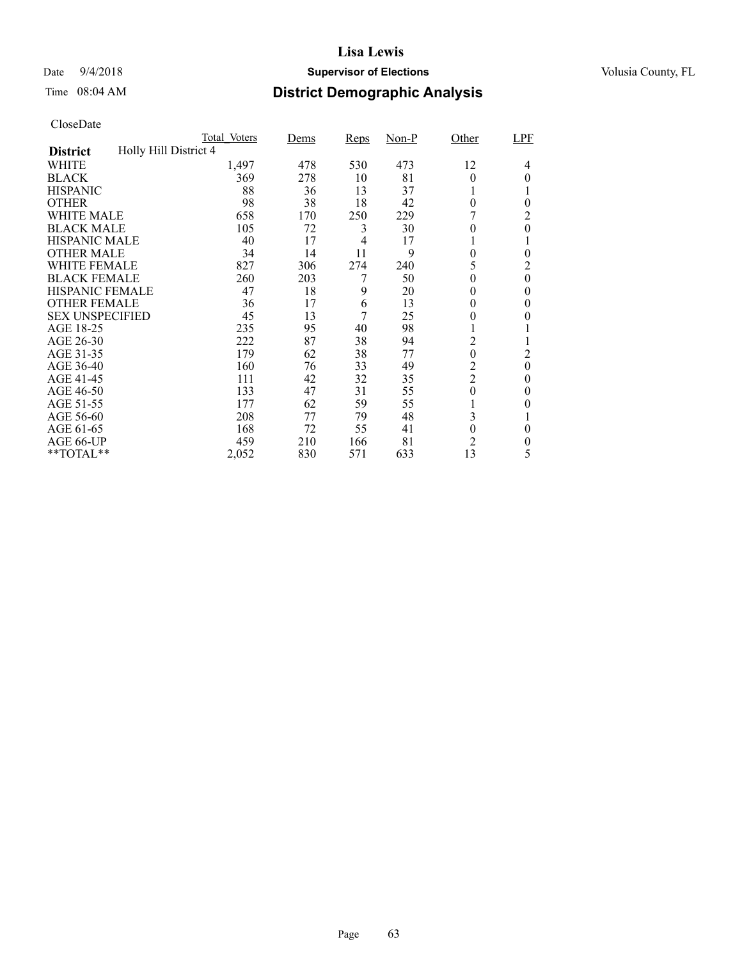## Date  $9/4/2018$  **Supervisor of Elections** Volusia County, FL

# Time 08:04 AM **District Demographic Analysis**

|                        |                       | Total Voters | <b>Dems</b> | Reps           | $Non-P$ | Other            | LPF              |
|------------------------|-----------------------|--------------|-------------|----------------|---------|------------------|------------------|
| <b>District</b>        | Holly Hill District 4 |              |             |                |         |                  |                  |
| WHITE                  |                       | 1,497        | 478         | 530            | 473     | 12               | 4                |
| <b>BLACK</b>           |                       | 369          | 278         | 10             | 81      | 0                | 0                |
| <b>HISPANIC</b>        |                       | 88           | 36          | 13             | 37      |                  |                  |
| <b>OTHER</b>           |                       | 98           | 38          | 18             | 42      | $\theta$         | $\theta$         |
| WHITE MALE             |                       | 658          | 170         | 250            | 229     |                  | 2                |
| <b>BLACK MALE</b>      |                       | 105          | 72          | 3              | 30      | 0                | $\theta$         |
| <b>HISPANIC MALE</b>   |                       | 40           | 17          | $\overline{4}$ | 17      |                  |                  |
| <b>OTHER MALE</b>      |                       | 34           | 14          | 11             | 9       | 0                | $\theta$         |
| WHITE FEMALE           |                       | 827          | 306         | 274            | 240     | 5                | 2                |
| <b>BLACK FEMALE</b>    |                       | 260          | 203         | 7              | 50      | 0                | $\theta$         |
| <b>HISPANIC FEMALE</b> |                       | 47           | 18          | 9              | 20      | 0                | 0                |
| <b>OTHER FEMALE</b>    |                       | 36           | 17          | 6              | 13      | $\theta$         | $\theta$         |
| <b>SEX UNSPECIFIED</b> |                       | 45           | 13          | 7              | 25      | $\boldsymbol{0}$ | $\theta$         |
| AGE 18-25              |                       | 235          | 95          | 40             | 98      |                  |                  |
| AGE 26-30              |                       | 222          | 87          | 38             | 94      | $\overline{c}$   |                  |
| AGE 31-35              |                       | 179          | 62          | 38             | 77      | $\mathbf{0}$     | $\overline{2}$   |
| AGE 36-40              |                       | 160          | 76          | 33             | 49      | $\overline{c}$   | $\boldsymbol{0}$ |
| AGE 41-45              |                       | 111          | 42          | 32             | 35      | $\overline{2}$   | $\Omega$         |
| AGE 46-50              |                       | 133          | 47          | 31             | 55      | $\overline{0}$   | $\theta$         |
| AGE 51-55              |                       | 177          | 62          | 59             | 55      |                  | 0                |
| AGE 56-60              |                       | 208          | 77          | 79             | 48      | 3                |                  |
| AGE 61-65              |                       | 168          | 72          | 55             | 41      | $\boldsymbol{0}$ | $\theta$         |
| AGE 66-UP              |                       | 459          | 210         | 166            | 81      | $\overline{2}$   | 0                |
| **TOTAL**              |                       | 2,052        | 830         | 571            | 633     | 13               | 5                |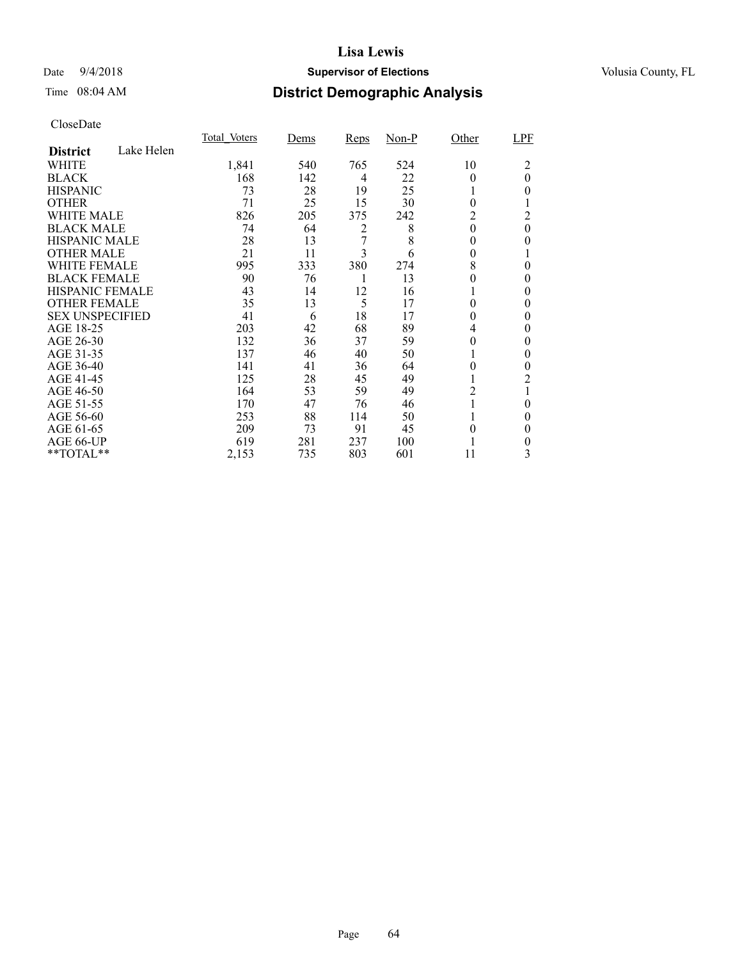## Date  $9/4/2018$  **Supervisor of Elections** Volusia County, FL

# Time 08:04 AM **District Demographic Analysis**

|                        |            | Total Voters | Dems | <b>Reps</b> | $Non-P$ | Other    | LPF            |
|------------------------|------------|--------------|------|-------------|---------|----------|----------------|
| <b>District</b>        | Lake Helen |              |      |             |         |          |                |
| WHITE                  |            | 1,841        | 540  | 765         | 524     | 10       | 2              |
| <b>BLACK</b>           |            | 168          | 142  | 4           | 22      | 0        | $\overline{0}$ |
| <b>HISPANIC</b>        |            | 73           | 28   | 19          | 25      |          | 0              |
| <b>OTHER</b>           |            | 71           | 25   | 15          | 30      | $\theta$ |                |
| WHITE MALE             |            | 826          | 205  | 375         | 242     | 2        | 2              |
| <b>BLACK MALE</b>      |            | 74           | 64   | 2           | 8       | $\theta$ | 0              |
| <b>HISPANIC MALE</b>   |            | 28           | 13   | 7           | 8       | 0        | 0              |
| <b>OTHER MALE</b>      |            | 21           | 11   | 3           | 6       | $\theta$ |                |
| WHITE FEMALE           |            | 995          | 333  | 380         | 274     | 8        | 0              |
| <b>BLACK FEMALE</b>    |            | 90           | 76   |             | 13      | 0        | 0              |
| HISPANIC FEMALE        |            | 43           | 14   | 12          | 16      |          | 0              |
| <b>OTHER FEMALE</b>    |            | 35           | 13   | 5           | 17      | 0        | 0              |
| <b>SEX UNSPECIFIED</b> |            | 41           | 6    | 18          | 17      | 0        | 0              |
| AGE 18-25              |            | 203          | 42   | 68          | 89      | 4        | 0              |
| AGE 26-30              |            | 132          | 36   | 37          | 59      | $\theta$ | 0              |
| AGE 31-35              |            | 137          | 46   | 40          | 50      |          | 0              |
| AGE 36-40              |            | 141          | 41   | 36          | 64      | 0        | 0              |
| AGE 41-45              |            | 125          | 28   | 45          | 49      |          | 2              |
| AGE 46-50              |            | 164          | 53   | 59          | 49      | 2        |                |
| AGE 51-55              |            | 170          | 47   | 76          | 46      |          | 0              |
| AGE 56-60              |            | 253          | 88   | 114         | 50      |          | 0              |
| AGE 61-65              |            | 209          | 73   | 91          | 45      | 0        | $\theta$       |
| AGE 66-UP              |            | 619          | 281  | 237         | 100     |          | 0              |
| **TOTAL**              |            | 2,153        | 735  | 803         | 601     | 11       | 3              |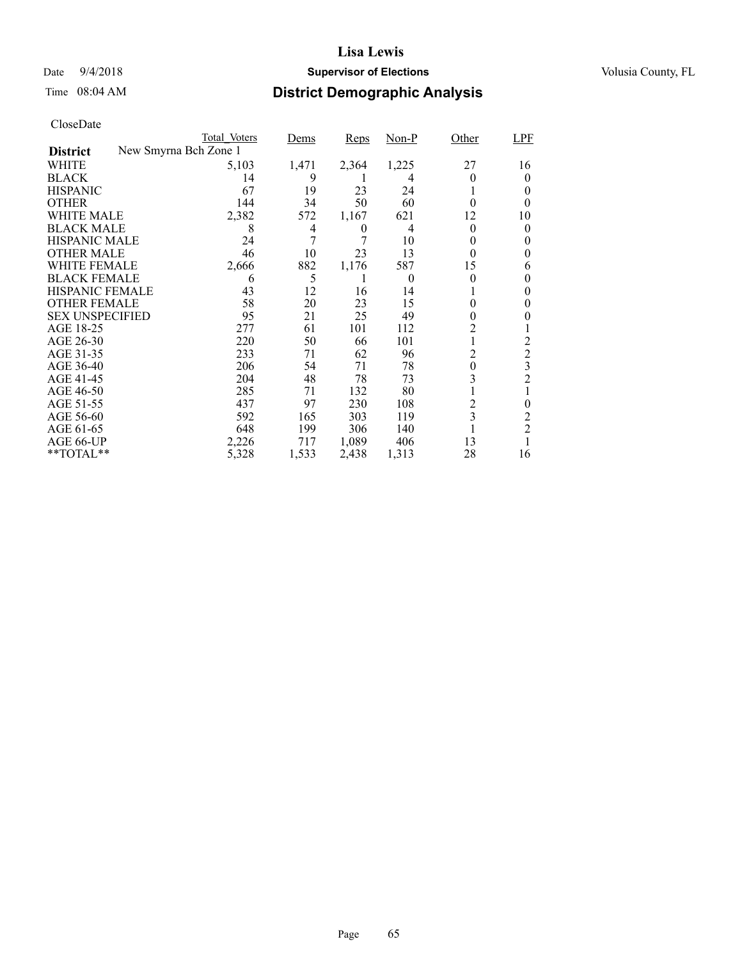## Date  $9/4/2018$  **Supervisor of Elections** Volusia County, FL

# Time 08:04 AM **District Demographic Analysis**

|                        |                       | Total Voters | Dems  | <b>Reps</b> | $Non-P$  | Other          | LPF            |
|------------------------|-----------------------|--------------|-------|-------------|----------|----------------|----------------|
| <b>District</b>        | New Smyrna Bch Zone 1 |              |       |             |          |                |                |
| WHITE                  |                       | 5,103        | 1,471 | 2,364       | 1,225    | 27             | 16             |
| <b>BLACK</b>           |                       | 14           | 9     |             | 4        |                | 0              |
| <b>HISPANIC</b>        |                       | 67           | 19    | 23          | 24       |                | 0              |
| <b>OTHER</b>           |                       | 144          | 34    | 50          | 60       | 0              | $_{0}$         |
| WHITE MALE             |                       | 2,382        | 572   | 1,167       | 621      | 12             | 10             |
| <b>BLACK MALE</b>      |                       | 8            | 4     | 0           | 4        | $\theta$       | 0              |
| <b>HISPANIC MALE</b>   |                       | 24           | 7     | 7           | 10       | 0              | 0              |
| <b>OTHER MALE</b>      |                       | 46           | 10    | 23          | 13       | $\theta$       | 0              |
| WHITE FEMALE           |                       | 2,666        | 882   | 1,176       | 587      | 15             | 6              |
| <b>BLACK FEMALE</b>    |                       | 6            | 5     |             | $\theta$ | $\theta$       | 0              |
| <b>HISPANIC FEMALE</b> |                       | 43           | 12    | 16          | 14       |                | 0              |
| <b>OTHER FEMALE</b>    |                       | 58           | 20    | 23          | 15       | 0              | 0              |
| <b>SEX UNSPECIFIED</b> |                       | 95           | 21    | 25          | 49       | 0              |                |
| AGE 18-25              |                       | 277          | 61    | 101         | 112      | 2              |                |
| AGE 26-30              |                       | 220          | 50    | 66          | 101      | 1              | 2              |
| AGE 31-35              |                       | 233          | 71    | 62          | 96       | 2              | $\overline{c}$ |
| AGE 36-40              |                       | 206          | 54    | 71          | 78       | $\overline{0}$ | 3              |
| AGE 41-45              |                       | 204          | 48    | 78          | 73       | 3              | $\overline{2}$ |
| AGE 46-50              |                       | 285          | 71    | 132         | 80       |                |                |
| AGE 51-55              |                       | 437          | 97    | 230         | 108      | 2              | $\theta$       |
| AGE 56-60              |                       | 592          | 165   | 303         | 119      | 3              | 2              |
| AGE 61-65              |                       | 648          | 199   | 306         | 140      |                | $\overline{c}$ |
| AGE 66-UP              |                       | 2,226        | 717   | 1,089       | 406      | 13             |                |
| **TOTAL**              |                       | 5,328        | 1,533 | 2,438       | 1,313    | 28             | 16             |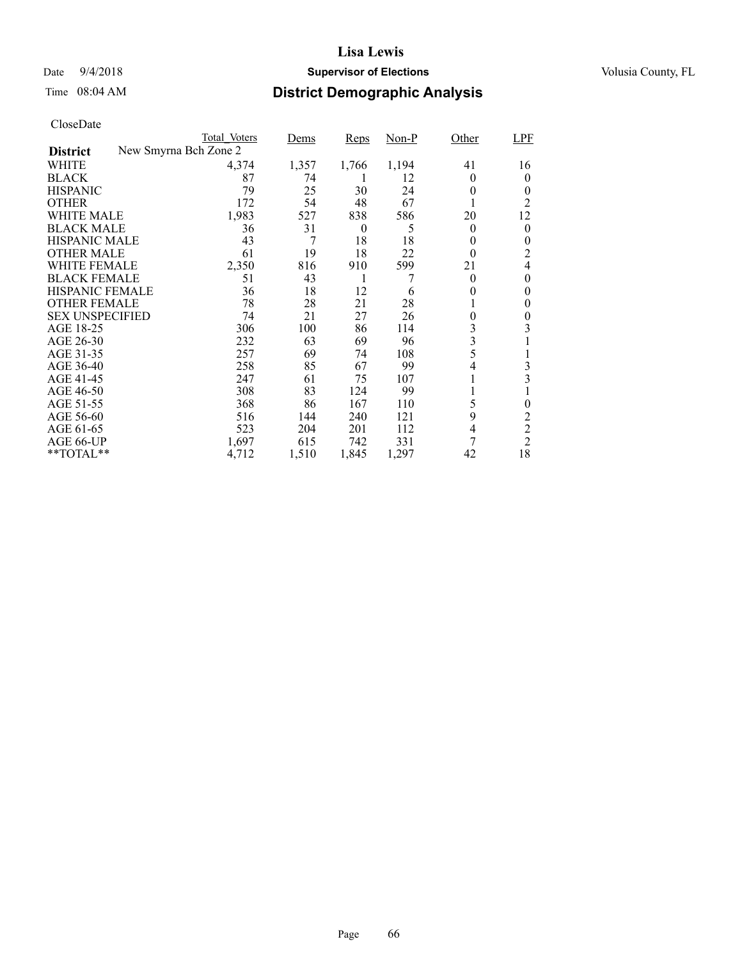## Date  $9/4/2018$  **Supervisor of Elections** Volusia County, FL

# Time 08:04 AM **District Demographic Analysis**

|                        | Total Voters          | Dems  | Reps     | $Non-P$ | Other          | LPF            |
|------------------------|-----------------------|-------|----------|---------|----------------|----------------|
| <b>District</b>        | New Smyrna Bch Zone 2 |       |          |         |                |                |
| WHITE                  | 4,374                 | 1,357 | 1,766    | 1,194   | 41             | 16             |
| <b>BLACK</b>           | 87                    | 74    | 1        | 12      | $\Omega$       | 0              |
| <b>HISPANIC</b>        | 79                    | 25    | 30       | 24      | 0              | 0              |
| <b>OTHER</b>           | 172                   | 54    | 48       | 67      | 1              | 2              |
| WHITE MALE             | 1,983                 | 527   | 838      | 586     | 20             | 12             |
| <b>BLACK MALE</b>      | 36                    | 31    | $\theta$ | 5       | $\theta$       | 0              |
| <b>HISPANIC MALE</b>   | 43                    | 7     | 18       | 18      | 0              | 0              |
| <b>OTHER MALE</b>      | 61                    | 19    | 18       | 22      | $\Omega$       | 2              |
| WHITE FEMALE           | 2,350                 | 816   | 910      | 599     | 21             | $\overline{4}$ |
| <b>BLACK FEMALE</b>    | 51                    | 43    | 1        |         | $\theta$       | $\theta$       |
| HISPANIC FEMALE        | 36                    | 18    | 12       | 6       | 0              | $\theta$       |
| <b>OTHER FEMALE</b>    | 78                    | 28    | 21       | 28      | 1              | 0              |
| <b>SEX UNSPECIFIED</b> | 74                    | 21    | 27       | 26      | $\overline{0}$ | 0              |
| AGE 18-25              | 306                   | 100   | 86       | 114     | 3              | 3              |
| AGE 26-30              | 232                   | 63    | 69       | 96      | 3              |                |
| AGE 31-35              | 257                   | 69    | 74       | 108     | 5              | 1              |
| AGE 36-40              | 258                   | 85    | 67       | 99      | 4              | 3              |
| AGE 41-45              | 247                   | 61    | 75       | 107     | 1              | 3              |
| AGE 46-50              | 308                   | 83    | 124      | 99      | 1              |                |
| AGE 51-55              | 368                   | 86    | 167      | 110     | 5              | 0              |
| AGE 56-60              | 516                   | 144   | 240      | 121     | 9              | 2              |
| AGE 61-65              | 523                   | 204   | 201      | 112     | $\overline{4}$ | $\overline{2}$ |
| AGE 66-UP              | 1,697                 | 615   | 742      | 331     | 7              | $\overline{c}$ |
| **TOTAL**              | 4,712                 | 1,510 | 1,845    | 1,297   | 42             | 18             |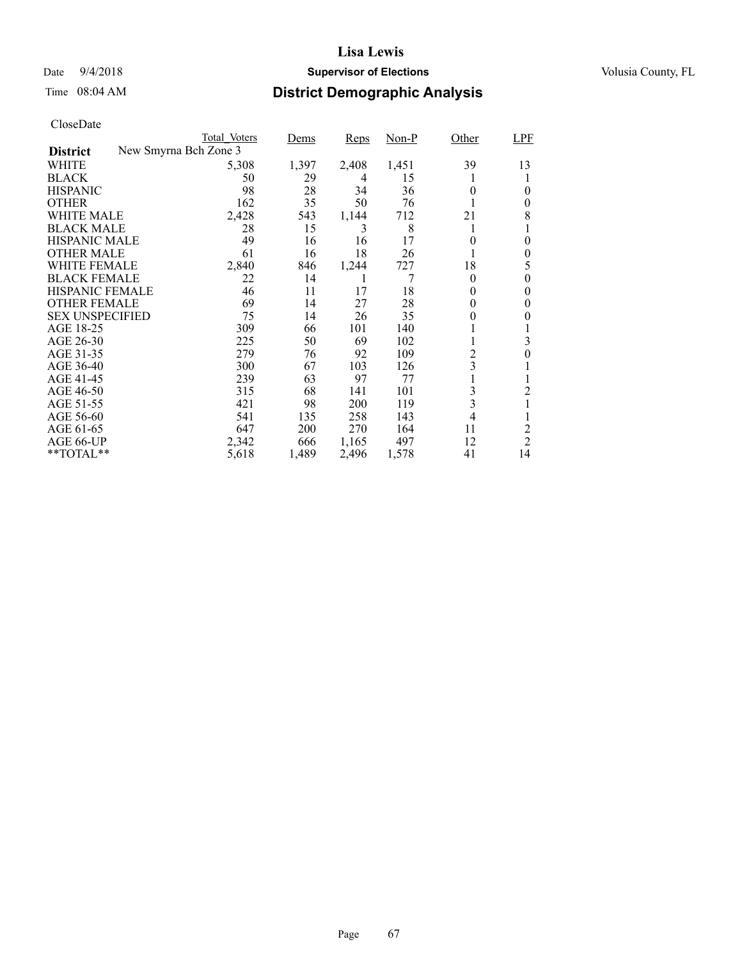## Date  $9/4/2018$  **Supervisor of Elections** Volusia County, FL

# Time 08:04 AM **District Demographic Analysis**

|                        | Total Voters          | Dems  | <b>Reps</b> | $Non-P$ | Other            | LPF            |
|------------------------|-----------------------|-------|-------------|---------|------------------|----------------|
| <b>District</b>        | New Smyrna Bch Zone 3 |       |             |         |                  |                |
| WHITE                  | 5,308                 | 1,397 | 2,408       | 1,451   | 39               | 13             |
| <b>BLACK</b>           | 50                    | 29    | 4           | 15      |                  |                |
| <b>HISPANIC</b>        | 98                    | 28    | 34          | 36      | $\theta$         | 0              |
| <b>OTHER</b>           | 162                   | 35    | 50          | 76      |                  | 0              |
| WHITE MALE             | 2,428                 | 543   | 1,144       | 712     | 21               | 8              |
| <b>BLACK MALE</b>      | 28                    | 15    | 3           | 8       |                  |                |
| <b>HISPANIC MALE</b>   | 49                    | 16    | 16          | 17      | 0                | 0              |
| <b>OTHER MALE</b>      | 61                    | 16    | 18          | 26      |                  | 0              |
| WHITE FEMALE           | 2,840                 | 846   | 1,244       | 727     | 18               | 5              |
| <b>BLACK FEMALE</b>    | 22                    | 14    | 1           | 7       | $\Omega$         | 0              |
| <b>HISPANIC FEMALE</b> | 46                    | 11    | 17          | 18      | $\theta$         | 0              |
| <b>OTHER FEMALE</b>    | 69                    | 14    | 27          | 28      | $\theta$         | 0              |
| <b>SEX UNSPECIFIED</b> | 75                    | 14    | 26          | 35      | $\boldsymbol{0}$ | 0              |
| AGE 18-25              | 309                   | 66    | 101         | 140     |                  |                |
| AGE 26-30              | 225                   | 50    | 69          | 102     |                  | 3              |
| AGE 31-35              | 279                   | 76    | 92          | 109     | $\overline{c}$   | 0              |
| AGE 36-40              | 300                   | 67    | 103         | 126     | 3                |                |
| AGE 41-45              | 239                   | 63    | 97          | 77      |                  |                |
| AGE 46-50              | 315                   | 68    | 141         | 101     | 3                | 2              |
| AGE 51-55              | 421                   | 98    | 200         | 119     | 3                | 1              |
| AGE 56-60              | 541                   | 135   | 258         | 143     | $\overline{4}$   |                |
| AGE 61-65              | 647                   | 200   | 270         | 164     | 11               | 2              |
| AGE 66-UP              | 2,342                 | 666   | 1,165       | 497     | 12               | $\overline{2}$ |
| **TOTAL**              | 5,618                 | 1,489 | 2,496       | 1,578   | 41               | 14             |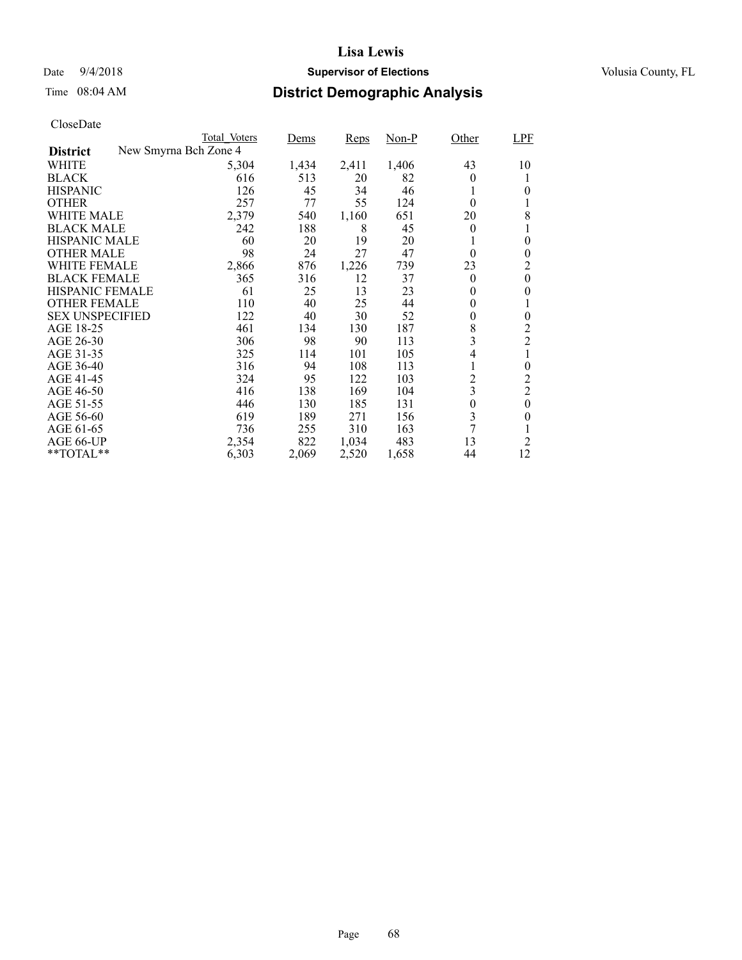## Date  $9/4/2018$  **Supervisor of Elections** Volusia County, FL

# Time 08:04 AM **District Demographic Analysis**

|                        |                       | Total Voters | Dems  | Reps  | $Non-P$ | Other            | <b>LPF</b>     |
|------------------------|-----------------------|--------------|-------|-------|---------|------------------|----------------|
| <b>District</b>        | New Smyrna Bch Zone 4 |              |       |       |         |                  |                |
| WHITE                  |                       | 5,304        | 1,434 | 2,411 | 1,406   | 43               | 10             |
| <b>BLACK</b>           |                       | 616          | 513   | 20    | 82      | $\theta$         |                |
| <b>HISPANIC</b>        |                       | 126          | 45    | 34    | 46      | 1                | 0              |
| <b>OTHER</b>           |                       | 257          | 77    | 55    | 124     | $\theta$         | 1              |
| WHITE MALE             |                       | 2,379        | 540   | 1,160 | 651     | 20               | 8              |
| <b>BLACK MALE</b>      |                       | 242          | 188   | 8     | 45      | $\theta$         | 1              |
| <b>HISPANIC MALE</b>   |                       | 60           | 20    | 19    | 20      | 1                | $\theta$       |
| <b>OTHER MALE</b>      |                       | 98           | 24    | 27    | 47      | $\Omega$         | 0              |
| WHITE FEMALE           |                       | 2,866        | 876   | 1,226 | 739     | 23               | 2              |
| <b>BLACK FEMALE</b>    |                       | 365          | 316   | 12    | 37      | $\theta$         | $\overline{0}$ |
| HISPANIC FEMALE        |                       | 61           | 25    | 13    | 23      | $\theta$         | 0              |
| <b>OTHER FEMALE</b>    |                       | 110          | 40    | 25    | 44      | $\theta$         |                |
| <b>SEX UNSPECIFIED</b> |                       | 122          | 40    | 30    | 52      | 0                | $\theta$       |
| AGE 18-25              |                       | 461          | 134   | 130   | 187     | 8                | 2              |
| AGE 26-30              |                       | 306          | 98    | 90    | 113     | 3                | $\overline{c}$ |
| AGE 31-35              |                       | 325          | 114   | 101   | 105     | 4                | 1              |
| AGE 36-40              |                       | 316          | 94    | 108   | 113     | 1                | 0              |
| AGE 41-45              |                       | 324          | 95    | 122   | 103     | $\overline{c}$   | $\overline{c}$ |
| AGE 46-50              |                       | 416          | 138   | 169   | 104     | 3                | $\overline{c}$ |
| AGE 51-55              |                       | 446          | 130   | 185   | 131     | $\boldsymbol{0}$ | $\overline{0}$ |
| AGE 56-60              |                       | 619          | 189   | 271   | 156     | 3                | 0              |
| AGE 61-65              |                       | 736          | 255   | 310   | 163     | 7                |                |
| AGE 66-UP              |                       | 2,354        | 822   | 1,034 | 483     | 13               | 2              |
| **TOTAL**              |                       | 6,303        | 2,069 | 2,520 | 1,658   | 44               | 12             |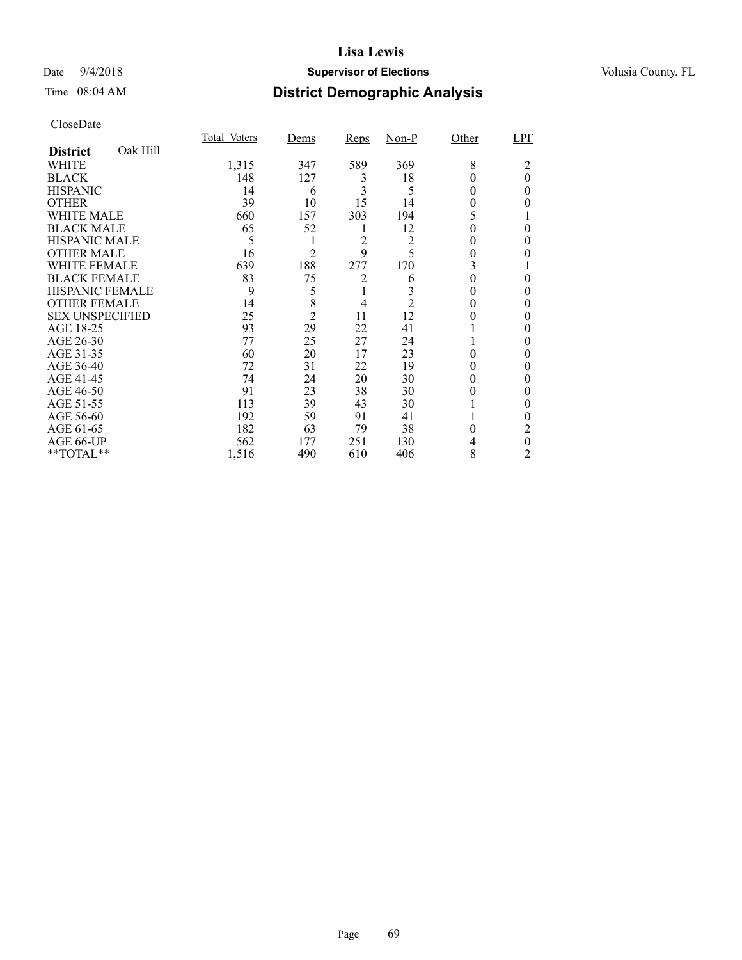## Date  $9/4/2018$  **Supervisor of Elections** Volusia County, FL

# Time 08:04 AM **District Demographic Analysis**

|                        |          | <b>Total Voters</b> | Dems           | <b>Reps</b> | $Non-P$ | Other  | LPF      |
|------------------------|----------|---------------------|----------------|-------------|---------|--------|----------|
| <b>District</b>        | Oak Hill |                     |                |             |         |        |          |
| <b>WHITE</b>           |          | 1,315               | 347            | 589         | 369     | 8      | 2        |
| <b>BLACK</b>           |          | 148                 | 127            | 3           | 18      |        | $\theta$ |
| <b>HISPANIC</b>        |          | 14                  | 6              | 3           | 5       | 0      | 0        |
| <b>OTHER</b>           |          | 39                  | 10             | 15          | 14      | 0      |          |
| WHITE MALE             |          | 660                 | 157            | 303         | 194     | 5      |          |
| <b>BLACK MALE</b>      |          | 65                  | 52             | 1           | 12      |        | 0        |
| <b>HISPANIC MALE</b>   |          | 5                   |                | 2           | 2       |        |          |
| <b>OTHER MALE</b>      |          | 16                  | $\overline{2}$ | 9           | 5       | 0      |          |
| <b>WHITE FEMALE</b>    |          | 639                 | 188            | 277         | 170     | 3      |          |
| <b>BLACK FEMALE</b>    |          | 83                  | 75             | 2           | 6       |        | 0        |
| <b>HISPANIC FEMALE</b> |          | 9                   | 5              |             |         | 0      | 0        |
| <b>OTHER FEMALE</b>    |          | 14                  | 8              | 4           | 2       | 0      | 0        |
| <b>SEX UNSPECIFIED</b> |          | 25                  | $\overline{c}$ | 11          | 12      |        | 0        |
| AGE 18-25              |          | 93                  | 29             | 22          | 41      |        |          |
| AGE 26-30              |          | 77                  | 25             | 27          | 24      |        |          |
| AGE 31-35              |          | 60                  | 20             | 17          | 23      |        |          |
| AGE 36-40              |          | 72                  | 31             | 22          | 19      |        | 0        |
| AGE 41-45              |          | 74                  | 24             | 20          | 30      | 0      |          |
| AGE 46-50              |          | 91                  | 23             | 38          | 30      | 0      | 0        |
| AGE 51-55              |          | 113                 | 39             | 43          | 30      |        |          |
| AGE 56-60              |          | 192                 | 59             | 91          | 41      |        |          |
| AGE 61-65              |          | 182                 | 63             | 79          | 38      | $_{0}$ | 2        |
| AGE 66-UP              |          | 562                 | 177            | 251         | 130     |        | 0        |
| **TOTAL**              |          | 1,516               | 490            | 610         | 406     | 8      | 2        |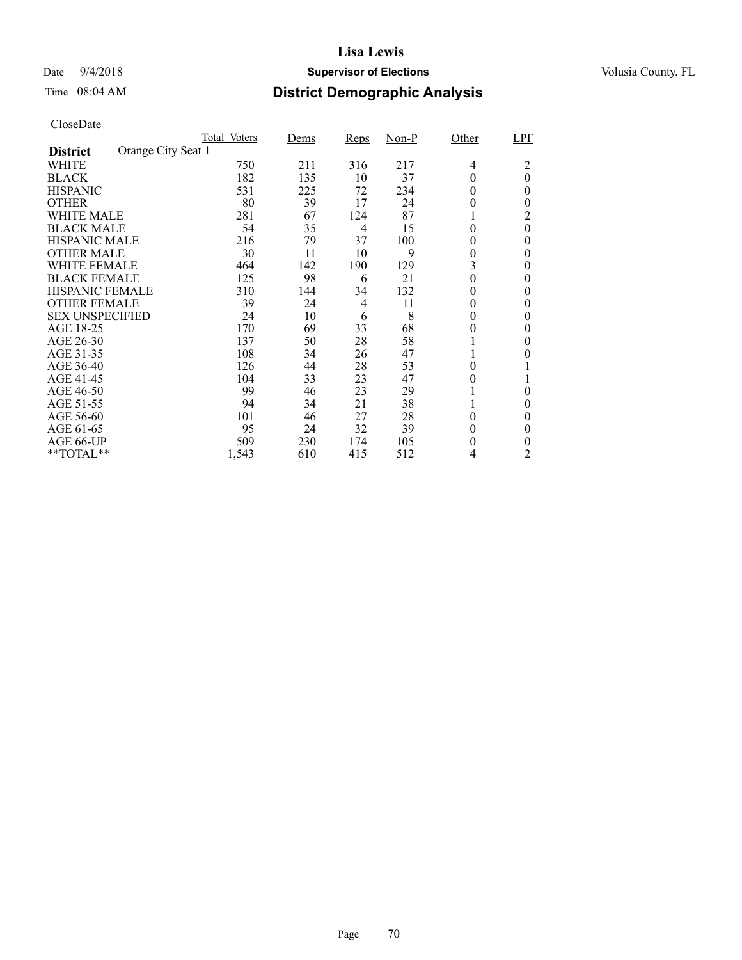## Date  $9/4/2018$  **Supervisor of Elections** Volusia County, FL

# Time 08:04 AM **District Demographic Analysis**

|                        |                    | Total Voters | Dems | Reps | $Non-P$ | Other    | LPF      |
|------------------------|--------------------|--------------|------|------|---------|----------|----------|
| <b>District</b>        | Orange City Seat 1 |              |      |      |         |          |          |
| WHITE                  |                    | 750          | 211  | 316  | 217     | 4        | 2        |
| <b>BLACK</b>           |                    | 182          | 135  | 10   | 37      | 0        | $\theta$ |
| <b>HISPANIC</b>        |                    | 531          | 225  | 72   | 234     | 0        | $\theta$ |
| <b>OTHER</b>           |                    | 80           | 39   | 17   | 24      | 0        | $\theta$ |
| WHITE MALE             |                    | 281          | 67   | 124  | 87      |          | 2        |
| <b>BLACK MALE</b>      |                    | 54           | 35   | 4    | 15      | $\theta$ | $\theta$ |
| <b>HISPANIC MALE</b>   |                    | 216          | 79   | 37   | 100     | 0        | 0        |
| <b>OTHER MALE</b>      |                    | 30           | 11   | 10   | 9       | 0        | $\theta$ |
| WHITE FEMALE           |                    | 464          | 142  | 190  | 129     | 3        | 0        |
| <b>BLACK FEMALE</b>    |                    | 125          | 98   | 6    | 21      | 0        | $\theta$ |
| <b>HISPANIC FEMALE</b> |                    | 310          | 144  | 34   | 132     | 0        | 0        |
| <b>OTHER FEMALE</b>    |                    | 39           | 24   | 4    | 11      | 0        | $\theta$ |
| <b>SEX UNSPECIFIED</b> |                    | 24           | 10   | 6    | 8       | 0        | $\theta$ |
| AGE 18-25              |                    | 170          | 69   | 33   | 68      | 0        | 0        |
| AGE 26-30              |                    | 137          | 50   | 28   | 58      |          | $\theta$ |
| AGE 31-35              |                    | 108          | 34   | 26   | 47      |          | 0        |
| AGE 36-40              |                    | 126          | 44   | 28   | 53      | 0        |          |
| AGE 41-45              |                    | 104          | 33   | 23   | 47      | 0        |          |
| AGE 46-50              |                    | 99           | 46   | 23   | 29      |          | $\theta$ |
| AGE 51-55              |                    | 94           | 34   | 21   | 38      |          | 0        |
| AGE 56-60              |                    | 101          | 46   | 27   | 28      | 0        | 0        |
| AGE 61-65              |                    | 95           | 24   | 32   | 39      | 0        | $\theta$ |
| AGE 66-UP              |                    | 509          | 230  | 174  | 105     | 0        | 0        |
| **TOTAL**              |                    | 1,543        | 610  | 415  | 512     | 4        | 2        |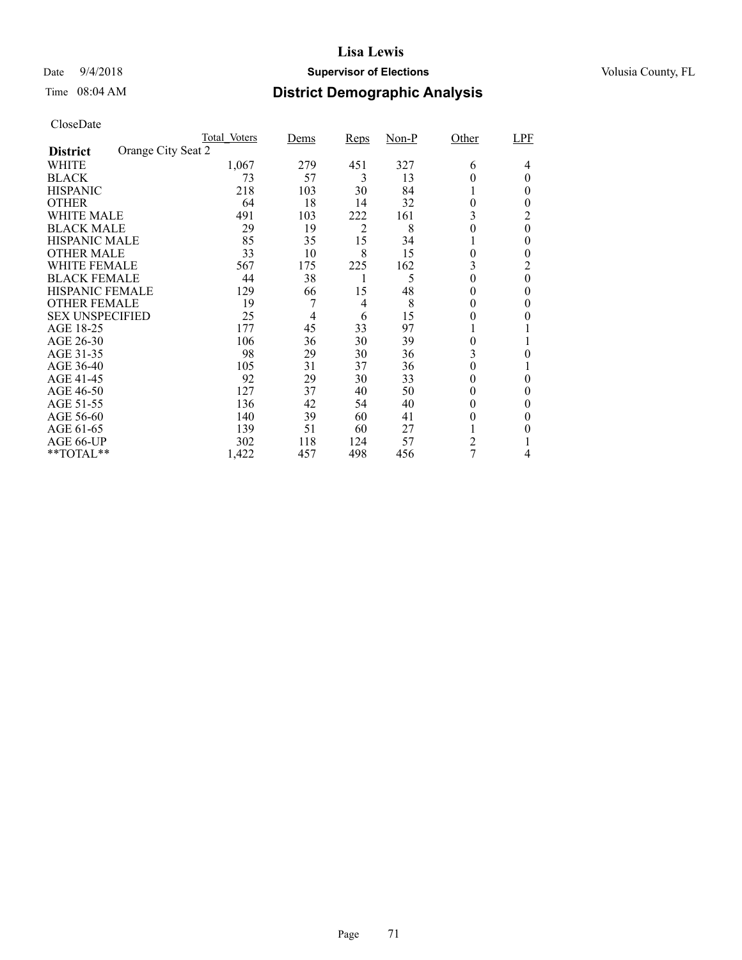## Date  $9/4/2018$  **Supervisor of Elections** Volusia County, FL

# Time 08:04 AM **District Demographic Analysis**

|                        |                    | Total Voters | Dems | Reps           | $Non-P$ | Other | LPF      |
|------------------------|--------------------|--------------|------|----------------|---------|-------|----------|
| <b>District</b>        | Orange City Seat 2 |              |      |                |         |       |          |
| WHITE                  |                    | 1,067        | 279  | 451            | 327     | 6     | 4        |
| <b>BLACK</b>           |                    | 73           | 57   | 3              | 13      | 0     | 0        |
| <b>HISPANIC</b>        |                    | 218          | 103  | 30             | 84      |       | 0        |
| <b>OTHER</b>           |                    | 64           | 18   | 14             | 32      | 0     | $_{0}$   |
| WHITE MALE             |                    | 491          | 103  | 222            | 161     | 3     | 2        |
| <b>BLACK MALE</b>      |                    | 29           | 19   | $\overline{2}$ | 8       | 0     | $\theta$ |
| <b>HISPANIC MALE</b>   |                    | 85           | 35   | 15             | 34      |       | $\theta$ |
| <b>OTHER MALE</b>      |                    | 33           | 10   | 8              | 15      | 0     | 0        |
| WHITE FEMALE           |                    | 567          | 175  | 225            | 162     |       | 2        |
| <b>BLACK FEMALE</b>    |                    | 44           | 38   |                | 5       | 0     | $\theta$ |
| <b>HISPANIC FEMALE</b> |                    | 129          | 66   | 15             | 48      | 0     | 0        |
| <b>OTHER FEMALE</b>    |                    | 19           |      | 4              | 8       | 0     | 0        |
| <b>SEX UNSPECIFIED</b> |                    | 25           | 4    | 6              | 15      | 0     |          |
| AGE 18-25              |                    | 177          | 45   | 33             | 97      |       |          |
| AGE 26-30              |                    | 106          | 36   | 30             | 39      | 0     |          |
| AGE 31-35              |                    | 98           | 29   | 30             | 36      | 3     |          |
| AGE 36-40              |                    | 105          | 31   | 37             | 36      | 0     |          |
| AGE 41-45              |                    | 92           | 29   | 30             | 33      | 0     | 0        |
| AGE 46-50              |                    | 127          | 37   | 40             | 50      | 0     | $\theta$ |
| AGE 51-55              |                    | 136          | 42   | 54             | 40      | 0     | 0        |
| AGE 56-60              |                    | 140          | 39   | 60             | 41      | 0     | $\theta$ |
| AGE 61-65              |                    | 139          | 51   | 60             | 27      |       | 0        |
| AGE 66-UP              |                    | 302          | 118  | 124            | 57      | 2     |          |
| **TOTAL**              |                    | 1,422        | 457  | 498            | 456     | 7     | 4        |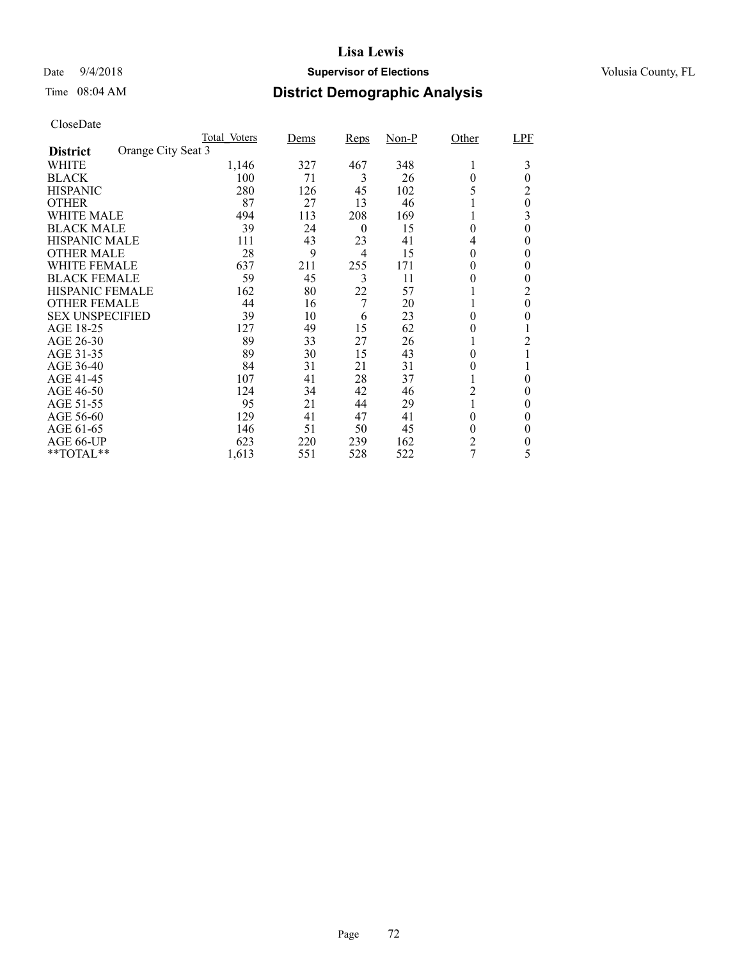## Date  $9/4/2018$  **Supervisor of Elections** Volusia County, FL

# Time 08:04 AM **District Demographic Analysis**

|                        |                    | <b>Total Voters</b> | Dems | <b>Reps</b> | $Non-P$ | Other          | LPF      |
|------------------------|--------------------|---------------------|------|-------------|---------|----------------|----------|
| <b>District</b>        | Orange City Seat 3 |                     |      |             |         |                |          |
| WHITE                  |                    | 1,146               | 327  | 467         | 348     | 1              | 3        |
| <b>BLACK</b>           |                    | 100                 | 71   | 3           | 26      | 0              | $\theta$ |
| <b>HISPANIC</b>        |                    | 280                 | 126  | 45          | 102     | 5              | 2        |
| <b>OTHER</b>           |                    | 87                  | 27   | 13          | 46      |                | $\theta$ |
| WHITE MALE             |                    | 494                 | 113  | 208         | 169     |                | 3        |
| <b>BLACK MALE</b>      |                    | 39                  | 24   | $\theta$    | 15      | 0              | 0        |
| <b>HISPANIC MALE</b>   |                    | 111                 | 43   | 23          | 41      | 4              | 0        |
| <b>OTHER MALE</b>      |                    | 28                  | 9    | 4           | 15      | 0              | 0        |
| WHITE FEMALE           |                    | 637                 | 211  | 255         | 171     | 0              | 0        |
| <b>BLACK FEMALE</b>    |                    | 59                  | 45   | 3           | 11      |                | 0        |
| <b>HISPANIC FEMALE</b> |                    | 162                 | 80   | 22          | 57      |                | 2        |
| <b>OTHER FEMALE</b>    |                    | 44                  | 16   | 7           | 20      |                | $\theta$ |
| <b>SEX UNSPECIFIED</b> |                    | 39                  | 10   | 6           | 23      | 0              | 0        |
| AGE 18-25              |                    | 127                 | 49   | 15          | 62      | 0              |          |
| AGE 26-30              |                    | 89                  | 33   | 27          | 26      |                | 2        |
| AGE 31-35              |                    | 89                  | 30   | 15          | 43      | 0              |          |
| AGE 36-40              |                    | 84                  | 31   | 21          | 31      | 0              |          |
| AGE 41-45              |                    | 107                 | 41   | 28          | 37      |                | 0        |
| AGE 46-50              |                    | 124                 | 34   | 42          | 46      | 2              | 0        |
| AGE 51-55              |                    | 95                  | 21   | 44          | 29      |                | $\theta$ |
| AGE 56-60              |                    | 129                 | 41   | 47          | 41      | 0              | $\theta$ |
| AGE 61-65              |                    | 146                 | 51   | 50          | 45      | 0              | $\theta$ |
| AGE 66-UP              |                    | 623                 | 220  | 239         | 162     | $\overline{c}$ | 0        |
| **TOTAL**              |                    | 1,613               | 551  | 528         | 522     | 7              | 5        |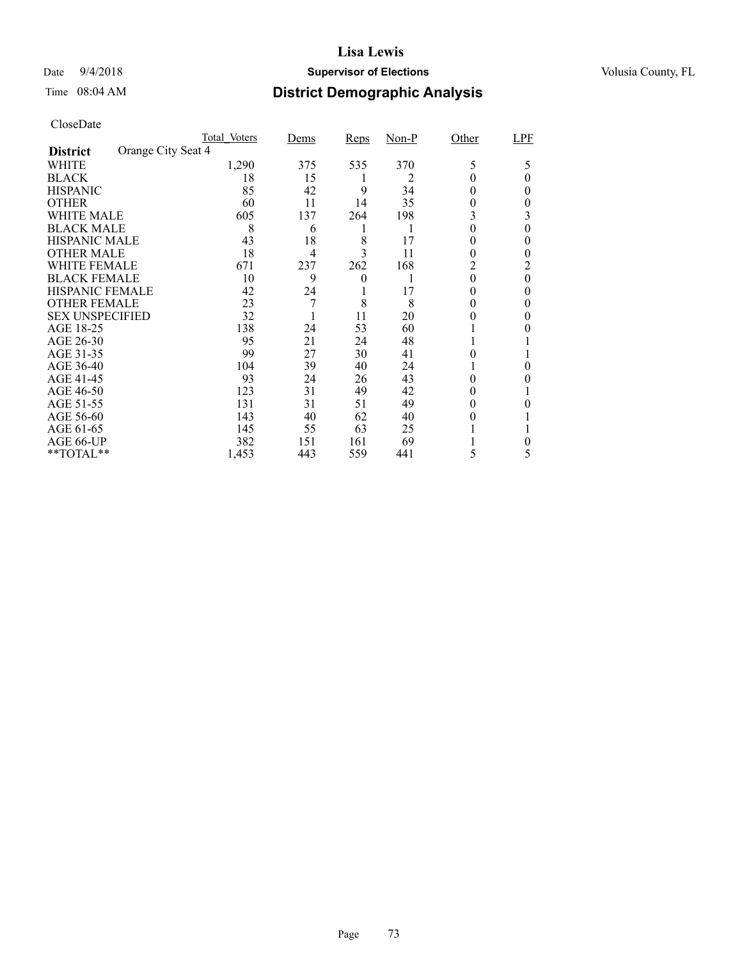### Date  $9/4/2018$  **Supervisor of Elections** Volusia County, FL

## Time 08:04 AM **District Demographic Analysis**

|                        |                    | Total Voters | Dems | <b>Reps</b> | $Non-P$ | Other | LPF |
|------------------------|--------------------|--------------|------|-------------|---------|-------|-----|
| <b>District</b>        | Orange City Seat 4 |              |      |             |         |       |     |
| WHITE                  |                    | 1,290        | 375  | 535         | 370     | 5     | 5   |
| <b>BLACK</b>           |                    | 18           | 15   |             | 2       |       | 0   |
| <b>HISPANIC</b>        |                    | 85           | 42   | 9           | 34      | 0     | 0   |
| <b>OTHER</b>           |                    | 60           | 11   | 14          | 35      | 0     | 0   |
| WHITE MALE             |                    | 605          | 137  | 264         | 198     | 3     | 3   |
| <b>BLACK MALE</b>      |                    | 8            | 6    | 1           | 1       | 0     | 0   |
| <b>HISPANIC MALE</b>   |                    | 43           | 18   | 8           | 17      | 0     | 0   |
| <b>OTHER MALE</b>      |                    | 18           | 4    | 3           | 11      | 0     | 0   |
| WHITE FEMALE           |                    | 671          | 237  | 262         | 168     | 2     | 2   |
| <b>BLACK FEMALE</b>    |                    | 10           | 9    | 0           |         | 0     | 0   |
| <b>HISPANIC FEMALE</b> |                    | 42           | 24   |             | 17      |       | 0   |
| <b>OTHER FEMALE</b>    |                    | 23           | 7    | 8           | 8       | 0     | 0   |
| <b>SEX UNSPECIFIED</b> |                    | 32           |      | 11          | 20      |       | 0   |
| AGE 18-25              |                    | 138          | 24   | 53          | 60      |       |     |
| AGE 26-30              |                    | 95           | 21   | 24          | 48      |       |     |
| AGE 31-35              |                    | 99           | 27   | 30          | 41      | 0     |     |
| AGE 36-40              |                    | 104          | 39   | 40          | 24      |       | 0   |
| AGE 41-45              |                    | 93           | 24   | 26          | 43      | 0     |     |
| AGE 46-50              |                    | 123          | 31   | 49          | 42      | 0     |     |
| AGE 51-55              |                    | 131          | 31   | 51          | 49      | 0     | 0   |
| AGE 56-60              |                    | 143          | 40   | 62          | 40      | 0     |     |
| AGE 61-65              |                    | 145          | 55   | 63          | 25      |       |     |
| AGE 66-UP              |                    | 382          | 151  | 161         | 69      |       | 0   |
| **TOTAL**              |                    | 1,453        | 443  | 559         | 441     | 5     | 5   |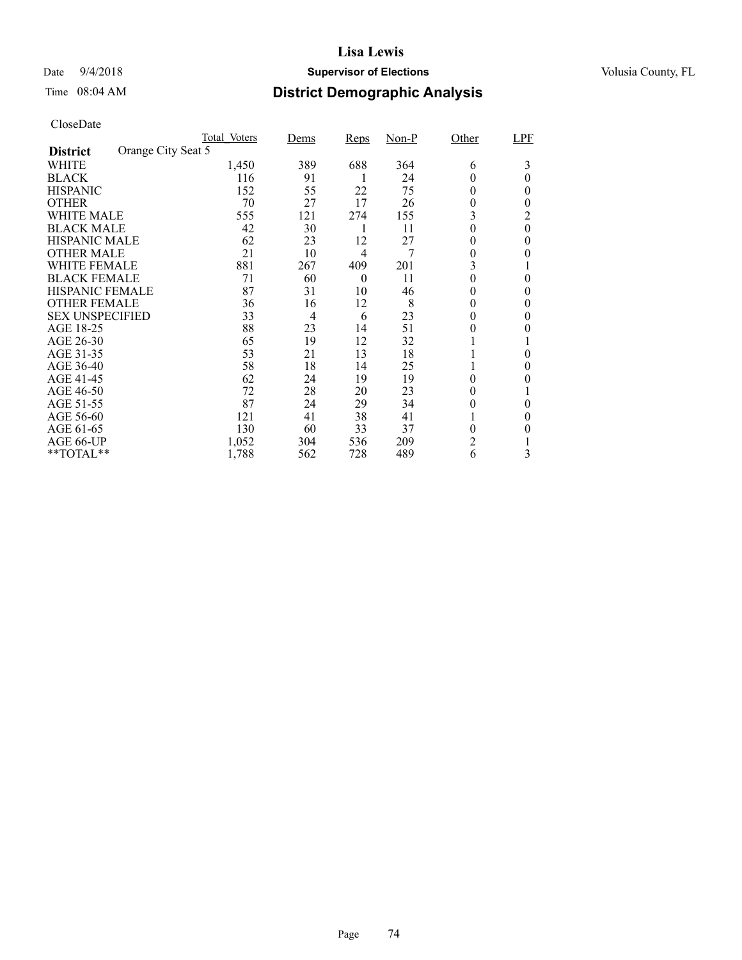### Date  $9/4/2018$  **Supervisor of Elections** Volusia County, FL

## Time 08:04 AM **District Demographic Analysis**

|                        |                    | Total Voters | Dems | Reps     | $Non-P$ | Other | LPF      |
|------------------------|--------------------|--------------|------|----------|---------|-------|----------|
| <b>District</b>        | Orange City Seat 5 |              |      |          |         |       |          |
| WHITE                  |                    | 1,450        | 389  | 688      | 364     | 6     | 3        |
| <b>BLACK</b>           |                    | 116          | 91   |          | 24      | 0     | 0        |
| <b>HISPANIC</b>        |                    | 152          | 55   | 22       | 75      | 0     | 0        |
| <b>OTHER</b>           |                    | 70           | 27   | 17       | 26      | 0     | $_{0}$   |
| WHITE MALE             |                    | 555          | 121  | 274      | 155     | 3     | 2        |
| <b>BLACK MALE</b>      |                    | 42           | 30   | 1        | 11      | 0     | $\theta$ |
| <b>HISPANIC MALE</b>   |                    | 62           | 23   | 12       | 27      | 0     | $\theta$ |
| <b>OTHER MALE</b>      |                    | 21           | 10   | 4        | 7       | 0     | 0        |
| WHITE FEMALE           |                    | 881          | 267  | 409      | 201     | 3     |          |
| <b>BLACK FEMALE</b>    |                    | 71           | 60   | $\theta$ | 11      | 0     | 0        |
| <b>HISPANIC FEMALE</b> |                    | 87           | 31   | 10       | 46      | 0     | 0        |
| <b>OTHER FEMALE</b>    |                    | 36           | 16   | 12       | 8       | 0     | $\theta$ |
| <b>SEX UNSPECIFIED</b> |                    | 33           | 4    | 6        | 23      | 0     | 0        |
| AGE 18-25              |                    | 88           | 23   | 14       | 51      | 0     |          |
| AGE 26-30              |                    | 65           | 19   | 12       | 32      |       |          |
| AGE 31-35              |                    | 53           | 21   | 13       | 18      |       | 0        |
| AGE 36-40              |                    | 58           | 18   | 14       | 25      |       | $_{0}$   |
| AGE 41-45              |                    | 62           | 24   | 19       | 19      | 0     | 0        |
| AGE 46-50              |                    | 72           | 28   | 20       | 23      | 0     |          |
| AGE 51-55              |                    | 87           | 24   | 29       | 34      | 0     | 0        |
| AGE 56-60              |                    | 121          | 41   | 38       | 41      |       | $\theta$ |
| AGE 61-65              |                    | 130          | 60   | 33       | 37      | 0     | 0        |
| AGE 66-UP              |                    | 1,052        | 304  | 536      | 209     | 2     |          |
| **TOTAL**              |                    | 1,788        | 562  | 728      | 489     | 6     | 3        |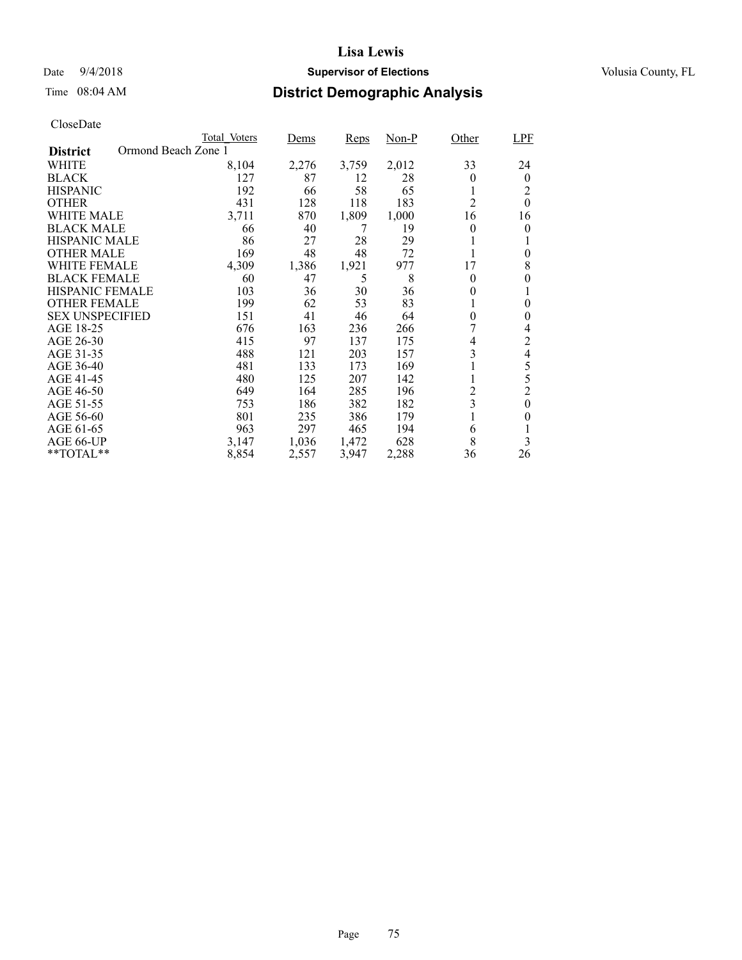### Date  $9/4/2018$  **Supervisor of Elections** Volusia County, FL

## Time 08:04 AM **District Demographic Analysis**

|                                        | Total Voters | Dems  | <b>Reps</b> | Non-P | Other          | <b>LPF</b>       |
|----------------------------------------|--------------|-------|-------------|-------|----------------|------------------|
| Ormond Beach Zone 1<br><b>District</b> |              |       |             |       |                |                  |
| WHITE                                  | 8,104        | 2,276 | 3,759       | 2,012 | 33             | 24               |
| <b>BLACK</b>                           | 127          | 87    | 12          | 28    | 0              | $\theta$         |
| <b>HISPANIC</b>                        | 192          | 66    | 58          | 65    |                | 2                |
| <b>OTHER</b>                           | 431          | 128   | 118         | 183   | $\overline{2}$ | $\theta$         |
| WHITE MALE                             | 3,711        | 870   | 1,809       | 1,000 | 16             | 16               |
| <b>BLACK MALE</b>                      | 66           | 40    | 7           | 19    | $\theta$       | 0                |
| <b>HISPANIC MALE</b>                   | 86           | 27    | 28          | 29    |                |                  |
| <b>OTHER MALE</b>                      | 169          | 48    | 48          | 72    |                | 0                |
| <b>WHITE FEMALE</b>                    | 4,309        | 1,386 | 1,921       | 977   | 17             | 8                |
| <b>BLACK FEMALE</b>                    | 60           | 47    | 5           | 8     | $\theta$       | 0                |
| <b>HISPANIC FEMALE</b>                 | 103          | 36    | 30          | 36    | $\theta$       | 1                |
| <b>OTHER FEMALE</b>                    | 199          | 62    | 53          | 83    |                | 0                |
| <b>SEX UNSPECIFIED</b>                 | 151          | 41    | 46          | 64    | $\overline{0}$ | 0                |
| AGE 18-25                              | 676          | 163   | 236         | 266   |                | 4                |
| AGE 26-30                              | 415          | 97    | 137         | 175   | 4              | 2                |
| AGE 31-35                              | 488          | 121   | 203         | 157   | 3              | 4                |
| AGE 36-40                              | 481          | 133   | 173         | 169   |                | 5                |
| AGE 41-45                              | 480          | 125   | 207         | 142   |                | 5                |
| AGE 46-50                              | 649          | 164   | 285         | 196   | $\overline{c}$ | $\overline{c}$   |
| AGE 51-55                              | 753          | 186   | 382         | 182   | 3              | $\boldsymbol{0}$ |
| AGE 56-60                              | 801          | 235   | 386         | 179   |                | 0                |
| AGE 61-65                              | 963          | 297   | 465         | 194   | 6              |                  |
| AGE 66-UP                              | 3,147        | 1,036 | 1,472       | 628   | 8              | 3                |
| $*$ TOTAL $*$                          | 8,854        | 2,557 | 3,947       | 2,288 | 36             | 26               |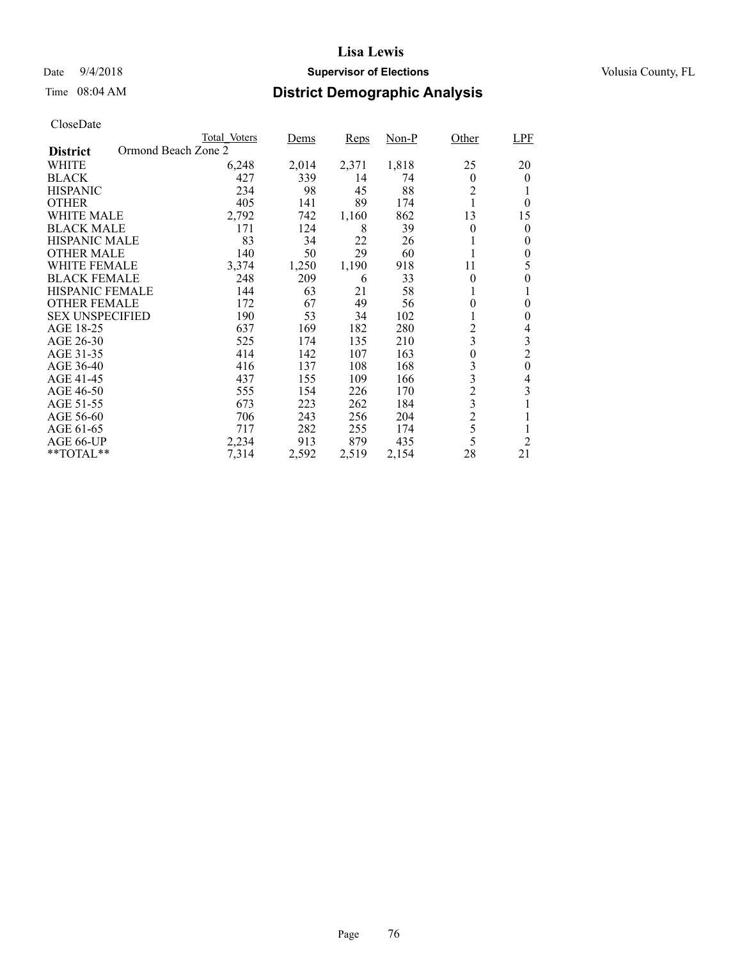### Date  $9/4/2018$  **Supervisor of Elections** Volusia County, FL

## Time 08:04 AM **District Demographic Analysis**

|                        |                     | Total Voters | Dems  | <b>Reps</b> | Non-P | Other                   | <b>LPF</b>       |
|------------------------|---------------------|--------------|-------|-------------|-------|-------------------------|------------------|
| <b>District</b>        | Ormond Beach Zone 2 |              |       |             |       |                         |                  |
| WHITE                  |                     | 6,248        | 2,014 | 2,371       | 1,818 | 25                      | 20               |
| <b>BLACK</b>           |                     | 427          | 339   | 14          | 74    | $\theta$                | $\theta$         |
| <b>HISPANIC</b>        |                     | 234          | 98    | 45          | 88    | $\overline{c}$          |                  |
| <b>OTHER</b>           |                     | 405          | 141   | 89          | 174   |                         | $\theta$         |
| WHITE MALE             |                     | 2,792        | 742   | 1,160       | 862   | 13                      | 15               |
| <b>BLACK MALE</b>      |                     | 171          | 124   | 8           | 39    | $\theta$                | 0                |
| <b>HISPANIC MALE</b>   |                     | 83           | 34    | 22          | 26    |                         | 0                |
| <b>OTHER MALE</b>      |                     | 140          | 50    | 29          | 60    |                         | $\boldsymbol{0}$ |
| <b>WHITE FEMALE</b>    |                     | 3,374        | 1,250 | 1,190       | 918   | 11                      | 5                |
| <b>BLACK FEMALE</b>    |                     | 248          | 209   | 6           | 33    | $\theta$                | 0                |
| HISPANIC FEMALE        |                     | 144          | 63    | 21          | 58    |                         |                  |
| <b>OTHER FEMALE</b>    |                     | 172          | 67    | 49          | 56    | $\theta$                | 0                |
| <b>SEX UNSPECIFIED</b> |                     | 190          | 53    | 34          | 102   |                         | 0                |
| AGE 18-25              |                     | 637          | 169   | 182         | 280   | $\overline{c}$          | 4                |
| AGE 26-30              |                     | 525          | 174   | 135         | 210   | $\overline{3}$          | 3                |
| AGE 31-35              |                     | 414          | 142   | 107         | 163   | $\overline{0}$          | $\overline{2}$   |
| AGE 36-40              |                     | 416          | 137   | 108         | 168   | 3                       | $\boldsymbol{0}$ |
| AGE 41-45              |                     | 437          | 155   | 109         | 166   | 3                       | 4                |
| AGE 46-50              |                     | 555          | 154   | 226         | 170   | $\overline{c}$          | 3                |
| AGE 51-55              |                     | 673          | 223   | 262         | 184   | $\overline{\mathbf{3}}$ |                  |
| AGE 56-60              |                     | 706          | 243   | 256         | 204   | $\overline{2}$          |                  |
| AGE 61-65              |                     | 717          | 282   | 255         | 174   | 5                       |                  |
| AGE 66-UP              |                     | 2,234        | 913   | 879         | 435   | 5                       | $\overline{2}$   |
| **TOTAL**              |                     | 7,314        | 2,592 | 2,519       | 2,154 | 28                      | 21               |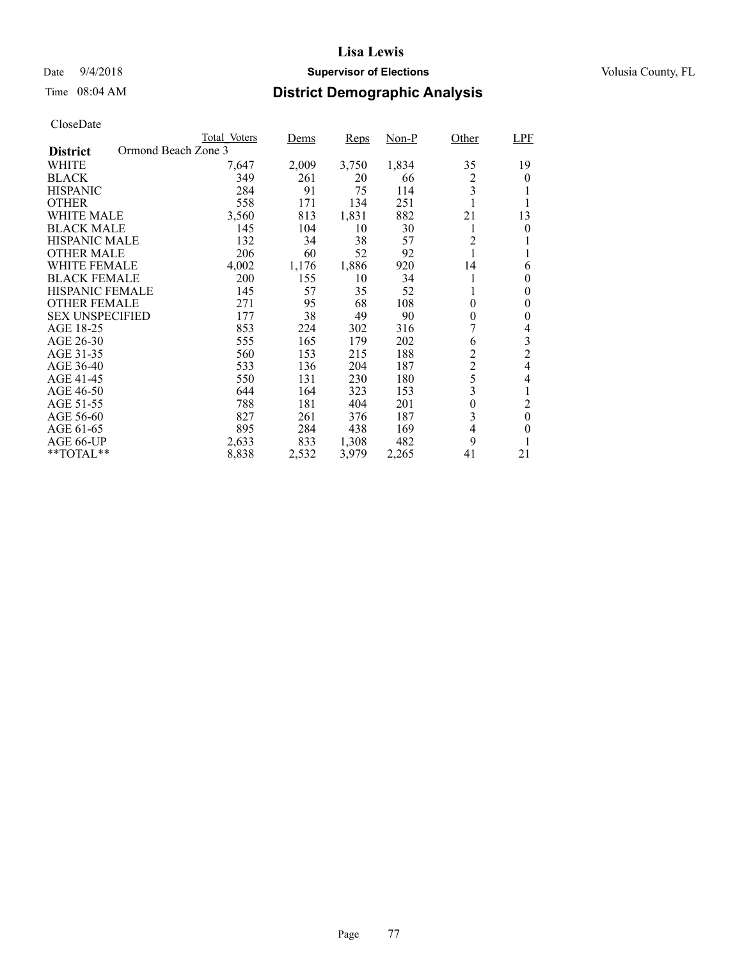### Date  $9/4/2018$  **Supervisor of Elections** Volusia County, FL

## Time 08:04 AM **District Demographic Analysis**

|                                        | Total Voters | Dems  | <b>Reps</b> | Non-P | Other            | <b>LPF</b>     |
|----------------------------------------|--------------|-------|-------------|-------|------------------|----------------|
| Ormond Beach Zone 3<br><b>District</b> |              |       |             |       |                  |                |
| WHITE                                  | 7,647        | 2,009 | 3,750       | 1,834 | 35               | 19             |
| <b>BLACK</b>                           | 349          | 261   | 20          | 66    | 2                | 0              |
| <b>HISPANIC</b>                        | 284          | 91    | 75          | 114   | 3                |                |
| <b>OTHER</b>                           | 558          | 171   | 134         | 251   |                  |                |
| WHITE MALE                             | 3,560        | 813   | 1,831       | 882   | 21               | 13             |
| <b>BLACK MALE</b>                      | 145          | 104   | 10          | 30    | 1                | 0              |
| <b>HISPANIC MALE</b>                   | 132          | 34    | 38          | 57    | 2                |                |
| <b>OTHER MALE</b>                      | 206          | 60    | 52          | 92    |                  |                |
| <b>WHITE FEMALE</b>                    | 4,002        | 1,176 | 1,886       | 920   | 14               | 6              |
| <b>BLACK FEMALE</b>                    | 200          | 155   | 10          | 34    |                  | $\theta$       |
| <b>HISPANIC FEMALE</b>                 | 145          | 57    | 35          | 52    | 1                | $\theta$       |
| <b>OTHER FEMALE</b>                    | 271          | 95    | 68          | 108   | $\overline{0}$   | 0              |
| <b>SEX UNSPECIFIED</b>                 | 177          | 38    | 49          | 90    | $\overline{0}$   | 0              |
| AGE 18-25                              | 853          | 224   | 302         | 316   |                  | 4              |
| AGE 26-30                              | 555          | 165   | 179         | 202   | 6                | 3              |
| AGE 31-35                              | 560          | 153   | 215         | 188   | $\overline{c}$   | $\overline{2}$ |
| AGE 36-40                              | 533          | 136   | 204         | 187   | $\overline{2}$   | 4              |
| AGE 41-45                              | 550          | 131   | 230         | 180   | 5                | 4              |
| AGE 46-50                              | 644          | 164   | 323         | 153   | 3                |                |
| AGE 51-55                              | 788          | 181   | 404         | 201   | $\boldsymbol{0}$ | 2              |
| AGE 56-60                              | 827          | 261   | 376         | 187   | 3                | $\theta$       |
| AGE 61-65                              | 895          | 284   | 438         | 169   | 4                | $\theta$       |
| AGE 66-UP                              | 2,633        | 833   | 1,308       | 482   | 9                |                |
| **TOTAL**                              | 8,838        | 2,532 | 3,979       | 2,265 | 41               | 21             |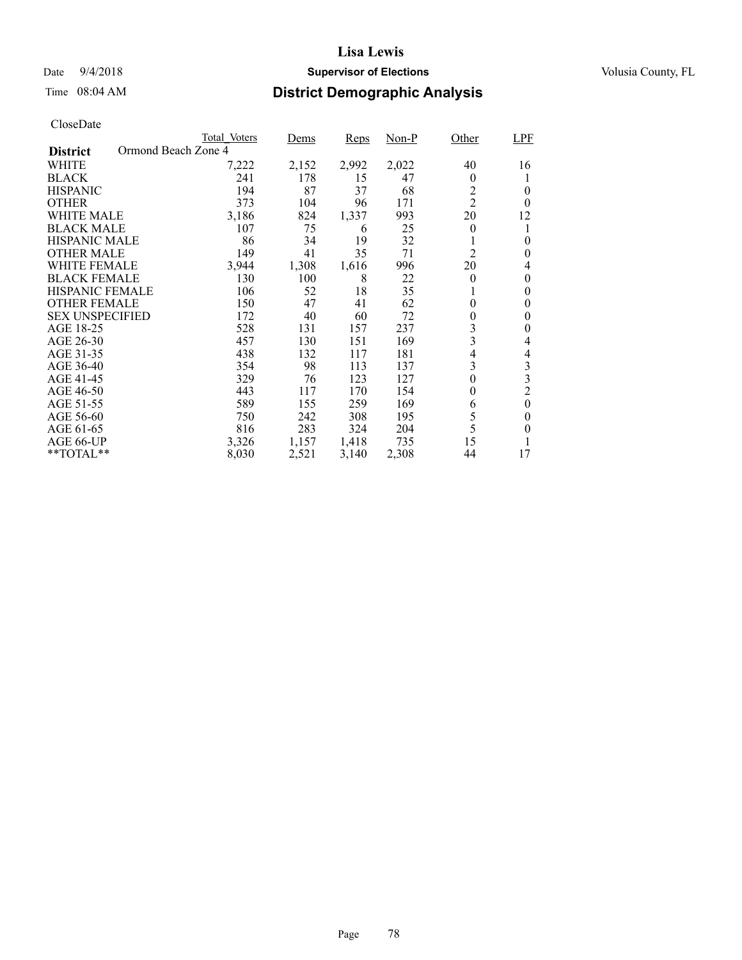### Date  $9/4/2018$  **Supervisor of Elections** Volusia County, FL

## Time 08:04 AM **District Demographic Analysis**

|                        |                     | Total Voters | Dems  | <b>Reps</b> | Non-P | Other          | <b>LPF</b>     |
|------------------------|---------------------|--------------|-------|-------------|-------|----------------|----------------|
| <b>District</b>        | Ormond Beach Zone 4 |              |       |             |       |                |                |
| WHITE                  |                     | 7,222        | 2,152 | 2,992       | 2,022 | 40             | 16             |
| <b>BLACK</b>           |                     | 241          | 178   | 15          | 47    | $\theta$       |                |
| <b>HISPANIC</b>        |                     | 194          | 87    | 37          | 68    | $\overline{c}$ | $\theta$       |
| <b>OTHER</b>           |                     | 373          | 104   | 96          | 171   | $\overline{2}$ | $\theta$       |
| WHITE MALE             |                     | 3,186        | 824   | 1,337       | 993   | 20             | 12             |
| <b>BLACK MALE</b>      |                     | 107          | 75    | 6           | 25    | $\theta$       |                |
| <b>HISPANIC MALE</b>   |                     | 86           | 34    | 19          | 32    |                | 0              |
| <b>OTHER MALE</b>      |                     | 149          | 41    | 35          | 71    | $\overline{2}$ | 0              |
| <b>WHITE FEMALE</b>    |                     | 3,944        | 1,308 | 1,616       | 996   | 20             | 4              |
| <b>BLACK FEMALE</b>    |                     | 130          | 100   | 8           | 22    | $\theta$       | 0              |
| <b>HISPANIC FEMALE</b> |                     | 106          | 52    | 18          | 35    |                | 0              |
| <b>OTHER FEMALE</b>    |                     | 150          | 47    | 41          | 62    | $\theta$       | $\theta$       |
| <b>SEX UNSPECIFIED</b> |                     | 172          | 40    | 60          | 72    | 0              | $\theta$       |
| AGE 18-25              |                     | 528          | 131   | 157         | 237   | 3              | 0              |
| AGE 26-30              |                     | 457          | 130   | 151         | 169   | 3              | 4              |
| AGE 31-35              |                     | 438          | 132   | 117         | 181   | 4              | 4              |
| AGE 36-40              |                     | 354          | 98    | 113         | 137   | 3              | $\mathfrak{Z}$ |
| AGE 41-45              |                     | 329          | 76    | 123         | 127   | $\theta$       | 3              |
| AGE 46-50              |                     | 443          | 117   | 170         | 154   | $\theta$       | $\overline{c}$ |
| AGE 51-55              |                     | 589          | 155   | 259         | 169   | 6              | $\theta$       |
| AGE 56-60              |                     | 750          | 242   | 308         | 195   | 5              | 0              |
| AGE 61-65              |                     | 816          | 283   | 324         | 204   | 5              | $\theta$       |
| AGE 66-UP              |                     | 3,326        | 1,157 | 1,418       | 735   | 15             |                |
| **TOTAL**              |                     | 8,030        | 2,521 | 3,140       | 2,308 | 44             | 17             |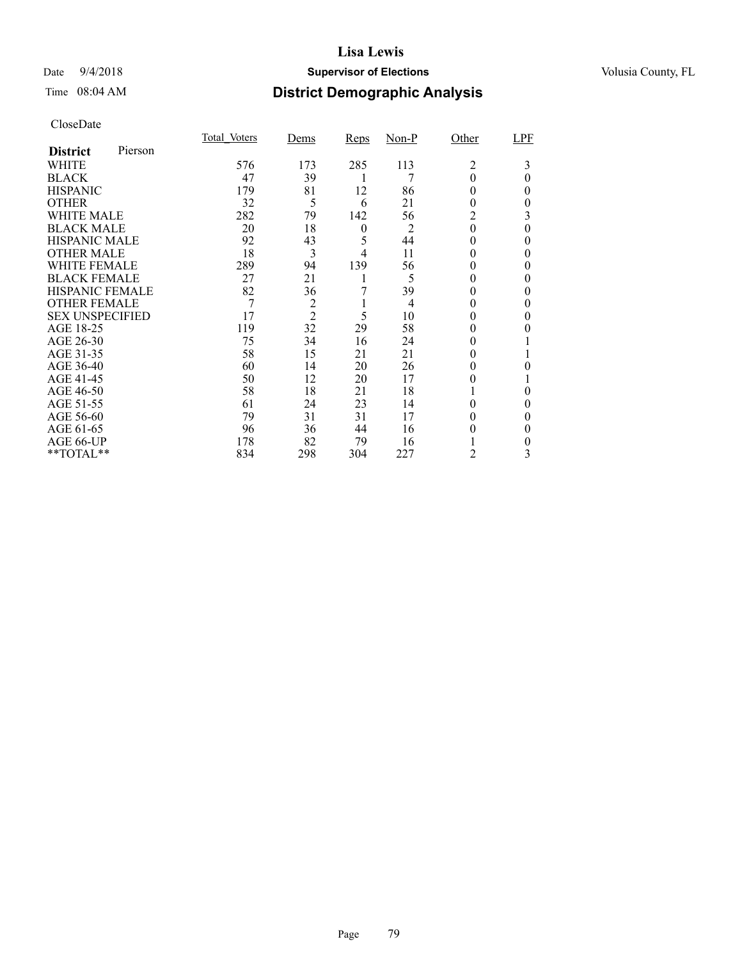### Date  $9/4/2018$  **Supervisor of Elections** Volusia County, FL

### Time 08:04 AM **District Demographic Analysis**

|                        |         | Total Voters | Dems           | <b>Reps</b>      | Non-P          | Other        | LPF      |
|------------------------|---------|--------------|----------------|------------------|----------------|--------------|----------|
| <b>District</b>        | Pierson |              |                |                  |                |              |          |
| <b>WHITE</b>           |         | 576          | 173            | 285              | 113            | 2            | 3        |
| <b>BLACK</b>           |         | 47           | 39             | 1                | 7              | $\theta$     | $\theta$ |
| <b>HISPANIC</b>        |         | 179          | 81             | 12               | 86             | 0            | 0        |
| <b>OTHER</b>           |         | 32           | 5              | 6                | 21             | $_{0}$       | 0        |
| <b>WHITE MALE</b>      |         | 282          | 79             | 142              | 56             | 2            | 3        |
| <b>BLACK MALE</b>      |         | 20           | 18             | $\boldsymbol{0}$ | $\overline{2}$ | $\theta$     | 0        |
| <b>HISPANIC MALE</b>   |         | 92           | 43             | 5                | 44             | $^{(1)}$     | 0        |
| <b>OTHER MALE</b>      |         | 18           | 3              | 4                | 11             | $\theta$     | 0        |
| <b>WHITE FEMALE</b>    |         | 289          | 94             | 139              | 56             | 0            | 0        |
| <b>BLACK FEMALE</b>    |         | 27           | 21             |                  | 5              | $\theta$     | 0        |
| <b>HISPANIC FEMALE</b> |         | 82           | 36             |                  | 39             | $\theta$     | 0        |
| <b>OTHER FEMALE</b>    |         | 7            | $\overline{c}$ |                  | 4              | $\theta$     |          |
| <b>SEX UNSPECIFIED</b> |         | 17           | $\overline{2}$ | 5                | 10             | 0            | 0        |
| AGE 18-25              |         | 119          | 32             | 29               | 58             | 0            |          |
| AGE 26-30              |         | 75           | 34             | 16               | 24             | $_{0}$       |          |
| AGE 31-35              |         | 58           | 15             | 21               | 21             | $\mathbf{0}$ |          |
| AGE 36-40              |         | 60           | 14             | 20               | 26             | $_{0}$       | 0        |
| AGE 41-45              |         | 50           | 12             | 20               | 17             | $_{0}$       |          |
| AGE 46-50              |         | 58           | 18             | 21               | 18             |              | 0        |
| AGE 51-55              |         | 61           | 24             | 23               | 14             | $_{0}$       | 0        |
| AGE 56-60              |         | 79           | 31             | 31               | 17             |              | 0        |
| AGE 61-65              |         | 96           | 36             | 44               | 16             | 0            | 0        |
| AGE 66-UP              |         | 178          | 82             | 79               | 16             |              | 0        |
| **TOTAL**              |         | 834          | 298            | 304              | 227            | 2            | 3        |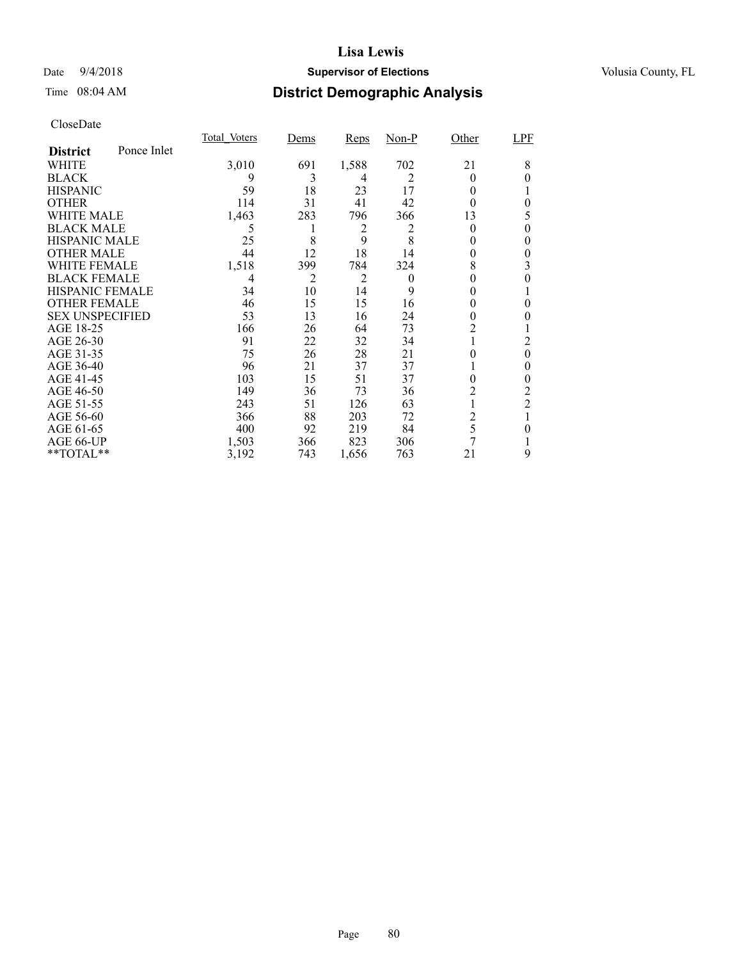### Date  $9/4/2018$  **Supervisor of Elections** Volusia County, FL

## Time 08:04 AM **District Demographic Analysis**

|                        |             | Total Voters | Dems           | <b>Reps</b> | $Non-P$  | Other | LPF            |
|------------------------|-------------|--------------|----------------|-------------|----------|-------|----------------|
| <b>District</b>        | Ponce Inlet |              |                |             |          |       |                |
| WHITE                  |             | 3,010        | 691            | 1,588       | 702      | 21    | 8              |
| <b>BLACK</b>           |             | 9            | 3              | 4           | 2        | 0     | 0              |
| <b>HISPANIC</b>        |             | 59           | 18             | 23          | 17       | 0     |                |
| <b>OTHER</b>           |             | 114          | 31             | 41          | 42       | 0     | 0              |
| WHITE MALE             |             | 1,463        | 283            | 796         | 366      | 13    | 5              |
| <b>BLACK MALE</b>      |             | 5            | 1              | 2           | 2        | 0     | 0              |
| <b>HISPANIC MALE</b>   |             | 25           | 8              | 9           | 8        | 0     | 0              |
| <b>OTHER MALE</b>      |             | 44           | 12             | 18          | 14       | 0     | 0              |
| WHITE FEMALE           |             | 1,518        | 399            | 784         | 324      | 8     | 3              |
| <b>BLACK FEMALE</b>    |             | 4            | $\overline{c}$ | 2           | $\theta$ |       | 0              |
| <b>HISPANIC FEMALE</b> |             | 34           | 10             | 14          | 9        |       |                |
| <b>OTHER FEMALE</b>    |             | 46           | 15             | 15          | 16       | 0     | 0              |
| <b>SEX UNSPECIFIED</b> |             | 53           | 13             | 16          | 24       | 0     |                |
| AGE 18-25              |             | 166          | 26             | 64          | 73       | 2     |                |
| AGE 26-30              |             | 91           | 22             | 32          | 34       |       | 2              |
| AGE 31-35              |             | 75           | 26             | 28          | 21       |       | 0              |
| AGE 36-40              |             | 96           | 21             | 37          | 37       |       | 0              |
| AGE 41-45              |             | 103          | 15             | 51          | 37       | 0     | 0              |
| AGE 46-50              |             | 149          | 36             | 73          | 36       | 2     | 2              |
| AGE 51-55              |             | 243          | 51             | 126         | 63       |       | $\overline{2}$ |
| AGE 56-60              |             | 366          | 88             | 203         | 72       | 2     |                |
| AGE 61-65              |             | 400          | 92             | 219         | 84       | 5     | 0              |
| AGE 66-UP              |             | 1,503        | 366            | 823         | 306      | 7     |                |
| **TOTAL**              |             | 3,192        | 743            | 1,656       | 763      | 21    | 9              |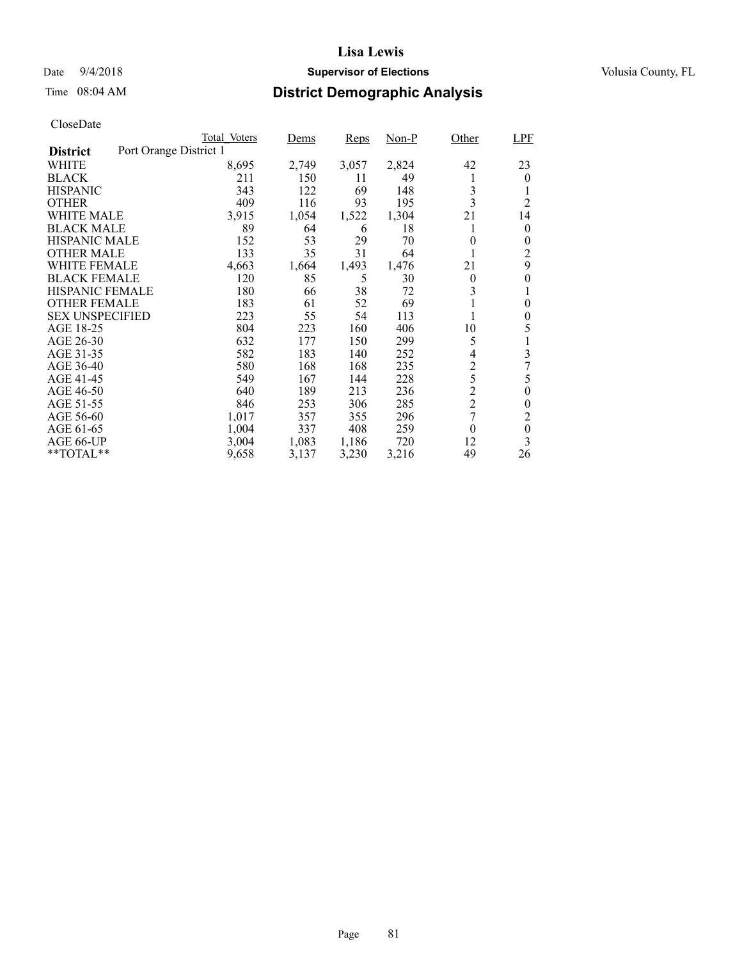### Date  $9/4/2018$  **Supervisor of Elections** Volusia County, FL

## Time 08:04 AM **District Demographic Analysis**

|                                           | Total Voters | Dems  | <b>Reps</b> | Non-P | Other          | LPF            |
|-------------------------------------------|--------------|-------|-------------|-------|----------------|----------------|
| Port Orange District 1<br><b>District</b> |              |       |             |       |                |                |
| WHITE                                     | 8,695        | 2,749 | 3,057       | 2,824 | 42             | 23             |
| <b>BLACK</b>                              | 211          | 150   | 11          | 49    |                | $\overline{0}$ |
| <b>HISPANIC</b>                           | 343          | 122   | 69          | 148   | 3              |                |
| <b>OTHER</b>                              | 409          | 116   | 93          | 195   | 3              | $\overline{2}$ |
| WHITE MALE                                | 3,915        | 1,054 | 1,522       | 1,304 | 21             | 14             |
| <b>BLACK MALE</b>                         | 89           | 64    | 6           | 18    |                | $\overline{0}$ |
| <b>HISPANIC MALE</b>                      | 152          | 53    | 29          | 70    | 0              | $\theta$       |
| <b>OTHER MALE</b>                         | 133          | 35    | 31          | 64    |                | 2              |
| <b>WHITE FEMALE</b>                       | 4,663        | 1,664 | 1,493       | 1,476 | 21             | 9              |
| <b>BLACK FEMALE</b>                       | 120          | 85    | 5           | 30    | $\theta$       | 0              |
| <b>HISPANIC FEMALE</b>                    | 180          | 66    | 38          | 72    | 3              | 1              |
| <b>OTHER FEMALE</b>                       | 183          | 61    | 52          | 69    | 1              | 0              |
| <b>SEX UNSPECIFIED</b>                    | 223          | 55    | 54          | 113   |                | 0              |
| AGE 18-25                                 | 804          | 223   | 160         | 406   | 10             | 5              |
| AGE 26-30                                 | 632          | 177   | 150         | 299   | 5              |                |
| AGE 31-35                                 | 582          | 183   | 140         | 252   | 4              | 3              |
| AGE 36-40                                 | 580          | 168   | 168         | 235   | $\overline{c}$ | 7              |
| AGE 41-45                                 | 549          | 167   | 144         | 228   | 5              | 5              |
| AGE 46-50                                 | 640          | 189   | 213         | 236   | $\overline{c}$ | $\overline{0}$ |
| AGE 51-55                                 | 846          | 253   | 306         | 285   | $\sqrt{2}$     | 0              |
| AGE 56-60                                 | 1,017        | 357   | 355         | 296   | 7              | $\overline{2}$ |
| AGE 61-65                                 | 1,004        | 337   | 408         | 259   | $\theta$       | $\theta$       |
| AGE 66-UP                                 | 3,004        | 1,083 | 1,186       | 720   | 12             | 3              |
| $*$ TOTAL $*$                             | 9,658        | 3,137 | 3,230       | 3,216 | 49             | 26             |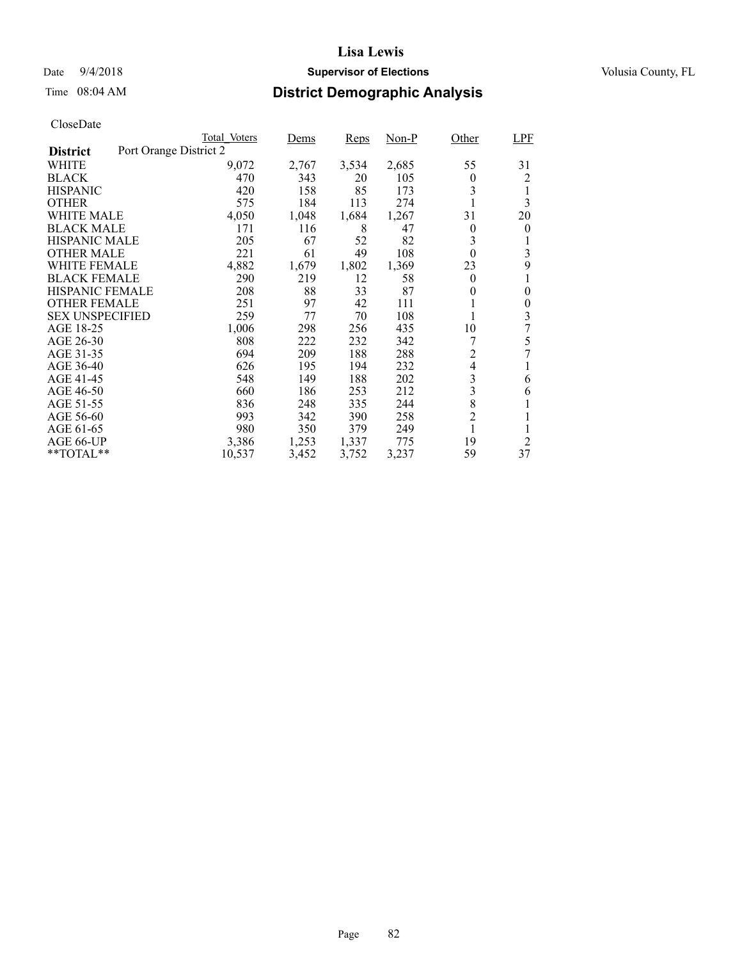### Date  $9/4/2018$  **Supervisor of Elections** Volusia County, FL

## Time 08:04 AM **District Demographic Analysis**

|                        |                        | Total Voters | Dems  | <b>Reps</b> | $Non-P$ | Other          | <b>LPF</b>     |
|------------------------|------------------------|--------------|-------|-------------|---------|----------------|----------------|
| <b>District</b>        | Port Orange District 2 |              |       |             |         |                |                |
| WHITE                  |                        | 9,072        | 2,767 | 3,534       | 2,685   | 55             | 31             |
| <b>BLACK</b>           |                        | 470          | 343   | 20          | 105     | $\theta$       | 2              |
| <b>HISPANIC</b>        |                        | 420          | 158   | 85          | 173     | 3              |                |
| <b>OTHER</b>           |                        | 575          | 184   | 113         | 274     |                | 3              |
| WHITE MALE             |                        | 4,050        | 1,048 | 1,684       | 1,267   | 31             | 20             |
| <b>BLACK MALE</b>      |                        | 171          | 116   | 8           | 47      | $\theta$       | $\overline{0}$ |
| <b>HISPANIC MALE</b>   |                        | 205          | 67    | 52          | 82      | 3              |                |
| <b>OTHER MALE</b>      |                        | 221          | 61    | 49          | 108     | $\theta$       | 3              |
| WHITE FEMALE           |                        | 4,882        | 1,679 | 1,802       | 1,369   | 23             | 9              |
| <b>BLACK FEMALE</b>    |                        | 290          | 219   | 12          | 58      | $\theta$       |                |
| HISPANIC FEMALE        |                        | 208          | 88    | 33          | 87      | 0              | $\theta$       |
| <b>OTHER FEMALE</b>    |                        | 251          | 97    | 42          | 111     |                | $\theta$       |
| <b>SEX UNSPECIFIED</b> |                        | 259          | 77    | 70          | 108     |                | 3              |
| AGE 18-25              |                        | 1,006        | 298   | 256         | 435     | 10             | 7              |
| AGE 26-30              |                        | 808          | 222   | 232         | 342     | 7              | 5              |
| AGE 31-35              |                        | 694          | 209   | 188         | 288     | $\overline{2}$ | 7              |
| AGE 36-40              |                        | 626          | 195   | 194         | 232     | $\overline{4}$ |                |
| AGE 41-45              |                        | 548          | 149   | 188         | 202     | 3              | 6              |
| AGE 46-50              |                        | 660          | 186   | 253         | 212     | 3              | 6              |
| AGE 51-55              |                        | 836          | 248   | 335         | 244     | 8              |                |
| AGE 56-60              |                        | 993          | 342   | 390         | 258     | $\overline{c}$ |                |
| AGE 61-65              |                        | 980          | 350   | 379         | 249     | 1              |                |
| AGE 66-UP              |                        | 3,386        | 1,253 | 1,337       | 775     | 19             | 2              |
| **TOTAL**              |                        | 10,537       | 3,452 | 3,752       | 3,237   | 59             | 37             |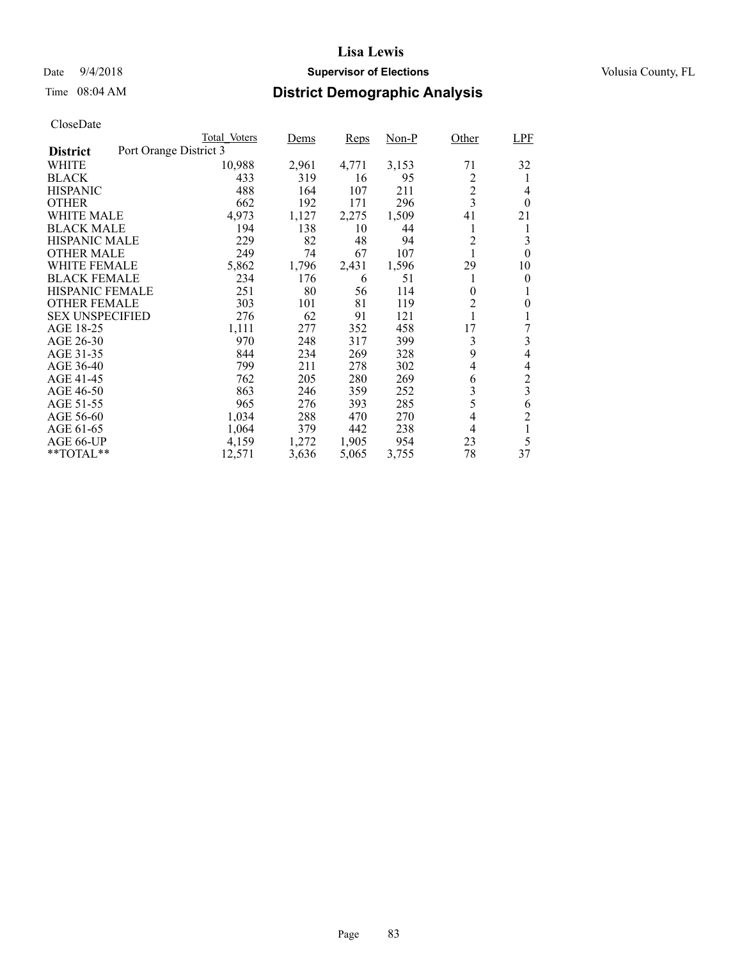### Date  $9/4/2018$  **Supervisor of Elections** Volusia County, FL

## Time 08:04 AM **District Demographic Analysis**

|                        | Total Voters           | Dems  | <b>Reps</b> | Non-P | Other          | <b>LPF</b>              |
|------------------------|------------------------|-------|-------------|-------|----------------|-------------------------|
| <b>District</b>        | Port Orange District 3 |       |             |       |                |                         |
| WHITE                  | 10,988                 | 2,961 | 4,771       | 3,153 | 71             | 32                      |
| <b>BLACK</b>           | 433                    | 319   | 16          | 95    | 2              | 1                       |
| <b>HISPANIC</b>        | 488                    | 164   | 107         | 211   | $\overline{c}$ | 4                       |
| <b>OTHER</b>           | 662                    | 192   | 171         | 296   | $\overline{3}$ | $\theta$                |
| WHITE MALE             | 4,973                  | 1,127 | 2,275       | 1,509 | 41             | 21                      |
| <b>BLACK MALE</b>      | 194                    | 138   | 10          | 44    | 1              | 1                       |
| <b>HISPANIC MALE</b>   | 229                    | 82    | 48          | 94    | $\overline{c}$ | 3                       |
| <b>OTHER MALE</b>      | 249                    | 74    | 67          | 107   |                | $\theta$                |
| <b>WHITE FEMALE</b>    | 5,862                  | 1,796 | 2,431       | 1,596 | 29             | 10                      |
| <b>BLACK FEMALE</b>    | 234                    | 176   | 6           | 51    | 1              | 0                       |
| <b>HISPANIC FEMALE</b> | 251                    | 80    | 56          | 114   | $\theta$       | 1                       |
| <b>OTHER FEMALE</b>    | 303                    | 101   | 81          | 119   | $\overline{2}$ | $\theta$                |
| <b>SEX UNSPECIFIED</b> | 276                    | 62    | 91          | 121   |                |                         |
| AGE 18-25              | 1,111                  | 277   | 352         | 458   | 17             | 7                       |
| AGE 26-30              | 970                    | 248   | 317         | 399   | 3              | 3                       |
| AGE 31-35              | 844                    | 234   | 269         | 328   | 9              | 4                       |
| AGE 36-40              | 799                    | 211   | 278         | 302   | 4              | 4                       |
| AGE 41-45              | 762                    | 205   | 280         | 269   | 6              | $\overline{c}$          |
| AGE 46-50              | 863                    | 246   | 359         | 252   | 3              | $\overline{\mathbf{3}}$ |
| AGE 51-55              | 965                    | 276   | 393         | 285   | 5              | 6                       |
| AGE 56-60              | 1,034                  | 288   | 470         | 270   | $\overline{4}$ | $\overline{2}$          |
| AGE 61-65              | 1,064                  | 379   | 442         | 238   | 4              | 1                       |
| AGE 66-UP              | 4,159                  | 1,272 | 1,905       | 954   | 23             | 5                       |
| $*$ TOTAL $*$          | 12,571                 | 3,636 | 5,065       | 3,755 | 78             | 37                      |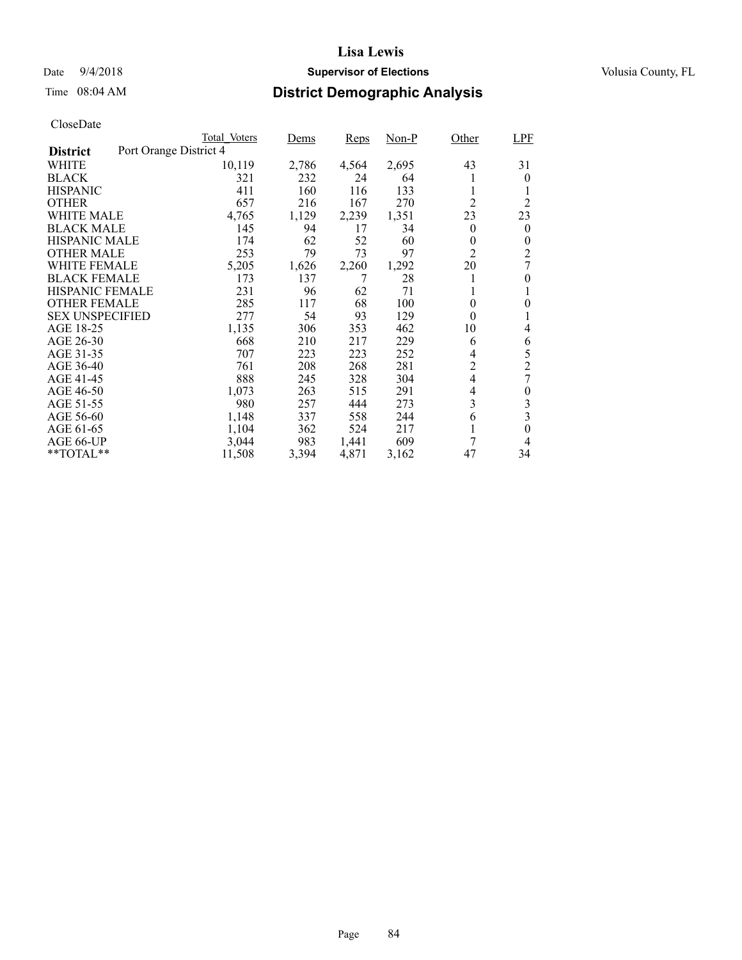### Date  $9/4/2018$  **Supervisor of Elections** Volusia County, FL

## Time 08:04 AM **District Demographic Analysis**

|                        | Total Voters           | Dems  | <b>Reps</b> | $Non-P$ | Other          | <b>LPF</b>     |
|------------------------|------------------------|-------|-------------|---------|----------------|----------------|
| <b>District</b>        | Port Orange District 4 |       |             |         |                |                |
| WHITE                  | 10,119                 | 2,786 | 4,564       | 2,695   | 43             | 31             |
| <b>BLACK</b>           | 321                    | 232   | 24          | 64      | 1              | 0              |
| <b>HISPANIC</b>        | 411                    | 160   | 116         | 133     | 1              |                |
| <b>OTHER</b>           | 657                    | 216   | 167         | 270     | $\overline{2}$ | $\overline{2}$ |
| WHITE MALE             | 4,765                  | 1,129 | 2,239       | 1,351   | 23             | 23             |
| <b>BLACK MALE</b>      | 145                    | 94    | 17          | 34      | $\theta$       | $\overline{0}$ |
| <b>HISPANIC MALE</b>   | 174                    | 62    | 52          | 60      | 0              | 0              |
| <b>OTHER MALE</b>      | 253                    | 79    | 73          | 97      | $\overline{2}$ | 2              |
| WHITE FEMALE           | 5,205                  | 1,626 | 2,260       | 1,292   | 20             | 7              |
| <b>BLACK FEMALE</b>    | 173                    | 137   |             | 28      | 1              | $\theta$       |
| HISPANIC FEMALE        | 231                    | 96    | 62          | 71      | 1              |                |
| <b>OTHER FEMALE</b>    | 285                    | 117   | 68          | 100     | $\theta$       | 0              |
| <b>SEX UNSPECIFIED</b> | 277                    | 54    | 93          | 129     | $\theta$       | 1              |
| AGE 18-25              | 1,135                  | 306   | 353         | 462     | 10             | 4              |
| AGE 26-30              | 668                    | 210   | 217         | 229     | 6              | 6              |
| AGE 31-35              | 707                    | 223   | 223         | 252     | 4              | 5              |
| AGE 36-40              | 761                    | 208   | 268         | 281     | $\overline{c}$ | $\overline{c}$ |
| AGE 41-45              | 888                    | 245   | 328         | 304     | $\overline{4}$ | 7              |
| AGE 46-50              | 1,073                  | 263   | 515         | 291     | 4              | 0              |
| AGE 51-55              | 980                    | 257   | 444         | 273     | 3              | 3              |
| AGE 56-60              | 1,148                  | 337   | 558         | 244     | 6              | 3              |
| AGE 61-65              | 1,104                  | 362   | 524         | 217     | 1              | $\theta$       |
| AGE 66-UP              | 3,044                  | 983   | 1,441       | 609     | 7              | 4              |
| **TOTAL**              | 11,508                 | 3,394 | 4,871       | 3,162   | 47             | 34             |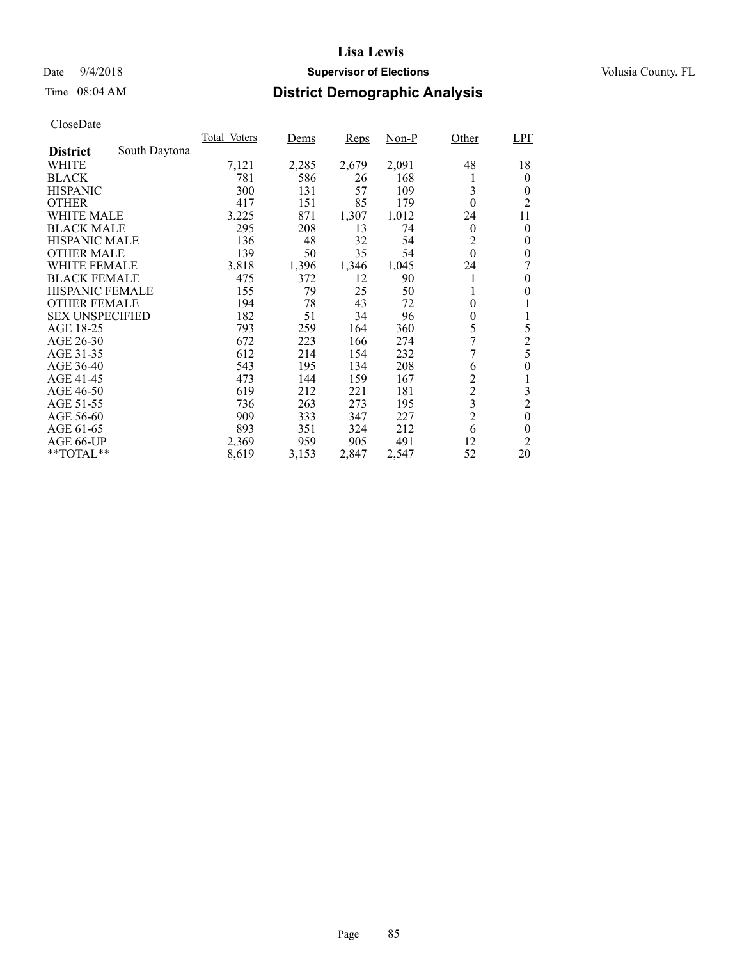### Date  $9/4/2018$  **Supervisor of Elections** Volusia County, FL

## Time 08:04 AM **District Demographic Analysis**

|                        |               | Total Voters | Dems  | <b>Reps</b> | Non-P | Other            | <b>LPF</b>       |
|------------------------|---------------|--------------|-------|-------------|-------|------------------|------------------|
| <b>District</b>        | South Daytona |              |       |             |       |                  |                  |
| WHITE                  |               | 7,121        | 2,285 | 2,679       | 2,091 | 48               | 18               |
| <b>BLACK</b>           |               | 781          | 586   | 26          | 168   |                  | $\theta$         |
| <b>HISPANIC</b>        |               | 300          | 131   | 57          | 109   | 3                | $\theta$         |
| <b>OTHER</b>           |               | 417          | 151   | 85          | 179   | $\theta$         | $\overline{c}$   |
| WHITE MALE             |               | 3,225        | 871   | 1,307       | 1,012 | 24               | 11               |
| <b>BLACK MALE</b>      |               | 295          | 208   | 13          | 74    | $\boldsymbol{0}$ | $\theta$         |
| <b>HISPANIC MALE</b>   |               | 136          | 48    | 32          | 54    | 2                | $\theta$         |
| <b>OTHER MALE</b>      |               | 139          | 50    | 35          | 54    | $\theta$         | $\theta$         |
| <b>WHITE FEMALE</b>    |               | 3,818        | 1,396 | 1,346       | 1,045 | 24               |                  |
| <b>BLACK FEMALE</b>    |               | 475          | 372   | 12          | 90    |                  | $\theta$         |
| HISPANIC FEMALE        |               | 155          | 79    | 25          | 50    | 1                | $\theta$         |
| <b>OTHER FEMALE</b>    |               | 194          | 78    | 43          | 72    | $\overline{0}$   |                  |
| <b>SEX UNSPECIFIED</b> |               | 182          | 51    | 34          | 96    | $\boldsymbol{0}$ |                  |
| AGE 18-25              |               | 793          | 259   | 164         | 360   | 5                | 5                |
| AGE 26-30              |               | 672          | 223   | 166         | 274   | 7                | $\overline{c}$   |
| AGE 31-35              |               | 612          | 214   | 154         | 232   | 7                | 5                |
| AGE 36-40              |               | 543          | 195   | 134         | 208   | 6                | $\overline{0}$   |
| AGE 41-45              |               | 473          | 144   | 159         | 167   | $\overline{c}$   | 1                |
| AGE 46-50              |               | 619          | 212   | 221         | 181   | $\overline{c}$   | 3                |
| AGE 51-55              |               | 736          | 263   | 273         | 195   | 3                | $\overline{c}$   |
| AGE 56-60              |               | 909          | 333   | 347         | 227   | $\overline{2}$   | $\boldsymbol{0}$ |
| AGE 61-65              |               | 893          | 351   | 324         | 212   | 6                | $\theta$         |
| AGE 66-UP              |               | 2,369        | 959   | 905         | 491   | 12               | $\overline{2}$   |
| $*$ TOTAL $*$          |               | 8,619        | 3,153 | 2,847       | 2,547 | 52               | 20               |